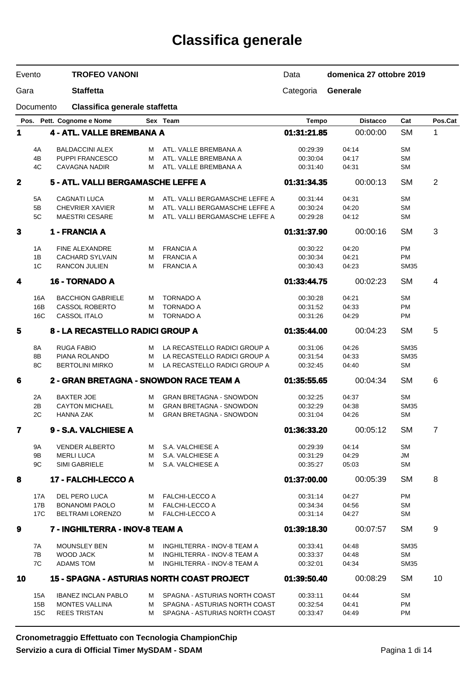# **Classifica generale**

| Evento           |                | <b>TROFEO VANONI</b>                    |        |                                                   | Data                 | domenica 27 ottobre 2019 |             |                |
|------------------|----------------|-----------------------------------------|--------|---------------------------------------------------|----------------------|--------------------------|-------------|----------------|
| Gara             |                | <b>Staffetta</b>                        |        |                                                   | Categoria            | <b>Generale</b>          |             |                |
| Documento        |                | Classifica generale staffetta           |        |                                                   |                      |                          |             |                |
|                  |                | Pos. Pett. Cognome e Nome               |        | Sex Team                                          | <b>Tempo</b>         | <b>Distacco</b>          | Cat         | Pos.Cat        |
| 1                |                | <b>4 - ATL. VALLE BREMBANA A</b>        |        |                                                   | 01:31:21.85          | 00:00:00                 | <b>SM</b>   | 1              |
|                  |                | <b>BALDACCINI ALEX</b>                  |        |                                                   |                      |                          | <b>SM</b>   |                |
| 4B               | 4A             | PUPPI FRANCESCO                         | м<br>м | ATL. VALLE BREMBANA A<br>ATL. VALLE BREMBANA A    | 00:29:39<br>00:30:04 | 04:14<br>04:17           | <b>SM</b>   |                |
|                  | 4C             | <b>CAVAGNA NADIR</b>                    | м      | ATL. VALLE BREMBANA A                             | 00:31:40             | 04:31                    | <b>SM</b>   |                |
| $\mathbf 2$      |                | 5 - ATL. VALLI BERGAMASCHE LEFFE A      |        |                                                   | 01:31:34.35          | 00:00:13                 | <b>SM</b>   | $\overline{2}$ |
|                  | 5A             | <b>CAGNATI LUCA</b>                     | м      | ATL. VALLI BERGAMASCHE LEFFE A                    | 00:31:44             | 04:31                    | <b>SM</b>   |                |
| 5B               |                | <b>CHEVRIER XAVIER</b>                  | М      | ATL. VALLI BERGAMASCHE LEFFE A                    | 00:30:24             | 04:20                    | <b>SM</b>   |                |
|                  | 5C             | <b>MAESTRI CESARE</b>                   | м      | ATL. VALLI BERGAMASCHE LEFFE A                    | 00:29:28             | 04:12                    | <b>SM</b>   |                |
| $\mathbf{3}$     |                | 1 - FRANCIA A                           |        |                                                   | 01:31:37.90          | 00:00:16                 | <b>SM</b>   | $\mathbf{3}$   |
|                  | 1A             | <b>FINE ALEXANDRE</b>                   | м      | <b>FRANCIA A</b>                                  | 00:30:22             | 04:20                    | PM          |                |
| 1B               |                | <b>CACHARD SYLVAIN</b>                  | м      | <b>FRANCIA A</b>                                  | 00:30:34             | 04:21                    | <b>PM</b>   |                |
|                  | 1 <sup>C</sup> | <b>RANCON JULIEN</b>                    | М      | <b>FRANCIA A</b>                                  | 00:30:43             | 04:23                    | <b>SM35</b> |                |
| 4                |                | <b>16 - TORNADO A</b>                   |        |                                                   | 01:33:44.75          | 00:02:23                 | <b>SM</b>   | 4              |
|                  | 16A            | <b>BACCHION GABRIELE</b>                | м      | <b>TORNADO A</b>                                  | 00:30:28             | 04:21                    | <b>SM</b>   |                |
|                  | 16B            | <b>CASSOL ROBERTO</b>                   | М      | <b>TORNADO A</b>                                  | 00:31:52             | 04:33                    | <b>PM</b>   |                |
|                  | 16C            | <b>CASSOL ITALO</b>                     | м      | <b>TORNADO A</b>                                  | 00:31:26             | 04:29                    | <b>PM</b>   |                |
| 5                |                | 8 - LA RECASTELLO RADICI GROUP A        |        |                                                   | 01:35:44.00          | 00:04:23                 | <b>SM</b>   | 5              |
| 8A               |                | <b>RUGA FABIO</b>                       | м      | LA RECASTELLO RADICI GROUP A                      | 00:31:06             | 04:26                    | <b>SM35</b> |                |
| 8B               |                | PIANA ROLANDO                           | м      | LA RECASTELLO RADICI GROUP A                      | 00:31:54             | 04:33                    | <b>SM35</b> |                |
|                  | 8C             | <b>BERTOLINI MIRKO</b>                  | м      | LA RECASTELLO RADICI GROUP A                      | 00:32:45             | 04:40                    | <b>SM</b>   |                |
| 6                |                | 2 - GRAN BRETAGNA - SNOWDON RACE TEAM A |        |                                                   | 01:35:55.65          | 00:04:34                 | <b>SM</b>   | 6              |
|                  | 2A             | <b>BAXTER JOE</b>                       | м      | <b>GRAN BRETAGNA - SNOWDON</b>                    | 00:32:25             | 04:37                    | <b>SM</b>   |                |
| 2B               |                | <b>CAYTON MICHAEL</b>                   | м      | <b>GRAN BRETAGNA - SNOWDON</b>                    | 00:32:29             | 04:38                    | <b>SM35</b> |                |
|                  | 2C             | <b>HANNA ZAK</b>                        | М      | <b>GRAN BRETAGNA - SNOWDON</b>                    | 00:31:04             | 04:26                    | <b>SM</b>   |                |
| 7                |                | 9 - S.A. VALCHIESE A                    |        |                                                   | 01:36:33.20          | 00:05:12                 | <b>SM</b>   | $\overline{7}$ |
|                  | 9Α             | <b>VENDER ALBERTO</b>                   | м      | S.A. VALCHIESE A                                  | 00:29:39             | 04:14                    | <b>SM</b>   |                |
|                  | 9Β             | <b>MERLI LUCA</b>                       | м      | S.A. VALCHIESE A                                  | 00:31:29             | 04:29                    | JM          |                |
|                  | 9C             | SIMI GABRIELE                           | м      | S.A. VALCHIESE A                                  | 00:35:27             | 05:03                    | <b>SM</b>   |                |
| 8                |                | 17 - FALCHI-LECCO A                     |        |                                                   | 01:37:00.00          | 00:05:39                 | <b>SM</b>   | 8              |
|                  | 17A            | DEL PERO LUCA                           | M      | <b>FALCHI-LECCO A</b>                             | 00:31:14             | 04:27                    | <b>PM</b>   |                |
|                  | 17B            | <b>BONANOMI PAOLO</b>                   | М      | <b>FALCHI-LECCO A</b>                             | 00:34:34             | 04:56                    | <b>SM</b>   |                |
|                  | 17C            | <b>BELTRAMI LORENZO</b>                 |        | M FALCHI-LECCO A                                  | 00:31:14             | 04:27                    | SM          |                |
| $\boldsymbol{9}$ |                | 7 - INGHILTERRA - INOV-8 TEAM A         |        |                                                   | 01:39:18.30          | 00:07:57                 | <b>SM</b>   | 9              |
|                  | 7A             | <b>MOUNSLEY BEN</b>                     | м      | INGHILTERRA - INOV-8 TEAM A                       | 00:33:41             | 04:48                    | <b>SM35</b> |                |
|                  | 7B             | <b>WOOD JACK</b>                        | м      | INGHILTERRA - INOV-8 TEAM A                       | 00:33:37             | 04:48                    | <b>SM</b>   |                |
|                  | 7C             | <b>ADAMS TOM</b>                        | м      | INGHILTERRA - INOV-8 TEAM A                       | 00:32:01             | 04:34                    | <b>SM35</b> |                |
| 10               |                |                                         |        | <b>15 - SPAGNA - ASTURIAS NORTH COAST PROJECT</b> | 01:39:50.40          | 00:08:29                 | <b>SM</b>   | 10             |
|                  | 15A            | <b>IBANEZ INCLAN PABLO</b>              | м      | SPAGNA - ASTURIAS NORTH COAST                     | 00:33:11             | 04:44                    | SM          |                |
|                  | 15B            | <b>MONTES VALLINA</b>                   | м      | SPAGNA - ASTURIAS NORTH COAST                     | 00:32:54             | 04:41                    | PM          |                |
|                  | 15C            | <b>REES TRISTAN</b>                     | м      | SPAGNA - ASTURIAS NORTH COAST                     | 00:33:47             | 04:49                    | <b>PM</b>   |                |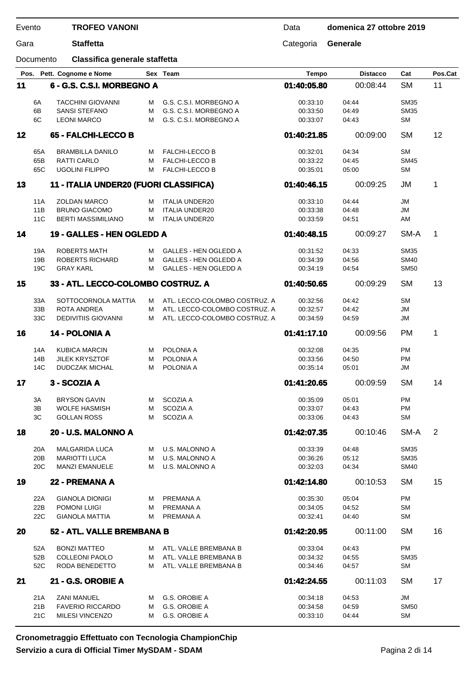| Evento |                        | <b>TROFEO VANONI</b>                          |        |                                                                | Data                 | domenica 27 ottobre 2019 |                            |         |
|--------|------------------------|-----------------------------------------------|--------|----------------------------------------------------------------|----------------------|--------------------------|----------------------------|---------|
| Gara   |                        | <b>Staffetta</b>                              |        |                                                                | Categoria            | Generale                 |                            |         |
|        | Documento              | Classifica generale staffetta                 |        |                                                                |                      |                          |                            |         |
|        |                        | Pos. Pett. Cognome e Nome                     |        | Sex Team                                                       | <b>Tempo</b>         | <b>Distacco</b>          | Cat                        | Pos.Cat |
| 11     |                        | 6 - G.S. C.S.I. MORBEGNO A                    |        |                                                                | 01:40:05.80          | 00:08:44                 | <b>SM</b>                  | 11      |
|        | 6A                     | <b>TACCHINI GIOVANNI</b>                      | м      | G.S. C.S.I. MORBEGNO A                                         | 00:33:10             | 04:44                    | <b>SM35</b>                |         |
|        | 6B                     | <b>SANSI STEFANO</b>                          | м      | G.S. C.S.I. MORBEGNO A                                         | 00:33:50             | 04:49                    | <b>SM35</b>                |         |
|        | 6C                     | <b>LEONI MARCO</b>                            | M      | G.S. C.S.I. MORBEGNO A                                         | 00:33:07             | 04:43                    | <b>SM</b>                  |         |
| 12     |                        | 65 - FALCHI-LECCO B                           |        |                                                                | 01:40:21.85          | 00:09:00                 | <b>SM</b>                  | 12      |
|        | 65A                    | <b>BRAMBILLA DANILO</b>                       | м      | <b>FALCHI-LECCO B</b>                                          | 00:32:01             | 04:34                    | <b>SM</b>                  |         |
|        | 65B                    | RATTI CARLO                                   | м      | <b>FALCHI-LECCO B</b>                                          | 00:33:22             | 04:45                    | <b>SM45</b>                |         |
|        | 65C                    | <b>UGOLINI FILIPPO</b>                        | M      | <b>FALCHI-LECCO B</b>                                          | 00:35:01             | 05:00                    | <b>SM</b>                  |         |
| 13     |                        | 11 - ITALIA UNDER20 (FUORI CLASSIFICA)        |        |                                                                | 01:40:46.15          | 00:09:25                 | JM                         | 1       |
|        |                        |                                               |        |                                                                |                      |                          |                            |         |
|        | 11A                    | <b>ZOLDAN MARCO</b>                           | м      | <b>ITALIA UNDER20</b>                                          | 00:33:10             | 04:44                    | JM                         |         |
|        | 11B                    | <b>BRUNO GIACOMO</b>                          | м      | <b>ITALIA UNDER20</b>                                          | 00:33:38             | 04:48                    | <b>JM</b>                  |         |
|        | 11C                    | <b>BERTI MASSIMILIANO</b>                     | M      | <b>ITALIA UNDER20</b>                                          | 00:33:59             | 04:51                    | AM                         |         |
| 14     |                        | 19 - GALLES - HEN OGLEDD A                    |        |                                                                | 01:40:48.15          | 00:09:27                 | SM-A                       | 1       |
|        | 19A                    | <b>ROBERTS MATH</b>                           | м      | GALLES - HEN OGLEDD A                                          | 00:31:52             | 04:33                    | <b>SM35</b>                |         |
|        | 19B                    | ROBERTS RICHARD                               | м      | <b>GALLES - HEN OGLEDD A</b>                                   | 00:34:39             | 04:56                    | <b>SM40</b>                |         |
|        | 19C                    | <b>GRAY KARL</b>                              | М      | <b>GALLES - HEN OGLEDD A</b>                                   | 00:34:19             | 04:54                    | <b>SM50</b>                |         |
| 15     |                        | 33 - ATL. LECCO-COLOMBO COSTRUZ. A            |        |                                                                | 01:40:50.65          | 00:09:29                 | <b>SM</b>                  | 13      |
|        |                        |                                               |        |                                                                |                      |                          |                            |         |
|        | 33A<br>33B             | SOTTOCORNOLA MATTIA<br>ROTA ANDREA            | м<br>м | ATL. LECCO-COLOMBO COSTRUZ. A<br>ATL. LECCO-COLOMBO COSTRUZ. A | 00:32:56<br>00:32:57 | 04:42<br>04:42           | <b>SM</b><br>JM            |         |
|        | 33C                    | <b>DEDIVITIIS GIOVANNI</b>                    | M      | ATL. LECCO-COLOMBO COSTRUZ. A                                  | 00:34:59             | 04:59                    | JM                         |         |
|        |                        |                                               |        |                                                                |                      |                          |                            |         |
| 16     |                        | 14 - POLONIA A                                |        |                                                                | 01:41:17.10          | 00:09:56                 | <b>PM</b>                  | 1       |
|        | 14A                    | <b>KUBICA MARCIN</b>                          | м      | POLONIA A                                                      | 00:32:08             | 04:35                    | <b>PM</b>                  |         |
|        | 14B                    | <b>JILEK KRYSZTOF</b>                         | м      | POLONIA A                                                      | 00:33:56             | 04:50                    | <b>PM</b>                  |         |
|        | 14C                    | <b>DUDCZAK MICHAL</b>                         | м      | POLONIA A                                                      | 00:35:14             | 05:01                    | JM                         |         |
| 17     |                        | 3 - SCOZIA A                                  |        |                                                                | 01:41:20.65          | 00:09:59                 | <b>SM</b>                  | 14      |
|        | ЗA                     | <b>BRYSON GAVIN</b>                           | M      | <b>SCOZIA A</b>                                                | 00:35:09             | 05:01                    | <b>PM</b>                  |         |
|        | 3B                     | <b>WOLFE HASMISH</b>                          | м      | SCOZIA A                                                       | 00:33:07             | 04:43                    | <b>PM</b>                  |         |
|        | ЗC                     | <b>GOLLAN ROSS</b>                            | м      | SCOZIA A                                                       | 00:33:06             | 04:43                    | SM                         |         |
| 18     |                        | 20 - U.S. MALONNO A                           |        |                                                                | 01:42:07.35          | 00:10:46                 | SM-A                       | 2       |
|        |                        |                                               |        |                                                                |                      |                          |                            |         |
|        | 20A                    | <b>MALGARIDA LUCA</b>                         | M      | U.S. MALONNO A                                                 | 00:33:39             | 04:48                    | <b>SM35</b>                |         |
|        | 20 <sub>B</sub><br>20C | <b>MARIOTTI LUCA</b><br><b>MANZI EMANUELE</b> | м<br>м | U.S. MALONNO A<br>U.S. MALONNO A                               | 00:36:26<br>00:32:03 | 05:12<br>04:34           | <b>SM35</b><br><b>SM40</b> |         |
|        |                        |                                               |        |                                                                |                      |                          |                            |         |
| 19     |                        | 22 - PREMANA A                                |        |                                                                | 01:42:14.80          | 00:10:53                 | <b>SM</b>                  | 15      |
|        | 22A                    | <b>GIANOLA DIONIGI</b>                        | м      | PREMANA A                                                      | 00:35:30             | 05:04                    | <b>PM</b>                  |         |
|        | 22B                    | POMONI LUIGI                                  | м      | PREMANA A                                                      | 00:34:05             | 04:52                    | <b>SM</b>                  |         |
|        | 22C                    | <b>GIANOLA MATTIA</b>                         | м      | PREMANA A                                                      | 00:32:41             | 04:40                    | <b>SM</b>                  |         |
| 20     |                        | 52 - ATL. VALLE BREMBANA B                    |        |                                                                | 01:42:20.95          | 00:11:00                 | <b>SM</b>                  | 16      |
|        | 52A                    | <b>BONZI MATTEO</b>                           | M      | ATL. VALLE BREMBANA B                                          | 00:33:04             | 04:43                    | <b>PM</b>                  |         |
|        | 52B                    | <b>COLLEONI PAOLO</b>                         | м      | ATL. VALLE BREMBANA B                                          | 00:34:32             | 04:55                    | <b>SM35</b>                |         |
|        | 52C                    | RODA BENEDETTO                                | M      | ATL. VALLE BREMBANA B                                          | 00:34:46             | 04:57                    | <b>SM</b>                  |         |
|        |                        |                                               |        |                                                                |                      |                          |                            |         |
| 21     |                        | 21 - G.S. OROBIE A                            |        |                                                                | 01:42:24.55          | 00:11:03                 | <b>SM</b>                  | 17      |
|        | 21A                    | <b>ZANI MANUEL</b>                            | M      | G.S. OROBIE A                                                  | 00:34:18             | 04:53                    | JM                         |         |
|        | 21B                    | <b>FAVERIO RICCARDO</b>                       | м      | G.S. OROBIE A                                                  | 00:34:58             | 04:59                    | <b>SM50</b>                |         |
|        | 21C                    | MILESI VINCENZO                               | M      | G.S. OROBIE A                                                  | 00:33:10             | 04:44                    | <b>SM</b>                  |         |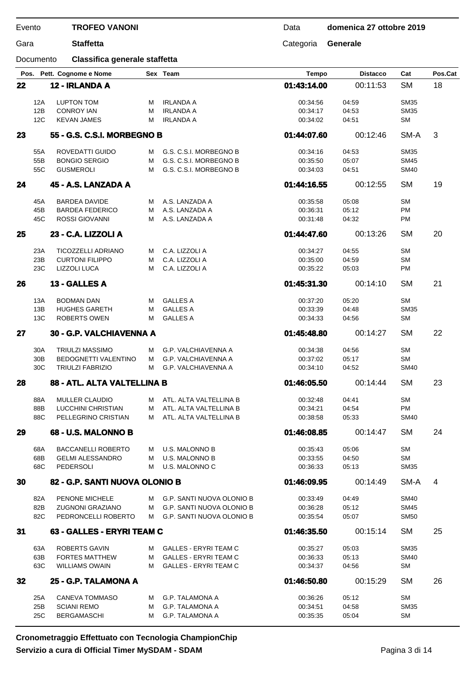Documento **Classifica generale staffetta**

Gara **Staffetta** Categoria **Generale**

|    |            | Pos. Pett. Cognome e Nome                           |        | Sex Team                                         | <b>Tempo</b>         | <b>Distacco</b> | Cat                    | Pos.Cat        |
|----|------------|-----------------------------------------------------|--------|--------------------------------------------------|----------------------|-----------------|------------------------|----------------|
| 22 |            | 12 - IRLANDA A                                      |        |                                                  | 01:43:14.00          | 00:11:53        | <b>SM</b>              | 18             |
|    |            |                                                     |        |                                                  |                      |                 |                        |                |
|    | 12A        | LUPTON TOM                                          | м      | <b>IRLANDA A</b>                                 | 00:34:56             | 04:59           | <b>SM35</b>            |                |
|    | 12B        | <b>CONROY IAN</b>                                   | м      | <b>IRLANDA A</b>                                 | 00:34:17             | 04:53           | <b>SM35</b>            |                |
|    | 12C        | <b>KEVAN JAMES</b>                                  | М      | <b>IRLANDA A</b>                                 | 00:34:02             | 04:51           | <b>SM</b>              |                |
| 23 |            | 55 - G.S. C.S.I. MORBEGNO B                         |        |                                                  | 01:44:07.60          | 00:12:46        | SM-A                   | 3              |
|    | 55A        | ROVEDATTI GUIDO                                     | м      | G.S. C.S.I. MORBEGNO B                           | 00:34:16             | 04:53           | <b>SM35</b>            |                |
|    | 55B        | <b>BONGIO SERGIO</b>                                | м      | G.S. C.S.I. MORBEGNO B                           | 00:35:50             | 05:07           | <b>SM45</b>            |                |
|    | 55C        | <b>GUSMEROLI</b>                                    | м      | G.S. C.S.I. MORBEGNO B                           | 00:34:03             | 04:51           | <b>SM40</b>            |                |
| 24 |            | 45 - A.S. LANZADA A                                 |        |                                                  | 01:44:16.55          | 00:12:55        | <b>SM</b>              | 19             |
|    | 45A        | <b>BARDEA DAVIDE</b>                                | м      | A.S. LANZADA A                                   | 00:35:58             | 05:08           | <b>SM</b>              |                |
|    | 45B        | <b>BARDEA FEDERICO</b>                              | м      | A.S. LANZADA A                                   | 00:36:31             | 05:12           | PM                     |                |
|    | 45C        | ROSSI GIOVANNI                                      | м      | A.S. LANZADA A                                   | 00:31:48             | 04:32           | PM                     |                |
| 25 |            | 23 - C.A. LIZZOLI A                                 |        |                                                  | 01:44:47.60          | 00:13:26        | <b>SM</b>              | 20             |
|    |            |                                                     |        |                                                  |                      |                 |                        |                |
|    | 23A<br>23B | <b>TICOZZELLI ADRIANO</b><br><b>CURTONI FILIPPO</b> | м<br>М | C.A. LIZZOLI A<br>C.A. LIZZOLI A                 | 00:34:27<br>00:35:00 | 04:55<br>04:59  | <b>SM</b><br><b>SM</b> |                |
|    | 23C        | <b>LIZZOLI LUCA</b>                                 | М      | C.A. LIZZOLI A                                   | 00:35:22             | 05:03           | PM                     |                |
|    |            |                                                     |        |                                                  |                      |                 |                        |                |
| 26 |            | 13 - GALLES A                                       |        |                                                  | 01:45:31.30          | 00:14:10        | <b>SM</b>              | 21             |
|    | 13A        | <b>BODMAN DAN</b>                                   | м      | <b>GALLES A</b>                                  | 00:37:20             | 05:20           | <b>SM</b>              |                |
|    | 13B        | <b>HUGHES GARETH</b>                                | М      | <b>GALLES A</b>                                  | 00:33:39             | 04:48           | <b>SM35</b>            |                |
|    | 13C        | <b>ROBERTS OWEN</b>                                 | м      | <b>GALLES A</b>                                  | 00:34:33             | 04:56           | <b>SM</b>              |                |
| 27 |            | 30 - G.P. VALCHIAVENNA A                            |        |                                                  | 01:45:48.80          | 00:14:27        | <b>SM</b>              | 22             |
|    | 30A        | <b>TRIULZI MASSIMO</b>                              | м      | <b>G.P. VALCHIAVENNA A</b>                       | 00:34:38             | 04:56           | <b>SM</b>              |                |
|    | 30B        | BEDOGNETTI VALENTINO                                | м      | G.P. VALCHIAVENNA A                              | 00:37:02             | 05:17           | <b>SM</b>              |                |
|    | 30C        | <b>TRIULZI FABRIZIO</b>                             | м      | <b>G.P. VALCHIAVENNA A</b>                       | 00:34:10             | 04:52           | <b>SM40</b>            |                |
| 28 |            | 88 - ATL. ALTA VALTELLINA B                         |        |                                                  | 01:46:05.50          | 00:14:44        | <b>SM</b>              | 23             |
|    |            |                                                     |        |                                                  |                      |                 |                        |                |
|    | 88A        | MULLER CLAUDIO                                      | м      | ATL. ALTA VALTELLINA B                           | 00:32:48             | 04:41           | <b>SM</b>              |                |
|    | 88B<br>88C | <b>LUCCHINI CHRISTIAN</b>                           | м      | ATL. ALTA VALTELLINA B                           | 00:34:21             | 04:54           | PM                     |                |
|    |            | PELLEGRINO CRISTIAN                                 | м      | ATL. ALTA VALTELLINA B                           | 00:38:58             | 05:33           | <b>SM40</b>            |                |
| 29 |            | 68 - U.S. MALONNO B                                 |        |                                                  | 01:46:08.85          | 00:14:47        | <b>SM</b>              | 24             |
|    | 68A        | <b>BACCANELLI ROBERTO</b>                           | M      | <b>U.S. MALONNO B</b>                            | 00:35:43             | 05:06           | <b>SM</b>              |                |
|    | 68B        | <b>GELMI ALESSANDRO</b>                             | м      | <b>U.S. MALONNO B</b>                            | 00:33:55             | 04:50           | SM                     |                |
|    | 68C        | PEDERSOLI                                           | м      | U.S. MALONNO C                                   | 00:36:33             | 05:13           | <b>SM35</b>            |                |
| 30 |            | 82 - G.P. SANTI NUOVA OLONIO B                      |        |                                                  | 01:46:09.95          | 00:14:49        | SM-A                   | $\overline{4}$ |
|    | 82A        | PENONE MICHELE                                      | м      | <b>G.P. SANTI NUOVA OLONIO B</b>                 | 00:33:49             | 04:49           | <b>SM40</b>            |                |
|    | 82B        | ZUGNONI GRAZIANO                                    | м      | <b>G.P. SANTI NUOVA OLONIO B</b>                 | 00:36:28             | 05:12           | <b>SM45</b>            |                |
|    | 82C        | PEDRONCELLI ROBERTO                                 | M      | <b>G.P. SANTI NUOVA OLONIO B</b>                 | 00:35:54             | 05:07           | <b>SM50</b>            |                |
| 31 |            | 63 - GALLES - ERYRI TEAM C                          |        |                                                  | 01:46:35.50          | 00:15:14        | SM                     | 25             |
|    | 63A        | <b>ROBERTS GAVIN</b>                                | м      | <b>GALLES - ERYRI TEAM C</b>                     | 00:35:27             | 05:03           | <b>SM35</b>            |                |
|    | 63B        | <b>FORTES MATTHEW</b>                               | м      | <b>GALLES - ERYRI TEAM C</b>                     | 00:36:33             | 05:13           | <b>SM40</b>            |                |
|    | 63C        | <b>WILLIAMS OWAIN</b>                               | м      | <b>GALLES - ERYRI TEAM C</b>                     | 00:34:37             | 04:56           | SM                     |                |
| 32 |            | 25 - G.P. TALAMONA A                                |        |                                                  | 01:46:50.80          | 00:15:29        | <b>SM</b>              | 26             |
|    |            |                                                     |        |                                                  |                      |                 | <b>SM</b>              |                |
|    | 25A<br>25B | CANEVA TOMMASO<br><b>SCIANI REMO</b>                | M<br>м | <b>G.P. TALAMONA A</b><br><b>G.P. TALAMONA A</b> | 00:36:26<br>00:34:51 | 05:12<br>04:58  | <b>SM35</b>            |                |
|    | 25C        | <b>BERGAMASCHI</b>                                  | м      | <b>G.P. TALAMONA A</b>                           | 00:35:35             | 05:04           | <b>SM</b>              |                |
|    |            |                                                     |        |                                                  |                      |                 |                        |                |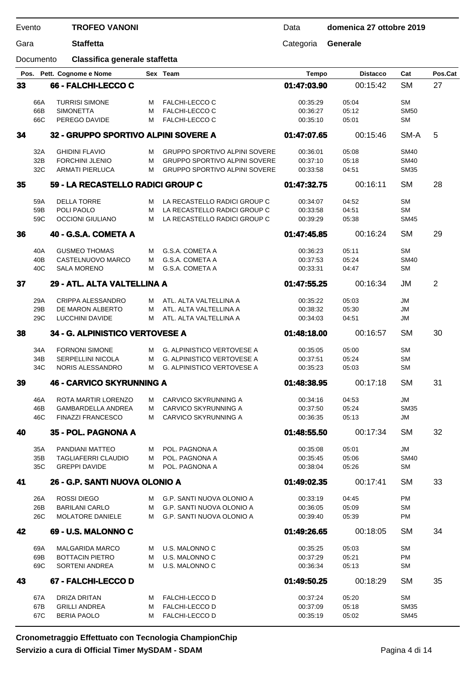Data **domenica 27 ottobre 2019**

Gara **Staffetta** Categoria **Generale**

Documento **Classifica generale staffetta**

|    | Pos.       | Pett. Cognome e Nome                        |        | Sex Team                                         | <b>Tempo</b>         | <b>Distacco</b> | Cat                    | Pos.Cat |
|----|------------|---------------------------------------------|--------|--------------------------------------------------|----------------------|-----------------|------------------------|---------|
| 33 |            | 66 - FALCHI-LECCO C                         |        |                                                  | 01:47:03.90          | 00:15:42        | <b>SM</b>              | 27      |
|    | 66A        | <b>TURRISI SIMONE</b>                       | м      | <b>FALCHI-LECCO C</b>                            | 00:35:29             | 05:04           | <b>SM</b>              |         |
|    | 66B        | <b>SIMONETTA</b>                            | м      | <b>FALCHI-LECCO C</b>                            | 00:36:27             | 05:12           | <b>SM50</b>            |         |
|    | 66C        | PEREGO DAVIDE                               | м      | <b>FALCHI-LECCO C</b>                            | 00:35:10             | 05:01           | <b>SM</b>              |         |
| 34 |            | 32 - GRUPPO SPORTIVO ALPINI SOVERE A        |        |                                                  | 01:47:07.65          | 00:15:46        | SM-A                   | 5       |
|    | 32A        | <b>GHIDINI FLAVIO</b>                       | м      | <b>GRUPPO SPORTIVO ALPINI SOVERE</b>             | 00:36:01             | 05:08           | <b>SM40</b>            |         |
|    | 32B        | <b>FORCHINI JLENIO</b>                      | м      | <b>GRUPPO SPORTIVO ALPINI SOVERE</b>             | 00:37:10             | 05:18           | <b>SM40</b>            |         |
|    | 32C        | <b>ARMATI PIERLUCA</b>                      | м      | GRUPPO SPORTIVO ALPINI SOVERE                    | 00:33:58             | 04:51           | <b>SM35</b>            |         |
| 35 |            | 59 - LA RECASTELLO RADICI GROUP C           |        |                                                  | 01:47:32.75          | 00:16:11        | <b>SM</b>              | 28      |
|    | 59A        | <b>DELLA TORRE</b>                          | м      | LA RECASTELLO RADICI GROUP C                     | 00:34:07             | 04:52           | <b>SM</b>              |         |
|    | 59B        | POLI PAOLO                                  | м      | LA RECASTELLO RADICI GROUP C                     | 00:33:58             | 04:51           | <b>SM</b>              |         |
|    | 59C        | <b>OCCIONI GIULIANO</b>                     | м      | LA RECASTELLO RADICI GROUP C                     | 00:39:29             | 05:38           | <b>SM45</b>            |         |
| 36 |            | 40 - G.S.A. COMETA A                        |        |                                                  | 01:47:45.85          | 00:16:24        | <b>SM</b>              | 29      |
|    | 40A        | <b>GUSMEO THOMAS</b>                        | м      | G.S.A. COMETA A                                  | 00:36:23             | 05:11           | <b>SM</b>              |         |
|    | 40B        | CASTELNUOVO MARCO                           | м      | G.S.A. COMETA A                                  | 00:37:53             | 05:24           | <b>SM40</b>            |         |
|    | 40C        | <b>SALA MORENO</b>                          | м      | G.S.A. COMETA A                                  | 00:33:31             | 04:47           | <b>SM</b>              |         |
| 37 |            | 29 - ATL. ALTA VALTELLINA A                 |        |                                                  | 01:47:55.25          | 00:16:34        | JM                     | 2       |
|    |            |                                             |        |                                                  |                      |                 |                        |         |
|    | 29A<br>29B | CRIPPA ALESSANDRO<br>DE MARON ALBERTO       | м<br>м | ATL. ALTA VALTELLINA A<br>ATL. ALTA VALTELLINA A | 00:35:22<br>00:38:32 | 05:03<br>05:30  | <b>JM</b><br><b>JM</b> |         |
|    | 29C        | LUCCHINI DAVIDE                             | м      | ATL. ALTA VALTELLINA A                           | 00:34:03             | 04:51           | <b>JM</b>              |         |
|    |            |                                             |        |                                                  |                      |                 |                        |         |
| 38 |            | 34 - G. ALPINISTICO VERTOVESE A             |        |                                                  | 01:48:18.00          | 00:16:57        | <b>SM</b>              | 30      |
|    | 34A        | <b>FORNONI SIMONE</b>                       | м      | <b>G. ALPINISTICO VERTOVESE A</b>                | 00:35:05             | 05:00           | <b>SM</b>              |         |
|    | 34B        | SERPELLINI NICOLA                           | м      | <b>G. ALPINISTICO VERTOVESE A</b>                | 00:37:51             | 05:24           | <b>SM</b>              |         |
|    | 34C        | NORIS ALESSANDRO                            | м      | <b>G. ALPINISTICO VERTOVESE A</b>                | 00:35:23             | 05:03           | SM                     |         |
| 39 |            | <b>46 - CARVICO SKYRUNNING A</b>            |        |                                                  | 01:48:38.95          | 00:17:18        | <b>SM</b>              | 31      |
|    | 46A        | ROTA MARTIR LORENZO                         | м      | CARVICO SKYRUNNING A                             | 00:34:16             | 04:53           | JM                     |         |
|    | 46B        | <b>GAMBARDELLA ANDREA</b>                   | м      | CARVICO SKYRUNNING A                             | 00:37:50             | 05:24           | <b>SM35</b>            |         |
|    | 46C        | <b>FINAZZI FRANCESCO</b>                    | м      | CARVICO SKYRUNNING A                             | 00:36:35             | 05:13           | JM                     |         |
| 40 |            | 35 - POL. PAGNONA A                         |        |                                                  | 01:48:55.50          | 00:17:34        | <b>SM</b>              | 32      |
|    | 35A        | PANDIANI MATTEO                             | M      | POL. PAGNONA A                                   | 00:35:08             | 05:01           | <b>JM</b>              |         |
|    | 35B        | <b>TAGLIAFERRI CLAUDIO</b>                  | м      | POL. PAGNONA A                                   | 00:35:45             | 05:06           | <b>SM40</b>            |         |
|    | 35C        | <b>GREPPI DAVIDE</b>                        | м      | POL. PAGNONA A                                   | 00:38:04             | 05:26           | SM                     |         |
| 41 |            | 26 - G.P. SANTI NUOVA OLONIO A              |        |                                                  | 01:49:02.35          | 00:17:41        | <b>SM</b>              | 33      |
|    | 26A        | <b>ROSSI DIEGO</b>                          | м      | G.P. SANTI NUOVA OLONIO A                        | 00:33:19             | 04:45           | <b>PM</b>              |         |
|    | 26B        | <b>BARILANI CARLO</b>                       | м      | G.P. SANTI NUOVA OLONIO A                        | 00:36:05             | 05:09           | <b>SM</b>              |         |
|    | 26C        | MOLATORE DANIELE                            | м      | G.P. SANTI NUOVA OLONIO A                        | 00:39:40             | 05:39           | PM                     |         |
| 42 |            | 69 - U.S. MALONNO C                         |        |                                                  | 01:49:26.65          | 00:18:05        | SM                     | 34      |
|    | 69A        | <b>MALGARIDA MARCO</b>                      | M      | U.S. MALONNO C                                   | 00:35:25             | 05:03           | SМ                     |         |
|    | 69B        | <b>BOTTACIN PIETRO</b>                      | м      | U.S. MALONNO C                                   | 00:37:29             | 05:21           | PM                     |         |
|    | 69C        | SORTENI ANDREA                              | м      | U.S. MALONNO C                                   | 00:36:34             | 05:13           | SM                     |         |
| 43 |            | 67 - FALCHI-LECCO D                         |        |                                                  | 01:49:50.25          | 00:18:29        | <b>SM</b>              | 35      |
|    |            |                                             |        |                                                  |                      |                 |                        |         |
|    | 67A<br>67B | <b>DRIZA DRITAN</b><br><b>GRILLI ANDREA</b> | M<br>м | <b>FALCHI-LECCO D</b><br><b>FALCHI-LECCO D</b>   | 00:37:24<br>00:37:09 | 05:20<br>05:18  | SM<br><b>SM35</b>      |         |
|    | 67C        | <b>BERIA PAOLO</b>                          | м      | FALCHI-LECCO D                                   | 00:35:19             | 05:02           | <b>SM45</b>            |         |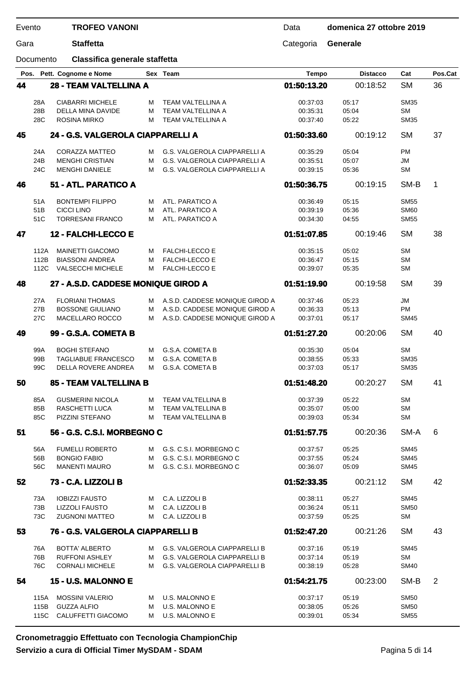Data **domenica 27 ottobre 2019**

Gara **Staffetta** Categoria **Generale**

Documento **Classifica generale staffetta**

|    |      | Pos. Pett. Cognome e Nome           |   | Sex Team                            | <b>Tempo</b> | <b>Distacco</b> | Cat         | Pos.Cat |
|----|------|-------------------------------------|---|-------------------------------------|--------------|-----------------|-------------|---------|
| 44 |      | <b>28 - TEAM VALTELLINA A</b>       |   |                                     | 01:50:13.20  | 00:18:52        | <b>SM</b>   | 36      |
|    | 28A  | <b>CIABARRI MICHELE</b>             | м | <b>TEAM VALTELLINA A</b>            | 00:37:03     | 05:17           | <b>SM35</b> |         |
|    | 28B  | DELLA MINA DAVIDE                   | М | TEAM VALTELLINA A                   | 00:35:31     | 05:04           | <b>SM</b>   |         |
|    | 28C  | <b>ROSINA MIRKO</b>                 | м | TEAM VALTELLINA A                   | 00:37:40     | 05:22           | <b>SM35</b> |         |
| 45 |      | 24 - G.S. VALGEROLA CIAPPARELLI A   |   |                                     | 01:50:33.60  | 00:19:12        | <b>SM</b>   | 37      |
|    | 24A  | <b>CORAZZA MATTEO</b>               | м | G.S. VALGEROLA CIAPPARELLI A        | 00:35:29     | 05:04           | <b>PM</b>   |         |
|    | 24B  | <b>MENGHI CRISTIAN</b>              | м | G.S. VALGEROLA CIAPPARELLI A        | 00:35:51     | 05:07           | JM          |         |
|    | 24C  | <b>MENGHI DANIELE</b>               | м | <b>G.S. VALGEROLA CIAPPARELLI A</b> | 00:39:15     | 05:36           | <b>SM</b>   |         |
| 46 |      | 51 - ATL. PARATICO A                |   |                                     | 01:50:36.75  | 00:19:15        | SM-B        | 1       |
|    | 51A  | <b>BONTEMPI FILIPPO</b>             | м | ATL. PARATICO A                     | 00:36:49     | 05:15           | <b>SM55</b> |         |
|    | 51B  | <b>CICCI LINO</b>                   | м | ATL. PARATICO A                     | 00:39:19     | 05:36           | <b>SM60</b> |         |
|    | 51C  | <b>TORRESANI FRANCO</b>             | м | ATL. PARATICO A                     | 00:34:30     | 04:55           | <b>SM55</b> |         |
| 47 |      | 12 - FALCHI-LECCO E                 |   |                                     | 01:51:07.85  | 00:19:46        | <b>SM</b>   | 38      |
|    | 112A | <b>MAINETTI GIACOMO</b>             | м | <b>FALCHI-LECCO E</b>               | 00:35:15     | 05:02           | <b>SM</b>   |         |
|    | 112B | <b>BIASSONI ANDREA</b>              | М | <b>FALCHI-LECCO E</b>               | 00:36:47     | 05:15           | <b>SM</b>   |         |
|    | 112C | <b>VALSECCHI MICHELE</b>            | м | <b>FALCHI-LECCO E</b>               | 00:39:07     | 05:35           | <b>SM</b>   |         |
| 48 |      | 27 - A.S.D. CADDESE MONIQUE GIROD A |   |                                     | 01:51:19.90  | 00:19:58        | <b>SM</b>   | 39      |
|    | 27A  | <b>FLORIANI THOMAS</b>              | м | A.S.D. CADDESE MONIQUE GIROD A      | 00:37:46     | 05:23           | <b>JM</b>   |         |
|    | 27B  | <b>BOSSONE GIULIANO</b>             | м | A.S.D. CADDESE MONIQUE GIROD A      | 00:36:33     | 05:13           | PM          |         |
|    | 27C  | MACELLARO ROCCO                     | м | A.S.D. CADDESE MONIQUE GIROD A      | 00:37:01     | 05:17           | <b>SM45</b> |         |
| 49 |      | 99 - G.S.A. COMETA B                |   |                                     | 01:51:27.20  | 00:20:06        | <b>SM</b>   | 40      |
|    | 99A  | <b>BOGHI STEFANO</b>                | м | G.S.A. COMETA B                     | 00:35:30     | 05:04           | <b>SM</b>   |         |
|    | 99B  | TAGLIABUE FRANCESCO                 | м | G.S.A. COMETA B                     | 00:38:55     | 05:33           | <b>SM35</b> |         |
|    | 99C  | DELLA ROVERE ANDREA                 | м | G.S.A. COMETA B                     | 00:37:03     | 05:17           | <b>SM35</b> |         |
| 50 |      | 85 - TEAM VALTELLINA B              |   |                                     | 01:51:48.20  | 00:20:27        | <b>SM</b>   | 41      |
|    | 85A  | <b>GUSMERINI NICOLA</b>             | м | <b>TEAM VALTELLINA B</b>            | 00:37:39     | 05:22           | <b>SM</b>   |         |
|    | 85B  | RASCHETTI LUCA                      | м | <b>TEAM VALTELLINA B</b>            | 00:35:07     | 05:00           | <b>SM</b>   |         |
|    | 85C  | PIZZINI STEFANO                     | м | TEAM VALTELLINA B                   | 00:39:03     | 05:34           | <b>SM</b>   |         |
| 51 |      | 56 - G.S. C.S.I. MORBEGNO C         |   |                                     | 01:51:57.75  | 00:20:36        | SM-A        | 6       |
|    | 56A  | <b>FUMELLI ROBERTO</b>              | M | G.S. C.S.I. MORBEGNO C              | 00:37:57     | 05:25           | <b>SM45</b> |         |
|    | 56B  | <b>BONGIO FABIO</b>                 | м | G.S. C.S.I. MORBEGNO C              | 00:37:55     | 05:24           | <b>SM45</b> |         |
|    | 56C  | <b>MANENTI MAURO</b>                | м | G.S. C.S.I. MORBEGNO C              | 00:36:07     | 05:09           | <b>SM45</b> |         |
| 52 |      | 73 - C.A. LIZZOLI B                 |   |                                     | 01:52:33.35  | 00:21:12        | <b>SM</b>   | 42      |
|    | 73A  | <b>IOBIZZI FAUSTO</b>               | M | C.A. LIZZOLI B                      | 00:38:11     | 05:27           | <b>SM45</b> |         |
|    | 73B  | <b>LIZZOLI FAUSTO</b>               | м | C.A. LIZZOLI B                      | 00:36:24     | 05:11           | <b>SM50</b> |         |
|    | 73C  | <b>ZUGNONI MATTEO</b>               | M | C.A. LIZZOLI B                      | 00:37:59     | 05:25           | <b>SM</b>   |         |
| 53 |      | 76 - G.S. VALGEROLA CIAPPARELLI B   |   |                                     | 01:52:47.20  | 00:21:26        | <b>SM</b>   | 43      |
|    | 76A  | <b>BOTTA' ALBERTO</b>               | м | G.S. VALGEROLA CIAPPARELLI B        | 00:37:16     | 05:19           | <b>SM45</b> |         |
|    | 76B  | <b>RUFFONI ASHLEY</b>               | м | G.S. VALGEROLA CIAPPARELLI B        | 00:37:14     | 05:19           | <b>SM</b>   |         |
|    | 76C  | <b>CORNALI MICHELE</b>              | м | G.S. VALGEROLA CIAPPARELLI B        | 00:38:19     | 05:28           | <b>SM40</b> |         |
| 54 |      | 15 - U.S. MALONNO E                 |   |                                     | 01:54:21.75  | 00:23:00        | SM-B        | 2       |
|    | 115A | <b>MOSSINI VALERIO</b>              | M | U.S. MALONNO E                      | 00:37:17     | 05:19           | <b>SM50</b> |         |
|    | 115B | <b>GUZZA ALFIO</b>                  | м | U.S. MALONNO E                      | 00:38:05     | 05:26           | <b>SM50</b> |         |
|    | 115C | CALUFFETTI GIACOMO                  | м | U.S. MALONNO E                      | 00:39:01     | 05:34           | <b>SM55</b> |         |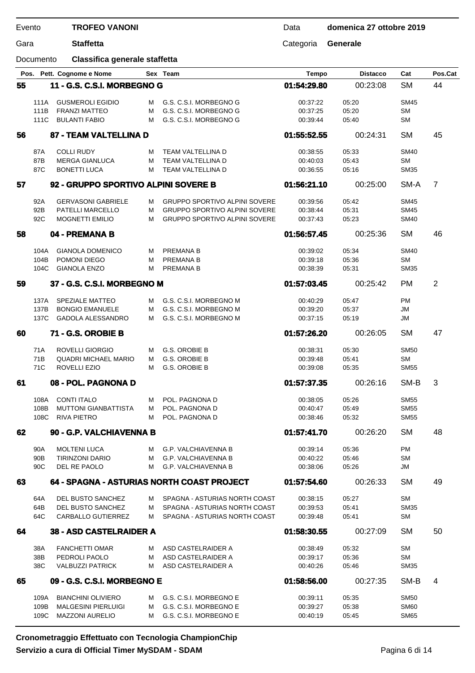| Evento |                        | <b>TROFEO VANONI</b>                          |        |                                                                | Data                 | domenica 27 ottobre 2019 |                          |                |
|--------|------------------------|-----------------------------------------------|--------|----------------------------------------------------------------|----------------------|--------------------------|--------------------------|----------------|
| Gara   |                        | <b>Staffetta</b>                              |        |                                                                | Categoria            | Generale                 |                          |                |
|        | Documento              | Classifica generale staffetta                 |        |                                                                |                      |                          |                          |                |
|        |                        | Pos. Pett. Cognome e Nome                     |        | Sex Team                                                       | <b>Tempo</b>         | <b>Distacco</b>          | Cat                      | Pos.Cat        |
| 55     |                        | 11 - G.S. C.S.I. MORBEGNO G                   |        |                                                                | 01:54:29.80          | 00:23:08                 | <b>SM</b>                | 44             |
|        | 111A                   | <b>GUSMEROLI EGIDIO</b>                       | м      | G.S. C.S.I. MORBEGNO G                                         | 00:37:22             | 05:20                    | <b>SM45</b>              |                |
|        | 111B                   | <b>FRANZI MATTEO</b>                          | М      | G.S. C.S.I. MORBEGNO G                                         | 00:37:25             | 05:20                    | <b>SM</b>                |                |
|        | 111C                   | <b>BULANTI FABIO</b>                          | М      | G.S. C.S.I. MORBEGNO G                                         | 00:39:44             | 05:40                    | <b>SM</b>                |                |
| 56     |                        | 87 - TEAM VALTELLINA D                        |        |                                                                | 01:55:52.55          | 00:24:31                 | <b>SM</b>                | 45             |
|        | 87A                    | <b>COLLI RUDY</b>                             | м      | TEAM VALTELLINA D                                              | 00:38:55             | 05:33                    | <b>SM40</b>              |                |
|        | 87B                    | <b>MERGA GIANLUCA</b>                         | М      | TEAM VALTELLINA D                                              | 00:40:03             | 05:43                    | <b>SM</b>                |                |
|        | 87C                    | <b>BONETTI LUCA</b>                           | м      | TEAM VALTELLINA D                                              | 00:36:55             | 05:16                    | <b>SM35</b>              |                |
| 57     |                        | 92 - GRUPPO SPORTIVO ALPINI SOVERE B          |        |                                                                | 01:56:21.10          | 00:25:00                 | SM-A                     | $\overline{7}$ |
|        |                        |                                               |        |                                                                |                      |                          |                          |                |
|        | 92A                    | <b>GERVASONI GABRIELE</b>                     | м      | <b>GRUPPO SPORTIVO ALPINI SOVERE</b>                           | 00:39:56             | 05:42                    | <b>SM45</b>              |                |
|        | 92B                    | PATELLI MARCELLO                              | м      | <b>GRUPPO SPORTIVO ALPINI SOVERE</b>                           | 00:38:44             | 05:31                    | <b>SM45</b>              |                |
|        | 92C                    | <b>MOGNETTI EMILIO</b>                        | М      | <b>GRUPPO SPORTIVO ALPINI SOVERE</b>                           | 00:37:43             | 05:23                    | <b>SM40</b>              |                |
| 58     |                        | 04 - PREMANA B                                |        |                                                                | 01:56:57.45          | 00:25:36                 | <b>SM</b>                | 46             |
|        | 104A                   | <b>GIANOLA DOMENICO</b>                       | м      | <b>PREMANA B</b>                                               | 00:39:02             | 05:34                    | <b>SM40</b>              |                |
|        | 104B                   | POMONI DIEGO                                  | M      | <b>PREMANA B</b>                                               | 00:39:18             | 05:36                    | <b>SM</b>                |                |
|        | 104C                   | <b>GIANOLA ENZO</b>                           | М      | PREMANA B                                                      | 00:38:39             | 05:31                    | <b>SM35</b>              |                |
| 59     |                        | 37 - G.S. C.S.I. MORBEGNO M                   |        |                                                                | 01:57:03.45          | 00:25:42                 | <b>PM</b>                | $\overline{2}$ |
|        |                        |                                               |        |                                                                |                      |                          |                          |                |
|        | 137A<br>137B           | SPEZIALE MATTEO<br><b>BONGIO EMANUELE</b>     | м<br>М | G.S. C.S.I. MORBEGNO M<br>G.S. C.S.I. MORBEGNO M               | 00:40:29<br>00:39:20 | 05:47<br>05:37           | PM<br>JM                 |                |
|        | 137C                   | <b>GADOLA ALESSANDRO</b>                      | м      | G.S. C.S.I. MORBEGNO M                                         | 00:37:15             | 05:19                    | JM                       |                |
|        |                        |                                               |        |                                                                |                      |                          |                          |                |
| 60     |                        | 71 - G.S. OROBIE B                            |        |                                                                | 01:57:26.20          | 00:26:05                 | <b>SM</b>                | 47             |
|        | 71A                    | <b>ROVELLI GIORGIO</b>                        | м      | G.S. OROBIE B                                                  | 00:38:31             | 05:30                    | <b>SM50</b>              |                |
|        | 71B                    | <b>QUADRI MICHAEL MARIO</b>                   | м      | G.S. OROBIE B                                                  | 00:39:48             | 05:41                    | SМ                       |                |
|        | 71C                    | ROVELLI EZIO                                  | М      | G.S. OROBIE B                                                  | 00:39:08             | 05:35                    | <b>SM55</b>              |                |
| 61     |                        | 08 - POL. PAGNONA D                           |        |                                                                | 01:57:37.35          | 00:26:16                 | SM-B                     | 3              |
|        | 108A                   | <b>CONTI ITALO</b>                            | M      | POL. PAGNONA D                                                 | 00:38:05             | 05:26                    | <b>SM55</b>              |                |
|        | 108B                   | <b>MUTTONI GIANBATTISTA</b>                   | м      | POL. PAGNONA D                                                 | 00:40:47             | 05:49                    | <b>SM55</b>              |                |
|        | 108C                   | <b>RIVA PIETRO</b>                            | м      | POL. PAGNONA D                                                 | 00:38:46             | 05:32                    | <b>SM55</b>              |                |
| 62     |                        | 90 - G.P. VALCHIAVENNA B                      |        |                                                                | 01:57:41.70          | 00:26:20                 | <b>SM</b>                | 48             |
|        |                        |                                               |        | <b>G.P. VALCHIAVENNA B</b>                                     |                      |                          | PM                       |                |
|        | 90A<br>90 <sub>B</sub> | <b>MOLTENI LUCA</b><br><b>TIRINZONI DARIO</b> | м<br>м | <b>G.P. VALCHIAVENNA B</b>                                     | 00:39:14<br>00:40:22 | 05:36<br>05:46           | <b>SM</b>                |                |
|        | 90C                    | DEL RE PAOLO                                  | м      | <b>G.P. VALCHIAVENNA B</b>                                     | 00:38:06             | 05:26                    | JM                       |                |
| 63     |                        | 64 - SPAGNA - ASTURIAS NORTH COAST PROJECT    |        |                                                                | 01:57:54.60          | 00:26:33                 | <b>SM</b>                | 49             |
|        |                        |                                               |        |                                                                |                      |                          |                          |                |
|        | 64A                    | DEL BUSTO SANCHEZ                             | M      | SPAGNA - ASTURIAS NORTH COAST                                  | 00:38:15             | 05:27                    | <b>SM</b>                |                |
|        | 64B<br>64C             | DEL BUSTO SANCHEZ<br>CARBALLO GUTIERREZ       | м<br>м | SPAGNA - ASTURIAS NORTH COAST<br>SPAGNA - ASTURIAS NORTH COAST | 00:39:53<br>00:39:48 | 05:41<br>05:41           | <b>SM35</b><br><b>SM</b> |                |
|        |                        |                                               |        |                                                                |                      |                          |                          |                |
| 64     |                        | <b>38 - ASD CASTELRAIDER A</b>                |        |                                                                | 01:58:30.55          | 00:27:09                 | <b>SM</b>                | 50             |
|        | 38A                    | <b>FANCHETTI OMAR</b>                         | м      | ASD CASTELRAIDER A                                             | 00:38:49             | 05:32                    | <b>SM</b>                |                |
|        | 38B                    | PEDROLI PAOLO                                 | м      | ASD CASTELRAIDER A                                             | 00:39:17             | 05:36                    | <b>SM</b>                |                |
|        | 38C                    | <b>VALBUZZI PATRICK</b>                       | м      | ASD CASTELRAIDER A                                             | 00:40:26             | 05:46                    | <b>SM35</b>              |                |
| 65     |                        | 09 - G.S. C.S.I. MORBEGNO E                   |        |                                                                | 01:58:56.00          | 00:27:35                 | SM-B                     | 4              |
|        | 109A                   | <b>BIANCHINI OLIVIERO</b>                     | м      | G.S. C.S.I. MORBEGNO E                                         | 00:39:11             | 05:35                    | <b>SM50</b>              |                |
|        | 109B                   | <b>MALGESINI PIERLUIGI</b>                    | м      | G.S. C.S.I. MORBEGNO E                                         | 00:39:27             | 05:38                    | SM <sub>60</sub>         |                |
|        | 109C                   | <b>MAZZONI AURELIO</b>                        | м      | G.S. C.S.I. MORBEGNO E                                         | 00:40:19             | 05:45                    | <b>SM65</b>              |                |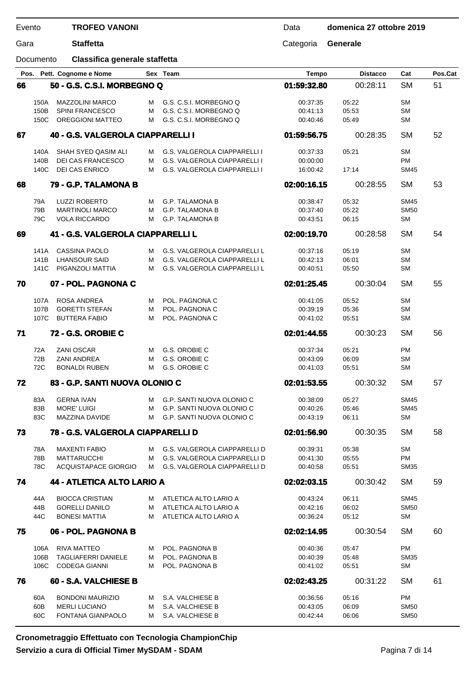| Evento |              | <b>TROFEO VANONI</b>                          |        |                                                                            | Data                 | domenica 27 ottobre 2019 |                   |         |
|--------|--------------|-----------------------------------------------|--------|----------------------------------------------------------------------------|----------------------|--------------------------|-------------------|---------|
| Gara   |              | <b>Staffetta</b>                              |        |                                                                            | Categoria            | Generale                 |                   |         |
|        | Documento    | Classifica generale staffetta                 |        |                                                                            |                      |                          |                   |         |
|        |              | Pos. Pett. Cognome e Nome                     |        | Sex Team                                                                   | <b>Tempo</b>         | <b>Distacco</b>          | Cat               | Pos.Cat |
| 66     |              | 50 - G.S. C.S.I. MORBEGNO Q                   |        |                                                                            | 01:59:32.80          | 00:28:11                 | <b>SM</b>         | 51      |
|        | 150A         | <b>MAZZOLINI MARCO</b>                        | м      | G.S. C.S.I. MORBEGNO Q                                                     | 00:37:35             | 05:22                    | <b>SM</b>         |         |
|        | 150B         | <b>SPINI FRANCESCO</b>                        | м      | G.S. C.S.I. MORBEGNO Q                                                     | 00:41:13             | 05:53                    | <b>SM</b>         |         |
|        | 150C         | <b>OREGGIONI MATTEO</b>                       | м      | G.S. C.S.I. MORBEGNO Q                                                     | 00:40:46             | 05:49                    | <b>SM</b>         |         |
| 67     |              | 40 - G.S. VALGEROLA CIAPPARELLI I             |        |                                                                            | 01:59:56.75          | 00:28:35                 | <b>SM</b>         | 52      |
|        |              |                                               |        |                                                                            |                      |                          | <b>SM</b>         |         |
|        | 140A<br>140B | SHAH SYED QASIM ALI<br>DEI CAS FRANCESCO      | м<br>м | <b>G.S. VALGEROLA CIAPPARELLI I</b><br><b>G.S. VALGEROLA CIAPPARELLI I</b> | 00:37:33<br>00:00:00 | 05:21                    | <b>PM</b>         |         |
|        | 140C         | <b>DEI CAS ENRICO</b>                         | м      | G.S. VALGEROLA CIAPPARELLI I                                               | 16:00:42             | 17:14                    | <b>SM45</b>       |         |
| 68     |              | 79 - G.P. TALAMONA B                          |        |                                                                            | 02:00:16.15          | 00:28:55                 | <b>SM</b>         | 53      |
|        |              |                                               |        |                                                                            |                      |                          |                   |         |
|        | 79A          | <b>LUZZI ROBERTO</b>                          | м      | <b>G.P. TALAMONA B</b>                                                     | 00:38:47             | 05:32                    | <b>SM45</b>       |         |
|        | 79B          | <b>MARTINOLI MARCO</b>                        | М      | <b>G.P. TALAMONA B</b>                                                     | 00:37:40             | 05:22                    | <b>SM50</b>       |         |
|        | 79C          | <b>VOLA RICCARDO</b>                          | М      | <b>G.P. TALAMONA B</b>                                                     | 00:43:51             | 06:15                    | <b>SM</b>         |         |
| 69     |              | 41 - G.S. VALGEROLA CIAPPARELLI L             |        |                                                                            | 02:00:19.70          | 00:28:58                 | <b>SM</b>         | 54      |
|        | 141A         | <b>CASSINA PAOLO</b>                          | м      | <b>G.S. VALGEROLA CIAPPARELLI L</b>                                        | 00:37:16             | 05:19                    | <b>SM</b>         |         |
|        | 141B         | <b>LHANSOUR SAID</b>                          | М      | G.S. VALGEROLA CIAPPARELLI L                                               | 00:42:13             | 06:01                    | <b>SM</b>         |         |
|        | 141C         | PIGANZOLI MATTIA                              | М      | G.S. VALGEROLA CIAPPARELLI L                                               | 00:40:51             | 05:50                    | <b>SM</b>         |         |
| 70     |              | 07 - POL. PAGNONA C                           |        |                                                                            | 02:01:25.45          | 00:30:04                 | <b>SM</b>         | 55      |
|        |              |                                               |        |                                                                            |                      |                          | <b>SM</b>         |         |
|        | 107A<br>107B | ROSA ANDREA<br><b>GORETTI STEFAN</b>          | м<br>М | POL. PAGNONA C<br>POL. PAGNONA C                                           | 00:41:05<br>00:39:19 | 05:52<br>05:36           | <b>SM</b>         |         |
|        | 107C         | <b>BUTTERA FABIO</b>                          | М      | POL. PAGNONA C                                                             | 00:41:02             | 05:51                    | <b>SM</b>         |         |
| 71     |              | 72 - G.S. OROBIE C                            |        |                                                                            | 02:01:44.55          | 00:30:23                 | <b>SM</b>         | 56      |
|        |              |                                               |        |                                                                            |                      |                          |                   |         |
|        | 72A          | <b>ZANI OSCAR</b>                             | м      | G.S. OROBIE C                                                              | 00:37:34             | 05:21                    | <b>PM</b>         |         |
|        | 72B          | <b>ZANI ANDREA</b>                            | м      | G.S. OROBIE C                                                              | 00:43:09             | 06:09                    | <b>SM</b>         |         |
|        | 72C          | <b>BONALDI RUBEN</b>                          | М      | G.S. OROBIE C                                                              | 00:41:03             | 05:51                    | <b>SM</b>         |         |
| 72     |              | 83 - G.P. SANTI NUOVA OLONIO C                |        |                                                                            | 02:01:53.55          | 00:30:32                 | <b>SM</b>         | 57      |
|        | 83A          | <b>GERNA IVAN</b>                             | M      | G.P. SANTI NUOVA OLONIO C                                                  | 00:38:09             | 05:27                    | <b>SM45</b>       |         |
|        | 83B          | <b>MORE' LUIGI</b>                            | м      | G.P. SANTI NUOVA OLONIO C                                                  | 00:40:26             | 05:46                    | <b>SM45</b>       |         |
|        | 83C          | MAZZINA DAVIDE                                | M      | G.P. SANTI NUOVA OLONIO C                                                  | 00:43:19             | 06:11                    | <b>SM</b>         |         |
| 73     |              | 78 - G.S. VALGEROLA CIAPPARELLI D             |        |                                                                            | 02:01:56.90          | 00:30:35                 | <b>SM</b>         | 58      |
|        | 78A          | <b>MAXENTI FABIO</b>                          | M      | <b>G.S. VALGEROLA CIAPPARELLI D</b>                                        | 00:39:31             | 05:38                    | <b>SM</b>         |         |
|        | 78B          | <b>MATTARUCCHI</b>                            | M      | G.S. VALGEROLA CIAPPARELLI D                                               | 00:41:30             | 05:55                    | <b>PM</b>         |         |
|        | 78C          | ACQUISTAPACE GIORGIO                          | M      | G.S. VALGEROLA CIAPPARELLI D                                               | 00:40:58             | 05:51                    | <b>SM35</b>       |         |
| 74     |              | 44 - ATLETICA ALTO LARIO A                    |        |                                                                            | 02:02:03.15          | 00:30:42                 | <b>SM</b>         | 59      |
|        |              |                                               |        |                                                                            |                      |                          |                   |         |
|        | 44A          | <b>BIOCCA CRISTIAN</b>                        | м      | ATLETICA ALTO LARIO A                                                      | 00:43:24             | 06:11                    | <b>SM45</b>       |         |
|        | 44B<br>44C   | <b>GORELLI DANILO</b><br><b>BONESI MATTIA</b> | м<br>м | ATLETICA ALTO LARIO A<br>ATLETICA ALTO LARIO A                             | 00:42:16<br>00:36:24 | 06:02<br>05:12           | <b>SM50</b><br>SМ |         |
|        |              |                                               |        |                                                                            |                      |                          |                   |         |
| 75     |              | 06 - POL. PAGNONA B                           |        |                                                                            | 02:02:14.95          | 00:30:54                 | <b>SM</b>         | 60      |
|        | 106A         | RIVA MATTEO                                   | M      | POL. PAGNONA B                                                             | 00:40:36             | 05:47                    | <b>PM</b>         |         |
|        | 106B         | <b>TAGLIAFERRI DANIELE</b>                    | м      | POL. PAGNONA B                                                             | 00:40:39             | 05:48                    | <b>SM35</b>       |         |
|        | 106C         | <b>CODEGA GIANNI</b>                          | м      | POL. PAGNONA B                                                             | 00:41:02             | 05:51                    | <b>SM</b>         |         |
| 76     |              | 60 - S.A. VALCHIESE B                         |        |                                                                            | 02:02:43.25          | 00:31:22                 | <b>SM</b>         | 61      |
|        | 60A          | <b>BONDONI MAURIZIO</b>                       | M      | S.A. VALCHIESE B                                                           | 00:36:56             | 05:16                    | <b>PM</b>         |         |
|        | 60B          | <b>MERLI LUCIANO</b>                          | M      | S.A. VALCHIESE B                                                           | 00:43:05             | 06:09                    | <b>SM50</b>       |         |

60C FONTANA GIANPAOLO M S.A. VALCHIESE B 00:42:44 06:06 SM50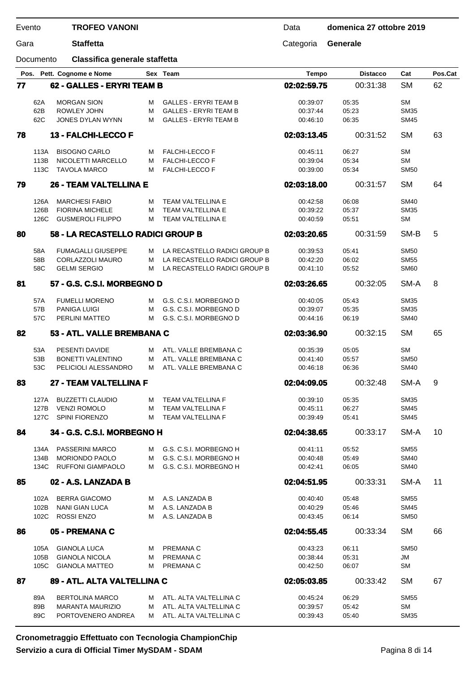| Gara |              | <b>Staffetta</b>                               |        |                                        | Categoria            | <b>Generale</b> |                            |         |
|------|--------------|------------------------------------------------|--------|----------------------------------------|----------------------|-----------------|----------------------------|---------|
|      | Documento    | Classifica generale staffetta                  |        |                                        |                      |                 |                            |         |
| Pos. |              | Pett. Cognome e Nome                           |        | Sex Team                               | <b>Tempo</b>         | <b>Distacco</b> | Cat                        | Pos.Cat |
| 77   |              | 62 - GALLES - ERYRI TEAM B                     |        |                                        | 02:02:59.75          | 00:31:38        | <b>SM</b>                  | 62      |
|      | 62A          | <b>MORGAN SION</b>                             | М      | <b>GALLES - ERYRI TEAM B</b>           | 00:39:07             | 05:35           | <b>SM</b>                  |         |
|      | 62B          | <b>ROWLEY JOHN</b>                             | M      | <b>GALLES - ERYRI TEAM B</b>           | 00:37:44             | 05:23           | <b>SM35</b>                |         |
|      | 62C          | JONES DYLAN WYNN                               | M      | <b>GALLES - ERYRI TEAM B</b>           | 00:46:10             | 06:35           | <b>SM45</b>                |         |
| 78   |              | 13 - FALCHI-LECCO F                            |        |                                        | 02:03:13.45          | 00:31:52        | <b>SM</b>                  | 63      |
|      | 113A         | <b>BISOGNO CARLO</b>                           | м      | <b>FALCHI-LECCO F</b>                  | 00:45:11             | 06:27           | <b>SM</b>                  |         |
|      | 113B         | NICOLETTI MARCELLO                             | м      | <b>FALCHI-LECCO F</b>                  | 00:39:04             | 05:34           | <b>SM</b>                  |         |
|      | 113C         | <b>TAVOLA MARCO</b>                            | М      | <b>FALCHI-LECCO F</b>                  | 00:39:00             | 05:34           | <b>SM50</b>                |         |
| 79   |              | <b>26 - TEAM VALTELLINA E</b>                  |        |                                        | 02:03:18.00          | 00:31:57        | <b>SM</b>                  | 64      |
|      | 126A         | <b>MARCHESI FABIO</b>                          | м      | <b>TEAM VALTELLINA E</b>               | 00:42:58             | 06:08           | <b>SM40</b>                |         |
|      | 126B         | <b>FIORINA MICHELE</b>                         | M      | TEAM VALTELLINA E                      | 00:39:22             | 05:37           | <b>SM35</b>                |         |
|      | 126C         | <b>GUSMEROLI FILIPPO</b>                       | M      | TEAM VALTELLINA E                      | 00:40:59             | 05:51           | <b>SM</b>                  |         |
| 80   |              | 58 - LA RECASTELLO RADICI GROUP B              |        |                                        | 02:03:20.65          | 00:31:59        | SM-B                       | 5       |
|      |              |                                                |        |                                        |                      |                 |                            |         |
|      | 58A          | <b>FUMAGALLI GIUSEPPE</b>                      | м      | LA RECASTELLO RADICI GROUP B           | 00:39:53             | 05:41           | <b>SM50</b>                |         |
|      | 58B          | <b>CORLAZZOLI MAURO</b>                        | M      | LA RECASTELLO RADICI GROUP B           | 00:42:20             | 06:02           | <b>SM55</b>                |         |
|      | 58C          | <b>GELMI SERGIO</b>                            | М      | LA RECASTELLO RADICI GROUP B           | 00:41:10             | 05:52           | <b>SM60</b>                |         |
| 81   |              | 57 - G.S. C.S.I. MORBEGNO D                    |        |                                        | 02:03:26.65          | 00:32:05        | SM-A                       | 8       |
|      | 57A          | <b>FUMELLI MORENO</b>                          | м      | G.S. C.S.I. MORBEGNO D                 | 00:40:05             | 05:43           | <b>SM35</b>                |         |
|      | 57B          | <b>PANIGA LUIGI</b>                            | M      | G.S. C.S.I. MORBEGNO D                 | 00:39:07             | 05:35           | <b>SM35</b>                |         |
|      | 57C          | <b>PERLINI MATTEO</b>                          | M      | G.S. C.S.I. MORBEGNO D                 | 00:44:16             | 06:19           | <b>SM40</b>                |         |
| 82   |              | 53 - ATL. VALLE BREMBANA C                     |        |                                        | 02:03:36.90          | 00:32:15        | <b>SM</b>                  | 65      |
|      | 53A          | PESENTI DAVIDE                                 | М      | ATL. VALLE BREMBANA C                  | 00:35:39             | 05:05           | <b>SM</b>                  |         |
|      | 53B          | <b>BONETTI VALENTINO</b>                       | M      | ATL. VALLE BREMBANA C                  | 00:41:40             | 05:57           | <b>SM50</b>                |         |
|      | 53C          | PELICIOLI ALESSANDRO                           | M      | ATL. VALLE BREMBANA C                  | 00:46:18             | 06:36           | <b>SM40</b>                |         |
| 83   |              | 27 - TEAM VALTELLINA F                         |        |                                        | 02:04:09.05          | 00:32:48        | SM-A                       | 9       |
|      |              |                                                |        |                                        |                      |                 |                            |         |
|      | 127A<br>127B | <b>BUZZETTI CLAUDIO</b><br><b>VENZI ROMOLO</b> | м<br>М | TEAM VALTELLINA F<br>TEAM VALTELLINA F | 00:39:10<br>00:45:11 | 05:35<br>06:27  | <b>SM35</b><br><b>SM45</b> |         |
|      | 127C         | <b>SPINI FIORENZO</b>                          | м      | TEAM VALTELLINA F                      | 00:39:49             | 05:41           | <b>SM45</b>                |         |
| 84   |              | 34 - G.S. C.S.I. MORBEGNO H                    |        |                                        | 02:04:38.65          | 00:33:17        | SM-A                       | 10      |
|      |              |                                                |        |                                        |                      |                 |                            |         |
|      | 134A         | <b>PASSERINI MARCO</b>                         |        | M G.S. C.S.I. MORBEGNO H               | 00:41:11             | 05:52           | <b>SM55</b>                |         |
|      | 134B         | <b>MORIONDO PAOLO</b>                          | м      | G.S. C.S.I. MORBEGNO H                 | 00:40:48             | 05:49           | <b>SM40</b>                |         |
|      | 134C         | <b>RUFFONI GIAMPAOLO</b>                       | м      | G.S. C.S.I. MORBEGNO H                 | 00:42:41             | 06:05           | <b>SM40</b>                |         |
| 85   |              | 02 - A.S. LANZADA B                            |        |                                        | 02:04:51.95          | 00:33:31        | SM-A                       | 11      |
|      | 102A         | <b>BERRA GIACOMO</b>                           | M      | A.S. LANZADA B                         | 00:40:40             | 05:48           | <b>SM55</b>                |         |
|      | 102B         | NANI GIAN LUCA                                 | м      | A.S. LANZADA B                         | 00:40:29             | 05:46           | <b>SM45</b>                |         |
|      | 102C         | ROSSI ENZO                                     | м      | A.S. LANZADA B                         | 00:43:45             | 06:14           | <b>SM50</b>                |         |
| 86   |              | 05 - PREMANA C                                 |        |                                        | 02:04:55.45          | 00:33:34        | <b>SM</b>                  | 66      |
|      | 105A         | <b>GIANOLA LUCA</b>                            | M      | PREMANA C                              | 00:43:23             | 06:11           | <b>SM50</b>                |         |
|      | 105B         | <b>GIANOLA NICOLA</b>                          | м      | PREMANA C                              | 00:38:44             | 05:31           | JM                         |         |
|      | 105C         | <b>GIANOLA MATTEO</b>                          | м      | PREMANA C                              | 00:42:50             | 06:07           | SM                         |         |
| 87   |              | 89 - ATL. ALTA VALTELLINA C                    |        |                                        | 02:05:03.85          | 00:33:42        | <b>SM</b>                  | 67      |

Data **domenica 27 ottobre 2019**

89A BERTOLINA MARCO M ATL. ALTA VALTELLINA C 00:45:24 06:29 SM55 89B MARANTA MAURIZIO M ATL. ALTA VALTELLINA C 00:39:57 05:42 SM 89C PORTOVENERO ANDREA M ATL. ALTA VALTELLINA C 00:39:43 05:40 SM35

**Cronometraggio Effettuato con Tecnologia ChampionChip Servizio a cura di Official Timer MySDAM - SDAM**

Evento

**TROFEO VANONI**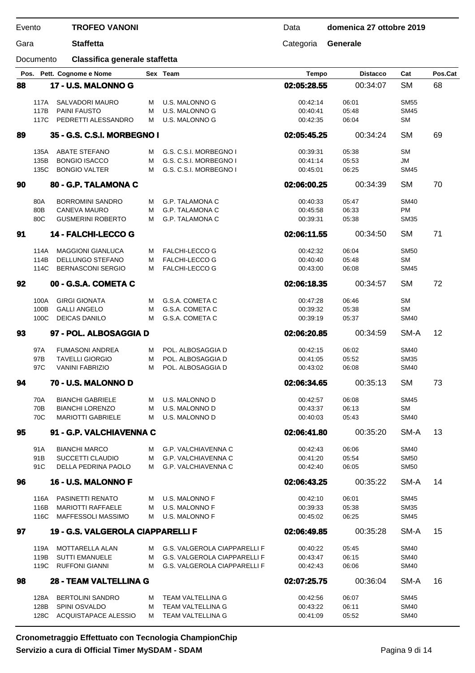Documento **Classifica generale staffetta**

Gara **Staffetta** Categoria **Generale**

|    |              | Pos. Pett. Cognome e Nome                           |        | Sex Team                                                                   | <b>Tempo</b>         | <b>Distacco</b> | Cat                        | Pos.Cat |
|----|--------------|-----------------------------------------------------|--------|----------------------------------------------------------------------------|----------------------|-----------------|----------------------------|---------|
| 88 |              | 17 - U.S. MALONNO G                                 |        |                                                                            | 02:05:28.55          | 00:34:07        | <b>SM</b>                  | 68      |
|    |              |                                                     |        |                                                                            |                      |                 |                            |         |
|    | 117A         | SALVADORI MAURO                                     | м      | U.S. MALONNO G                                                             | 00:42:14             | 06:01           | <b>SM55</b>                |         |
|    | 117B<br>117C | <b>PAINI FAUSTO</b><br>PEDRETTI ALESSANDRO          | м<br>м | U.S. MALONNO G<br>U.S. MALONNO G                                           | 00:40:41<br>00:42:35 | 05:48<br>06:04  | <b>SM45</b><br><b>SM</b>   |         |
|    |              |                                                     |        |                                                                            |                      |                 |                            |         |
| 89 |              | 35 - G.S. C.S.I. MORBEGNO I                         |        |                                                                            | 02:05:45.25          | 00:34:24        | <b>SM</b>                  | 69      |
|    | 135A         | <b>ABATE STEFANO</b>                                | м      | G.S. C.S.I. MORBEGNO I                                                     | 00:39:31             | 05:38           | <b>SM</b>                  |         |
|    | 135B         | <b>BONGIO ISACCO</b>                                | м      | G.S. C.S.I. MORBEGNO I                                                     | 00:41:14             | 05:53           | JM                         |         |
|    | 135C         | <b>BONGIO VALTER</b>                                | м      | G.S. C.S.I. MORBEGNO I                                                     | 00:45:01             | 06:25           | <b>SM45</b>                |         |
| 90 |              | 80 - G.P. TALAMONA C                                |        |                                                                            | 02:06:00.25          | 00:34:39        | <b>SM</b>                  | 70      |
|    | 80A          | <b>BORROMINI SANDRO</b>                             | м      | G.P. TALAMONA C                                                            | 00:40:33             | 05:47           | <b>SM40</b>                |         |
|    | 80B          | <b>CANEVA MAURO</b>                                 | м      | G.P. TALAMONA C                                                            | 00:45:58             | 06:33           | PM                         |         |
|    | 80C          | <b>GUSMERINI ROBERTO</b>                            | м      | G.P. TALAMONA C                                                            | 00:39:31             | 05:38           | <b>SM35</b>                |         |
| 91 |              | 14 - FALCHI-LECCO G                                 |        |                                                                            | 02:06:11.55          | 00:34:50        | <b>SM</b>                  | 71      |
|    |              | <b>MAGGIONI GIANLUCA</b>                            |        | <b>FALCHI-LECCO G</b>                                                      |                      |                 | <b>SM50</b>                |         |
|    | 114A<br>114B | DELLUNGO STEFANO                                    | м<br>м | <b>FALCHI-LECCO G</b>                                                      | 00:42:32<br>00:40:40 | 06:04<br>05:48  | <b>SM</b>                  |         |
|    | 114C         | <b>BERNASCONI SERGIO</b>                            | м      | <b>FALCHI-LECCO G</b>                                                      | 00:43:00             | 06:08           | <b>SM45</b>                |         |
| 92 |              | 00 - G.S.A. COMETA C                                |        |                                                                            | 02:06:18.35          | 00:34:57        | <b>SM</b>                  | 72      |
|    |              |                                                     |        |                                                                            |                      |                 |                            |         |
|    | 100A         | <b>GIRGI GIONATA</b>                                | м      | G.S.A. COMETA C                                                            | 00:47:28             | 06:46           | <b>SM</b>                  |         |
|    | 100B         | <b>GALLI ANGELO</b>                                 | м      | G.S.A. COMETA C                                                            | 00:39:32             | 05:38           | <b>SM</b>                  |         |
|    | 100C         | <b>DEICAS DANILO</b>                                | м      | G.S.A. COMETA C                                                            | 00:39:19             | 05:37           | <b>SM40</b>                |         |
| 93 |              | 97 - POL. ALBOSAGGIA D                              |        |                                                                            | 02:06:20.85          | 00:34:59        | SM-A                       | 12      |
|    | 97A          | <b>FUMASONI ANDREA</b>                              | м      | POL. ALBOSAGGIA D                                                          | 00:42:15             | 06:02           | <b>SM40</b>                |         |
|    | 97B          | <b>TAVELLI GIORGIO</b>                              | м      | POL. ALBOSAGGIA D                                                          | 00:41:05             | 05:52           | <b>SM35</b>                |         |
|    | 97C          | <b>VANINI FABRIZIO</b>                              | м      | POL. ALBOSAGGIA D                                                          | 00:43:02             | 06:08           | <b>SM40</b>                |         |
| 94 |              | 70 - U.S. MALONNO D                                 |        |                                                                            | 02:06:34.65          | 00:35:13        | <b>SM</b>                  | 73      |
|    | 70A          | <b>BIANCHI GABRIELE</b>                             | м      | U.S. MALONNO D                                                             | 00:42:57             | 06:08           | <b>SM45</b>                |         |
|    | 70B          | <b>BIANCHI LORENZO</b>                              | м      | U.S. MALONNO D                                                             | 00:43:37             | 06:13           | <b>SM</b>                  |         |
|    | 70C          | <b>MARIOTTI GABRIELE</b>                            | м      | U.S. MALONNO D                                                             | 00:40:03             | 05:43           | <b>SM40</b>                |         |
| 95 |              | 91 - G.P. VALCHIAVENNA C                            |        |                                                                            | 02:06:41.80          | 00:35:20        | SM-A                       | 13      |
|    | 91A          | <b>BIANCHI MARCO</b>                                | м      | G.P. VALCHIAVENNA C                                                        | 00:42:43             | 06:06           | <b>SM40</b>                |         |
|    | 91B          | SUCCETTI CLAUDIO                                    | м      | <b>G.P. VALCHIAVENNA C</b>                                                 | 00:41:20             | 05:54           | <b>SM50</b>                |         |
|    | 91C          | DELLA PEDRINA PAOLO                                 | м      | G.P. VALCHIAVENNA C                                                        | 00:42:40             | 06:05           | <b>SM50</b>                |         |
| 96 |              | 16 - U.S. MALONNO F                                 |        |                                                                            | 02:06:43.25          | 00:35:22        | SM-A                       | 14      |
|    |              |                                                     |        |                                                                            |                      |                 |                            |         |
|    | 116A<br>116B | <b>PASINETTI RENATO</b><br><b>MARIOTTI RAFFAELE</b> | M<br>м | U.S. MALONNO F<br><b>U.S. MALONNO F</b>                                    | 00:42:10<br>00:39:33 | 06:01<br>05:38  | <b>SM45</b><br><b>SM35</b> |         |
|    | 116C         | <b>MAFFESSOLI MASSIMO</b>                           | м      | U.S. MALONNO F                                                             | 00:45:02             | 06:25           | <b>SM45</b>                |         |
| 97 |              | 19 - G.S. VALGEROLA CIAPPARELLI F                   |        |                                                                            | 02:06:49.85          | 00:35:28        | SM-A                       | 15      |
|    |              |                                                     |        |                                                                            |                      |                 |                            |         |
|    | 119A         | <b>MOTTARELLA ALAN</b>                              | M      | <b>G.S. VALGEROLA CIAPPARELLI F</b>                                        | 00:40:22             | 05:45           | <b>SM40</b>                |         |
|    | 119B<br>119C | <b>SUTTI EMANUELE</b><br><b>RUFFONI GIANNI</b>      | м<br>м | <b>G.S. VALGEROLA CIAPPARELLI F</b><br><b>G.S. VALGEROLA CIAPPARELLI F</b> | 00:43:47<br>00:42:43 | 06:15<br>06:06  | <b>SM40</b><br><b>SM40</b> |         |
|    |              |                                                     |        |                                                                            |                      |                 |                            |         |
| 98 |              | <b>28 - TEAM VALTELLINA G</b>                       |        |                                                                            | 02:07:25.75          | 00:36:04        | SM-A                       | 16      |
|    | 128A         | <b>BERTOLINI SANDRO</b>                             | м      | TEAM VALTELLINA G                                                          | 00:42:56             | 06:07           | <b>SM45</b>                |         |
|    | 128B         | SPINI OSVALDO                                       | м      | TEAM VALTELLINA G                                                          | 00:43:22             | 06:11           | <b>SM40</b>                |         |
|    | 128C         | <b>ACQUISTAPACE ALESSIO</b>                         | м      | TEAM VALTELLINA G                                                          | 00:41:09             | 05:52           | <b>SM40</b>                |         |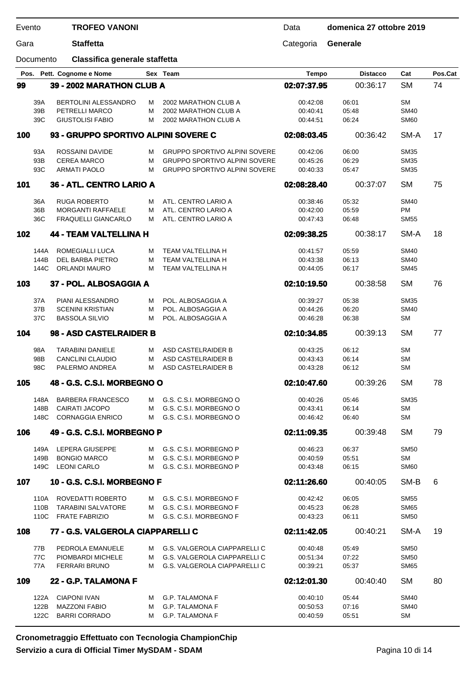| Evento |                      | <b>TROFEO VANONI</b>                                                          |             |                                                                                                                      | Data                             | domenica 27 ottobre 2019 |                                           |         |
|--------|----------------------|-------------------------------------------------------------------------------|-------------|----------------------------------------------------------------------------------------------------------------------|----------------------------------|--------------------------|-------------------------------------------|---------|
| Gara   |                      | <b>Staffetta</b>                                                              |             |                                                                                                                      | Categoria                        | Generale                 |                                           |         |
|        | Documento            | Classifica generale staffetta                                                 |             |                                                                                                                      |                                  |                          |                                           |         |
|        |                      | Pos. Pett. Cognome e Nome                                                     |             | Sex Team                                                                                                             | <b>Tempo</b>                     | <b>Distacco</b>          | Cat                                       | Pos.Cat |
| 99     |                      | 39 - 2002 MARATHON CLUB A                                                     |             |                                                                                                                      | 02:07:37.95                      | 00:36:17                 | <b>SM</b>                                 | 74      |
|        | 39A<br>39B<br>39C    | <b>BERTOLINI ALESSANDRO</b><br>PETRELLI MARCO<br><b>GIUSTOLISI FABIO</b>      | м<br>М<br>м | 2002 MARATHON CLUB A<br>2002 MARATHON CLUB A<br>2002 MARATHON CLUB A                                                 | 00:42:08<br>00:40:41<br>00:44:51 | 06:01<br>05:48<br>06:24  | <b>SM</b><br><b>SM40</b><br><b>SM60</b>   |         |
| 100    |                      | 93 - GRUPPO SPORTIVO ALPINI SOVERE C                                          |             |                                                                                                                      | 02:08:03.45                      | 00:36:42                 | SM-A                                      | 17      |
|        | 93A<br>93B<br>93C    | ROSSAINI DAVIDE<br><b>CEREA MARCO</b><br><b>ARMATI PAOLO</b>                  | м<br>М<br>М | <b>GRUPPO SPORTIVO ALPINI SOVERE</b><br><b>GRUPPO SPORTIVO ALPINI SOVERE</b><br><b>GRUPPO SPORTIVO ALPINI SOVERE</b> | 00:42:06<br>00:45:26<br>00:40:33 | 06:00<br>06:29<br>05:47  | <b>SM35</b><br><b>SM35</b><br><b>SM35</b> |         |
| 101    |                      | 36 - ATL. CENTRO LARIO A                                                      |             |                                                                                                                      | 02:08:28.40                      | 00:37:07                 | <b>SM</b>                                 | 75      |
|        | 36A<br>36B<br>36C    | <b>RUGA ROBERTO</b><br><b>MORGANTI RAFFAELE</b><br><b>FRAQUELLI GIANCARLO</b> | м<br>м<br>м | ATL. CENTRO LARIO A<br>ATL. CENTRO LARIO A<br>ATL. CENTRO LARIO A                                                    | 00:38:46<br>00:42:00<br>00:47:43 | 05:32<br>05:59<br>06:48  | <b>SM40</b><br><b>PM</b><br><b>SM55</b>   |         |
| 102    |                      | <b>44 - TEAM VALTELLINA H</b>                                                 |             |                                                                                                                      | 02:09:38.25                      | 00:38:17                 | SM-A                                      | 18      |
|        | 144A<br>144B<br>144C | ROMEGIALLI LUCA<br>DEL BARBA PIETRO<br><b>ORLANDI MAURO</b>                   | м<br>М<br>М | <b>TEAM VALTELLINA H</b><br>TEAM VALTELLINA H<br>TEAM VALTELLINA H                                                   | 00:41:57<br>00:43:38<br>00:44:05 | 05:59<br>06:13<br>06:17  | <b>SM40</b><br><b>SM40</b><br><b>SM45</b> |         |
| 103    |                      | 37 - POL. ALBOSAGGIA A                                                        |             |                                                                                                                      | 02:10:19.50                      | 00:38:58                 | <b>SM</b>                                 | 76      |
|        | 37A<br>37B<br>37C    | PIANI ALESSANDRO<br><b>SCENINI KRISTIAN</b><br><b>BASSOLA SILVIO</b>          | м<br>М<br>м | POL. ALBOSAGGIA A<br>POL. ALBOSAGGIA A<br>POL. ALBOSAGGIA A                                                          | 00:39:27<br>00:44:26<br>00:46:28 | 05:38<br>06:20<br>06:38  | <b>SM35</b><br><b>SM40</b><br>SМ          |         |
| 104    |                      | 98 - ASD CASTELRAIDER B                                                       |             |                                                                                                                      | 02:10:34.85                      | 00:39:13                 | <b>SM</b>                                 | 77      |
|        | 98A<br>98B<br>98C    | <b>TARABINI DANIELE</b><br>CANCLINI CLAUDIO<br>PALERMO ANDREA                 | м<br>м<br>м | ASD CASTELRAIDER B<br>ASD CASTELRAIDER B<br>ASD CASTELRAIDER B                                                       | 00:43:25<br>00:43:43<br>00:43:28 | 06:12<br>06:14<br>06:12  | <b>SM</b><br><b>SM</b><br>SМ              |         |
| 105    |                      | 48 - G.S. C.S.I. MORBEGNO O                                                   |             |                                                                                                                      | 02:10:47.60                      | 00:39:26                 | <b>SM</b>                                 | 78      |
|        | 148A<br>148B<br>148C | <b>BARBERA FRANCESCO</b><br>CAIRATI JACOPO<br><b>CORNAGGIA ENRICO</b>         | M<br>м<br>м | G.S. C.S.I. MORBEGNO O<br>G.S. C.S.I. MORBEGNO O<br>G.S. C.S.I. MORBEGNO O                                           | 00:40:26<br>00:43:41<br>00:46:42 | 05:46<br>06:14<br>06:40  | <b>SM35</b><br><b>SM</b><br><b>SM</b>     |         |
| 106    |                      | 49 - G.S. C.S.I. MORBEGNO P                                                   |             |                                                                                                                      | 02:11:09.35                      | 00:39:48                 | <b>SM</b>                                 | 79      |
|        | 149A<br>149B<br>149C | LEPERA GIUSEPPE<br><b>BONGIO MARCO</b><br><b>LEONI CARLO</b>                  | M<br>м<br>м | G.S. C.S.I. MORBEGNO P<br>G.S. C.S.I. MORBEGNO P<br>G.S. C.S.I. MORBEGNO P                                           | 00:46:23<br>00:40:59<br>00:43:48 | 06:37<br>05:51<br>06:15  | <b>SM50</b><br><b>SM</b><br><b>SM60</b>   |         |
| 107    |                      | 10 - G.S. C.S.I. MORBEGNO F                                                   |             |                                                                                                                      | 02:11:26.60                      | 00:40:05                 | SM-B                                      | 6       |
|        | 110A<br>110B<br>110C | ROVEDATTI ROBERTO<br><b>TARABINI SALVATORE</b><br><b>FRATE FABRIZIO</b>       | M<br>м<br>м | G.S. C.S.I. MORBEGNO F<br>G.S. C.S.I. MORBEGNO F<br>G.S. C.S.I. MORBEGNO F                                           | 00:42:42<br>00:45:23<br>00:43:23 | 06:05<br>06:28<br>06:11  | <b>SM55</b><br><b>SM65</b><br><b>SM50</b> |         |
| 108    |                      | 77 - G.S. VALGEROLA CIAPPARELLI C                                             |             |                                                                                                                      | 02:11:42.05                      | 00:40:21                 | SM-A                                      | 19      |
|        | 77B<br>77C<br>77A    | PEDROLA EMANUELE<br>PIOMBARDI MICHELE<br><b>FERRARI BRUNO</b>                 | м<br>м<br>м | G.S. VALGEROLA CIAPPARELLI C<br>G.S. VALGEROLA CIAPPARELLI C<br>G.S. VALGEROLA CIAPPARELLI C                         | 00:40:48<br>00:51:34<br>00:39:21 | 05:49<br>07:22<br>05:37  | <b>SM50</b><br><b>SM50</b><br><b>SM65</b> |         |
| 109    |                      | 22 - G.P. TALAMONA F                                                          |             |                                                                                                                      | 02:12:01.30                      | 00:40:40                 | <b>SM</b>                                 | 80      |
|        | 122A<br>122B         | <b>CIAPONI IVAN</b><br><b>MAZZONI FABIO</b>                                   | м<br>м      | <b>G.P. TALAMONA F</b><br><b>G.P. TALAMONA F</b>                                                                     | 00:40:10<br>00:50:53             | 05:44<br>07:16           | <b>SM40</b><br><b>SM40</b>                |         |

122C BARRI CORRADO M G.P. TALAMONA F 00:40:59 05:51 SM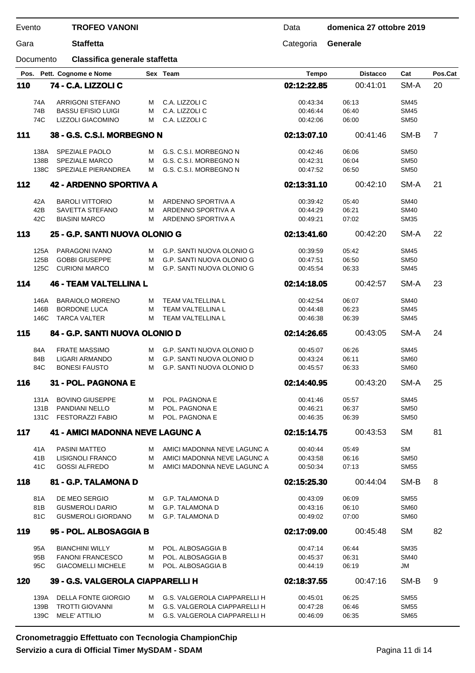### Gara **Staffetta** Categoria **Generale**

Documento **Classifica generale staffetta**

| Pos. |            | Pett. Cognome e Nome                              |        | Sex Team                               | <b>Tempo</b>         | <b>Distacco</b> | Cat         | Pos.Cat        |
|------|------------|---------------------------------------------------|--------|----------------------------------------|----------------------|-----------------|-------------|----------------|
| 110  |            | 74 - C.A. LIZZOLI C                               |        |                                        | 02:12:22.85          | 00:41:01        | SM-A        | 20             |
|      |            |                                                   |        |                                        |                      |                 |             |                |
|      | 74A        | ARRIGONI STEFANO                                  | м      | C.A. LIZZOLI C                         | 00:43:34             | 06:13           | <b>SM45</b> |                |
|      | 74B        | <b>BASSU EFISIO LUIGI</b>                         | M      | C.A. LIZZOLI C                         | 00:46:44             | 06:40           | <b>SM45</b> |                |
|      | 74C        | LIZZOLI GIACOMINO                                 | М      | C.A. LIZZOLI C                         | 00:42:06             | 06:00           | <b>SM50</b> |                |
| 111  |            | 38 - G.S. C.S.I. MORBEGNO N                       |        |                                        | 02:13:07.10          | 00:41:46        | SM-B        | $\overline{7}$ |
|      | 138A       | SPEZIALE PAOLO                                    | м      | G.S. C.S.I. MORBEGNO N                 | 00:42:46             | 06:06           | <b>SM50</b> |                |
|      | 138B       | <b>SPEZIALE MARCO</b>                             | М      | G.S. C.S.I. MORBEGNO N                 | 00:42:31             | 06:04           | <b>SM50</b> |                |
|      | 138C       | SPEZIALE PIERANDREA                               | м      | G.S. C.S.I. MORBEGNO N                 | 00:47:52             | 06:50           | <b>SM50</b> |                |
| 112  |            | 42 - ARDENNO SPORTIVA A                           |        |                                        | 02:13:31.10          | 00:42:10        | SM-A        | 21             |
|      |            |                                                   |        |                                        |                      |                 |             |                |
|      | 42A        | <b>BAROLI VITTORIO</b>                            | м      | ARDENNO SPORTIVA A                     | 00:39:42             | 05:40           | <b>SM40</b> |                |
|      | 42B        | SAVETTA STEFANO                                   | м      | ARDENNO SPORTIVA A                     | 00:44:29             | 06:21           | <b>SM40</b> |                |
|      | 42C        | <b>BIASINI MARCO</b>                              | M      | ARDENNO SPORTIVA A                     | 00:49:21             | 07:02           | <b>SM35</b> |                |
| 113  |            | 25 - G.P. SANTI NUOVA OLONIO G                    |        |                                        | 02:13:41.60          | 00:42:20        | SM-A        | 22             |
|      | 125A       | PARAGONI IVANO                                    | м      | G.P. SANTI NUOVA OLONIO G              | 00:39:59             | 05:42           | <b>SM45</b> |                |
|      | 125B       | <b>GOBBI GIUSEPPE</b>                             | м      | G.P. SANTI NUOVA OLONIO G              | 00:47:51             | 06:50           | <b>SM50</b> |                |
|      | 125C       | <b>CURIONI MARCO</b>                              | м      | G.P. SANTI NUOVA OLONIO G              | 00:45:54             | 06:33           | <b>SM45</b> |                |
| 114  |            | <b>46 - TEAM VALTELLINA L</b>                     |        |                                        | 02:14:18.05          | 00:42:57        | SM-A        | 23             |
|      |            |                                                   |        |                                        |                      |                 |             |                |
|      | 146A       | <b>BARAIOLO MORENO</b>                            | м      | TEAM VALTELLINA L                      | 00:42:54             | 06:07           | <b>SM40</b> |                |
|      | 146B       | <b>BORDONE LUCA</b>                               | М      | TEAM VALTELLINA L                      | 00:44:48             | 06:23           | <b>SM45</b> |                |
|      | 146C       | <b>TARCA VALTER</b>                               | м      | TEAM VALTELLINA L                      | 00:46:38             | 06:39           | <b>SM45</b> |                |
| 115  |            | 84 - G.P. SANTI NUOVA OLONIO D                    |        |                                        | 02:14:26.65          | 00:43:05        | SM-A        | 24             |
|      | 84A        | <b>FRATE MASSIMO</b>                              | м      | G.P. SANTI NUOVA OLONIO D              | 00:45:07             | 06:26           | <b>SM45</b> |                |
|      | 84B        | LIGARI ARMANDO                                    | м      | G.P. SANTI NUOVA OLONIO D              | 00:43:24             | 06:11           | <b>SM60</b> |                |
|      | 84C        | <b>BONESI FAUSTO</b>                              | м      | G.P. SANTI NUOVA OLONIO D              | 00:45:57             | 06:33           | <b>SM60</b> |                |
| 116  |            | 31 - POL. PAGNONA E                               |        |                                        | 02:14:40.95          | 00:43:20        | SM-A        | 25             |
|      |            |                                                   |        |                                        |                      |                 |             |                |
|      | 131A       | <b>BOVINO GIUSEPPE</b>                            | м      | POL. PAGNONA E                         | 00:41:46             | 05:57           | <b>SM45</b> |                |
|      | 131B       | <b>PANDIANI NELLO</b>                             | М      | POL. PAGNONA E                         | 00:46:21             | 06:37           | <b>SM50</b> |                |
|      | 131C       | <b>FESTORAZZI FABIO</b>                           | м      | POL. PAGNONA E                         | 00:46:35             | 06:39           | <b>SM50</b> |                |
| 117  |            | <b>41 - AMICI MADONNA NEVE LAGUNC A</b>           |        |                                        | 02:15:14.75          | 00:43:53        | <b>SM</b>   | 81             |
|      | 41A        | <b>PASINI MATTEO</b>                              | м      | AMICI MADONNA NEVE LAGUNC A            | 00:40:44             | 05:49           | <b>SM</b>   |                |
|      | 41B        | LISIGNOLI FRANCO                                  | м      | AMICI MADONNA NEVE LAGUNC A            | 00:43:58             | 06:16           | <b>SM50</b> |                |
|      | 41C        | <b>GOSSI ALFREDO</b>                              | м      | AMICI MADONNA NEVE LAGUNC A            | 00:50:34             | 07:13           | <b>SM55</b> |                |
|      |            |                                                   |        |                                        |                      |                 |             |                |
| 118  |            | 81 - G.P. TALAMONA D                              |        |                                        | 02:15:25.30          | 00:44:04        | SM-B        | 8              |
|      | 81A        | DE MEO SERGIO                                     | м      | <b>G.P. TALAMONA D</b>                 | 00:43:09             | 06:09           | <b>SM55</b> |                |
|      | 81B        | <b>GUSMEROLI DARIO</b>                            | м      | <b>G.P. TALAMONA D</b>                 | 00:43:16             | 06:10           | <b>SM60</b> |                |
|      | 81C        | <b>GUSMEROLI GIORDANO</b>                         | M      | <b>G.P. TALAMONA D</b>                 | 00:49:02             | 07:00           | <b>SM60</b> |                |
| 119  |            | 95 - POL. ALBOSAGGIA B                            |        |                                        | 02:17:09.00          | 00:45:48        | <b>SM</b>   | 82             |
|      |            |                                                   |        |                                        |                      |                 | <b>SM35</b> |                |
|      | 95A<br>95B | <b>BIANCHINI WILLY</b><br><b>FANONI FRANCESCO</b> | м<br>м | POL. ALBOSAGGIA B<br>POL. ALBOSAGGIA B | 00:47:14             | 06:44<br>06:31  | <b>SM40</b> |                |
|      | 95C        | <b>GIACOMELLI MICHELE</b>                         | м      | POL. ALBOSAGGIA B                      | 00:45:37<br>00:44:19 | 06:19           | <b>JM</b>   |                |
|      |            |                                                   |        |                                        |                      |                 |             |                |
| 120  |            | 39 - G.S. VALGEROLA CIAPPARELLI H                 |        |                                        | 02:18:37.55          | 00:47:16        | SM-B        | 9              |
|      | 139A       | <b>DELLA FONTE GIORGIO</b>                        | M      | G.S. VALGEROLA CIAPPARELLI H           | 00:45:01             | 06:25           | SM55        |                |
|      | 139B       | <b>TROTTI GIOVANNI</b>                            | м      | G.S. VALGEROLA CIAPPARELLI H           | 00:47:28             | 06:46           | <b>SM55</b> |                |
|      | 139C       | <b>MELE' ATTILIO</b>                              | м      | G.S. VALGEROLA CIAPPARELLI H           | 00:46:09             | 06:35           | <b>SM65</b> |                |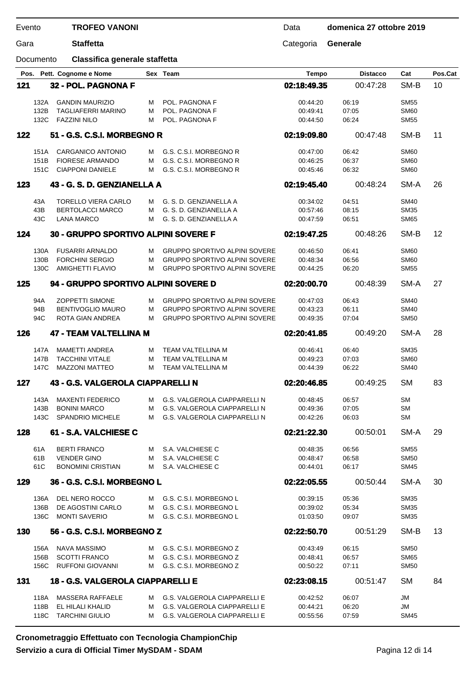| Evento |              | <b>TROFEO VANONI</b>                             |        |                                                                              | Data                 | domenica 27 ottobre 2019 |                            |         |
|--------|--------------|--------------------------------------------------|--------|------------------------------------------------------------------------------|----------------------|--------------------------|----------------------------|---------|
| Gara   |              | <b>Staffetta</b>                                 |        |                                                                              | Categoria            | Generale                 |                            |         |
|        | Documento    | Classifica generale staffetta                    |        |                                                                              |                      |                          |                            |         |
|        |              | Pos. Pett. Cognome e Nome                        |        | Sex Team                                                                     | <b>Tempo</b>         | <b>Distacco</b>          | Cat                        | Pos.Cat |
| 121    |              | 32 - POL. PAGNONA F                              |        |                                                                              | 02:18:49.35          | 00:47:28                 | SM-B                       | 10      |
|        | 132A         | <b>GANDIN MAURIZIO</b>                           | м      | POL. PAGNONA F                                                               | 00:44:20             | 06:19                    | <b>SM55</b>                |         |
|        | 132B         | <b>TAGLIAFERRI MARINO</b>                        | м      | POL. PAGNONA F                                                               | 00:49:41             | 07:05                    | <b>SM60</b>                |         |
|        | 132C         | <b>FAZZINI NILO</b>                              | м      | POL. PAGNONA F                                                               | 00:44:50             | 06:24                    | <b>SM55</b>                |         |
| 122    |              | 51 - G.S. C.S.I. MORBEGNO R                      |        |                                                                              | 02:19:09.80          | 00:47:48                 | SM-B                       | 11      |
|        | 151A         | <b>CARGANICO ANTONIO</b>                         | м      | G.S. C.S.I. MORBEGNO R                                                       | 00:47:00             | 06:42                    | <b>SM60</b>                |         |
|        | 151B         | <b>FIORESE ARMANDO</b>                           | м      | G.S. C.S.I. MORBEGNO R                                                       | 00:46:25             | 06:37                    | <b>SM60</b>                |         |
|        | 151C         | <b>CIAPPONI DANIELE</b>                          | м      | G.S. C.S.I. MORBEGNO R                                                       | 00:45:46             | 06:32                    | <b>SM60</b>                |         |
| 123    |              | 43 - G. S. D. GENZIANELLA A                      |        |                                                                              | 02:19:45.40          | 00:48:24                 | SM-A                       | 26      |
|        | 43A          | <b>TORELLO VIERA CARLO</b>                       |        | G. S. D. GENZIANELLA A                                                       | 00:34:02             | 04:51                    | <b>SM40</b>                |         |
|        | 43B          | <b>BERTOLACCI MARCO</b>                          | м<br>м | G. S. D. GENZIANELLA A                                                       | 00.57:46             | 08:15                    | <b>SM35</b>                |         |
|        | 43C          | <b>LANA MARCO</b>                                | м      | G. S. D. GENZIANELLA A                                                       | 00:47:59             | 06:51                    | <b>SM65</b>                |         |
| 124    |              | 30 - GRUPPO SPORTIVO ALPINI SOVERE F             |        |                                                                              | 02:19:47.25          | 00:48:26                 | SM-B                       | 12      |
|        |              |                                                  |        |                                                                              |                      |                          |                            |         |
|        | 130A<br>130B | <b>FUSARRI ARNALDO</b><br><b>FORCHINI SERGIO</b> | м      | <b>GRUPPO SPORTIVO ALPINI SOVERE</b><br><b>GRUPPO SPORTIVO ALPINI SOVERE</b> | 00:46:50             | 06:41                    | <b>SM60</b>                |         |
|        | 130C         | <b>AMIGHETTI FLAVIO</b>                          | м<br>М | <b>GRUPPO SPORTIVO ALPINI SOVERE</b>                                         | 00:48:34<br>00:44:25 | 06:56<br>06:20           | <b>SM60</b><br><b>SM55</b> |         |
| 125    |              | 94 - GRUPPO SPORTIVO ALPINI SOVERE D             |        |                                                                              | 02:20:00.70          | 00:48:39                 | SM-A                       | 27      |
|        |              |                                                  |        |                                                                              |                      |                          |                            |         |
|        | 94A          | <b>ZOPPETTI SIMONE</b>                           | м      | <b>GRUPPO SPORTIVO ALPINI SOVERE</b>                                         | 00:47:03             | 06:43                    | <b>SM40</b>                |         |
|        | 94B<br>94C   | <b>BENTIVOGLIO MAURO</b><br>ROTA GIAN ANDREA     | М<br>М | <b>GRUPPO SPORTIVO ALPINI SOVERE</b><br><b>GRUPPO SPORTIVO ALPINI SOVERE</b> | 00:43:23<br>00:49:35 | 06:11<br>07:04           | <b>SM40</b><br><b>SM50</b> |         |
|        |              |                                                  |        |                                                                              |                      |                          |                            |         |
| 126    |              | <b>47 - TEAM VALTELLINA M</b>                    |        |                                                                              | 02:20:41.85          | 00:49:20                 | SM-A                       | 28      |
|        | 147A         | <b>MAMETTI ANDREA</b>                            | М      | TEAM VALTELLINA M                                                            | 00:46:41             | 06:40                    | <b>SM35</b>                |         |
|        | 147B         | <b>TACCHINI VITALE</b>                           | М      | TEAM VALTELLINA M                                                            | 00:49:23             | 07:03                    | <b>SM60</b>                |         |
|        | 147C         | <b>MAZZONI MATTEO</b>                            | м      | TEAM VALTELLINA M                                                            | 00:44:39             | 06:22                    | <b>SM40</b>                |         |
| 127    |              | 43 - G.S. VALGEROLA CIAPPARELLI N                |        |                                                                              | 02:20:46.85          | 00:49:25                 | <b>SM</b>                  | 83      |
|        | 143A         | <b>MAXENTI FEDERICO</b>                          | М      | G.S. VALGEROLA CIAPPARELLI N                                                 | 00:48:45             | 06:57                    | <b>SM</b>                  |         |
|        | 143B         | <b>BONINI MARCO</b>                              | M      | G.S. VALGEROLA CIAPPARELLI N                                                 | 00:49:36             | 07:05                    | <b>SM</b>                  |         |
|        | 143C         | <b>SPANDRIO MICHELE</b>                          | м      | <b>G.S. VALGEROLA CIAPPARELLI N</b>                                          | 00:42:26             | 06:03                    | SМ                         |         |
| 128    |              | 61 - S.A. VALCHIESE C                            |        |                                                                              | 02:21:22.30          | 00:50:01                 | SM-A                       | 29      |
|        | 61A          | <b>BERTI FRANCO</b>                              | м      | S.A. VALCHIESE C                                                             | 00:48:35             | 06:56                    | <b>SM55</b>                |         |
|        | 61B          | <b>VENDER GINO</b>                               | м      | S.A. VALCHIESE C                                                             | 00:48:47             | 06:58                    | <b>SM50</b>                |         |
|        | 61C          | <b>BONOMINI CRISTIAN</b>                         | м      | S.A. VALCHIESE C                                                             | 00:44:01             | 06:17                    | <b>SM45</b>                |         |
| 129    |              | 36 - G.S. C.S.I. MORBEGNO L                      |        |                                                                              | 02:22:05.55          | 00:50:44                 | SM-A                       | 30      |
|        | 136A         | DEL NERO ROCCO                                   | м      | G.S. C.S.I. MORBEGNO L                                                       | 00:39:15             | 05:36                    | <b>SM35</b>                |         |
|        | 136B         | DE AGOSTINI CARLO                                | м      | G.S. C.S.I. MORBEGNO L                                                       | 00:39:02             | 05:34                    | SM35                       |         |
|        | 136C         | <b>MONTI SAVERIO</b>                             | м      | G.S. C.S.I. MORBEGNO L                                                       | 01:03:50             | 09:07                    | SM35                       |         |
| 130    |              | 56 - G.S. C.S.I. MORBEGNO Z                      |        |                                                                              | 02:22:50.70          | 00:51:29                 | SM-B                       | 13      |
|        | 156A         | <b>NAVA MASSIMO</b>                              | M      | G.S. C.S.I. MORBEGNO Z                                                       | 00:43:49             | 06:15                    | <b>SM50</b>                |         |
|        | 156B         | <b>SCOTTI FRANCO</b>                             | м      | G.S. C.S.I. MORBEGNO Z                                                       | 00:48:41             | 06:57                    | <b>SM65</b>                |         |
|        | 156C         | <b>RUFFONI GIOVANNI</b>                          | м      | G.S. C.S.I. MORBEGNO Z                                                       | 00:50:22             | 07:11                    | <b>SM50</b>                |         |
| 131    |              | 18 - G.S. VALGEROLA CIAPPARELLI E                |        |                                                                              |                      | 00:51:47                 | <b>SM</b>                  | 84      |
|        |              |                                                  |        |                                                                              | 02:23:08.15          |                          |                            |         |

| 118A | MASSERA RAFFAELE      | M | G.S. VALGEROLA CIAPPARELLI E   | 00:42:52 | 06:07 | JM   |
|------|-----------------------|---|--------------------------------|----------|-------|------|
|      | 118B EL HILALI KHALID |   | M G.S. VALGEROLA CIAPPARELLI E | 00:44:21 | 06:20 | JM   |
| 118C | TARCHINI GIULIO       |   | G.S. VALGEROLA CIAPPARELLI E   | 00:55:56 | 07:59 | SM45 |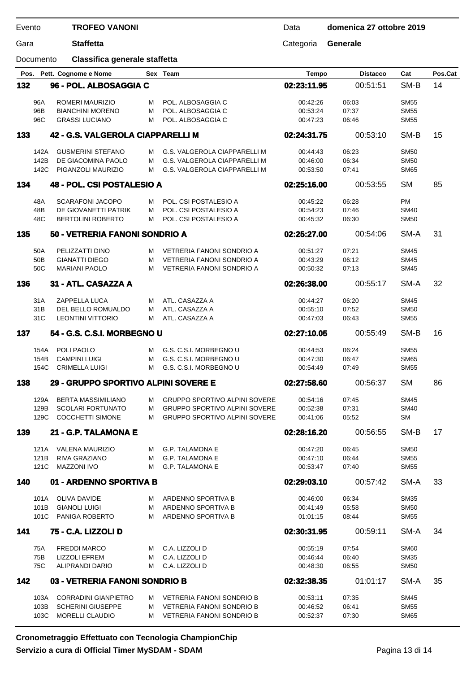| Evento |                  | <b>TROFEO VANONI</b>                           |        |                                                                              | Data                 | domenica 27 ottobre 2019 |                            |         |
|--------|------------------|------------------------------------------------|--------|------------------------------------------------------------------------------|----------------------|--------------------------|----------------------------|---------|
| Gara   | <b>Staffetta</b> |                                                |        |                                                                              | Categoria            | Generale                 |                            |         |
|        | Documento        | Classifica generale staffetta                  |        |                                                                              |                      |                          |                            |         |
| Pos.   |                  | Pett. Cognome e Nome                           |        | Sex Team                                                                     | <b>Tempo</b>         | <b>Distacco</b>          | Cat                        | Pos.Cat |
| 132    |                  | 96 - POL. ALBOSAGGIA C                         |        |                                                                              | 02:23:11.95          | 00:51:51                 | SM-B                       | 14      |
|        | 96A              | ROMERI MAURIZIO                                | м      | POL. ALBOSAGGIA C                                                            | 00:42:26             | 06:03                    | <b>SM55</b>                |         |
|        | 96B              | <b>BIANCHINI MORENO</b>                        | M      | POL. ALBOSAGGIA C                                                            | 00:53:24             | 07:37                    | <b>SM55</b>                |         |
|        | 96C              | <b>GRASSI LUCIANO</b>                          | M      | POL. ALBOSAGGIA C                                                            | 00:47:23             | 06:46                    | <b>SM55</b>                |         |
| 133    |                  | 42 - G.S. VALGEROLA CIAPPARELLI M              |        |                                                                              | 02:24:31.75          | 00:53:10                 | SM-B                       | 15      |
|        | 142A             | <b>GUSMERINI STEFANO</b>                       | м      | G.S. VALGEROLA CIAPPARELLI M                                                 | 00:44:43             | 06:23                    | <b>SM50</b>                |         |
|        | 142B             | DE GIACOMINA PAOLO                             | м      | G.S. VALGEROLA CIAPPARELLI M                                                 | 00:46:00             | 06:34                    | <b>SM50</b>                |         |
|        | 142C             | PIGANZOLI MAURIZIO                             | м      | G.S. VALGEROLA CIAPPARELLI M                                                 | 00:53:50             | 07:41                    | <b>SM65</b>                |         |
| 134    |                  | 48 - POL. CSI POSTALESIO A                     |        |                                                                              | 02:25:16.00          | 00:53:55                 | <b>SM</b>                  | 85      |
|        | 48A              | <b>SCARAFONI JACOPO</b>                        | м      | POL. CSI POSTALESIO A                                                        | 00:45:22             | 06:28                    | <b>PM</b>                  |         |
|        | 48B              | DE GIOVANETTI PATRIK                           | м      | POL. CSI POSTALESIO A                                                        | 00:54:23             | 07:46                    | <b>SM40</b>                |         |
|        | 48C              | <b>BERTOLINI ROBERTO</b>                       | м      | POL. CSI POSTALESIO A                                                        | 00:45:32             | 06:30                    | <b>SM50</b>                |         |
| 135    |                  | 50 - VETRERIA FANONI SONDRIO A                 |        |                                                                              | 02:25:27.00          | 00:54:06                 | SM-A                       | 31      |
|        |                  |                                                |        |                                                                              |                      |                          |                            |         |
|        | 50A<br>50B       | PELIZZATTI DINO<br><b>GIANATTI DIEGO</b>       | м<br>M | VETRERIA FANONI SONDRIO A<br>VETRERIA FANONI SONDRIO A                       | 00:51:27<br>00:43:29 | 07:21<br>06:12           | <b>SM45</b><br><b>SM45</b> |         |
|        | 50C              | <b>MARIANI PAOLO</b>                           | м      | VETRERIA FANONI SONDRIO A                                                    | 00:50:32             | 07:13                    | <b>SM45</b>                |         |
| 136    |                  | 31 - ATL. CASAZZA A                            |        |                                                                              | 02:26:38.00          | 00:55:17                 | SM-A                       | 32      |
|        |                  |                                                |        |                                                                              |                      |                          |                            |         |
|        | 31A<br>31B       | ZAPPELLA LUCA                                  | м      | ATL. CASAZZA A<br>ATL. CASAZZA A                                             | 00:44:27             | 06:20                    | <b>SM45</b><br><b>SM50</b> |         |
|        | 31C              | DEL BELLO ROMUALDO<br><b>LEONTINI VITTORIO</b> | M<br>м | ATL. CASAZZA A                                                               | 00:55:10<br>00:47:03 | 07:52<br>06:43           | <b>SM55</b>                |         |
| 137    |                  | 54 - G.S. C.S.I. MORBEGNO U                    |        |                                                                              | 02:27:10.05          | 00:55:49                 | SM-B                       | 16      |
|        |                  |                                                |        |                                                                              |                      |                          |                            |         |
|        | 154A             | POLI PAOLO                                     | м      | G.S. C.S.I. MORBEGNO U                                                       | 00:44:53             | 06:24                    | <b>SM55</b>                |         |
|        | 154B<br>154C     | <b>CAMPINI LUIGI</b><br><b>CRIMELLA LUIGI</b>  | м<br>м | G.S. C.S.I. MORBEGNO U<br>G.S. C.S.I. MORBEGNO U                             | 00:47:30<br>00:54:49 | 06:47<br>07:49           | <b>SM65</b><br><b>SM55</b> |         |
| 138    |                  | 29 - GRUPPO SPORTIVO ALPINI SOVERE E           |        |                                                                              | 02:27:58.60          | 00:56:37                 | SM                         | 86      |
|        |                  |                                                |        |                                                                              |                      |                          |                            |         |
|        | 129A             | <b>BERTA MASSIMILIANO</b>                      | м      | <b>GRUPPO SPORTIVO ALPINI SOVERE</b>                                         | 00:54:16             | 07:45                    | <b>SM45</b>                |         |
|        | 129B<br>129C     | <b>SCOLARI FORTUNATO</b>                       | м      | <b>GRUPPO SPORTIVO ALPINI SOVERE</b><br><b>GRUPPO SPORTIVO ALPINI SOVERE</b> | 00:52:38             | 07:31                    | <b>SM40</b><br><b>SM</b>   |         |
|        |                  | <b>COCCHETTI SIMONE</b>                        | м      |                                                                              | 00:41:06             | 05:52                    |                            |         |
| 139    |                  | 21 - G.P. TALAMONA E                           |        |                                                                              | 02:28:16.20          | 00:56:55                 | SM-B                       | 17      |
|        | 121A             | <b>VALENA MAURIZIO</b>                         | M      | <b>G.P. TALAMONA E</b>                                                       | 00:47:20             | 06:45                    | <b>SM50</b>                |         |
|        | 121B<br>121C     | RIVA GRAZIANO<br><b>MAZZONI IVO</b>            | м<br>м | <b>G.P. TALAMONA E</b><br><b>G.P. TALAMONA E</b>                             | 00:47:10<br>00:53:47 | 06:44<br>07:40           | <b>SM55</b><br><b>SM55</b> |         |
| 140    |                  | 01 - ARDENNO SPORTIVA B                        |        |                                                                              | 02:29:03.10          | 00:57:42                 | SM-A                       | 33      |
|        |                  |                                                |        |                                                                              |                      |                          |                            |         |
|        | 101A             | OLIVA DAVIDE                                   | M      | ARDENNO SPORTIVA B                                                           | 00:46:00             | 06:34                    | <b>SM35</b>                |         |
|        | 101B<br>101C     | <b>GIANOLI LUIGI</b><br><b>PANIGA ROBERTO</b>  | м<br>м | ARDENNO SPORTIVA B<br>ARDENNO SPORTIVA B                                     | 00:41:49<br>01:01:15 | 05:58<br>08:44           | <b>SM50</b><br><b>SM55</b> |         |
|        |                  |                                                |        |                                                                              |                      |                          |                            |         |
| 141    |                  | 75 - C.A. LIZZOLI D                            |        |                                                                              | 02:30:31.95          | 00:59:11                 | SM-A                       | 34      |
|        | 75A              | <b>FREDDI MARCO</b>                            | M      | C.A. LIZZOLI D                                                               | 00:55:19             | 07:54                    | <b>SM60</b>                |         |
|        | 75B<br>75C       | <b>LIZZOLI EFREM</b><br>ALIPRANDI DARIO        | м<br>м | C.A. LIZZOLI D<br>C.A. LIZZOLI D                                             | 00:46:44<br>00:48:30 | 06:40<br>06:55           | <b>SM35</b><br><b>SM50</b> |         |
| 142    |                  | 03 - VETRERIA FANONI SONDRIO B                 |        |                                                                              | 02:32:38.35          |                          | SM-A                       | 35      |
|        |                  |                                                |        |                                                                              |                      | 01:01:17                 |                            |         |
|        | 103A             | <b>CORRADINI GIANPIETRO</b>                    | M      | <b>VETRERIA FANONI SONDRIO B</b>                                             | 00:53:11             | 07:35                    | SM45                       |         |

|      | . Osan amatsania Effattuata agu Tagualania Okamutan Okin |   |                           |          |       |             |
|------|----------------------------------------------------------|---|---------------------------|----------|-------|-------------|
| 103C | MORELLI CLAUDIO                                          | M | VETRERIA FANONI SONDRIO B | 00:52:37 | 07:30 | <b>SM65</b> |
|      |                                                          |   |                           |          |       |             |
| 103B | SCHERINI GIUSEPPE                                        |   | VETRERIA FANONI SONDRIO B | 00:46:52 | 06:41 | <b>SM55</b> |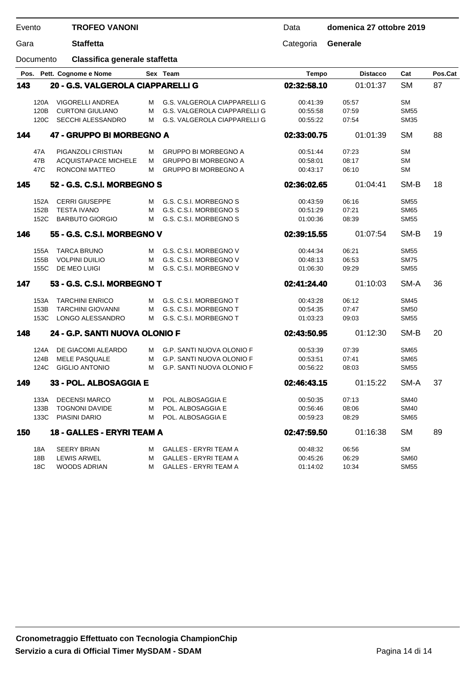| Evento |           | <b>TROFEO VANONI</b>              |   |                                  | Data         | domenica 27 ottobre 2019 |             |         |
|--------|-----------|-----------------------------------|---|----------------------------------|--------------|--------------------------|-------------|---------|
| Gara   |           | <b>Staffetta</b>                  |   |                                  | Categoria    | Generale                 |             |         |
|        | Documento | Classifica generale staffetta     |   |                                  |              |                          |             |         |
|        |           | Pos. Pett. Cognome e Nome         |   | Sex Team                         | <b>Tempo</b> | <b>Distacco</b>          | Cat         | Pos.Cat |
| 143    |           | 20 - G.S. VALGEROLA CIAPPARELLI G |   |                                  | 02:32:58.10  | 01:01:37                 | <b>SM</b>   | 87      |
|        | 120A      | VIGORELLI ANDREA                  | м | G.S. VALGEROLA CIAPPARELLI G     | 00:41:39     | 05:57                    | <b>SM</b>   |         |
|        | 120B      | <b>CURTONI GIULIANO</b>           | м | G.S. VALGEROLA CIAPPARELLI G     | 00:55:58     | 07:59                    | <b>SM55</b> |         |
|        | 120C      | <b>SECCHI ALESSANDRO</b>          | м | G.S. VALGEROLA CIAPPARELLI G     | 00:55:22     | 07:54                    | <b>SM35</b> |         |
| 144    |           | 47 - GRUPPO BI MORBEGNO A         |   |                                  | 02:33:00.75  | 01:01:39                 | <b>SM</b>   | 88      |
|        | 47A       | PIGANZOLI CRISTIAN                | м | <b>GRUPPO BI MORBEGNO A</b>      | 00:51:44     | 07:23                    | <b>SM</b>   |         |
|        | 47B       | <b>ACQUISTAPACE MICHELE</b>       | м | <b>GRUPPO BI MORBEGNO A</b>      | 00:58:01     | 08:17                    | <b>SM</b>   |         |
|        | 47C       | RONCONI MATTEO                    | м | <b>GRUPPO BI MORBEGNO A</b>      | 00:43:17     | 06:10                    | <b>SM</b>   |         |
| 145    |           | 52 - G.S. C.S.I. MORBEGNO S       |   |                                  | 02:36:02.65  | 01:04:41                 | SM-B        | 18      |
|        | 152A      | <b>CERRI GIUSEPPE</b>             | м | G.S. C.S.I. MORBEGNO S           | 00:43:59     | 06:16                    | <b>SM55</b> |         |
|        | 152B      | <b>TESTA IVANO</b>                | м | G.S. C.S.I. MORBEGNO S           | 00:51:29     | 07:21                    | <b>SM65</b> |         |
|        | 152C      | <b>BARBUTO GIORGIO</b>            | м | G.S. C.S.I. MORBEGNO S           | 01:00:36     | 08:39                    | <b>SM55</b> |         |
| 146    |           | 55 - G.S. C.S.I. MORBEGNO V       |   |                                  | 02:39:15.55  | 01:07:54                 | SM-B        | 19      |
|        | 155A      | <b>TARCA BRUNO</b>                | м | G.S. C.S.I. MORBEGNO V           | 00:44:34     | 06:21                    | <b>SM55</b> |         |
|        | 155B      | <b>VOLPINI DUILIO</b>             | м | G.S. C.S.I. MORBEGNO V           | 00:48:13     | 06:53                    | <b>SM75</b> |         |
|        | 155C      | DE MEO LUIGI                      | м | G.S. C.S.I. MORBEGNO V           | 01:06:30     | 09:29                    | <b>SM55</b> |         |
| 147    |           | 53 - G.S. C.S.I. MORBEGNO T       |   |                                  | 02:41:24.40  | 01:10:03                 | SM-A        | 36      |
|        | 153A      | <b>TARCHINI ENRICO</b>            | м | G.S. C.S.I. MORBEGNO T           | 00:43:28     | 06:12                    | <b>SM45</b> |         |
|        | 153B      | <b>TARCHINI GIOVANNI</b>          | м | G.S. C.S.I. MORBEGNO T           | 00:54:35     | 07:47                    | <b>SM50</b> |         |
|        | 153C      | LONGO ALESSANDRO                  | м | G.S. C.S.I. MORBEGNO T           | 01:03:23     | 09:03                    | <b>SM55</b> |         |
| 148    |           | 24 - G.P. SANTI NUOVA OLONIO F    |   |                                  | 02:43:50.95  | 01:12:30                 | SM-B        | 20      |
|        | 124A      | DE GIACOMI ALEARDO                | м | <b>G.P. SANTI NUOVA OLONIO F</b> | 00:53:39     | 07:39                    | <b>SM65</b> |         |
|        | 124B      | <b>MELE PASQUALE</b>              | м | <b>G.P. SANTI NUOVA OLONIO F</b> | 00:53:51     | 07:41                    | <b>SM65</b> |         |
|        | 124C      | <b>GIGLIO ANTONIO</b>             | м | G.P. SANTI NUOVA OLONIO F        | 00:56:22     | 08:03                    | <b>SM55</b> |         |
| 149    |           | 33 - POL. ALBOSAGGIA E            |   |                                  | 02:46:43.15  | 01:15:22                 | SM-A        | 37      |
|        | 133A      | <b>DECENSI MARCO</b>              | м | POL. ALBOSAGGIA E                | 00:50:35     | 07:13                    | <b>SM40</b> |         |
|        | 133B      | <b>TOGNONI DAVIDE</b>             | м | POL. ALBOSAGGIA E                | 00:56:46     | 08:06                    | <b>SM40</b> |         |
|        | 133C      | PIASINI DARIO                     | м | POL. ALBOSAGGIA E                | 00:59:23     | 08:29                    | <b>SM65</b> |         |
| 150    |           | 18 - GALLES - ERYRI TEAM A        |   |                                  | 02:47:59.50  | 01:16:38                 | <b>SM</b>   | 89      |
|        | 18A       | <b>SEERY BRIAN</b>                | м | <b>GALLES - ERYRI TEAM A</b>     | 00:48:32     | 06:56                    | <b>SM</b>   |         |
|        | 18B       | <b>LEWIS ARWEL</b>                | м | <b>GALLES - ERYRI TEAM A</b>     | 00:45:26     | 06:29                    | <b>SM60</b> |         |
|        | 18C       | WOODS ADRIAN                      | м | <b>GALLES - ERYRI TEAM A</b>     | 01:14:02     | 10:34                    | <b>SM55</b> |         |
|        |           |                                   |   |                                  |              |                          |             |         |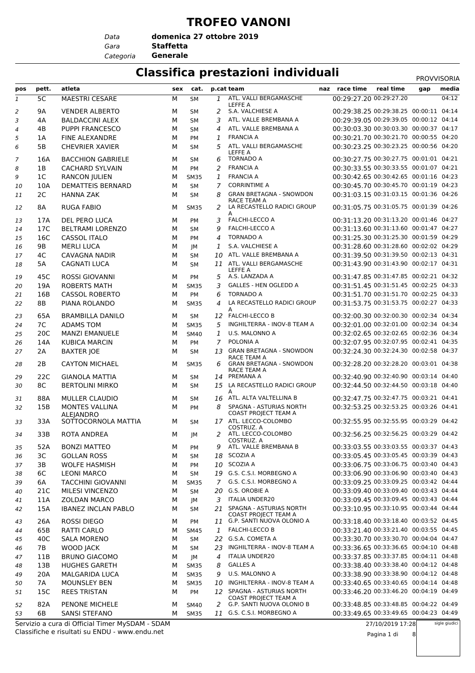### **TROFEO VANONI**

*Data*

*Gara* **Staffetta domenica 27 ottobre 2019**

*Categoria* **Generale**

### **Classifica prestazioni individuali** PROVISORIA

|                |                |                                         |     |             |              |                                                           |                                        |           | <b>FRUVVIJURIA</b> |       |
|----------------|----------------|-----------------------------------------|-----|-------------|--------------|-----------------------------------------------------------|----------------------------------------|-----------|--------------------|-------|
| pos            | pett.          | atleta                                  | sex | cat.        |              | p.cat team                                                | naz race time                          | real time | gap                | media |
| 1              | 5C             | <b>MAESTRI CESARE</b>                   | М   | <b>SM</b>   |              | 1 ATL. VALLI BERGAMASCHE<br>LEFFE A                       | 00:29:27.20 00:29:27.20                |           |                    | 04:12 |
| 2              | 9Α             | <b>VENDER ALBERTO</b>                   | м   | SM          | 2            | S.A. VALCHIESE A                                          | 00:29:38.25 00:29:38.25 00:00:11 04:14 |           |                    |       |
| 3              | 4A             | <b>BALDACCINI ALEX</b>                  | М   | <b>SM</b>   | 3            | ATL. VALLE BREMBANA A                                     | 00:29:39.05 00:29:39.05 00:00:12 04:14 |           |                    |       |
| $\overline{4}$ | 4B             | <b>PUPPI FRANCESCO</b>                  | M   | <b>SM</b>   | 4            | ATL. VALLE BREMBANA A                                     | 00:30:03.30 00:30:03.30 00:00:37 04:17 |           |                    |       |
| 5              | 1A             | <b>FINE ALEXANDRE</b>                   | M   | PM          | 1            | <b>FRANCIA A</b>                                          | 00:30:21.70 00:30:21.70 00:00:55 04:20 |           |                    |       |
| 6              | 5B             | <b>CHEVRIER XAVIER</b>                  | М   | <b>SM</b>   | 5            | ATL. VALLI BERGAMASCHE<br>LEFFE A                         | 00:30:23.25 00:30:23.25 00:00:56 04:20 |           |                    |       |
| 7              | 16A            | <b>BACCHION GABRIELE</b>                | М   | SM          | 6            | <b>TORNADO A</b>                                          | 00:30:27.75 00:30:27.75 00:01:01 04:21 |           |                    |       |
| 8              | 1B             | <b>CACHARD SYLVAIN</b>                  | М   | <b>PM</b>   | 2            | <b>FRANCIA A</b>                                          | 00:30:33.55 00:30:33.55 00:01:07 04:21 |           |                    |       |
| 9              | 1 <sup>C</sup> | <b>RANCON JULIEN</b>                    | М   | <b>SM35</b> | 1            | <b>FRANCIA A</b>                                          | 00:30:42.65 00:30:42.65 00:01:16 04:23 |           |                    |       |
| 10             | 10A            | <b>DEMATTEIS BERNARD</b>                | М   | SM          | 7            | <b>CORRINTIME A</b>                                       | 00:30:45.70 00:30:45.70 00:01:19 04:23 |           |                    |       |
| 11             | 2C             | <b>HANNA ZAK</b>                        | М   | <b>SM</b>   | 8            | <b>GRAN BRETAGNA - SNOWDON</b><br>RACE TEAM A             | 00:31:03.15 00:31:03.15 00:01:36 04:26 |           |                    |       |
| 12             | 8А             | <b>RUGA FABIO</b>                       | м   | <b>SM35</b> | 2            | LA RECASTELLO RADICI GROUP<br>A                           | 00:31:05.75 00:31:05.75 00:01:39 04:26 |           |                    |       |
| 13             | 17A            | DEL PERO LUCA                           | м   | PM          | 3            | <b>FALCHI-LECCO A</b>                                     | 00:31:13.20 00:31:13.20 00:01:46 04:27 |           |                    |       |
| 14             | 17C            | <b>BELTRAMI LORENZO</b>                 | М   | <b>SM</b>   | 9            | <b>FALCHI-LECCO A</b>                                     | 00:31:13.60 00:31:13.60 00:01:47 04:27 |           |                    |       |
| 15             | 16C            | <b>CASSOL ITALO</b>                     | М   | <b>PM</b>   | 4            | <b>TORNADO A</b>                                          | 00:31:25.30 00:31:25.30 00:01:59 04:29 |           |                    |       |
| 16             | 9B             | <b>MERLI LUCA</b>                       | М   | JM          | 1            | S.A. VALCHIESE A                                          | 00:31:28.60 00:31:28.60 00:02:02 04:29 |           |                    |       |
| 17             | 4C             | <b>CAVAGNA NADIR</b>                    | M   | <b>SM</b>   | 10           | ATL. VALLE BREMBANA A                                     | 00:31:39.50 00:31:39.50 00:02:13 04:31 |           |                    |       |
| 18             | 5A             | <b>CAGNATI LUCA</b>                     | М   | <b>SM</b>   |              | 11 ATL. VALLI BERGAMASCHE<br>LEFFE A                      | 00:31:43.90 00:31:43.90 00:02:17 04:31 |           |                    |       |
| 19             | 45C            | <b>ROSSI GIOVANNI</b>                   | М   | PM          |              | 5 A.S. LANZADA A                                          | 00:31:47.85 00:31:47.85 00:02:21 04:32 |           |                    |       |
| 20             | 19A            | <b>ROBERTS MATH</b>                     | М   | <b>SM35</b> | 3            | <b>GALLES - HEN OGLEDD A</b>                              | 00:31:51.45 00:31:51.45 00:02:25 04:33 |           |                    |       |
| 21             | 16B            | <b>CASSOL ROBERTO</b>                   | М   | PM          | 6            | <b>TORNADO A</b>                                          | 00:31:51.70 00:31:51.70 00:02:25 04:33 |           |                    |       |
| 22             | 8Β             | PIANA ROLANDO                           | м   | <b>SM35</b> | 4            | LA RECASTELLO RADICI GROUP<br>A                           | 00:31:53.75 00:31:53.75 00:02:27 04:33 |           |                    |       |
| 23             | 65A            | <b>BRAMBILLA DANILO</b>                 | м   | <b>SM</b>   |              | 12 FALCHI-LECCO B                                         | 00:32:00.30 00:32:00.30 00:02:34 04:34 |           |                    |       |
| 24             | 7C             | <b>ADAMS TOM</b>                        | М   | <b>SM35</b> | 5            | INGHILTERRA - INOV-8 TEAM A                               | 00:32:01.00 00:32:01.00 00:02:34 04:34 |           |                    |       |
| 25             | 20C            | <b>MANZI EMANUELE</b>                   | М   | <b>SM40</b> | $\mathbf{1}$ | U.S. MALONNO A                                            | 00:32:02.65 00:32:02.65 00:02:36 04:34 |           |                    |       |
| 26             | 14A            | <b>KUBICA MARCIN</b>                    | М   | PM          | $7^{\circ}$  | POLONIA A                                                 | 00:32:07.95 00:32:07.95 00:02:41 04:35 |           |                    |       |
| 27             | 2A             | <b>BAXTER JOE</b>                       | м   | <b>SM</b>   |              | 13 GRAN BRETAGNA - SNOWDON                                | 00:32:24.30 00:32:24.30 00:02:58 04:37 |           |                    |       |
| 28             | 2B             | <b>CAYTON MICHAEL</b>                   | м   | <b>SM35</b> | 6            | RACE TEAM A<br><b>GRAN BRETAGNA - SNOWDON</b>             | 00:32:28.20 00:32:28.20 00:03:01 04:38 |           |                    |       |
| 29             | 22C            | <b>GIANOLA MATTIA</b>                   | М   | <b>SM</b>   |              | RACE TEAM A<br>14 PREMANA A                               | 00:32:40.90 00:32:40.90 00:03:14 04:40 |           |                    |       |
| 30             | 8C             | <b>BERTOLINI MIRKO</b>                  | М   | <b>SM</b>   |              | 15 LA RECASTELLO RADICI GROUP<br>A                        | 00:32:44.50 00:32:44.50 00:03:18 04:40 |           |                    |       |
| 31             | 88A            | MULLER CLAUDIO                          | М   | <b>SM</b>   |              | 16 ATL. ALTA VALTELLINA B                                 | 00:32:47.75 00:32:47.75 00:03:21 04:41 |           |                    |       |
| 32             | 15B            | MONTES VALLINA                          | М   | <b>PM</b>   | 8            | SPAGNA - ASTURIAS NORTH<br>COAST PROJECT TEAM A           | 00:32:53.25 00:32:53.25 00:03:26 04:41 |           |                    |       |
| 33             | 33A            | <b>ALEJANDRO</b><br>SOTTOCORNOLA MATTIA | М   | SΜ          |              | 17 ATL. LECCO-COLOMBO<br>COSTRUZ. A                       | 00:32:55.95 00:32:55.95 00:03:29 04:42 |           |                    |       |
| 34             | 33B            | <b>ROTA ANDREA</b>                      | м   | JМ          | 2            | ATL. LECCO-COLOMBO<br>COSTRUZ. A                          | 00:32:56.25 00:32:56.25 00:03:29 04:42 |           |                    |       |
| 35             | 52A            | <b>BONZI MATTEO</b>                     | м   | PM          | 9            | ATL. VALLE BREMBANA B                                     | 00:33:03.55 00:33:03.55 00:03:37 04:43 |           |                    |       |
| 36             | ЗС             | <b>GOLLAN ROSS</b>                      | м   | SM          |              | 18 SCOZIA A                                               | 00:33:05.45 00:33:05.45 00:03:39 04:43 |           |                    |       |
| 37             | 3B             | <b>WOLFE HASMISH</b>                    | м   | PM          |              | 10 SCOZIA A                                               | 00:33:06.75 00:33:06.75 00:03:40 04:43 |           |                    |       |
| 38             | 6C             | <b>LEONI MARCO</b>                      | м   | SM          |              | 19 G.S. C.S.I. MORBEGNO A                                 | 00:33:06.90 00:33:06.90 00:03:40 04:43 |           |                    |       |
| 39             | 6A             | <b>TACCHINI GIOVANNI</b>                | м   | <b>SM35</b> |              | 7 G.S. C.S.I. MORBEGNO A                                  | 00:33:09.25 00:33:09.25 00:03:42 04:44 |           |                    |       |
| 40             | 21C            | <b>MILESI VINCENZO</b>                  | м   | <b>SM</b>   |              | 20 G.S. OROBIE A                                          | 00:33:09.40 00:33:09.40 00:03:43 04:44 |           |                    |       |
| 41             | 11A            | <b>ZOLDAN MARCO</b>                     | М   | JМ          |              | 3 ITALIA UNDER20                                          | 00:33:09.45 00:33:09.45 00:03:43 04:44 |           |                    |       |
| 42             | 15A            | <b>IBANEZ INCLAN PABLO</b>              | м   | SM          |              | 21 SPAGNA - ASTURIAS NORTH<br><b>COAST PROJECT TEAM A</b> | 00:33:10.95 00:33:10.95 00:03:44 04:44 |           |                    |       |
| 43             | 26A            | ROSSI DIEGO                             | м   | <b>PM</b>   |              | 11 G.P. SANTI NUOVA OLONIO A                              | 00:33:18.40 00:33:18.40 00:03:52 04:45 |           |                    |       |
| 44             | 65B            | RATTI CARLO                             | м   | <b>SM45</b> | $\mathbf{1}$ | <b>FALCHI-LECCO B</b>                                     | 00:33:21.40 00:33:21.40 00:03:55 04:45 |           |                    |       |
| 45             | 40C            | <b>SALA MORENO</b>                      | м   | <b>SM</b>   |              | 22 G.S.A. COMETA A                                        | 00:33:30.70 00:33:30.70 00:04:04 04:47 |           |                    |       |
| 46             | 7B             | <b>WOOD JACK</b>                        | М   | <b>SM</b>   |              | 23 INGHILTERRA - INOV-8 TEAM A                            | 00:33:36.65 00:33:36.65 00:04:10 04:48 |           |                    |       |
| 47             | 11B            | <b>BRUNO GIACOMO</b>                    | м   | JM          | 4            | <b>ITALIA UNDER20</b>                                     | 00:33:37.85 00:33:37.85 00:04:11 04:48 |           |                    |       |
| 48             | 13B            | <b>HUGHES GARETH</b>                    | м   | <b>SM35</b> | 8            | <b>GALLES A</b>                                           | 00:33:38.40 00:33:38.40 00:04:12 04:48 |           |                    |       |
| 49             | 20A            | MALGARIDA LUCA                          | м   | <b>SM35</b> | 9            | U.S. MALONNO A                                            | 00:33:38.90 00:33:38.90 00:04:12 04:48 |           |                    |       |
| 50             | 7A             | MOUNSLEY BEN                            | м   | <b>SM35</b> |              | 10 INGHILTERRA - INOV-8 TEAM A                            | 00:33:40.65 00:33:40.65 00:04:14 04:48 |           |                    |       |
| 51             | 15C            | <b>REES TRISTAN</b>                     | м   | PM          |              | 12 SPAGNA - ASTURIAS NORTH                                | 00:33:46.20 00:33:46.20 00:04:19 04:49 |           |                    |       |
| 52             | 82A            | PENONE MICHELE                          | м   | <b>SM40</b> | 2            | COAST PROJECT TEAM A<br>G.P. SANTI NUOVA OLONIO B         | 00:33:48.85 00:33:48.85 00:04:22 04:49 |           |                    |       |
| 53             | 6B             | <b>SANSI STEFANO</b>                    | м   | <b>SM35</b> |              | 11 G.S. C.S.I. MORBEGNO A                                 | 00:33:49.65 00:33:49.65 00:04:23 04:49 |           |                    |       |

Classifiche e risultati su ENDU - www.endu.net Servizio a cura di Official Timer MySDAM - SDAM 27/10/2019 17:28 Pagina 1 di 8

sigle giudici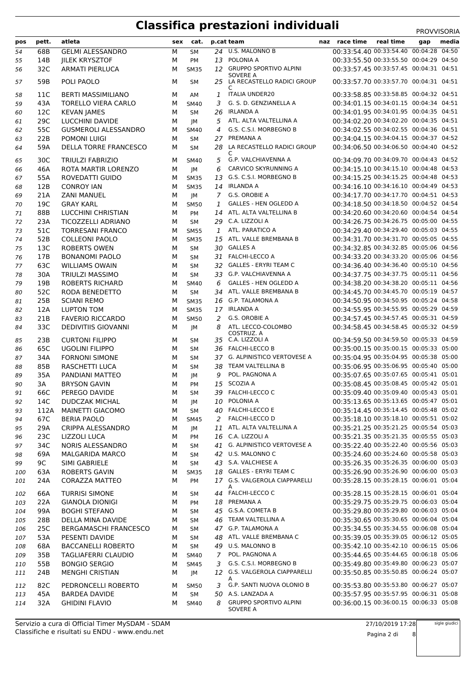| pos      | pett.           | atleta                                    | sex    | cat.        |   | p.cat team                                            | naz race time                                                                    | real time | gap | media |
|----------|-----------------|-------------------------------------------|--------|-------------|---|-------------------------------------------------------|----------------------------------------------------------------------------------|-----------|-----|-------|
| 54       | 68B             | <b>GELMI ALESSANDRO</b>                   | М      | <b>SM</b>   |   | 24 U.S. MALONNO B                                     | 00:33:54.40 00:33:54.40 00:04:28 04:50                                           |           |     |       |
| 55       | 14B             | <b>IILEK KRYSZTOF</b>                     | М      | PM          |   | 13 POLONIA A                                          | 00:33:55.50 00:33:55.50 00:04:29 04:50                                           |           |     |       |
| 56       | 32C             | <b>ARMATI PIERLUCA</b>                    | м      | <b>SM35</b> |   | 12 GRUPPO SPORTIVO ALPINI                             | 00:33:57.45 00:33:57.45 00:04:31 04:51                                           |           |     |       |
| 57       | 59B             | POLI PAOLO                                | м      | SМ          |   | <b>SOVERE A</b><br>25 LA RECASTELLO RADICI GROUP<br>C | 00:33:57.70 00:33:57.70 00:04:31 04:51                                           |           |     |       |
| 58       | 11C             | <b>BERTI MASSIMILIANO</b>                 | м      | AM          | 1 | <b>ITALIA UNDER20</b>                                 | 00:33:58.85 00:33:58.85 00:04:32 04:51                                           |           |     |       |
| 59       | 43A             | <b>TORELLO VIERA CARLO</b>                | м      | <b>SM40</b> | 3 | G. S. D. GENZIANELLA A                                | 00:34:01.15 00:34:01.15 00:04:34 04:51                                           |           |     |       |
| 60       | 12C             | <b>KEVAN JAMES</b>                        | М      | SM          |   | 26 IRLANDA A                                          | 00:34:01.95 00:34:01.95 00:04:35 04:51                                           |           |     |       |
| 61       | 29C             | <b>LUCCHINI DAVIDE</b>                    | м      | JM          | 5 | ATL. ALTA VALTELLINA A                                | 00:34:02.20 00:34:02.20 00:04:35 04:51                                           |           |     |       |
| 62       | 55C             | <b>GUSMEROLI ALESSANDRO</b>               | М      | <b>SM40</b> | 4 | G.S. C.S.I. MORBEGNO B                                | 00:34:02.55 00:34:02.55 00:04:36 04:51                                           |           |     |       |
| 63       | 22B             | POMONI LUIGI                              | М      | <b>SM</b>   |   | 27 PREMANA A                                          | 00:34:04.15 00:34:04.15 00:04:37 04:52                                           |           |     |       |
| 64       | 59A             | <b>DELLA TORRE FRANCESCO</b>              | м      | SM          |   | 28 LA RECASTELLO RADICI GROUP<br>C                    | 00:34:06.50 00:34:06.50 00:04:40 04:52                                           |           |     |       |
| 65       | 30 <sup>C</sup> | <b>TRIULZI FABRIZIO</b>                   | м      | <b>SM40</b> | 5 | G.P. VALCHIAVENNA A                                   | 00:34:09.70 00:34:09.70 00:04:43 04:52                                           |           |     |       |
| 66       | 46A             | ROTA MARTIR LORENZO                       | м      | JM          | 6 | CARVICO SKYRUNNING A                                  | 00:34:15.10 00:34:15.10 00:04:48 04:53                                           |           |     |       |
| 67       | 55A             | ROVEDATTI GUIDO                           | м      | <b>SM35</b> |   | 13 G.S. C.S.I. MORBEGNO B                             | 00:34:15.25 00:34:15.25 00:04:48 04:53                                           |           |     |       |
| 68       | 12B             | <b>CONROY IAN</b>                         | М      | <b>SM35</b> |   | 14 IRLANDA A                                          | 00:34:16.10 00:34:16.10 00:04:49 04:53                                           |           |     |       |
| 69       | 21A             | <b>ZANI MANUEL</b>                        | м      | JM          |   | 7 G.S. OROBIE A                                       | 00:34:17.70 00:34:17.70 00:04:51 04:53                                           |           |     |       |
| 70       | 19C             | <b>GRAY KARL</b>                          | м      | <b>SM50</b> | 1 | <b>GALLES - HEN OGLEDD A</b>                          | 00:34:18.50 00:34:18.50 00:04:52 04:54                                           |           |     |       |
| 71       | 88B             | LUCCHINI CHRISTIAN                        | М      | PM          |   | 14 ATL. ALTA VALTELLINA B                             | 00:34:20.60 00:34:20.60 00:04:54 04:54                                           |           |     |       |
| 72       | 23A             | TICOZZELLI ADRIANO                        | М      | <b>SM</b>   |   | 29 C.A. LIZZOLI A                                     | 00:34:26.75 00:34:26.75 00:05:00 04:55                                           |           |     |       |
| 73       | 51C             | <b>TORRESANI FRANCO</b>                   | м      | <b>SM55</b> | 1 | ATL. PARATICO A                                       | 00:34:29.40 00:34:29.40 00:05:03 04:55                                           |           |     |       |
| 74       | 52B             | <b>COLLEONI PAOLO</b>                     | М      | <b>SM35</b> |   | 15 ATL. VALLE BREMBANA B                              | 00:34:31.70 00:34:31.70 00:05:05 04:55                                           |           |     |       |
| 75       | 13C             | <b>ROBERTS OWEN</b>                       | М      | SM          |   | 30 GALLES A                                           | 00:34:32.85 00:34:32.85 00:05:06 04:56                                           |           |     |       |
| 76       | 17B             | <b>BONANOMI PAOLO</b>                     | М      | <b>SM</b>   |   | 31 FALCHI-LECCO A                                     | 00:34:33.20 00:34:33.20 00:05:06 04:56                                           |           |     |       |
| 77       | 63C             | <b>WILLIAMS OWAIN</b>                     | М      | SM          |   | 32 GALLES - ERYRI TEAM C                              | 00:34:36.40 00:34:36.40 00:05:10 04:56                                           |           |     |       |
| 78       | 30A             | <b>TRIULZI MASSIMO</b>                    | М      | SM          |   | 33 G.P. VALCHIAVENNA A                                | 00:34:37.75 00:34:37.75 00:05:11 04:56                                           |           |     |       |
| 79       | 19B             | <b>ROBERTS RICHARD</b>                    | М      | <b>SM40</b> | 6 | <b>GALLES - HEN OGLEDD A</b>                          | 00:34:38.20 00:34:38.20 00:05:11 04:56                                           |           |     |       |
| 80       | 52C             | RODA BENEDETTO                            | м      | <b>SM</b>   |   | 34 ATL. VALLE BREMBANA B                              | 00:34:45.70 00:34:45.70 00:05:19 04:57                                           |           |     |       |
| 81       | 25B             | <b>SCIANI REMO</b>                        | м      | <b>SM35</b> |   | 16 G.P. TALAMONA A                                    | 00:34:50.95 00:34:50.95 00:05:24 04:58                                           |           |     |       |
| 82       | 12A             | <b>LUPTON TOM</b>                         | м      | <b>SM35</b> |   | 17 IRLANDA A                                          | 00:34:55.95 00:34:55.95 00:05:29 04:59                                           |           |     |       |
| 83       | 21B             | <b>FAVERIO RICCARDO</b>                   | М      | <b>SM50</b> | 2 | G.S. OROBIE A                                         | 00:34:57.45 00:34:57.45 00:05:31 04:59                                           |           |     |       |
| 84       | 33C             | <b>DEDIVITIIS GIOVANNI</b>                | м      | JM          | 8 | ATL. LECCO-COLOMBO<br>COSTRUZ. A<br>35 C.A. LIZZOLI A | 00:34:58.45 00:34:58.45 00:05:32 04:59<br>00:34:59.50 00:34:59.50 00:05:33 04:59 |           |     |       |
| 85       | 23B             | <b>CURTONI FILIPPO</b>                    | м      | SМ          |   | 36 FALCHI-LECCO B                                     | 00:35:00.15 00:35:00.15 00:05:33 05:00                                           |           |     |       |
| 86       | 65C             | <b>UGOLINI FILIPPO</b>                    | М      | SМ          |   | 37 G. ALPINISTICO VERTOVESE A                         | 00:35:04.95 00:35:04.95 00:05:38 05:00                                           |           |     |       |
| 87       | 34A             | <b>FORNONI SIMONE</b>                     | М      | <b>SM</b>   |   |                                                       | 00:35:06.95 00:35:06.95 00:05:40 05:00                                           |           |     |       |
| 88       | 85B             | RASCHETTI LUCA                            | М      | SM          | 9 | 38 TEAM VALTELLINA B<br>POL. PAGNONA A                | 00:35:07.65 00:35:07.65 00:05:41 05:01                                           |           |     |       |
| 89       | 35A             | PANDIANI MATTEO                           | М      | JМ          |   | 15 SCOZIA A                                           | 00:35:08.45 00:35:08.45 00:05:42 05:01                                           |           |     |       |
| 90       | 3A              | <b>BRYSON GAVIN</b>                       | М      | <b>PM</b>   |   | 39 FALCHI-LECCO C                                     | 00:35:09.40 00:35:09.40 00:05:43 05:01                                           |           |     |       |
| 91       | 66C             | PEREGO DAVIDE                             | М      | <b>SM</b>   |   | 10 POLONIA A                                          | 00:35:13.65 00:35:13.65 00:05:47 05:01                                           |           |     |       |
| 92       | 14C             | <b>DUDCZAK MICHAL</b><br>MAINETTI GIACOMO | м      | JМ          |   | 40 FALCHI-LECCO E                                     | 00:35:14.45 00:35:14.45 00:05:48 05:02                                           |           |     |       |
| 93       | 112A<br>67C     | <b>BERIA PAOLO</b>                        | м      | SM          |   | 2 FALCHI-LECCO D                                      | 00:35:18.10 00:35:18.10 00:05:51 05:02                                           |           |     |       |
| 94       | 29A             | CRIPPA ALESSANDRO                         | м      | <b>SM45</b> |   | 11 ATL. ALTA VALTELLINA A                             | 00:35:21.25 00:35:21.25 00:05:54 05:03                                           |           |     |       |
| 95       |                 | LIZZOLI LUCA                              | м<br>М | JM          |   | 16 C.A. LIZZOLI A                                     | 00:35:21.35 00:35:21.35 00:05:55 05:03                                           |           |     |       |
| 96<br>97 | 23C<br>34C      | NORIS ALESSANDRO                          | м      | PM<br>SΜ    |   | 41 G. ALPINISTICO VERTOVESE A                         | 00:35:22.40 00:35:22.40 00:05:56 05:03                                           |           |     |       |
| 98       | 69A             | <b>MALGARIDA MARCO</b>                    | м      | SМ          |   | 42 U.S. MALONNO C                                     | 00:35:24.60 00:35:24.60 00:05:58 05:03                                           |           |     |       |
| 99       | 9C              | SIMI GABRIELE                             | м      | SM          |   | 43 S.A. VALCHIESE A                                   | 00:35:26.35 00:35:26.35 00:06:00 05:03                                           |           |     |       |
| 100      | 63A             | ROBERTS GAVIN                             | м      | <b>SM35</b> |   | 18 GALLES - ERYRI TEAM C                              | 00:35:26.90 00:35:26.90 00:06:00 05:03                                           |           |     |       |
| 101      | 24A             | CORAZZA MATTEO                            | м      | PM          |   | 17 G.S. VALGEROLA CIAPPARELLI                         | 00:35:28.15 00:35:28.15 00:06:01 05:04                                           |           |     |       |
| 102      | 66A             | <b>TURRISI SIMONE</b>                     | м      | SΜ          |   | А<br>44 FALCHI-LECCO C                                | 00:35:28.15 00:35:28.15 00:06:01 05:04                                           |           |     |       |
| 103      | 22A             | <b>GIANOLA DIONIGI</b>                    | м      | PM          |   | 18 PREMANA A                                          | 00:35:29.75 00:35:29.75 00:06:03 05:04                                           |           |     |       |
| 104      | 99A             | <b>BOGHI STEFANO</b>                      | м      | SМ          |   | 45 G.S.A. COMETA B                                    | 00:35:29.80 00:35:29.80 00:06:03 05:04                                           |           |     |       |
| 105      | 28B             | DELLA MINA DAVIDE                         | м      | <b>SM</b>   |   | 46 TEAM VALTELLINA A                                  | 00:35:30.65 00:35:30.65 00:06:04 05:04                                           |           |     |       |
| 106      | 25C             | <b>BERGAMASCHI FRANCESCO</b>              | м      | SM          |   | 47 G.P. TALAMONA A                                    | 00:35:34.55 00:35:34.55 00:06:08 05:04                                           |           |     |       |
| 107      | 53A             | PESENTI DAVIDE                            | м      | SM          |   | 48 ATL. VALLE BREMBANA C                              | 00:35:39.05 00:35:39.05 00:06:12 05:05                                           |           |     |       |
| 108      | 68A             | <b>BACCANELLI ROBERTO</b>                 | М      | SM          |   | 49 U.S. MALONNO B                                     | 00:35:42.10 00:35:42.10 00:06:15 05:06                                           |           |     |       |
| 109      | 35B             | TAGLIAFERRI CLAUDIO                       | м      | <b>SM40</b> |   | 7 POL. PAGNONA A                                      | 00:35:44.65 00:35:44.65 00:06:18 05:06                                           |           |     |       |
| 110      | 55B             | <b>BONGIO SERGIO</b>                      | м      | <b>SM45</b> |   | 3 G.S. C.S.I. MORBEGNO B                              | 00:35:49.80 00:35:49.80 00:06:23 05:07                                           |           |     |       |
| 111      | 24B             | <b>MENGHI CRISTIAN</b>                    | м      | JM          |   | 12 G.S. VALGEROLA CIAPPARELLI<br>A                    | 00:35:50.85 00:35:50.85 00:06:24 05:07                                           |           |     |       |
| 112      | 82C             | PEDRONCELLI ROBERTO                       | м      | <b>SM50</b> |   | 3 G.P. SANTI NUOVA OLONIO B                           | 00:35:53.80 00:35:53.80 00:06:27 05:07                                           |           |     |       |
| 113      | 45A             | <b>BARDEA DAVIDE</b>                      | м      | SM          |   | 50 A.S. LANZADA A                                     | 00:35:57.95 00:35:57.95 00:06:31 05:08                                           |           |     |       |
| 114      | 32A             | <b>GHIDINI FLAVIO</b>                     | м      | SM40        |   | 8 GRUPPO SPORTIVO ALPINI<br>SOVERE A                  | 00:36:00.15 00:36:00.15 00:06:33 05:08                                           |           |     |       |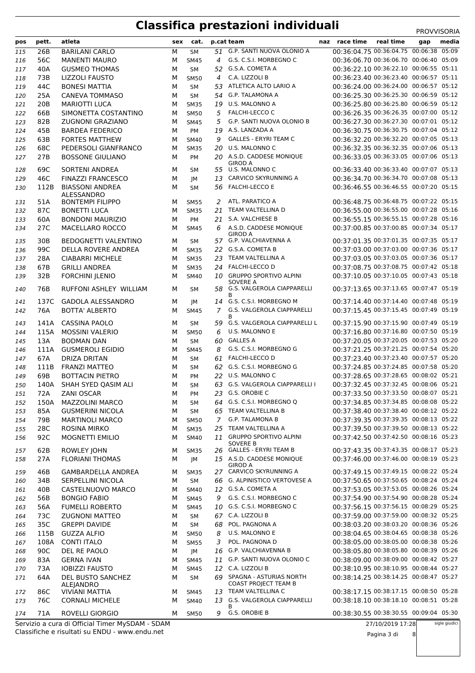| pos        | pett.           | atleta                                  | sex    | cat.                     |                | p.cat team                                            | naz race time                          | real time | gap | media |
|------------|-----------------|-----------------------------------------|--------|--------------------------|----------------|-------------------------------------------------------|----------------------------------------|-----------|-----|-------|
| 115        | 26B             | <b>BARILANI CARLO</b>                   | М      | <b>SM</b>                |                | 51 G.P. SANTI NUOVA OLONIO A                          | 00:36:04.75 00:36:04.75 00:06:38 05:09 |           |     |       |
| 116        | 56C             | <b>MANENTI MAURO</b>                    | М      | <b>SM45</b>              | 4              | G.S. C.S.I. MORBEGNO C                                | 00:36:06.70 00:36:06.70 00:06:40 05:09 |           |     |       |
| 117        | 40A             | <b>GUSMEO THOMAS</b>                    | М      | <b>SM</b>                |                | 52 G.S.A. COMETA A                                    | 00:36:22.10 00:36:22.10 00:06:55 05:11 |           |     |       |
| 118        | 73B             | <b>LIZZOLI FAUSTO</b>                   | М      | <b>SM50</b>              | $\overline{4}$ | C.A. LIZZOLI B                                        | 00:36:23.40 00:36:23.40 00:06:57 05:11 |           |     |       |
| 119        | 44C             | <b>BONESI MATTIA</b>                    | М      | <b>SM</b>                |                | 53 ATLETICA ALTO LARIO A                              | 00:36:24.00 00:36:24.00 00:06:57 05:12 |           |     |       |
| 120        | 25A             | <b>CANEVA TOMMASO</b>                   | М      | <b>SM</b>                | 54             | <b>G.P. TALAMONA A</b>                                | 00:36:25.30 00:36:25.30 00:06:59 05:12 |           |     |       |
| 121        | 20B             | <b>MARIOTTI LUCA</b>                    | М      | <b>SM35</b>              | 19             | U.S. MALONNO A                                        | 00:36:25.80 00:36:25.80 00:06:59 05:12 |           |     |       |
| 122        | 66B             | SIMONETTA COSTANTINO                    | М      | <b>SM50</b>              | 5              | <b>FALCHI-LECCO C</b>                                 | 00:36:26.35 00:36:26.35 00:07:00 05:12 |           |     |       |
| 123        | 82B             | ZUGNONI GRAZIANO                        | М      | <b>SM45</b>              | 5              | G.P. SANTI NUOVA OLONIO B                             | 00:36:27.30 00:36:27.30 00:07:01 05:12 |           |     |       |
| 124        | 45B             | <b>BARDEA FEDERICO</b>                  | М      | PM                       | 19             | A.S. LANZADA A                                        | 00:36:30.75 00:36:30.75 00:07:04 05:12 |           |     |       |
| 125        | 63B             | <b>FORTES MATTHEW</b>                   | М      | <b>SM40</b>              | 9              | <b>GALLES - ERYRI TEAM C</b>                          | 00:36:32.20 00:36:32.20 00:07:05 05:13 |           |     |       |
| 126        | 68C             | PEDERSOLI GIANFRANCO                    | М      | <b>SM35</b>              | 20             | U.S. MALONNO C                                        | 00:36:32.35 00:36:32.35 00:07:06 05:13 |           |     |       |
| 127        | 27B             | <b>BOSSONE GIULIANO</b>                 | М      | <b>PM</b>                |                | 20 A.S.D. CADDESE MONIQUE                             | 00:36:33.05 00:36:33.05 00:07:06 05:13 |           |     |       |
|            |                 |                                         |        |                          |                | <b>GIROD A</b>                                        |                                        |           |     |       |
| 128        | 69C             | <b>SORTENI ANDREA</b>                   | М      | SM                       | 55             | U.S. MALONNO C                                        | 00:36:33.40 00:36:33.40 00:07:07 05:13 |           |     |       |
| 129        | 46C             | <b>FINAZZI FRANCESCO</b>                | М      | JМ                       | 13             | CARVICO SKYRUNNING A                                  | 00:36:34.70 00:36:34.70 00:07:08 05:13 |           |     |       |
| 130        | 112B            | <b>BIASSONI ANDREA</b>                  | М      | <b>SM</b>                |                | 56 FALCHI-LECCO E                                     | 00:36:46.55 00:36:46.55 00:07:20 05:15 |           |     |       |
| 131        | 51A             | ALESSANDRO<br><b>BONTEMPI FILIPPO</b>   | м      | <b>SM55</b>              | 2              | ATL. PARATICO A                                       | 00:36:48.75 00:36:48.75 00:07:22 05:15 |           |     |       |
| 132        | 87C             | <b>BONETTI LUCA</b>                     | М      | <b>SM35</b>              | 21             | TEAM VALTELLINA D                                     | 00:36:55.00 00:36:55.00 00:07:28 05:16 |           |     |       |
| 133        | 60A             | <b>BONDONI MAURIZIO</b>                 | м      | PM                       |                | 21 S.A. VALCHIESE B                                   | 00:36:55.15 00:36:55.15 00:07:28 05:16 |           |     |       |
| 134        | 27C             | MACELLARO ROCCO                         | м      | <b>SM45</b>              | 6              | A.S.D. CADDESE MONIQUE                                | 00:37:00.85 00:37:00.85 00:07:34 05:17 |           |     |       |
|            |                 |                                         |        |                          |                | <b>GIROD A</b>                                        |                                        |           |     |       |
| 135        | 30 <sub>B</sub> | <b>BEDOGNETTI VALENTINO</b>             | м      | <b>SM</b>                |                | 57 G.P. VALCHIAVENNA A                                | 00:37:01.35 00:37:01.35 00:07:35 05:17 |           |     |       |
| 136        | 99C             | <b>DELLA ROVERE ANDREA</b>              | М      | <b>SM35</b>              |                | 22 G.S.A. COMETA B                                    | 00:37:03.00 00:37:03.00 00:07:36 05:17 |           |     |       |
| 137        | 28A             | <b>CIABARRI MICHELE</b>                 | М      | <b>SM35</b>              |                | 23 TEAM VALTELLINA A                                  | 00:37:03.05 00:37:03.05 00:07:36 05:17 |           |     |       |
| 138        | 67B             | <b>GRILLI ANDREA</b>                    | м      | <b>SM35</b>              |                | 24 FALCHI-LECCO D                                     | 00:37:08.75 00:37:08.75 00:07:42 05:18 |           |     |       |
| 139        | 32B             | <b>FORCHINI JLENIO</b>                  | м      | <b>SM40</b>              | 10             | <b>GRUPPO SPORTIVO ALPINI</b>                         | 00:37:10.05 00:37:10.05 00:07:43 05:18 |           |     |       |
| 140        | 76B             | RUFFONI ASHLEY WILLIAM                  | м      | SM                       |                | <b>SOVERE A</b><br>58 G.S. VALGEROLA CIAPPARELLI<br>R | 00:37:13.65 00:37:13.65 00:07:47 05:19 |           |     |       |
| 141        | 137C            | <b>GADOLA ALESSANDRO</b>                | м      | JМ                       | 14             | G.S. C.S.I. MORBEGNO M                                | 00:37:14.40 00:37:14.40 00:07:48 05:19 |           |     |       |
| 142        | 76A             | <b>BOTTA' ALBERTO</b>                   | М      | <b>SM45</b>              | $\overline{7}$ | G.S. VALGEROLA CIAPPARELLI                            | 00:37:15.45 00:37:15.45 00:07:49 05:19 |           |     |       |
|            |                 | <b>CASSINA PAOLO</b>                    |        |                          |                | в<br>59 G.S. VALGEROLA CIAPPARELLI L                  | 00:37:15.90 00:37:15.90 00:07:49 05:19 |           |     |       |
| 143        | 141A<br>115A    | <b>MOSSINI VALERIO</b>                  | М<br>М | <b>SM</b><br><b>SM50</b> | 6              | U.S. MALONNO E                                        | 00:37:16.80 00:37:16.80 00:07:50 05:19 |           |     |       |
| 144        | 13A             | <b>BODMAN DAN</b>                       | М      | <b>SM</b>                | 60             | <b>GALLES A</b>                                       | 00:37:20.05 00:37:20.05 00:07:53 05:20 |           |     |       |
| 145        | 111A            |                                         |        |                          | 8              | G.S. C.S.I. MORBEGNO G                                | 00:37:21.25 00:37:21.25 00:07:54 05:20 |           |     |       |
| 146<br>147 | 67A             | <b>GUSMEROLI EGIDIO</b><br>DRIZA DRITAN | М<br>м | <b>SM45</b><br><b>SM</b> |                | 61 FALCHI-LECCO D                                     | 00:37:23.40 00:37:23.40 00:07:57 05:20 |           |     |       |
| 148        | 111B            | <b>FRANZI MATTEO</b>                    | М      | <b>SM</b>                | 62             | G.S. C.S.I. MORBEGNO G                                | 00:37:24.85 00:37:24.85 00:07:58 05:20 |           |     |       |
| 149        | 69B             | <b>BOTTACIN PIETRO</b>                  | М      | PM                       |                | 22 U.S. MALONNO C                                     | 00:37:28.65 00:37:28.65 00:08:02 05:21 |           |     |       |
| 150        | 140A            | SHAH SYED QASIM ALI                     | м      | <b>SM</b>                |                | 63 G.S. VALGEROLA CIAPPARELLI I                       | 00:37:32.45 00:37:32.45 00:08:06 05:21 |           |     |       |
| 151        | 72A             | <b>ZANI OSCAR</b>                       | м      |                          | 23             | G.S. OROBIE C                                         | 00:37:33.50 00:37:33.50 00:08:07 05:21 |           |     |       |
| 152        | 150A            | <b>MAZZOLINI MARCO</b>                  | М      | PМ<br><b>SM</b>          |                | 64 G.S. C.S.I. MORBEGNO Q                             | 00:37:34.85 00:37:34.85 00:08:08 05:22 |           |     |       |
| 153        | 85A             | <b>GUSMERINI NICOLA</b>                 | М      | <b>SM</b>                |                | 65 TEAM VALTELLINA B                                  | 00:37:38.40 00:37:38.40 00:08:12 05:22 |           |     |       |
| 154        | 79B             | <b>MARTINOLI MARCO</b>                  | м      | <b>SM50</b>              |                | 7 G.P. TALAMONA B                                     | 00:37:39.35 00:37:39.35 00:08:13 05:22 |           |     |       |
| 155        | 28C             | <b>ROSINA MIRKO</b>                     | М      | <b>SM35</b>              | 25             | TEAM VALTELLINA A                                     | 00:37:39.50 00:37:39.50 00:08:13 05:22 |           |     |       |
| 156        | 92C             | <b>MOGNETTI EMILIO</b>                  | м      | <b>SM40</b>              |                | 11 GRUPPO SPORTIVO ALPINI                             | 00:37:42.50 00:37:42.50 00:08:16 05:23 |           |     |       |
|            |                 |                                         |        |                          |                | <b>SOVERE B</b>                                       |                                        |           |     |       |
| 157        | 62B             | ROWLEY JOHN                             | М      | <b>SM35</b>              |                | 26 GALLES - ERYRI TEAM B                              | 00:37:43.35 00:37:43.35 00:08:17 05:23 |           |     |       |
| 158        | 27A             | <b>FLORIANI THOMAS</b>                  | М      | JM                       |                | 15 A.S.D. CADDESE MONIQUE<br><b>GIROD A</b>           | 00:37:46.00 00:37:46.00 00:08:19 05:23 |           |     |       |
| 159        | 46B             | <b>GAMBARDELLA ANDREA</b>               | м      | <b>SM35</b>              |                | 27 CARVICO SKYRUNNING A                               | 00:37:49.15 00:37:49.15 00:08:22 05:24 |           |     |       |
| 160        | 34B             | <b>SERPELLINI NICOLA</b>                | М      | <b>SM</b>                |                | 66 G. ALPINISTICO VERTOVESE A                         | 00:37:50.65 00:37:50.65 00:08:24 05:24 |           |     |       |
| 161        | 40B             | CASTELNUOVO MARCO                       | м      | <b>SM40</b>              |                | 12 G.S.A. COMETA A                                    | 00:37:53.05 00:37:53.05 00:08:26 05:24 |           |     |       |
| 162        | 56B             | <b>BONGIO FABIO</b>                     | М      | <b>SM45</b>              | 9              | G.S. C.S.I. MORBEGNO C                                | 00:37:54.90 00:37:54.90 00:08:28 05:24 |           |     |       |
| 163        | 56A             | <b>FUMELLI ROBERTO</b>                  | М      | <b>SM45</b>              |                | 10 G.S. C.S.I. MORBEGNO C                             | 00:37:56.15 00:37:56.15 00:08:29 05:25 |           |     |       |
| 164        | 73C             | <b>ZUGNONI MATTEO</b>                   | м      | <b>SM</b>                |                | 67 C.A. LIZZOLI B                                     | 00:37:59.00 00:37:59.00 00:08:32 05:25 |           |     |       |
| 165        | 35C             | <b>GREPPI DAVIDE</b>                    | М      | <b>SM</b>                | 68             | POL. PAGNONA A                                        | 00:38:03.20 00:38:03.20 00:08:36 05:26 |           |     |       |
| 166        | 115B            | <b>GUZZA ALFIO</b>                      | М      | <b>SM50</b>              | 8              | U.S. MALONNO E                                        | 00:38:04.65 00:38:04.65 00:08:38 05:26 |           |     |       |
| 167        | 108A            | <b>CONTI ITALO</b>                      | м      | <b>SM55</b>              | 3              | POL. PAGNONA D                                        | 00:38:05.00 00:38:05.00 00:08:38 05:26 |           |     |       |
| 168        | 90C             | DEL RE PAOLO                            | М      | JM                       | 16             | G.P. VALCHIAVENNA B                                   | 00:38:05.80 00:38:05.80 00:08:39 05:26 |           |     |       |
| 169        | 83A             | <b>GERNA IVAN</b>                       | М      | <b>SM45</b>              |                | 11 G.P. SANTI NUOVA OLONIO C                          | 00:38:09.00 00:38:09.00 00:08:42 05:27 |           |     |       |
| 170        | 73A             | <b>IOBIZZI FAUSTO</b>                   | М      | <b>SM45</b>              |                | 12 C.A. LIZZOLI B                                     | 00:38:10.95 00:38:10.95 00:08:44 05:27 |           |     |       |
| 171        | 64A             | DEL BUSTO SANCHEZ                       | м      | SM                       | 69             | SPAGNA - ASTURIAS NORTH                               | 00:38:14.25 00:38:14.25 00:08:47 05:27 |           |     |       |
|            |                 | ALEJANDRO                               |        |                          |                | <b>COAST PROJECT TEAM B</b>                           |                                        |           |     |       |
| 172        | 86C             | <b>VIVIANI MATTIA</b>                   | м      | <b>SM45</b>              |                | 13 TEAM VALTELLINA C                                  | 00:38:17.15 00:38:17.15 00:08:50 05:28 |           |     |       |
| 173        | 76C             | <b>CORNALI MICHELE</b>                  | М      | <b>SM40</b>              |                | 13 G.S. VALGEROLA CIAPPARELLI<br>в                    | 00:38:18.10 00:38:18.10 00:08:51 05:28 |           |     |       |
| 174        | 71A             | ROVELLI GIORGIO                         | м      | <b>SM50</b>              | 9              | G.S. OROBIE B                                         | 00:38:30.55 00:38:30.55 00:09:04 05:30 |           |     |       |

Classifiche e risultati su ENDU - www.endu.net Servizio a cura di Official Timer MySDAM - SDAM 27/10/2019 17:28

Pagina 3 di 8

sigle giudici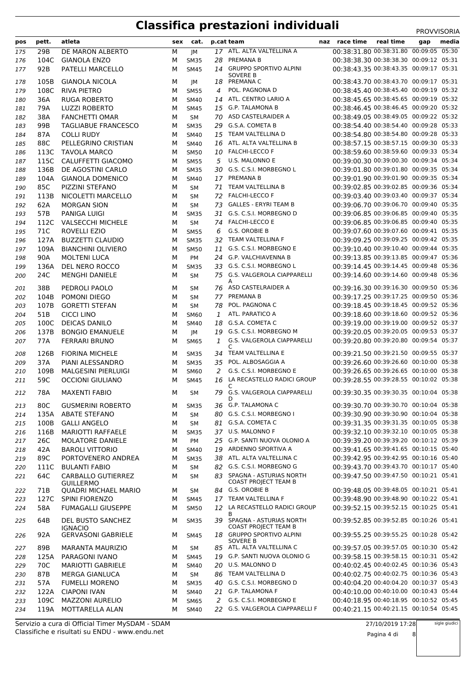| pos | pett. | atleta                                 | sex | cat.        |              | p.cat team                                         | naz race time                          | real time | gap | media |
|-----|-------|----------------------------------------|-----|-------------|--------------|----------------------------------------------------|----------------------------------------|-----------|-----|-------|
| 175 | 29B   | DE MARON ALBERTO                       | М   | IМ          |              | 17 ATL. ALTA VALTELLINA A                          | 00:38:31.80 00:38:31.80 00:09:05 05:30 |           |     |       |
| 176 | 104C  | <b>GIANOLA ENZO</b>                    | м   | <b>SM35</b> | 28           | PREMANA B                                          | 00:38:38.30 00:38:38.30 00:09:12 05:31 |           |     |       |
| 177 | 92B   | PATELLI MARCELLO                       | м   | <b>SM45</b> |              | 14 GRUPPO SPORTIVO ALPINI                          | 00:38:43.35 00:38:43.35 00:09:17 05:31 |           |     |       |
|     |       |                                        |     |             |              | <b>SOVERE B</b>                                    |                                        |           |     |       |
| 178 | 105B  | <b>GIANOLA NICOLA</b>                  | м   | JМ          |              | 18 PREMANA C                                       | 00:38:43.70 00:38:43.70 00:09:17 05:31 |           |     |       |
| 179 | 108C  | <b>RIVA PIETRO</b>                     | М   | <b>SM55</b> | 4            | POL. PAGNONA D                                     | 00:38:45.40 00:38:45.40 00:09:19 05:32 |           |     |       |
| 180 | 36A   | <b>RUGA ROBERTO</b>                    | М   | <b>SM40</b> |              | 14 ATL. CENTRO LARIO A                             | 00:38:45.65 00:38:45.65 00:09:19 05:32 |           |     |       |
| 181 | 79A   | <b>LUZZI ROBERTO</b>                   | М   | <b>SM45</b> |              | 15 G.P. TALAMONA B                                 | 00:38:46.45 00:38:46.45 00:09:20 05:32 |           |     |       |
| 182 | 38A   | <b>FANCHETTI OMAR</b>                  | м   | <b>SM</b>   |              | 70 ASD CASTELRAIDER A                              | 00:38:49.05 00:38:49.05 00:09:22 05:32 |           |     |       |
| 183 | 99B   | <b>TAGLIABUE FRANCESCO</b>             | м   | <b>SM35</b> |              | 29 G.S.A. COMETA B                                 | 00:38:54.40 00:38:54.40 00:09:28 05:33 |           |     |       |
| 184 | 87A   | <b>COLLI RUDY</b>                      | М   | <b>SM40</b> |              | 15 TEAM VALTELLINA D                               | 00:38:54.80 00:38:54.80 00:09:28 05:33 |           |     |       |
| 185 | 88C   | PELLEGRINO CRISTIAN                    | М   | <b>SM40</b> | 16           | ATL. ALTA VALTELLINA B                             | 00:38:57.15 00:38:57.15 00:09:30 05:33 |           |     |       |
| 186 | 113C  | <b>TAVOLA MARCO</b>                    | М   | <b>SM50</b> |              | 10 FALCHI-LECCO F                                  | 00:38:59.60 00:38:59.60 00:09:33 05:34 |           |     |       |
| 187 | 115C  | CALUFFETTI GIACOMO                     | М   | <b>SM55</b> |              | 5 U.S. MALONNO E                                   | 00:39:00.30 00:39:00.30 00:09:34 05:34 |           |     |       |
| 188 | 136B  | DE AGOSTINI CARLO                      | М   | <b>SM35</b> |              | 30 G.S. C.S.I. MORBEGNO L                          | 00:39:01.80 00:39:01.80 00:09:35 05:34 |           |     |       |
| 189 | 104A  | <b>GIANOLA DOMENICO</b>                | М   | <b>SM40</b> |              | 17 PREMANA B                                       | 00:39:01.90 00:39:01.90 00:09:35 05:34 |           |     |       |
| 190 | 85C   | PIZZINI STEFANO                        | М   | <b>SM</b>   |              | 71 TEAM VALTELLINA B                               | 00:39:02.85 00:39:02.85 00:09:36 05:34 |           |     |       |
| 191 | 113B  | NICOLETTI MARCELLO                     | м   | <b>SM</b>   |              | 72 FALCHI-LECCO F                                  | 00:39:03.40 00:39:03.40 00:09:37 05:34 |           |     |       |
| 192 | 62A   | <b>MORGAN SION</b>                     | м   | <b>SM</b>   |              | 73 GALLES - ERYRI TEAM B                           | 00:39:06.70 00:39:06.70 00:09:40 05:35 |           |     |       |
| 193 | 57B   | PANIGA LUIGI                           | М   | <b>SM35</b> |              | 31 G.S. C.S.I. MORBEGNO D                          | 00:39:06.85 00:39:06.85 00:09:40 05:35 |           |     |       |
| 194 | 112C  | <b>VALSECCHI MICHELE</b>               | м   | <b>SM</b>   |              | 74 FALCHI-LECCO E                                  | 00:39:06.85 00:39:06.85 00:09:40 05:35 |           |     |       |
| 195 | 71C   | ROVELLI EZIO                           | м   | <b>SM55</b> | 6            | G.S. OROBIE B                                      | 00:39:07.60 00:39:07.60 00:09:41 05:35 |           |     |       |
| 196 | 127A  | <b>BUZZETTI CLAUDIO</b>                | М   | <b>SM35</b> |              | 32 TEAM VALTELLINA F                               | 00:39:09.25 00:39:09.25 00:09:42 05:35 |           |     |       |
| 197 | 109A  | <b>BIANCHINI OLIVIERO</b>              | М   | <b>SM50</b> | 11           | G.S. C.S.I. MORBEGNO E                             | 00:39:10.40 00:39:10.40 00:09:44 05:35 |           |     |       |
| 198 | 90A   | <b>MOLTENI LUCA</b>                    | М   | PM          |              | 24 G.P. VALCHIAVENNA B                             | 00:39:13.85 00:39:13.85 00:09:47 05:36 |           |     |       |
| 199 | 136A  | DEL NERO ROCCO                         | М   | <b>SM35</b> |              | 33 G.S. C.S.I. MORBEGNO L                          | 00:39:14.45 00:39:14.45 00:09:48 05:36 |           |     |       |
| 200 | 24C   | <b>MENGHI DANIELE</b>                  | М   | <b>SM</b>   |              | 75 G.S. VALGEROLA CIAPPARELLI                      | 00:39:14.60 00:39:14.60 00:09:48 05:36 |           |     |       |
|     |       |                                        |     |             |              | A                                                  |                                        |           |     |       |
| 201 | 38B   | PEDROLI PAOLO                          | м   | <b>SM</b>   |              | 76 ASD CASTELRAIDER A                              | 00:39:16.30 00:39:16.30 00:09:50 05:36 |           |     |       |
| 202 | 104B  | POMONI DIEGO                           | М   | <b>SM</b>   |              | 77 PREMANA B                                       | 00:39:17.25 00:39:17.25 00:09:50 05:36 |           |     |       |
| 203 | 107B  | <b>GORETTI STEFAN</b>                  | М   | <b>SM</b>   | 78           | POL. PAGNONA C                                     | 00:39:18.45 00:39:18.45 00:09:52 05:36 |           |     |       |
| 204 | 51B   | CICCI LINO                             | М   | <b>SM60</b> | $\mathbf{1}$ | ATL. PARATICO A                                    | 00:39:18.60 00:39:18.60 00:09:52 05:36 |           |     |       |
| 205 | 100C  | <b>DEICAS DANILO</b>                   | М   | <b>SM40</b> | 18           | G.S.A. COMETA C                                    | 00:39:19.00 00:39:19.00 00:09:52 05:37 |           |     |       |
| 206 | 137B  | <b>BONGIO EMANUELE</b>                 | м   | JМ          |              | 19 G.S. C.S.I. MORBEGNO M                          | 00:39:20.05 00:39:20.05 00:09:53 05:37 |           |     |       |
| 207 | 77A   | <b>FERRARI BRUNO</b>                   | м   | <b>SM65</b> | 1            | G.S. VALGEROLA CIAPPARELLI<br>C                    | 00:39:20.80 00:39:20.80 00:09:54 05:37 |           |     |       |
| 208 | 126B  | <b>FIORINA MICHELE</b>                 | м   | <b>SM35</b> |              | 34 TEAM VALTELLINA E                               | 00:39:21.50 00:39:21.50 00:09:55 05:37 |           |     |       |
| 209 | 37A   | PIANI ALESSANDRO                       | М   | <b>SM35</b> |              | 35 POL. ALBOSAGGIA A                               | 00:39:26.60 00:39:26.60 00:10:00 05:38 |           |     |       |
| 210 | 109B  | MALGESINI PIERLUIGI                    | М   | <b>SM60</b> | 2            | G.S. C.S.I. MORBEGNO E                             | 00:39:26.65 00:39:26.65 00:10:00 05:38 |           |     |       |
| 211 | 59C   | <b>OCCIONI GIULIANO</b>                | м   | <b>SM45</b> |              | 16 LA RECASTELLO RADICI GROUP                      | 00:39:28.55 00:39:28.55 00:10:02 05:38 |           |     |       |
| 212 | 78A   | <b>MAXENTI FABIO</b>                   | M   | SM          |              | C<br>79 G.S. VALGEROLA CIAPPARELLI                 | 00:39:30.35 00:39:30.35 00:10:04 05:38 |           |     |       |
| 213 | 80C   | <b>GUSMERINI ROBERTO</b>               | м   | <b>SM35</b> |              | D<br>36 G.P. TALAMONA C                            | 00:39:30.70 00:39:30.70 00:10:04 05:38 |           |     |       |
| 214 | 135A  | <b>ABATE STEFANO</b>                   | м   | SM          |              | 80 G.S. C.S.I. MORBEGNO I                          | 00:39:30.90 00:39:30.90 00:10:04 05:38 |           |     |       |
|     |       |                                        |     |             |              | 81 G.S.A. COMETA C                                 | 00:39:31.35 00:39:31.35 00:10:05 05:38 |           |     |       |
| 215 | 100B  | <b>GALLI ANGELO</b>                    | м   | <b>SM</b>   |              | 37 U.S. MALONNO F                                  | 00:39:32.10 00:39:32.10 00:10:05 05:38 |           |     |       |
| 216 | 116B  | <b>MARIOTTI RAFFAELE</b>               | м   | <b>SM35</b> |              | 25 G.P. SANTI NUOVA OLONIO A                       | 00:39:39.20 00:39:39.20 00:10:12 05:39 |           |     |       |
| 217 | 26C   | <b>MOLATORE DANIELE</b>                | м   | PM          |              |                                                    | 00:39:41.65 00:39:41.65 00:10:15 05:40 |           |     |       |
| 218 | 42A   | <b>BAROLI VITTORIO</b>                 | м   | <b>SM40</b> |              | 19 ARDENNO SPORTIVA A                              |                                        |           |     |       |
| 219 | 89C   | PORTOVENERO ANDREA                     | м   | <b>SM35</b> |              | 38 ATL. ALTA VALTELLINA C                          | 00:39:42.95 00:39:42.95 00:10:16 05:40 |           |     |       |
| 220 | 111C  | <b>BULANTI FABIO</b>                   | м   | SM          |              | 82 G.S. C.S.I. MORBEGNO G                          | 00:39:43.70 00:39:43.70 00:10:17 05:40 |           |     |       |
| 221 | 64C   | CARBALLO GUTIERREZ<br><b>GUILLERMO</b> | м   | <b>SM</b>   |              | 83 SPAGNA - ASTURIAS NORTH<br>COAST PROJECT TEAM B | 00:39:47.50 00:39:47.50 00:10:21 05:41 |           |     |       |
| 222 | 71B   | <b>QUADRI MICHAEL MARIO</b>            | м   | SM          |              | 84 G.S. OROBIE B                                   | 00:39:48.05 00:39:48.05 00:10:21 05:41 |           |     |       |
| 223 | 127C  | SPINI FIORENZO                         | м   | <b>SM45</b> |              | 17 TEAM VALTELLINA F                               | 00:39:48.90 00:39:48.90 00:10:22 05:41 |           |     |       |
| 224 | 58A   | <b>FUMAGALLI GIUSEPPE</b>              | м   | <b>SM50</b> | 12           | LA RECASTELLO RADICI GROUP<br>в                    | 00:39:52.15 00:39:52.15 00:10:25 05:41 |           |     |       |
| 225 | 64B   | DEL BUSTO SANCHEZ<br><b>IGNACIO</b>    | м   | <b>SM35</b> |              | 39 SPAGNA - ASTURIAS NORTH<br>COAST PROJECT TEAM B | 00:39:52.85 00:39:52.85 00:10:26 05:41 |           |     |       |
| 226 | 92A   | <b>GERVASONI GABRIELE</b>              | м   | <b>SM45</b> |              | 18 GRUPPO SPORTIVO ALPINI<br><b>SOVERE B</b>       | 00:39:55.25 00:39:55.25 00:10:28 05:42 |           |     |       |
| 227 | 89B   | <b>MARANTA MAURIZIO</b>                | м   | <b>SM</b>   |              | 85 ATL. ALTA VALTELLINA C                          | 00:39:57.05 00:39:57.05 00:10:30 05:42 |           |     |       |
| 228 | 125A  | PARAGONI IVANO                         | м   | <b>SM45</b> |              | 19 G.P. SANTI NUOVA OLONIO G                       | 00:39:58.15 00:39:58.15 00:10:31 05:42 |           |     |       |
| 229 | 70C   | MARIOTTI GABRIELE                      | м   | <b>SM40</b> |              | 20 U.S. MALONNO D                                  | 00:40:02.45 00:40:02.45 00:10:36 05:43 |           |     |       |
| 230 | 87B   | <b>MERGA GIANLUCA</b>                  | м   | <b>SM</b>   |              | 86 TEAM VALTELLINA D                               | 00:40:02.75 00:40:02.75 00:10:36 05:43 |           |     |       |
| 231 | 57A   | <b>FUMELLI MORENO</b>                  | м   | <b>SM35</b> |              | 40 G.S. C.S.I. MORBEGNO D                          | 00:40:04.20 00:40:04.20 00:10:37 05:43 |           |     |       |
| 232 | 122A  | <b>CIAPONI IVAN</b>                    | м   | <b>SM40</b> |              | 21 G.P. TALAMONA F                                 | 00:40:10.00 00:40:10.00 00:10:43 05:44 |           |     |       |
| 233 | 109C  | <b>MAZZONI AURELIO</b>                 | м   | <b>SM65</b> |              | 2 G.S. C.S.I. MORBEGNO E                           | 00:40:18.95 00:40:18.95 00:10:52 05:45 |           |     |       |
| 234 |       | 119A MOTTARELLA ALAN                   | М   | <b>SM40</b> |              | 22 G.S. VALGEROLA CIAPPARELLI F                    | 00:40:21.15 00:40:21.15 00:10:54 05:45 |           |     |       |
|     |       |                                        |     |             |              |                                                    |                                        |           |     |       |

Classifiche e risultati su ENDU - www.endu.net Servizio a cura di Official Timer MySDAM - SDAM

sigle giudici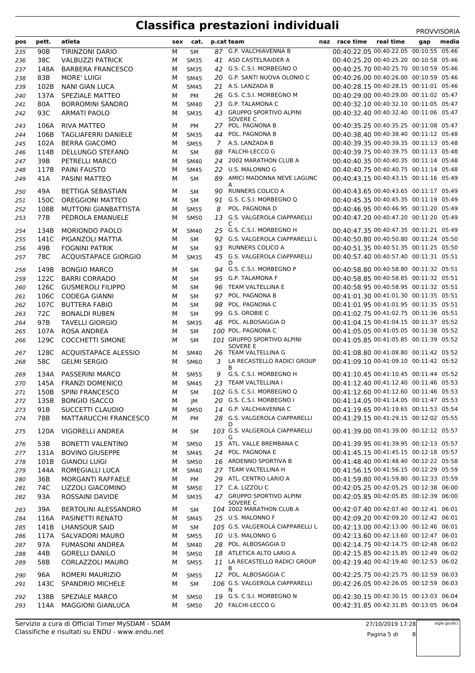| pos | pett.           | atleta                      | sex | cat.        |    | p.cat team                                | naz race time                          | real time | gap | media |
|-----|-----------------|-----------------------------|-----|-------------|----|-------------------------------------------|----------------------------------------|-----------|-----|-------|
| 235 | 90 <sub>B</sub> | <b>TIRINZONI DARIO</b>      | М   | <b>SM</b>   |    | 87 G.P. VALCHIAVENNA B                    | 00:40:22.05 00:40:22.05 00:10:55 05:46 |           |     |       |
| 236 | 38C             | <b>VALBUZZI PATRICK</b>     | М   | <b>SM35</b> |    | 41 ASD CASTELRAIDER A                     | 00:40:25.20 00:40:25.20 00:10:58 05:46 |           |     |       |
| 237 | 148A            | <b>BARBERA FRANCESCO</b>    | M   | <b>SM35</b> |    | 42 G.S. C.S.I. MORBEGNO O                 | 00:40:25.70 00:40:25.70 00:10:59 05:46 |           |     |       |
| 238 | 83B             | <b>MORE' LUIGI</b>          | M   | <b>SM45</b> |    | 20 G.P. SANTI NUOVA OLONIO C              | 00:40:26.00 00:40:26.00 00:10:59 05:46 |           |     |       |
| 239 | 102B            | <b>NANI GIAN LUCA</b>       | M   | <b>SM45</b> |    | 21 A.S. LANZADA B                         | 00:40:28.15 00:40:28.15 00:11:01 05:46 |           |     |       |
|     | 137A            | SPEZIALE MATTEO             | M   | PM          |    | 26 G.S. C.S.I. MORBEGNO M                 | 00:40:29.00 00:40:29.00 00:11:02 05:47 |           |     |       |
| 240 |                 |                             |     |             |    | 23 G.P. TALAMONA C                        | 00:40:32.10 00:40:32.10 00:11:05 05:47 |           |     |       |
| 241 | 80A             | <b>BORROMINI SANDRO</b>     | М   | <b>SM40</b> |    |                                           |                                        |           |     |       |
| 242 | 93C             | <b>ARMATI PAOLO</b>         | М   | <b>SM35</b> | 43 | <b>GRUPPO SPORTIVO ALPINI</b><br>SOVERE C | 00:40:32.40 00:40:32.40 00:11:06 05:47 |           |     |       |
| 243 | 106A            | <b>RIVA MATTEO</b>          | M   | PM          |    | 27 POL. PAGNONA B                         | 00:40:35.25 00:40:35.25 00:11:08 05:47 |           |     |       |
| 244 | 106B            | <b>TAGLIAFERRI DANIELE</b>  | M   | <b>SM35</b> |    | 44 POL. PAGNONA B                         | 00:40:38.40 00:40:38.40 00:11:12 05:48 |           |     |       |
| 245 | 102A            | <b>BERRA GIACOMO</b>        | M   | <b>SM55</b> |    | 7 A.S. LANZADA B                          | 00:40:39.35 00:40:39.35 00:11:13 05:48 |           |     |       |
|     | 114B            | DELLUNGO STEFANO            | М   | <b>SM</b>   |    | 88 FALCHI-LECCO G                         | 00:40:39.75 00:40:39.75 00:11:13 05:48 |           |     |       |
| 246 |                 |                             |     |             |    |                                           | 00:40:40.35 00:40:40.35 00:11:14 05:48 |           |     |       |
| 247 | 39B             | PETRELLI MARCO              | М   | <b>SM40</b> |    | 24 2002 MARATHON CLUB A                   |                                        |           |     |       |
| 248 | 117B            | <b>PAINI FAUSTO</b>         | M   | <b>SM45</b> | 22 | U.S. MALONNO G                            | 00:40:40.75 00:40:40.75 00:11:14 05:48 |           |     |       |
| 249 | 41A             | PASINI MATTEO               | М   | <b>SM</b>   |    | 89 AMICI MADONNA NEVE LAGUNC<br>А         | 00:40:43.15 00:40:43.15 00:11:16 05:49 |           |     |       |
| 250 | 49A             | <b>BETTIGA SEBASTIAN</b>    | М   | SМ          | 90 | RUNNERS COLICO A                          | 00:40:43.65 00:40:43.65 00:11:17 05:49 |           |     |       |
| 251 | 150C            | <b>OREGGIONI MATTEO</b>     | М   | <b>SM</b>   |    | 91 G.S. C.S.I. MORBEGNO Q                 | 00:40:45.35 00:40:45.35 00:11:19 05:49 |           |     |       |
|     | 108B            | <b>MUTTONI GIANBATTISTA</b> |     |             | 8  | POL. PAGNONA D                            | 00:40:46.95 00:40:46.95 00:11:20 05:49 |           |     |       |
| 252 |                 |                             | М   | <b>SM55</b> |    | G.S. VALGEROLA CIAPPARELLI                | 00:40:47.20 00:40:47.20 00:11:20 05:49 |           |     |       |
| 253 | 77B             | PEDROLA EMANUELE            | M   | <b>SM50</b> | 13 | C                                         |                                        |           |     |       |
| 254 | 134B            | <b>MORIONDO PAOLO</b>       | M   | <b>SM40</b> |    | 25 G.S. C.S.I. MORBEGNO H                 | 00:40:47.35 00:40:47.35 00:11:21 05:49 |           |     |       |
| 255 | 141C            | PIGANZOLI MATTIA            | М   | <b>SM</b>   |    | 92 G.S. VALGEROLA CIAPPARELLI L           | 00:40:50.80 00:40:50.80 00:11:24 05:50 |           |     |       |
| 256 | 49B             | <b>FOGNINI PATRIK</b>       | М   | <b>SM</b>   |    | 93 RUNNERS COLICO A                       | 00:40:51.35 00:40:51.35 00:11:25 05:50 |           |     |       |
|     | 78C             | <b>ACQUISTAPACE GIORGIO</b> | М   |             |    | 45 G.S. VALGEROLA CIAPPARELLI             | 00:40:57.40 00:40:57.40 00:11:31 05:51 |           |     |       |
| 257 |                 |                             |     | <b>SM35</b> |    | D                                         |                                        |           |     |       |
| 258 | 149B            | <b>BONGIO MARCO</b>         | М   | SM          |    | 94 G.S. C.S.I. MORBEGNO P                 | 00:40:58.80 00:40:58.80 00:11:32 05:51 |           |     |       |
| 259 | 122C            | <b>BARRI CORRADO</b>        | М   | SМ          |    | 95 G.P. TALAMONA F                        | 00:40:58.85 00:40:58.85 00:11:32 05:51 |           |     |       |
| 260 | 126C            | <b>GUSMEROLI FILIPPO</b>    | М   | SM          |    | 96 TEAM VALTELLINA E                      | 00:40:58.95 00:40:58.95 00:11:32 05:51 |           |     |       |
| 261 | 106C            | <b>CODEGA GIANNI</b>        | М   | <b>SM</b>   |    | 97 POL. PAGNONA B                         | 00:41:01.30 00:41:01.30 00:11:35 05:51 |           |     |       |
| 262 | 107C            | <b>BUTTERA FABIO</b>        | М   | <b>SM</b>   | 98 | POL. PAGNONA C                            | 00:41:01.95 00:41:01.95 00:11:35 05:51 |           |     |       |
|     |                 |                             |     |             |    | G.S. OROBIE C                             | 00:41:02.75 00:41:02.75 00:11:36 05:51 |           |     |       |
| 263 | 72C             | <b>BONALDI RUBEN</b>        | M   | SМ          | 99 |                                           |                                        |           |     |       |
| 264 | 97B             | <b>TAVELLI GIORGIO</b>      | М   | <b>SM35</b> | 46 | POL. ALBOSAGGIA D                         | 00:41:04.15 00:41:04.15 00:11:37 05:52 |           |     |       |
| 265 | 107A            | <b>ROSA ANDREA</b>          | М   | <b>SM</b>   |    | 100 POL. PAGNONA C                        | 00:41:05.05 00:41:05.05 00:11:38 05:52 |           |     |       |
| 266 | 129C            | <b>COCCHETTI SIMONE</b>     | M   | <b>SM</b>   |    | 101 GRUPPO SPORTIVO ALPINI                | 00:41:05.85 00:41:05.85 00:11:39 05:52 |           |     |       |
| 267 | 128C            | <b>ACQUISTAPACE ALESSIO</b> | М   | <b>SM40</b> | 26 | <b>SOVERE E</b><br>TEAM VALTELLINA G      | 00:41:08.80 00:41:08.80 00:11:42 05:52 |           |     |       |
|     | 58C             | <b>GELMI SERGIO</b>         |     |             | 3  | LA RECASTELLO RADICI GROUP                | 00:41:09.10 00:41:09.10 00:11:42 05:52 |           |     |       |
| 268 |                 |                             | M   | <b>SM60</b> |    | B                                         |                                        |           |     |       |
| 269 | 134A            | PASSERINI MARCO             | M   | <b>SM55</b> | 9  | G.S. C.S.I. MORBEGNO H                    | 00:41:10.45 00:41:10.45 00:11:44 05:52 |           |     |       |
| 270 |                 | 145A FRANZI DOMENICO        | M   | <b>SM45</b> |    | 23 TEAM VALTELLINA I                      | 00:41:12.40 00:41:12.40 00:11:46 05:53 |           |     |       |
| 271 |                 | 150B SPINI FRANCESCO        | М   | SM          |    | 102 G.S. C.S.I. MORBEGNO Q                | 00:41:12.60 00:41:12.60 00:11:46 05:53 |           |     |       |
| 272 | 135B            | <b>BONGIO ISACCO</b>        | М   | JМ          |    | 20 G.S. C.S.I. MORBEGNO I                 | 00:41:14.05 00:41:14.05 00:11:47 05:53 |           |     |       |
| 273 | 91B             | SUCCETTI CLAUDIO            | М   | <b>SM50</b> |    | 14 G.P. VALCHIAVENNA C                    | 00:41:19.65 00:41:19.65 00:11:53 05:54 |           |     |       |
|     |                 | MATTARUCCHI FRANCESCO       |     |             |    | 28 G.S. VALGEROLA CIAPPARELLI             | 00:41:29.15 00:41:29.15 00:12:02 05:55 |           |     |       |
| 274 | 78B             |                             | м   | PM          |    | D                                         |                                        |           |     |       |
| 275 | 120A            | VIGORELLI ANDREA            | м   | SМ          |    | 103 G.S. VALGEROLA CIAPPARELLI            | 00:41:39.00 00:41:39.00 00:12:12 05:57 |           |     |       |
|     |                 |                             |     |             |    |                                           |                                        |           |     |       |
| 276 | 53B             | <b>BONETTI VALENTINO</b>    | М   | <b>SM50</b> |    | 15 ATL. VALLE BREMBANA C                  | 00:41:39.95 00:41:39.95 00:12:13 05:57 |           |     |       |
| 277 | 131A            | <b>BOVINO GIUSEPPE</b>      | М   | <b>SM45</b> |    | 24 POL. PAGNONA E                         | 00:41:45.15 00:41:45.15 00:12:18 05:57 |           |     |       |
| 278 | 101B            | <b>GIANOLI LUIGI</b>        | М   | <b>SM50</b> |    | 16 ARDENNO SPORTIVA B                     | 00:41:48.40 00:41:48.40 00:12:22 05:58 |           |     |       |
| 279 | 144A            | ROMEGIALLI LUCA             | М   | <b>SM40</b> |    | 27 TEAM VALTELLINA H                      | 00:41:56.15 00:41:56.15 00:12:29 05:59 |           |     |       |
| 280 | 36B             | MORGANTI RAFFAELE           | М   | PM          |    | 29 ATL. CENTRO LARIO A                    | 00:41:59.80 00:41:59.80 00:12:33 05:59 |           |     |       |
| 281 | 74C             | LIZZOLI GIACOMINO           | М   | <b>SM50</b> |    | 17 C.A. LIZZOLI C                         | 00:42:05.25 00:42:05.25 00:12:38 06:00 |           |     |       |
| 282 | 93A             | ROSSAINI DAVIDE             | М   | <b>SM35</b> |    | 47 GRUPPO SPORTIVO ALPINI                 | 00:42:05.85 00:42:05.85 00:12:39 06:00 |           |     |       |
|     |                 |                             |     |             |    | SOVERE C                                  |                                        |           |     |       |
| 283 | 39A             | BERTOLINI ALESSANDRO        | м   | SM          |    | 104 2002 MARATHON CLUB A                  | 00:42:07.40 00:42:07.40 00:12:41 06:01 |           |     |       |
| 284 | 116A            | PASINETTI RENATO            | М   | <b>SM45</b> |    | 25 U.S. MALONNO F                         | 00:42:09.20 00:42:09.20 00:12:42 06:01 |           |     |       |
| 285 | 141B            | <b>LHANSOUR SAID</b>        | М   | <b>SM</b>   |    | 105 G.S. VALGEROLA CIAPPARELLI L          | 00:42:13.00 00:42:13.00 00:12:46 06:01 |           |     |       |
| 286 | 117A            | SALVADORI MAURO             | М   | <b>SM55</b> |    | 10 U.S. MALONNO G                         | 00:42:13.60 00:42:13.60 00:12:47 06:01 |           |     |       |
| 287 | 97A             | <b>FUMASONI ANDREA</b>      | М   | <b>SM40</b> |    | 28 POL. ALBOSAGGIA D                      | 00:42:14.75 00:42:14.75 00:12:48 06:02 |           |     |       |
| 288 | 44B             | <b>GORELLI DANILO</b>       | М   | <b>SM50</b> |    | 18 ATLETICA ALTO LARIO A                  | 00:42:15.85 00:42:15.85 00:12:49 06:02 |           |     |       |
| 289 | 58B             | CORLAZZOLI MAURO            | М   | <b>SM55</b> |    | 11 LA RECASTELLO RADICI GROUP             | 00:42:19.40 00:42:19.40 00:12:53 06:02 |           |     |       |
|     |                 |                             |     |             |    | B                                         |                                        |           |     |       |
| 290 | 96A             | ROMERI MAURIZIO             | M   | <b>SM55</b> |    | 12 POL. ALBOSAGGIA C                      | 00:42:25.75 00:42:25.75 00:12:59 06:03 |           |     |       |
| 291 | 143C            | <b>SPANDRIO MICHELE</b>     | М   | <b>SM</b>   |    | 106 G.S. VALGEROLA CIAPPARELLI            | 00:42:26.05 00:42:26.05 00:12:59 06:03 |           |     |       |
|     | 138B            | <b>SPEZIALE MARCO</b>       |     |             |    | N<br>19 G.S. C.S.I. MORBEGNO N            | 00:42:30.15 00:42:30.15 00:13:03 06:04 |           |     |       |
| 292 |                 |                             | M   | <b>SM50</b> |    |                                           |                                        |           |     |       |
| 293 | 114A            | <b>MAGGIONI GIANLUCA</b>    | М   | <b>SM50</b> |    | 20 FALCHI-LECCO G                         | 00:42:31.85 00:42:31.85 00:13:05 06:04 |           |     |       |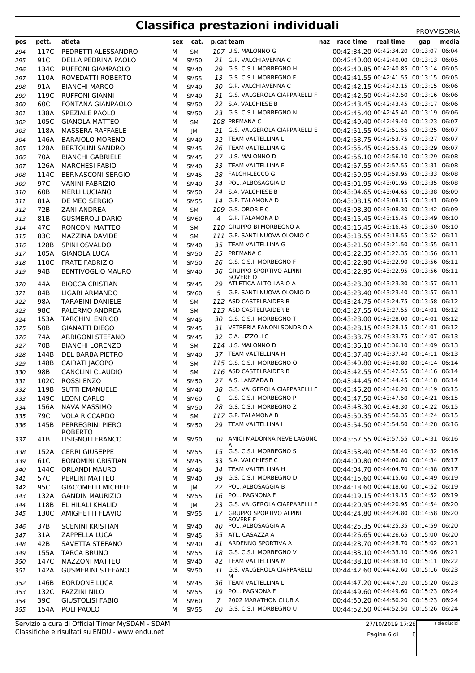| pos | pett.           | atleta                             | sex | cat.        |    | p.cat team                              | naz race time                          | real time |     | media |
|-----|-----------------|------------------------------------|-----|-------------|----|-----------------------------------------|----------------------------------------|-----------|-----|-------|
|     |                 |                                    |     |             |    |                                         | 00:42:34.20 00:42:34.20 00:13:07 06:04 |           | gap |       |
| 294 | 117C            | PEDRETTI ALESSANDRO                | М   | <b>SM</b>   |    | 107 U.S. MALONNO G                      |                                        |           |     |       |
| 295 | 91C             | DELLA PEDRINA PAOLO                | м   | <b>SM50</b> |    | 21 G.P. VALCHIAVENNA C                  | 00:42:40.00 00:42:40.00 00:13:13 06:05 |           |     |       |
| 296 | 134C            | <b>RUFFONI GIAMPAOLO</b>           | М   | <b>SM40</b> |    | 29 G.S. C.S.I. MORBEGNO H               | 00:42:40.85 00:42:40.85 00:13:14 06:05 |           |     |       |
| 297 | 110A            | ROVEDATTI ROBERTO                  | м   | <b>SM55</b> |    | 13 G.S. C.S.I. MORBEGNO F               | 00:42:41.55 00:42:41.55 00:13:15 06:05 |           |     |       |
| 298 | 91A             | <b>BIANCHI MARCO</b>               | м   | SM40        |    | 30 G.P. VALCHIAVENNA C                  | 00:42:42.15 00:42:42.15 00:13:15 06:06 |           |     |       |
| 299 | 119C            | <b>RUFFONI GIANNI</b>              | м   | <b>SM40</b> |    | 31 G.S. VALGEROLA CIAPPARELLI F         | 00:42:42.50 00:42:42.50 00:13:16 06:06 |           |     |       |
| 300 | 60C             | <b>FONTANA GIANPAOLO</b>           | м   | <b>SM50</b> |    | 22 S.A. VALCHIESE B                     | 00:42:43.45 00:42:43.45 00:13:17 06:06 |           |     |       |
| 301 | 138A            | SPEZIALE PAOLO                     | М   | <b>SM50</b> |    | 23 G.S. C.S.I. MORBEGNO N               | 00:42:45.40 00:42:45.40 00:13:19 06:06 |           |     |       |
| 302 | 105C            | <b>GIANOLA MATTEO</b>              | М   | <b>SM</b>   |    | 108 PREMANA C                           | 00:42:49.40 00:42:49.40 00:13:23 06:07 |           |     |       |
| 303 | 118A            | <b>MASSERA RAFFAELE</b>            | М   | JM          |    | 21 G.S. VALGEROLA CIAPPARELLI E         | 00:42:51.55 00:42:51.55 00:13:25 06:07 |           |     |       |
| 304 | 146A            | <b>BARAIOLO MORENO</b>             | м   | <b>SM40</b> |    | 32 TEAM VALTELLINA L                    | 00:42:53.75 00:42:53.75 00:13:27 06:07 |           |     |       |
| 305 | 128A            | <b>BERTOLINI SANDRO</b>            | м   | <b>SM45</b> |    | 26 TEAM VALTELLINA G                    | 00:42:55.45 00:42:55.45 00:13:29 06:07 |           |     |       |
| 306 | 70A             | <b>BIANCHI GABRIELE</b>            | М   | <b>SM45</b> |    | 27 U.S. MALONNO D                       | 00:42:56.10 00:42:56.10 00:13:29 06:08 |           |     |       |
| 307 | 126A            | <b>MARCHESI FABIO</b>              | м   | <b>SM40</b> | 33 | TEAM VALTELLINA E                       | 00:42:57.55 00:42:57.55 00:13:31 06:08 |           |     |       |
| 308 | 114C            | <b>BERNASCONI SERGIO</b>           | м   | <b>SM45</b> | 28 | <b>FALCHI-LECCO G</b>                   | 00:42:59.95 00:42:59.95 00:13:33 06:08 |           |     |       |
| 309 | 97C             | <b>VANINI FABRIZIO</b>             | м   | <b>SM40</b> | 34 | POL. ALBOSAGGIA D                       | 00:43:01.95 00:43:01.95 00:13:35 06:08 |           |     |       |
| 310 | 60B             | <b>MERLI LUCIANO</b>               | м   | <b>SM50</b> |    | 24 S.A. VALCHIESE B                     | 00:43:04.65 00:43:04.65 00:13:38 06:09 |           |     |       |
| 311 | 81A             | DE MEO SERGIO                      | м   | <b>SM55</b> |    | 14 G.P. TALAMONA D                      | 00:43:08.15 00:43:08.15 00:13:41 06:09 |           |     |       |
| 312 | 72B             | <b>ZANI ANDREA</b>                 | М   | <b>SM</b>   |    | 109 G.S. OROBIE C                       | 00:43:08.30 00:43:08.30 00:13:42 06:09 |           |     |       |
| 313 | 81B             | <b>GUSMEROLI DARIO</b>             | м   | <b>SM60</b> | 4  | <b>G.P. TALAMONA D</b>                  | 00:43:15.45 00:43:15.45 00:13:49 06:10 |           |     |       |
| 314 | 47C             | RONCONI MATTEO                     | М   | <b>SM</b>   |    | 110 GRUPPO BI MORBEGNO A                | 00:43:16.45 00:43:16.45 00:13:50 06:10 |           |     |       |
| 315 | 83C             | MAZZINA DAVIDE                     | м   | <b>SM</b>   |    | 111 G.P. SANTI NUOVA OLONIO C           | 00:43:18.55 00:43:18.55 00:13:52 06:11 |           |     |       |
| 316 | 128B            | SPINI OSVALDO                      | м   | <b>SM40</b> |    | 35 TEAM VALTELLINA G                    | 00:43:21.50 00:43:21.50 00:13:55 06:11 |           |     |       |
| 317 | 105A            | <b>GIANOLA LUCA</b>                | М   | <b>SM50</b> |    | 25 PREMANA C                            | 00:43:22.35 00:43:22.35 00:13:56 06:11 |           |     |       |
| 318 | 110C            | <b>FRATE FABRIZIO</b>              | M   | <b>SM50</b> |    | 26 G.S. C.S.I. MORBEGNO F               | 00:43:22.90 00:43:22.90 00:13:56 06:11 |           |     |       |
| 319 | 94B             | <b>BENTIVOGLIO MAURO</b>           | м   | <b>SM40</b> |    | 36 GRUPPO SPORTIVO ALPINI               | 00:43:22.95 00:43:22.95 00:13:56 06:11 |           |     |       |
|     |                 |                                    |     |             |    | SOVERE D<br>29 ATLETICA ALTO LARIO A    | 00:43:23.30 00:43:23.30 00:13:57 06:11 |           |     |       |
| 320 | 44A             | <b>BIOCCA CRISTIAN</b>             | м   | <b>SM45</b> |    |                                         | 00:43:23.40 00:43:23.40 00:13:57 06:11 |           |     |       |
| 321 | 84B             | LIGARI ARMANDO                     | м   | <b>SM60</b> | 5  | G.P. SANTI NUOVA OLONIO D               | 00:43:24.75 00:43:24.75 00:13:58 06:12 |           |     |       |
| 322 | 98A             | <b>TARABINI DANIELE</b>            | м   | <b>SM</b>   |    | 112 ASD CASTELRAIDER B                  |                                        |           |     |       |
| 323 | 98C             | PALERMO ANDREA                     | м   | <b>SM</b>   |    | 113 ASD CASTELRAIDER B                  | 00:43:27.55 00:43:27.55 00:14:01 06:12 |           |     |       |
| 324 | 153A            | <b>TARCHINI ENRICO</b>             | м   | <b>SM45</b> |    | 30 G.S. C.S.I. MORBEGNO T               | 00:43:28.00 00:43:28.00 00:14:01 06:12 |           |     |       |
| 325 | 50 <sub>B</sub> | GIANATTI DIEGO                     | М   | <b>SM45</b> |    | 31 VETRERIA FANONI SONDRIO A            | 00:43:28.15 00:43:28.15 00:14:01 06:12 |           |     |       |
| 326 | 74A             | <b>ARRIGONI STEFANO</b>            | м   | <b>SM45</b> |    | 32 C.A. LIZZOLI C                       | 00:43:33.75 00:43:33.75 00:14:07 06:13 |           |     |       |
| 327 | 70B             | <b>BIANCHI LORENZO</b>             | м   | SM          |    | 114 U.S. MALONNO D                      | 00:43:36.10 00:43:36.10 00:14:09 06:13 |           |     |       |
| 328 | 144B            | DEL BARBA PIETRO                   | м   | <b>SM40</b> |    | 37 TEAM VALTELLINA H                    | 00:43:37.40 00:43:37.40 00:14:11 06:13 |           |     |       |
| 329 | 148B            | <b>CAIRATI JACOPO</b>              | М   | <b>SM</b>   |    | 115 G.S. C.S.I. MORBEGNO O              | 00:43:40.80 00:43:40.80 00:14:14 06:14 |           |     |       |
| 330 | 98B             | <b>CANCLINI CLAUDIO</b>            | М   | <b>SM</b>   |    | 116 ASD CASTELRAIDER B                  | 00:43:42.55 00:43:42.55 00:14:16 06:14 |           |     |       |
| 331 | 102C            | <b>ROSSI ENZO</b>                  | М   | <b>SM50</b> |    | 27 A.S. LANZADA B                       | 00:43:44.45 00:43:44.45 00:14:18 06:14 |           |     |       |
| 332 | 119B            | <b>SUTTI EMANUELE</b>              | М   | SM40        |    | 38 G.S. VALGEROLA CIAPPARELLI F         | 00:43:46.20 00:43:46.20 00:14:19 06:15 |           |     |       |
| 333 |                 | 149C LEONI CARLO                   | М   | <b>SM60</b> | 6  | G.S. C.S.I. MORBEGNO P                  | 00:43:47.50 00:43:47.50 00:14:21 06:15 |           |     |       |
| 334 | 156A            | NAVA MASSIMO                       | М   | <b>SM50</b> |    | 28 G.S. C.S.I. MORBEGNO Z               | 00:43:48.30 00:43:48.30 00:14:22 06:15 |           |     |       |
| 335 | 79C             | <b>VOLA RICCARDO</b>               | м   | SM          |    | 117 G.P. TALAMONA B                     | 00:43:50.35 00:43:50.35 00:14:24 06:15 |           |     |       |
| 336 | 145B            | PERREGRINI PIERO                   | м   | <b>SM50</b> |    | 29 TEAM VALTELLINA I                    | 00:43:54.50 00:43:54.50 00:14:28 06:16 |           |     |       |
| 337 | 41B             | <b>ROBERTO</b><br>LISIGNOLI FRANCO | м   | <b>SM50</b> |    | 30 AMICI MADONNA NEVE LAGUNC            | 00:43:57.55 00:43:57.55 00:14:31 06:16 |           |     |       |
|     |                 |                                    |     |             |    | A                                       |                                        |           |     |       |
| 338 | 152A            | <b>CERRI GIUSEPPE</b>              | м   | <b>SM55</b> |    | 15 G.S. C.S.I. MORBEGNO S               | 00:43:58.40 00:43:58.40 00:14:32 06:16 |           |     |       |
| 339 | 61C             | <b>BONOMINI CRISTIAN</b>           | м   | <b>SM45</b> |    | 33 S.A. VALCHIESE C                     | 00:44:00.80 00:44:00.80 00:14:34 06:17 |           |     |       |
| 340 | 144C            | <b>ORLANDI MAURO</b>               | м   | <b>SM45</b> |    | 34 TEAM VALTELLINA H                    | 00:44:04.70 00:44:04.70 00:14:38 06:17 |           |     |       |
| 341 | 57C             | PERLINI MATTEO                     | м   | SM40        |    | 39 G.S. C.S.I. MORBEGNO D               | 00:44:15.60 00:44:15.60 00:14:49 06:19 |           |     |       |
| 342 | 95C             | <b>GIACOMELLI MICHELE</b>          | м   | JM          |    | 22 POL. ALBOSAGGIA B                    | 00:44:18.60 00:44:18.60 00:14:52 06:19 |           |     |       |
| 343 | 132A            | <b>GANDIN MAURIZIO</b>             | М   | <b>SM55</b> |    | 16 POL. PAGNONA F                       | 00:44:19.15 00:44:19.15 00:14:52 06:19 |           |     |       |
| 344 | 118B            | EL HILALI KHALID                   | м   | JM          |    | 23 G.S. VALGEROLA CIAPPARELLI E         | 00:44:20.95 00:44:20.95 00:14:54 06:20 |           |     |       |
| 345 | 130C            | AMIGHETTI FLAVIO                   | м   | <b>SM55</b> |    | 17 GRUPPO SPORTIVO ALPINI               | 00:44:24.80 00:44:24.80 00:14:58 06:20 |           |     |       |
| 346 | 37B             | <b>SCENINI KRISTIAN</b>            | м   | <b>SM40</b> |    | <b>SOVERE F</b><br>40 POL. ALBOSAGGIA A | 00:44:25.35 00:44:25.35 00:14:59 06:20 |           |     |       |
| 347 | 31A             | ZAPPELLA LUCA                      | м   | <b>SM45</b> |    | 35 ATL. CASAZZA A                       | 00:44:26.65 00:44:26.65 00:15:00 06:20 |           |     |       |
| 348 | 42B             | SAVETTA STEFANO                    | м   | SM40        |    | 41 ARDENNO SPORTIVA A                   | 00:44:28.70 00:44:28.70 00:15:02 06:21 |           |     |       |
| 349 | 155A            | <b>TARCA BRUNO</b>                 | м   | <b>SM55</b> |    | 18 G.S. C.S.I. MORBEGNO V               | 00:44:33.10 00:44:33.10 00:15:06 06:21 |           |     |       |
| 350 | 147C            | <b>MAZZONI MATTEO</b>              | м   | SM40        |    | 42 TEAM VALTELLINA M                    | 00:44:38.10 00:44:38.10 00:15:11 06:22 |           |     |       |
| 351 | 142A            | <b>GUSMERINI STEFANO</b>           | м   | <b>SM50</b> |    | 31 G.S. VALGEROLA CIAPPARELLI           | 00:44:42.60 00:44:42.60 00:15:16 06:23 |           |     |       |
| 352 | 146B            | <b>BORDONE LUCA</b>                | м   | <b>SM45</b> |    | м<br>36 TEAM VALTELLINA L               | 00:44:47.20 00:44:47.20 00:15:20 06:23 |           |     |       |
| 353 |                 | 132C FAZZINI NILO                  | м   | <b>SM55</b> |    | 19 POL. PAGNONA F                       | 00:44:49.60 00:44:49.60 00:15:23 06:24 |           |     |       |
|     | 39C             | <b>GIUSTOLISI FABIO</b>            | М   |             | 7  | 2002 MARATHON CLUB A                    | 00:44:50.20 00:44:50.20 00:15:23 06:24 |           |     |       |
| 354 |                 |                                    |     | SM60        |    | 20 G.S. C.S.I. MORBEGNO U               | 00:44:52.50 00:44:52.50 00:15:26 06:24 |           |     |       |
| 355 |                 | 154A POLI PAOLO                    | м   | <b>SM55</b> |    |                                         |                                        |           |     |       |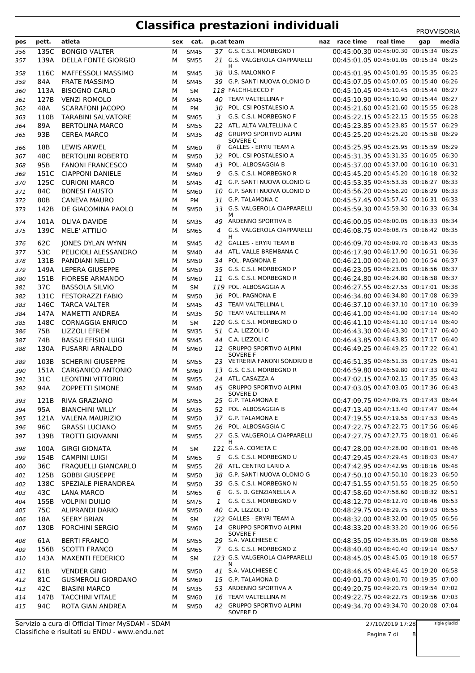| pos | pett. | atleta                     |   | sex cat.    |              | p.cat team                                   | naz race time                          | real time | gap | media |
|-----|-------|----------------------------|---|-------------|--------------|----------------------------------------------|----------------------------------------|-----------|-----|-------|
| 356 | 135C  | <b>BONGIO VALTER</b>       | м | <b>SM45</b> |              | 37 G.S. C.S.I. MORBEGNO I                    | 00:45:00.30 00:45:00.30 00:15:34 06:25 |           |     |       |
| 357 | 139A  | <b>DELLA FONTE GIORGIO</b> | м | <b>SM55</b> |              | 21 G.S. VALGEROLA CIAPPARELLI                | 00:45:01.05 00:45:01.05 00:15:34 06:25 |           |     |       |
| 358 | 116C  | MAFFESSOLI MASSIMO         | м | <b>SM45</b> |              | H.<br>38 U.S. MALONNO F                      | 00:45:01.95 00:45:01.95 00:15:35 06:25 |           |     |       |
| 359 | 84A   | <b>FRATE MASSIMO</b>       | м | <b>SM45</b> |              | 39 G.P. SANTI NUOVA OLONIO D                 | 00:45:07.05 00:45:07.05 00:15:40 06:26 |           |     |       |
|     |       | <b>BISOGNO CARLO</b>       |   |             |              | 118 FALCHI-LECCO F                           | 00:45:10.45 00:45:10.45 00:15:44 06:27 |           |     |       |
| 360 | 113A  |                            | М | <b>SM</b>   |              | 40 TEAM VALTELLINA F                         | 00:45:10.90 00:45:10.90 00:15:44 06:27 |           |     |       |
| 361 | 127B  | <b>VENZI ROMOLO</b>        | м | <b>SM45</b> |              |                                              |                                        |           |     |       |
| 362 | 48A   | <b>SCARAFONI JACOPO</b>    | М | <b>PM</b>   | 30           | POL. CSI POSTALESIO A                        | 00:45:21.60 00:45:21.60 00:15:55 06:28 |           |     |       |
| 363 | 110B  | <b>TARABINI SALVATORE</b>  | М | <b>SM65</b> | 3            | G.S. C.S.I. MORBEGNO F                       | 00:45:22.15 00:45:22.15 00:15:55 06:28 |           |     |       |
| 364 | 89A   | <b>BERTOLINA MARCO</b>     | М | <b>SM55</b> | 22           | ATL. ALTA VALTELLINA C                       | 00:45:23.85 00:45:23.85 00:15:57 06:29 |           |     |       |
| 365 | 93B   | <b>CEREA MARCO</b>         | м | <b>SM35</b> |              | 48 GRUPPO SPORTIVO ALPINI<br>SOVERE C        | 00:45:25.20 00:45:25.20 00:15:58 06:29 |           |     |       |
| 366 | 18B   | LEWIS ARWEL                | м | <b>SM60</b> | 8            | <b>GALLES - ERYRI TEAM A</b>                 | 00:45:25.95 00:45:25.95 00:15:59 06:29 |           |     |       |
| 367 | 48C   | <b>BERTOLINI ROBERTO</b>   | м | <b>SM50</b> |              | 32 POL. CSI POSTALESIO A                     | 00:45:31.35 00:45:31.35 00:16:05 06:30 |           |     |       |
| 368 | 95B   | <b>FANONI FRANCESCO</b>    | М | <b>SM40</b> | 43           | POL. ALBOSAGGIA B                            | 00:45:37.00 00:45:37.00 00:16:10 06:31 |           |     |       |
| 369 | 151C  | <b>CIAPPONI DANIELE</b>    | м | SM60        | 9            | G.S. C.S.I. MORBEGNO R                       | 00:45:45.20 00:45:45.20 00:16:18 06:32 |           |     |       |
| 370 | 125C  | <b>CURIONI MARCO</b>       | м | <b>SM45</b> |              | 41 G.P. SANTI NUOVA OLONIO G                 | 00:45:53.35 00:45:53.35 00:16:27 06:33 |           |     |       |
| 371 | 84C   | <b>BONESI FAUSTO</b>       | М | <b>SM60</b> |              | 10 G.P. SANTI NUOVA OLONIO D                 | 00:45:56.20 00:45:56.20 00:16:29 06:33 |           |     |       |
| 372 | 80B   | CANEVA MAURO               | М | PM          |              | 31 G.P. TALAMONA C                           | 00:45:57.45 00:45:57.45 00:16:31 06:33 |           |     |       |
| 373 | 142B  | DE GIACOMINA PAOLO         | м | <b>SM50</b> | 33           | G.S. VALGEROLA CIAPPARELLI                   | 00:45:59.30 00:45:59.30 00:16:33 06:34 |           |     |       |
| 374 | 101A  | OLIVA DAVIDE               | м | <b>SM35</b> | 49           | м<br>ARDENNO SPORTIVA B                      | 00:46:00.05 00:46:00.05 00:16:33 06:34 |           |     |       |
| 375 | 139C  | <b>MELE' ATTILIO</b>       | м | <b>SM65</b> | 4            | G.S. VALGEROLA CIAPPARELLI                   | 00:46:08.75 00:46:08.75 00:16:42 06:35 |           |     |       |
| 376 | 62C   | <b>JONES DYLAN WYNN</b>    | м | <b>SM45</b> |              | н<br>42 GALLES - ERYRI TEAM B                | 00:46:09.70 00:46:09.70 00:16:43 06:35 |           |     |       |
| 377 | 53C   | PELICIOLI ALESSANDRO       | м | <b>SM40</b> | 44           | ATL. VALLE BREMBANA C                        | 00:46:17.90 00:46:17.90 00:16:51 06:36 |           |     |       |
| 378 | 131B  | PANDIANI NELLO             | М | <b>SM50</b> | 34           | POL. PAGNONA E                               | 00:46:21.00 00:46:21.00 00:16:54 06:37 |           |     |       |
|     | 149A  |                            |   |             |              | 35 G.S. C.S.I. MORBEGNO P                    | 00:46:23.05 00:46:23.05 00:16:56 06:37 |           |     |       |
| 379 |       | LEPERA GIUSEPPE            | м | <b>SM50</b> |              |                                              |                                        |           |     |       |
| 380 | 151B  | <b>FIORESE ARMANDO</b>     | м | <b>SM60</b> |              | 11 G.S. C.S.I. MORBEGNO R                    | 00:46:24.80 00:46:24.80 00:16:58 06:37 |           |     |       |
| 381 | 37C   | <b>BASSOLA SILVIO</b>      | М | SM          |              | 119 POL. ALBOSAGGIA A                        | 00:46:27.55 00:46:27.55 00:17:01 06:38 |           |     |       |
| 382 | 131C  | <b>FESTORAZZI FABIO</b>    | м | <b>SM50</b> |              | 36 POL. PAGNONA E                            | 00:46:34.80 00:46:34.80 00:17:08 06:39 |           |     |       |
| 383 | 146C  | <b>TARCA VALTER</b>        | м | <b>SM45</b> |              | 43 TEAM VALTELLINA L                         | 00:46:37.10 00:46:37.10 00:17:10 06:39 |           |     |       |
| 384 | 147A  | <b>MAMETTI ANDREA</b>      | М | <b>SM35</b> |              | 50 TEAM VALTELLINA M                         | 00:46:41.00 00:46:41.00 00:17:14 06:40 |           |     |       |
| 385 | 148C  | <b>CORNAGGIA ENRICO</b>    | М | SM          |              | 120 G.S. C.S.I. MORBEGNO O                   | 00:46:41.10 00:46:41.10 00:17:14 06:40 |           |     |       |
| 386 | 75B   | LIZZOLI EFREM              | м | <b>SM35</b> |              | 51 C.A. LIZZOLI D                            | 00:46:43.30 00:46:43.30 00:17:17 06:40 |           |     |       |
| 387 | 74B   | <b>BASSU EFISIO LUIGI</b>  | М | <b>SM45</b> | 44           | C.A. LIZZOLI C                               | 00:46:43.85 00:46:43.85 00:17:17 06:40 |           |     |       |
| 388 | 130A  | <b>FUSARRI ARNALDO</b>     | м | <b>SM60</b> |              | 12 GRUPPO SPORTIVO ALPINI<br><b>SOVERE F</b> | 00:46:49.25 00:46:49.25 00:17:22 06:41 |           |     |       |
| 389 | 103B  | <b>SCHERINI GIUSEPPE</b>   | м | <b>SM55</b> |              | 23 VETRERIA FANONI SONDRIO B                 | 00:46:51.35 00:46:51.35 00:17:25 06:41 |           |     |       |
| 390 | 151A  | CARGANICO ANTONIO          | м | SM60        | 13           | G.S. C.S.I. MORBEGNO R                       | 00:46:59.80 00:46:59.80 00:17:33 06:42 |           |     |       |
| 391 | 31C   | <b>LEONTINI VITTORIO</b>   | м | <b>SM55</b> | 24           | ATL. CASAZZA A                               | 00:47:02.15 00:47:02.15 00:17:35 06:43 |           |     |       |
| 392 | 94A   | <b>ZOPPETTI SIMONE</b>     | М | <b>SM40</b> |              | 45 GRUPPO SPORTIVO ALPINI<br>SOVERE D        | 00:47:03.05 00:47:03.05 00:17:36 06:43 |           |     |       |
| 393 | 121B  | RIVA GRAZIANO              | м | <b>SM55</b> |              | 25 G.P. TALAMONA E                           | 00:47:09.75 00:47:09.75 00:17:43 06:44 |           |     |       |
| 394 | 95A   | <b>BIANCHINI WILLY</b>     | м | <b>SM35</b> |              | 52 POL. ALBOSAGGIA B                         | 00:47:13.40 00:47:13.40 00:17:47 06:44 |           |     |       |
| 395 | 121A  | <b>VALENA MAURIZIO</b>     | м | <b>SM50</b> |              | 37 G.P. TALAMONA E                           | 00:47:19.55 00:47:19.55 00:17:53 06:45 |           |     |       |
| 396 | 96C   | <b>GRASSI LUCIANO</b>      | м | <b>SM55</b> |              | 26 POL. ALBOSAGGIA C                         | 00:47:22.75 00:47:22.75 00:17:56 06:46 |           |     |       |
| 397 | 139B  | <b>TROTTI GIOVANNI</b>     | м | <b>SM55</b> |              | 27 G.S. VALGEROLA CIAPPARELLI<br>H.          | 00:47:27.75 00:47:27.75 00:18:01 06:46 |           |     |       |
| 398 | 100A  | <b>GIRGI GIONATA</b>       | м | SM          |              | 121 G.S.A. COMETA C                          | 00:47:28.00 00:47:28.00 00:18:01 06:46 |           |     |       |
| 399 | 154B  | <b>CAMPINI LUIGI</b>       | м | <b>SM65</b> |              | 5 G.S. C.S.I. MORBEGNO U                     | 00:47:29.45 00:47:29.45 00:18:03 06:47 |           |     |       |
| 400 | 36C   | <b>FRAQUELLI GIANCARLO</b> | м | <b>SM55</b> |              | 28 ATL. CENTRO LARIO A                       | 00:47:42.95 00:47:42.95 00:18:16 06:48 |           |     |       |
| 401 | 125B  | <b>GOBBI GIUSEPPE</b>      | м | <b>SM50</b> |              | 38 G.P. SANTI NUOVA OLONIO G                 | 00:47:50.10 00:47:50.10 00:18:23 06:50 |           |     |       |
| 402 | 138C  | SPEZIALE PIERANDREA        | М | <b>SM50</b> |              | 39 G.S. C.S.I. MORBEGNO N                    | 00:47:51.55 00:47:51.55 00:18:25 06:50 |           |     |       |
| 403 | 43C   | LANA MARCO                 | м | <b>SM65</b> |              | 6 G. S. D. GENZIANELLA A                     | 00:47:58.60 00:47:58.60 00:18:32 06:51 |           |     |       |
|     |       |                            |   |             | $\mathbf{1}$ | G.S. C.S.I. MORBEGNO V                       | 00:48:12.70 00:48:12.70 00:18:46 06:53 |           |     |       |
| 404 | 155B  | <b>VOLPINI DUILIO</b>      | м | <b>SM75</b> |              | 40 C.A. LIZZOLI D                            | 00:48:29.75 00:48:29.75 00:19:03 06:55 |           |     |       |
| 405 | 75C   | ALIPRANDI DARIO            | м | <b>SM50</b> |              |                                              |                                        |           |     |       |
| 406 | 18A   | <b>SEERY BRIAN</b>         | м | <b>SM</b>   |              | 122 GALLES - ERYRI TEAM A                    | 00:48:32.00 00:48:32.00 00:19:05 06:56 |           |     |       |
| 407 | 130B  | <b>FORCHINI SERGIO</b>     | м | <b>SM60</b> |              | 14 GRUPPO SPORTIVO ALPINI<br><b>SOVERE F</b> | 00:48:33.20 00:48:33.20 00:19:06 06:56 |           |     |       |
| 408 | 61A   | <b>BERTI FRANCO</b>        | м | <b>SM55</b> |              | 29 S.A. VALCHIESE C                          | 00:48:35.05 00:48:35.05 00:19:08 06:56 |           |     |       |
| 409 | 156B  | <b>SCOTTI FRANCO</b>       | м | <b>SM65</b> |              | 7 G.S. C.S.I. MORBEGNO Z                     | 00:48:40.40 00:48:40.40 00:19:14 06:57 |           |     |       |
| 410 | 143A  | <b>MAXENTI FEDERICO</b>    | м | SM          |              | 123 G.S. VALGEROLA CIAPPARELLI<br>N          | 00:48:45.05 00:48:45.05 00:19:18 06:57 |           |     |       |
| 411 | 61B   | <b>VENDER GINO</b>         | м | <b>SM50</b> |              | 41 S.A. VALCHIESE C                          | 00:48:46.45 00:48:46.45 00:19:20 06:58 |           |     |       |
| 412 | 81C   | <b>GUSMEROLI GIORDANO</b>  | м | <b>SM60</b> |              | 15 G.P. TALAMONA D                           | 00:49:01.70 00:49:01.70 00:19:35 07:00 |           |     |       |
| 413 | 42C   | <b>BIASINI MARCO</b>       | м | <b>SM35</b> |              | 53 ARDENNO SPORTIVA A                        | 00:49:20.75 00:49:20.75 00:19:54 07:02 |           |     |       |
| 414 | 147B  | <b>TACCHINI VITALE</b>     | м | SM60        |              | 16 TEAM VALTELLINA M                         | 00:49:22.75 00:49:22.75 00:19:56 07:03 |           |     |       |
| 415 | 94C   | ROTA GIAN ANDREA           | м | <b>SM50</b> |              | 42 GRUPPO SPORTIVO ALPINI<br>SOVERE D        | 00:49:34.70 00:49:34.70 00:20:08 07:04 |           |     |       |

Classifiche e risultati su ENDU - www.endu.net Servizio a cura di Official Timer MySDAM - SDAM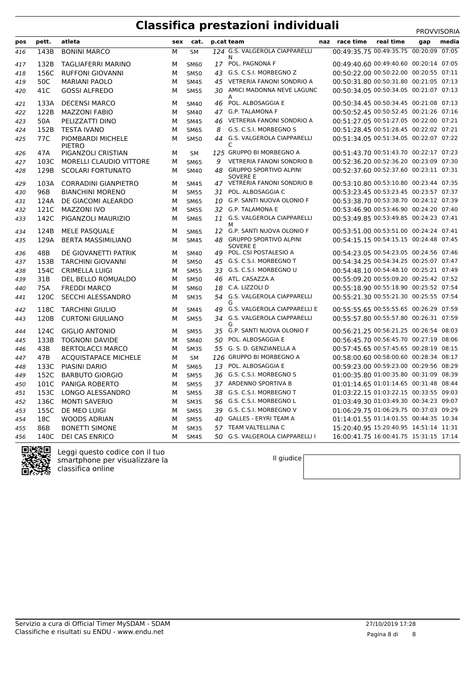|     |       |                                    |     |             |    |                                              |                                        |           | <b>FRUVVIJURIA</b> |       |
|-----|-------|------------------------------------|-----|-------------|----|----------------------------------------------|----------------------------------------|-----------|--------------------|-------|
| pos | pett. | atleta                             | sex | cat.        |    | p.cat team                                   | naz race time                          | real time | gap                | media |
| 416 | 143B  | <b>BONINI MARCO</b>                | M   | <b>SM</b>   |    | 124 G.S. VALGEROLA CIAPPARELLI<br>N          | 00:49:35.75 00:49:35.75 00:20:09 07:05 |           |                    |       |
| 417 | 132B  | TAGLIAFERRI MARINO                 | м   | <b>SM60</b> |    | 17 POL. PAGNONA F                            | 00:49:40.60 00:49:40.60 00:20:14 07:05 |           |                    |       |
| 418 | 156C  | <b>RUFFONI GIOVANNI</b>            | М   | <b>SM50</b> |    | 43 G.S. C.S.I. MORBEGNO Z                    | 00:50:22.00 00:50:22.00 00:20:55 07:11 |           |                    |       |
| 419 | 50C   | <b>MARIANI PAOLO</b>               | М   | <b>SM45</b> |    | 45 VETRERIA FANONI SONDRIO A                 | 00:50:31.80 00:50:31.80 00:21:05 07:13 |           |                    |       |
| 420 | 41C   | <b>GOSSI ALFREDO</b>               | М   | <b>SM55</b> |    | 30 AMICI MADONNA NEVE LAGUNC                 | 00:50:34.05 00:50:34.05 00:21:07 07:13 |           |                    |       |
| 421 | 133A  | <b>DECENSI MARCO</b>               | М   | <b>SM40</b> |    | 46 POL. ALBOSAGGIA E                         | 00:50:34.45 00:50:34.45 00:21:08 07:13 |           |                    |       |
| 422 | 122B  | <b>MAZZONI FABIO</b>               | М   | <b>SM40</b> |    | 47 G.P. TALAMONA F                           | 00:50:52.45 00:50:52.45 00:21:26 07:16 |           |                    |       |
| 423 | 50A   | PELIZZATTI DINO                    | М   | <b>SM45</b> |    | 46 VETRERIA FANONI SONDRIO A                 | 00:51:27.05 00:51:27.05 00:22:00 07:21 |           |                    |       |
| 424 | 152B  | <b>TESTA IVANO</b>                 | М   | <b>SM65</b> | 8  | G.S. C.S.I. MORBEGNO S                       | 00:51:28.45 00:51:28.45 00:22:02 07:21 |           |                    |       |
| 425 | 77C   | PIOMBARDI MICHELE<br><b>PIETRO</b> | М   | <b>SM50</b> |    | 44 G.S. VALGEROLA CIAPPARELLI<br>C           | 00:51:34.05 00:51:34.05 00:22:07 07:22 |           |                    |       |
| 426 | 47A   | PIGANZOLI CRISTIAN                 | М   | <b>SM</b>   |    | 125 GRUPPO BI MORBEGNO A                     | 00:51:43.70 00:51:43.70 00:22:17 07:23 |           |                    |       |
| 427 | 103C  | MORELLI CLAUDIO VITTORE            | М   | <b>SM65</b> | 9  | <b>VETRERIA FANONI SONDRIO B</b>             | 00:52:36.20 00:52:36.20 00:23:09 07:30 |           |                    |       |
| 428 | 129B  | <b>SCOLARI FORTUNATO</b>           | М   | <b>SM40</b> |    | 48 GRUPPO SPORTIVO ALPINI<br><b>SOVERE E</b> | 00:52:37.60 00:52:37.60 00:23:11 07:31 |           |                    |       |
| 429 | 103A  | <b>CORRADINI GIANPIETRO</b>        | М   | <b>SM45</b> |    | 47 VETRERIA FANONI SONDRIO B                 | 00:53:10.80 00:53:10.80 00:23:44 07:35 |           |                    |       |
| 430 | 96B   | <b>BIANCHINI MORENO</b>            | М   | <b>SM55</b> |    | 31 POL. ALBOSAGGIA C                         | 00:53:23.45 00:53:23.45 00:23:57 07:37 |           |                    |       |
| 431 | 124A  | DE GIACOMI ALEARDO                 | М   | <b>SM65</b> |    | 10 G.P. SANTI NUOVA OLONIO F                 | 00:53:38.70 00:53:38.70 00:24:12 07:39 |           |                    |       |
| 432 | 121C  | <b>MAZZONI IVO</b>                 | М   | <b>SM55</b> |    | 32 G.P. TALAMONA E                           | 00:53:46.90 00:53:46.90 00:24:20 07:40 |           |                    |       |
| 433 | 142C  | PIGANZOLI MAURIZIO                 | М   | <b>SM65</b> |    | 11 G.S. VALGEROLA CIAPPARELLI<br>М           | 00:53:49.85 00:53:49.85 00:24:23 07:41 |           |                    |       |
| 434 | 124B  | <b>MELE PASQUALE</b>               | м   | <b>SM65</b> |    | 12 G.P. SANTI NUOVA OLONIO F                 | 00:53:51.00 00:53:51.00 00:24:24 07:41 |           |                    |       |
| 435 | 129A  | <b>BERTA MASSIMILIANO</b>          | м   | <b>SM45</b> |    | 48 GRUPPO SPORTIVO ALPINI<br><b>SOVERE E</b> | 00:54:15.15 00:54:15.15 00:24:48 07:45 |           |                    |       |
| 436 | 48B   | DE GIOVANETTI PATRIK               | М   | <b>SM40</b> |    | 49 POL. CSI POSTALESIO A                     | 00:54:23.05 00:54:23.05 00:24:56 07:46 |           |                    |       |
| 437 | 153B  | <b>TARCHINI GIOVANNI</b>           | М   | <b>SM50</b> |    | 45 G.S. C.S.I. MORBEGNO T                    | 00:54:34.25 00:54:34.25 00:25:07 07:47 |           |                    |       |
| 438 | 154C  | <b>CRIMELLA LUIGI</b>              | М   | <b>SM55</b> |    | 33 G.S. C.S.I. MORBEGNO U                    | 00:54:48.10 00:54:48.10 00:25:21 07:49 |           |                    |       |
| 439 | 31B   | DEL BELLO ROMUALDO                 | M   | <b>SM50</b> |    | 46 ATL. CASAZZA A                            | 00:55:09.20 00:55:09.20 00:25:42 07:52 |           |                    |       |
| 440 | 75A   | <b>FREDDI MARCO</b>                | М   | <b>SM60</b> | 18 | C.A. LIZZOLI D                               | 00:55:18.90 00:55:18.90 00:25:52 07:54 |           |                    |       |
| 441 | 120C  | SECCHI ALESSANDRO                  | М   | <b>SM35</b> |    | 54 G.S. VALGEROLA CIAPPARELLI                | 00:55:21.30 00:55:21.30 00:25:55 07:54 |           |                    |       |
| 442 | 118C  | <b>TARCHINI GIULIO</b>             | М   | <b>SM45</b> | 49 | G.S. VALGEROLA CIAPPARELLI E                 | 00:55:55.65 00:55:55.65 00:26:29 07:59 |           |                    |       |
| 443 | 120B  | <b>CURTONI GIULIANO</b>            | М   | <b>SM55</b> |    | 34 G.S. VALGEROLA CIAPPARELLI<br>G           | 00:55:57.80 00:55:57.80 00:26:31 07:59 |           |                    |       |
| 444 | 124C  | <b>GIGLIO ANTONIO</b>              | М   | <b>SM55</b> |    | 35 G.P. SANTI NUOVA OLONIO F                 | 00:56:21.25 00:56:21.25 00:26:54 08:03 |           |                    |       |
| 445 | 133B  | <b>TOGNONI DAVIDE</b>              | М   | <b>SM40</b> |    | 50 POL. ALBOSAGGIA E                         | 00:56:45.70 00:56:45.70 00:27:19 08:06 |           |                    |       |
| 446 | 43B   | <b>BERTOLACCI MARCO</b>            | М   | <b>SM35</b> |    | 55 G. S. D. GENZIANELLA A                    | 00:57:45.65 00:57:45.65 00:28:19 08:15 |           |                    |       |
| 447 | 47B   | <b>ACQUISTAPACE MICHELE</b>        | м   | <b>SM</b>   |    | 126 GRUPPO BI MORBEGNO A                     | 00:58:00.60 00:58:00.60 00:28:34 08:17 |           |                    |       |
| 448 | 133C  | PIASINI DARIO                      | М   | <b>SM65</b> |    | 13 POL. ALBOSAGGIA E                         | 00:59:23.00 00:59:23.00 00:29:56 08:29 |           |                    |       |
| 449 | 152C  | <b>BARBUTO GIORGIO</b>             | М   | <b>SM55</b> |    | 36 G.S. C.S.I. MORBEGNO S                    | 01:00:35.80 01:00:35.80 00:31:09 08:39 |           |                    |       |
| 450 | 101C  | PANIGA ROBERTO                     | М   | <b>SM55</b> |    | 37 ARDENNO SPORTIVA B                        | 01:01:14.65 01:01:14.65 00:31:48 08:44 |           |                    |       |
| 451 | 153C  | LONGO ALESSANDRO                   | М   | <b>SM55</b> |    | 38 G.S. C.S.I. MORBEGNO T                    | 01:03:22.15 01:03:22.15 00:33:55 09:03 |           |                    |       |
| 452 | 136C  | <b>MONTI SAVERIO</b>               | М   | <b>SM35</b> |    | 56 G.S. C.S.I. MORBEGNO L                    | 01:03:49.30 01:03:49.30 00:34:23 09:07 |           |                    |       |
| 453 | 155C  | DE MEO LUIGI                       | М   | <b>SM55</b> |    | 39 G.S. C.S.I. MORBEGNO V                    | 01:06:29.75 01:06:29.75 00:37:03 09:29 |           |                    |       |
| 454 | 18C   | <b>WOODS ADRIAN</b>                | М   | <b>SM55</b> |    | 40 GALLES - ERYRI TEAM A                     | 01:14:01.55 01:14:01.55 00:44:35 10:34 |           |                    |       |
| 455 | 86B   | <b>BONETTI SIMONE</b>              | М   | <b>SM35</b> |    | 57 TEAM VALTELLINA C                         | 15:20:40.95 15:20:40.95 14:51:14 11:31 |           |                    |       |
| 456 | 140C  | DEI CAS ENRICO                     | М   | <b>SM45</b> | 50 | G.S. VALGEROLA CIAPPARELLI I                 | 16:00:41.75 16:00:41.75 15:31:15 17:14 |           |                    |       |



Leggi questo codice con il tuo smartphone per visualizzare la classifica online

Il giudice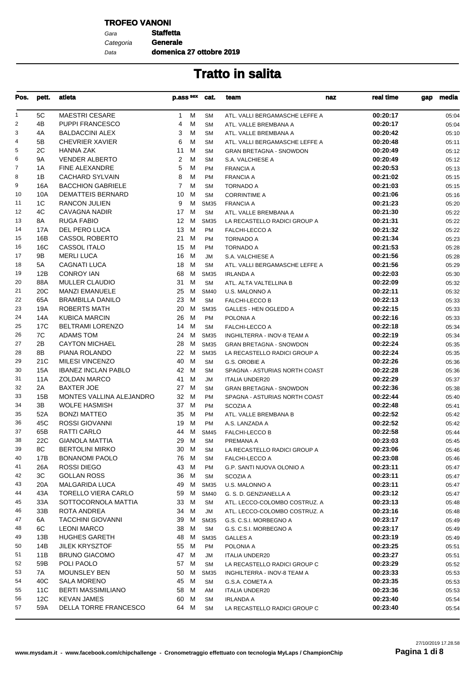### **TROFEO VANONI**

Gara **Staffetta** Data Categoria **Generale**

**domenica 27 ottobre 2019**

| Pos.           | pett. | atleta                     | p.ass sex       |   | cat.        | team                           | naz | real time | gap | media |
|----------------|-------|----------------------------|-----------------|---|-------------|--------------------------------|-----|-----------|-----|-------|
| $\mathbf{1}$   | 5C    | <b>MAESTRI CESARE</b>      | $\mathbf{1}$    | м | <b>SM</b>   | ATL. VALLI BERGAMASCHE LEFFE A |     | 00:20:17  |     | 05:04 |
| $\overline{2}$ | 4B    | <b>PUPPI FRANCESCO</b>     | 4               | м | <b>SM</b>   | ATL. VALLE BREMBANA A          |     | 00:20:17  |     | 05:04 |
| 3              | 4A    | <b>BALDACCINI ALEX</b>     | 3               | м | <b>SM</b>   | ATL. VALLE BREMBANA A          |     | 00:20:42  |     | 05:10 |
| $\overline{4}$ | 5B    | <b>CHEVRIER XAVIER</b>     | 6               | м | <b>SM</b>   | ATL. VALLI BERGAMASCHE LEFFE A |     | 00:20:48  |     | 05:11 |
| 5              | 2C    | <b>HANNA ZAK</b>           | 11              | м | <b>SM</b>   | <b>GRAN BRETAGNA - SNOWDON</b> |     | 00:20:49  |     | 05:12 |
| 6              | 9A    | <b>VENDER ALBERTO</b>      | 2               | м | <b>SM</b>   | S.A. VALCHIESE A               |     | 00:20:49  |     | 05:12 |
| 7              | 1A    | FINE ALEXANDRE             | 5               | м | <b>PM</b>   | <b>FRANCIA A</b>               |     | 00:20:53  |     | 05:13 |
| 8              | 1B    | <b>CACHARD SYLVAIN</b>     | 8               | м | <b>PM</b>   | <b>FRANCIA A</b>               |     | 00:21:02  |     | 05:15 |
| 9              | 16A   | <b>BACCHION GABRIELE</b>   | $\overline{7}$  | м | <b>SM</b>   | <b>TORNADO A</b>               |     | 00:21:03  |     | 05:15 |
| 10             | 10A   | <b>DEMATTEIS BERNARD</b>   | 10              | M | <b>SM</b>   | <b>CORRINTIME A</b>            |     | 00:21:06  |     | 05:16 |
| 11             | 1C    | <b>RANCON JULIEN</b>       | 9               | м | <b>SM35</b> | <b>FRANCIA A</b>               |     | 00:21:23  |     | 05:20 |
| 12             | 4C    | <b>CAVAGNA NADIR</b>       | 17 M            |   | <b>SM</b>   | ATL. VALLE BREMBANA A          |     | 00:21:30  |     | 05:22 |
| 13             | 8A    | <b>RUGA FABIO</b>          | 12 <sup>2</sup> | M | <b>SM35</b> | LA RECASTELLO RADICI GROUP A   |     | 00:21:31  |     | 05:22 |
| 14             | 17A   | DEL PERO LUCA              | 13 M            |   | <b>PM</b>   | FALCHI-LECCO A                 |     | 00:21:32  |     | 05:22 |
| 15             | 16B   | <b>CASSOL ROBERTO</b>      | 21 M            |   | <b>PM</b>   | <b>TORNADO A</b>               |     | 00:21:34  |     | 05:23 |
| 16             | 16C   | CASSOL ITALO               | 15              | M | <b>PM</b>   | <b>TORNADO A</b>               |     | 00:21:53  |     | 05:28 |
| 17             | 9B    | <b>MERLI LUCA</b>          | 16              | M | JM          | S.A. VALCHIESE A               |     | 00:21:56  |     | 05:28 |
| 18             | 5A    | CAGNATI LUCA               | 18              | M | <b>SM</b>   | ATL. VALLI BERGAMASCHE LEFFE A |     | 00:21:56  |     | 05:29 |
| 19             | 12B   | <b>CONROY IAN</b>          | 68              | M |             |                                |     | 00:22:03  |     |       |
| 20             | 88A   | <b>MULLER CLAUDIO</b>      | 31              |   | <b>SM35</b> | <b>IRLANDA A</b>               |     | 00:22:09  |     | 05:30 |
|                |       |                            |                 | M | <b>SM</b>   | ATL. ALTA VALTELLINA B         |     |           |     | 05:32 |
| 21             | 20C   | <b>MANZI EMANUELE</b>      | 25              | M | <b>SM40</b> | U.S. MALONNO A                 |     | 00:22:11  |     | 05:32 |
| 22             | 65A   | <b>BRAMBILLA DANILO</b>    | 23              | M | <b>SM</b>   | <b>FALCHI-LECCO B</b>          |     | 00:22:13  |     | 05:33 |
| 23             | 19A   | <b>ROBERTS MATH</b>        | 20              | M | <b>SM35</b> | <b>GALLES - HEN OGLEDD A</b>   |     | 00:22:15  |     | 05:33 |
| 24             | 14A   | <b>KUBICA MARCIN</b>       | 26              | M | <b>PM</b>   | POLONIA A                      |     | 00:22:16  |     | 05:33 |
| 25             | 17C   | <b>BELTRAMI LORENZO</b>    | 14              | M | <b>SM</b>   | <b>FALCHI-LECCO A</b>          |     | 00:22:18  |     | 05:34 |
| 26             | 7C    | <b>ADAMS TOM</b>           | 24 M            |   | <b>SM35</b> | INGHILTERRA - INOV-8 TEAM A    |     | 00:22:19  |     | 05:34 |
| 27             | 2B    | <b>CAYTON MICHAEL</b>      | 28              | M | <b>SM35</b> | <b>GRAN BRETAGNA - SNOWDON</b> |     | 00:22:24  |     | 05:35 |
| 28             | 8B    | PIANA ROLANDO              | 22              | М | <b>SM35</b> | LA RECASTELLO RADICI GROUP A   |     | 00:22:24  |     | 05:35 |
| 29             | 21C   | <b>MILESI VINCENZO</b>     | 40              | M | <b>SM</b>   | G.S. OROBIE A                  |     | 00:22:26  |     | 05:36 |
| 30             | 15A   | <b>IBANEZ INCLAN PABLO</b> | 42 M            |   | <b>SM</b>   | SPAGNA - ASTURIAS NORTH COAST  |     | 00:22:28  |     | 05:36 |
| 31             | 11A   | <b>ZOLDAN MARCO</b>        | 41              | M | JM          | <b>ITALIA UNDER20</b>          |     | 00:22:29  |     | 05:37 |
| 32             | 2A    | <b>BAXTER JOE</b>          | 27 M            |   | <b>SM</b>   | <b>GRAN BRETAGNA - SNOWDON</b> |     | 00:22:36  |     | 05:38 |
| 33             | 15B   | MONTES VALLINA ALEJANDRO   | 32 M            |   | <b>PM</b>   | SPAGNA - ASTURIAS NORTH COAST  |     | 00:22:44  |     | 05:40 |
| 34             | 3B    | <b>WOLFE HASMISH</b>       | 37 M            |   | <b>PM</b>   | SCOZIA A                       |     | 00:22:48  |     | 05:41 |
| 35             | 52A   | <b>BONZI MATTEO</b>        | 35 M            |   | <b>PM</b>   | ATL. VALLE BREMBANA B          |     | 00:22:52  |     | 05:42 |
| 36             | 45C   | ROSSI GIOVANNI             | 19 M            |   | <b>PM</b>   | A.S. LANZADA A                 |     | 00:22:52  |     | 05:42 |
| 37             | 65B   | <b>RATTI CARLO</b>         | 44              | M | <b>SM45</b> | <b>FALCHI-LECCO B</b>          |     | 00:22:58  |     | 05:44 |
| 38             | 22C   | <b>GIANOLA MATTIA</b>      | 29 M            |   | <b>SM</b>   | PREMANA A                      |     | 00:23:03  |     | 05:45 |
| 39             | 8C    | <b>BERTOLINI MIRKO</b>     | 30 M            |   | <b>SM</b>   | LA RECASTELLO RADICI GROUP A   |     | 00:23:06  |     | 05:46 |
| 40             | 17B   | <b>BONANOMI PAOLO</b>      | 76 M            |   | SΜ          | <b>FALCHI-LECCO A</b>          |     | 00:23:08  |     | 05:46 |
| 41             | 26A   | ROSSI DIEGO                | 43 M            |   | <b>PM</b>   | G.P. SANTI NUOVA OLONIO A      |     | 00:23:11  |     | 05:47 |
| 42             | ЗC    | <b>GOLLAN ROSS</b>         | 36 M            |   | <b>SM</b>   | SCOZIA A                       |     | 00:23:11  |     | 05:47 |
| 43             | 20A   | <b>MALGARIDA LUCA</b>      | 49 M            |   | <b>SM35</b> | U.S. MALONNO A                 |     | 00:23:11  |     | 05:47 |
| 44             | 43A   | <b>TORELLO VIERA CARLO</b> | 59 M            |   | <b>SM40</b> | G. S. D. GENZIANELLA A         |     | 00:23:12  |     | 05:47 |
| 45             | 33A   | SOTTOCORNOLA MATTIA        | 33 M            |   | <b>SM</b>   | ATL. LECCO-COLOMBO COSTRUZ. A  |     | 00:23:13  |     | 05:48 |
| 46             | 33B   | ROTA ANDREA                | 34 M            |   | JM          | ATL. LECCO-COLOMBO COSTRUZ. A  |     | 00:23:16  |     | 05:48 |
| 47             | 6A    | <b>TACCHINI GIOVANNI</b>   | 39 M            |   | <b>SM35</b> | G.S. C.S.I. MORBEGNO A         |     | 00:23:17  |     | 05:49 |
| 48             | 6C    | <b>LEONI MARCO</b>         | 38 M            |   | <b>SM</b>   | G.S. C.S.I. MORBEGNO A         |     | 00:23:17  |     | 05:49 |
| 49             | 13B   | <b>HUGHES GARETH</b>       | 48              | M | <b>SM35</b> | <b>GALLES A</b>                |     | 00:23:19  |     | 05:49 |
| 50             |       | <b>JILEK KRYSZTOF</b>      | 55 M            |   |             |                                |     |           |     |       |
| 51             | 14B   | <b>BRUNO GIACOMO</b>       |                 |   | PM          | POLONIA A                      |     | 00:23:25  |     | 05:51 |
|                | 11B   |                            | 47 M            |   | JM          | <b>ITALIA UNDER20</b>          |     | 00:23:27  |     | 05:51 |
| 52             | 59B   | POLI PAOLO                 | 57 M            |   | <b>SM</b>   | LA RECASTELLO RADICI GROUP C   |     | 00:23:29  |     | 05:52 |
| 53             | 7A    | <b>MOUNSLEY BEN</b>        | 50 M            |   | <b>SM35</b> | INGHILTERRA - INOV-8 TEAM A    |     | 00:23:33  |     | 05:53 |
| 54             | 40C   | <b>SALA MORENO</b>         | 45 M            |   | <b>SM</b>   | G.S.A. COMETA A                |     | 00:23:35  |     | 05:53 |
| 55             | 11C   | <b>BERTI MASSIMILIANO</b>  | 58 M            |   | AM          | <b>ITALIA UNDER20</b>          |     | 00:23:36  |     | 05:53 |
| 56             | 12C   | <b>KEVAN JAMES</b>         | 60 M            |   | <b>SM</b>   | <b>IRLANDA A</b>               |     | 00:23:40  |     | 05:54 |
| 57             | 59A   | DELLA TORRE FRANCESCO      | 64 M            |   | <b>SM</b>   | LA RECASTELLO RADICI GROUP C   |     | 00:23:40  |     | 05:54 |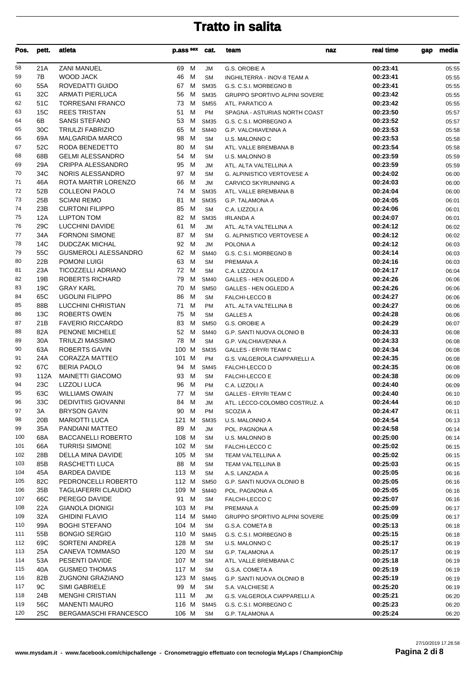| Pos.     | pett.      | atleta                                              | p.ass sex cat.  |                            | team                                                 | real time<br>naz     | gap | media          |
|----------|------------|-----------------------------------------------------|-----------------|----------------------------|------------------------------------------------------|----------------------|-----|----------------|
| 58       | 21A        | <b>ZANI MANUEL</b>                                  | 69 M            | <b>JM</b>                  | G.S. OROBIE A                                        | 00:23:41             |     | 05:55          |
| 59       | 7B         | WOOD JACK                                           | 46 M            | <b>SM</b>                  | INGHILTERRA - INOV-8 TEAM A                          | 00:23:41             |     | 05:55          |
| 60       | 55A        | ROVEDATTI GUIDO                                     | 67 M            | <b>SM35</b>                | G.S. C.S.I. MORBEGNO B                               | 00:23:41             |     | 05:55          |
| 61       | 32C        | <b>ARMATI PIERLUCA</b>                              | 56<br>M         | <b>SM35</b>                | <b>GRUPPO SPORTIVO ALPINI SOVERE</b>                 | 00:23:42             |     | 05:55          |
| 62       | 51C        | <b>TORRESANI FRANCO</b>                             | 73<br>M         | <b>SM55</b>                | ATL. PARATICO A                                      | 00:23:42             |     | 05:55          |
| 63       | 15C        | <b>REES TRISTAN</b>                                 | 51<br>м         | <b>PM</b>                  | SPAGNA - ASTURIAS NORTH COAST                        | 00:23:50             |     | 05:57          |
| 64       | 6В         | <b>SANSI STEFANO</b>                                | 53<br>M         | <b>SM35</b>                | G.S. C.S.I. MORBEGNO A                               | 00:23:52             |     | 05:57          |
| 65       | 30C        | <b>TRIULZI FABRIZIO</b>                             | 65<br>м         | <b>SM40</b>                | G.P. VALCHIAVENNA A                                  | 00:23:53             |     | 05:58          |
| 66       | 69A        | <b>MALGARIDA MARCO</b>                              | 98<br>м         | <b>SM</b>                  | U.S. MALONNO C                                       | 00:23:53             |     | 05:58          |
| 67       | 52C        | RODA BENEDETTO                                      | 80<br>M         | <b>SM</b>                  | ATL. VALLE BREMBANA B                                | 00:23:54             |     | 05:58          |
| 68<br>69 | 68B        | <b>GELMI ALESSANDRO</b>                             | 54<br>M         | <b>SM</b>                  | <b>U.S. MALONNO B</b>                                | 00:23:59             |     | 05:59          |
| 70       | 29A<br>34C | CRIPPA ALESSANDRO<br>NORIS ALESSANDRO               | 95<br>M<br>97 M | JM<br><b>SM</b>            | ATL. ALTA VALTELLINA A<br>G. ALPINISTICO VERTOVESE A | 00:23:59<br>00:24:02 |     | 05:59<br>06:00 |
| 71       | 46A        | ROTA MARTIR LORENZO                                 | 66<br>M         | JM                         | CARVICO SKYRUNNING A                                 | 00:24:03             |     | 06:00          |
| 72       | 52B        | <b>COLLEONI PAOLO</b>                               | 74 M            | <b>SM35</b>                | ATL. VALLE BREMBANA B                                | 00:24:04             |     | 06:00          |
| 73       | 25B        | <b>SCIANI REMO</b>                                  | 81<br>M         | <b>SM35</b>                | <b>G.P. TALAMONA A</b>                               | 00:24:05             |     | 06:01          |
| 74       | 23B        | <b>CURTONI FILIPPO</b>                              | 85<br>М         | <b>SM</b>                  | C.A. LIZZOLI A                                       | 00:24:06             |     | 06:01          |
| 75       | 12A        | <b>LUPTON TOM</b>                                   | 82<br>M         | <b>SM35</b>                | <b>IRLANDA A</b>                                     | 00:24:07             |     | 06:01          |
| 76       | 29C        | LUCCHINI DAVIDE                                     | 61<br>M         | <b>JM</b>                  | ATL. ALTA VALTELLINA A                               | 00:24:12             |     | 06:02          |
| 77       | 34A        | <b>FORNONI SIMONE</b>                               | 87 M            | <b>SM</b>                  | G. ALPINISTICO VERTOVESE A                           | 00:24:12             |     | 06:02          |
| 78       | 14C        | <b>DUDCZAK MICHAL</b>                               | 92<br>M         | <b>JM</b>                  | POLONIA A                                            | 00:24:12             |     | 06:03          |
| 79       | 55C        | <b>GUSMEROLI ALESSANDRO</b>                         | 62 M            | <b>SM40</b>                | G.S. C.S.I. MORBEGNO B                               | 00:24:14             |     | 06:03          |
| 80       | 22B        | POMONI LUIGI                                        | 63 M            | <b>SM</b>                  | PREMANA A                                            | 00:24:16             |     | 06:03          |
| 81       | 23A        | <b>TICOZZELLI ADRIANO</b>                           | 72 M            | <b>SM</b>                  | C.A. LIZZOLI A                                       | 00:24:17             |     | 06:04          |
| 82       | 19B        | <b>ROBERTS RICHARD</b>                              | 79<br>M         | <b>SM40</b>                | GALLES - HEN OGLEDD A                                | 00:24:26             |     | 06:06          |
| 83       | 19C        | <b>GRAY KARL</b>                                    | 70<br>M         | <b>SM50</b>                | GALLES - HEN OGLEDD A                                | 00:24:26             |     | 06:06          |
| 84       | 65C        | <b>UGOLINI FILIPPO</b>                              | 86<br>м         | <b>SM</b>                  | FALCHI-LECCO B                                       | 00:24:27             |     | 06:06          |
| 85       | 88B        | LUCCHINI CHRISTIAN                                  | 71<br>M         | PM                         | ATL. ALTA VALTELLINA B                               | 00:24:27             |     | 06:06          |
| 86       | 13C        | <b>ROBERTS OWEN</b>                                 | 75<br>M         | <b>SM</b>                  | <b>GALLES A</b>                                      | 00:24:28             |     | 06:06          |
| 87       | 21B        | <b>FAVERIO RICCARDO</b>                             | 83<br>М         | <b>SM50</b>                | G.S. OROBIE A                                        | 00:24:29             |     | 06:07          |
| 88       | 82A        | PENONE MICHELE                                      | 52 M            | <b>SM40</b>                | G.P. SANTI NUOVA OLONIO B                            | 00:24:33             |     | 06:08          |
| 89       | 30A        | <b>TRIULZI MASSIMO</b>                              | 78<br>M         | <b>SM</b>                  | G.P. VALCHIAVENNA A                                  | 00:24:33             |     | 06:08          |
| 90       | 63A        | ROBERTS GAVIN                                       | 100 M           | <b>SM35</b>                | <b>GALLES - ERYRI TEAM C</b>                         | 00:24:34             |     | 06:08          |
| 91       | 24A        | CORAZZA MATTEO                                      | 101 M           | PM                         | G.S. VALGEROLA CIAPPARELLI A                         | 00:24:35             |     | 06:08          |
| 92       | 67C        | <b>BERIA PAOLO</b>                                  | 94 M            | <b>SM45</b>                | FALCHI-LECCO D                                       | 00:24:35             |     | 06:08          |
| 93       | 112A       | <b>MAINETTI GIACOMO</b>                             | 93 M            | <b>SM</b>                  | <b>FALCHI-LECCO E</b>                                | 00:24:38             |     | 06:09          |
| 94<br>95 | 23C        | <b>LIZZOLI LUCA</b>                                 | 96 M<br>77 M    | PM                         | C.A. LIZZOLI A                                       | 00:24:40             |     | 06:09          |
| 96       | 63C<br>33C | <b>WILLIAMS OWAIN</b><br><b>DEDIVITIIS GIOVANNI</b> | 84 M            | <b>SM</b><br>$\mathsf{JM}$ | <b>GALLES - ERYRI TEAM C</b>                         | 00:24:40<br>00:24:44 |     | 06:10<br>06:10 |
| 97       | ЗΑ         | <b>BRYSON GAVIN</b>                                 | 90 M            | PM                         | ATL. LECCO-COLOMBO COSTRUZ. A<br>SCOZIA A            | 00:24:47             |     | 06:11          |
| 98       | 20B        | MARIOTTI LUCA                                       | 121 M           | <b>SM35</b>                | U.S. MALONNO A                                       | 00:24:54             |     | 06:13          |
| 99       | 35A        | PANDIANI MATTEO                                     | 89 M            | JM                         | POL. PAGNONA A                                       | 00:24:58             |     | 06:14          |
| 100      | 68A        | <b>BACCANELLI ROBERTO</b>                           | 108 M           | <b>SM</b>                  | U.S. MALONNO B                                       | 00:25:00             |     | 06:14          |
| 101      | 66A        | <b>TURRISI SIMONE</b>                               | 102 M           | <b>SM</b>                  | FALCHI-LECCO C                                       | 00:25:02             |     | 06:15          |
| 102      | 28B        | DELLA MINA DAVIDE                                   | 105 M           | <b>SM</b>                  | TEAM VALTELLINA A                                    | 00:25:02             |     | 06:15          |
| 103      | 85B        | RASCHETTI LUCA                                      | 88 M            | SM                         | TEAM VALTELLINA B                                    | 00:25:03             |     | 06:15          |
| 104      | 45A        | <b>BARDEA DAVIDE</b>                                | 113 M           | <b>SM</b>                  | A.S. LANZADA A                                       | 00:25:05             |     | 06:16          |
| 105      | 82C        | PEDRONCELLI ROBERTO                                 | 112 M           | <b>SM50</b>                | <b>G.P. SANTI NUOVA OLONIO B</b>                     | 00:25:05             |     | 06:16          |
| 106      | 35B        | TAGLIAFERRI CLAUDIO                                 | 109 M           | <b>SM40</b>                | POL. PAGNONA A                                       | 00:25:05             |     | 06:16          |
| 107      | 66C        | PEREGO DAVIDE                                       | 91 M            | <b>SM</b>                  | FALCHI-LECCO C                                       | 00:25:07             |     | 06:16          |
| 108      | 22A        | <b>GIANOLA DIONIGI</b>                              | 103 M           | PM                         | PREMANA A                                            | 00:25:09             |     | 06:17          |
| 109      | 32A        | <b>GHIDINI FLAVIO</b>                               | 114 M           | <b>SM40</b>                | GRUPPO SPORTIVO ALPINI SOVERE                        | 00:25:09             |     | 06:17          |
| 110      | 99A        | <b>BOGHI STEFANO</b>                                | 104 M           | <b>SM</b>                  | G.S.A. COMETA B                                      | 00:25:13             |     | 06:18          |
| 111      | 55B        | <b>BONGIO SERGIO</b>                                | 110 M           | <b>SM45</b>                | G.S. C.S.I. MORBEGNO B                               | 00:25:15             |     | 06:18          |
| 112      | 69C        | SORTENI ANDREA                                      | 128 M           | <b>SM</b>                  | U.S. MALONNO C                                       | 00:25:17             |     | 06:19          |
| 113      | 25A        | CANEVA TOMMASO                                      | 120 M           | <b>SM</b>                  | <b>G.P. TALAMONA A</b>                               | 00:25:17             |     | 06:19          |
| 114      | 53A        | PESENTI DAVIDE                                      | 107 M           | <b>SM</b>                  | ATL. VALLE BREMBANA C                                | 00:25:18             |     | 06:19          |
| 115      | 40A        | <b>GUSMEO THOMAS</b>                                | 117 M           | <b>SM</b>                  | G.S.A. COMETA A                                      | 00:25:19             |     | 06:19          |
| 116      | 82B        | <b>ZUGNONI GRAZIANO</b>                             | 123 M           | <b>SM45</b>                | G.P. SANTI NUOVA OLONIO B                            | 00:25:19             |     | 06:19          |
| 117      | 9C         | SIMI GABRIELE                                       | 99 M            | <b>SM</b>                  | S.A. VALCHIESE A                                     | 00:25:20             |     | 06:19          |
| 118      | 24B        | <b>MENGHI CRISTIAN</b>                              | 111 M           | JM                         | G.S. VALGEROLA CIAPPARELLI A                         | 00:25:21             |     | 06:20          |
| 119      | 56C        | <b>MANENTI MAURO</b>                                | 116 M           | <b>SM45</b>                | G.S. C.S.I. MORBEGNO C                               | 00:25:23             |     | 06:20          |
| 120      | 25C        | <b>BERGAMASCHI FRANCESCO</b>                        | 106 M           | <b>SM</b>                  | G.P. TALAMONA A                                      | 00:25:24             |     | 06:20          |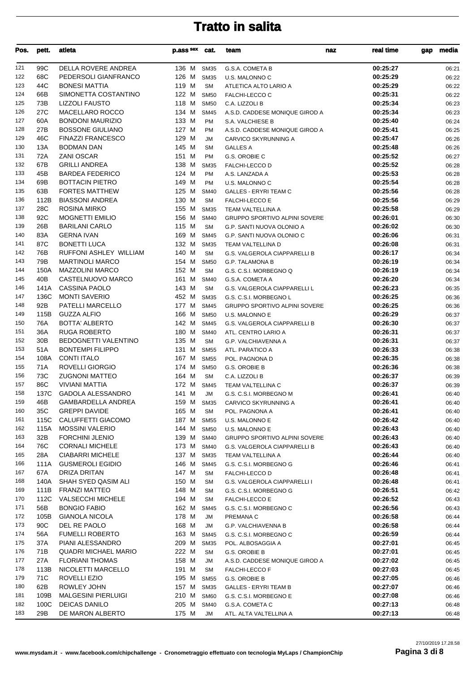| Pos.       | pett.           | atleta                                 | p.ass sex      | cat.                       | team                                           | naz | real time            | gap | media          |
|------------|-----------------|----------------------------------------|----------------|----------------------------|------------------------------------------------|-----|----------------------|-----|----------------|
| 121        | 99C             | DELLA ROVERE ANDREA                    | 136 M          | SM35                       | G.S.A. COMETA B                                |     | 00:25:27             |     | 06:21          |
| 122        | 68C             | PEDERSOLI GIANFRANCO                   | 126 M          | <b>SM35</b>                | U.S. MALONNO C                                 |     | 00:25:29             |     | 06:22          |
| 123        | 44C             | <b>BONESI MATTIA</b>                   | 119 M          | <b>SM</b>                  | ATLETICA ALTO LARIO A                          |     | 00:25:29             |     | 06:22          |
| 124        | 66B             | SIMONETTA COSTANTINO                   | 122 M          | <b>SM50</b>                | <b>FALCHI-LECCO C</b>                          |     | 00:25:31             |     | 06:22          |
| 125        | 73B             | <b>LIZZOLI FAUSTO</b>                  | 118 M          | <b>SM50</b>                | C.A. LIZZOLI B                                 |     | 00:25:34             |     | 06:23          |
| 126        | 27C             | <b>MACELLARO ROCCO</b>                 | 134 M          | <b>SM45</b>                | A.S.D. CADDESE MONIQUE GIROD A                 |     | 00:25:34             |     | 06:23          |
| 127        | 60A             | <b>BONDONI MAURIZIO</b>                | 133 M          | <b>PM</b>                  | S.A. VALCHIESE B                               |     | 00:25:40             |     | 06:24          |
| 128        | 27B             | <b>BOSSONE GIULIANO</b>                | 127 M          | <b>PM</b>                  | A.S.D. CADDESE MONIQUE GIROD A                 |     | 00:25:41             |     | 06:25          |
| 129        | 46C             | <b>FINAZZI FRANCESCO</b>               | 129 M          | JM                         | CARVICO SKYRUNNING A                           |     | 00:25:47             |     | 06:26          |
| 130        | 13A             | <b>BODMAN DAN</b>                      | 145 M          | <b>SM</b>                  | <b>GALLES A</b>                                |     | 00:25:48             |     | 06:26          |
| 131        | 72A             | <b>ZANI OSCAR</b>                      | 151 M          | <b>PM</b>                  | G.S. OROBIE C                                  |     | 00:25:52             |     | 06:27          |
| 132        | 67B             | <b>GRILLI ANDREA</b>                   | 138 M          | <b>SM35</b>                | FALCHI-LECCO D                                 |     | 00:25:52             |     | 06:28          |
| 133        | 45B             | <b>BARDEA FEDERICO</b>                 | 124 M          | <b>PM</b>                  | A.S. LANZADA A                                 |     | 00:25:53             |     | 06:28          |
| 134        | 69B             | <b>BOTTACIN PIETRO</b>                 | 149 M          | PM                         | U.S. MALONNO C                                 |     | 00:25:54             |     | 06:28          |
| 135        | 63B             | <b>FORTES MATTHEW</b>                  | 125 M          | <b>SM40</b>                | <b>GALLES - ERYRI TEAM C</b>                   |     | 00:25:56             |     | 06:28          |
| 136        | 112B            | <b>BIASSONI ANDREA</b>                 | 130 M          | <b>SM</b>                  | <b>FALCHI-LECCO E</b>                          |     | 00:25:56             |     | 06:29          |
| 137        | 28C             | ROSINA MIRKO                           | 155 M          | <b>SM35</b>                | TEAM VALTELLINA A                              |     | 00:25:58             |     | 06:29          |
| 138        | 92C             | <b>MOGNETTI EMILIO</b>                 | 156 M          | <b>SM40</b>                | <b>GRUPPO SPORTIVO ALPINI SOVERE</b>           |     | 00:26:01             |     | 06:30          |
| 139        | 26B             | <b>BARILANI CARLO</b>                  | 115 M          | <b>SM</b>                  | G.P. SANTI NUOVA OLONIO A                      |     | 00:26:02             |     | 06:30          |
| 140        | 83A             | <b>GERNA IVAN</b>                      | 169 M          | <b>SM45</b>                | G.P. SANTI NUOVA OLONIO C                      |     | 00:26:06             |     | 06:31          |
| 141        | 87C             | <b>BONETTI LUCA</b>                    | 132 M          | <b>SM35</b>                | TEAM VALTELLINA D                              |     | 00:26:08             |     | 06:31          |
| 142        | 76B             | RUFFONI ASHLEY WILLIAM                 | 140 M          | <b>SM</b>                  | G.S. VALGEROLA CIAPPARELLI B                   |     | 00:26:17             |     | 06:34          |
| 143        | 79B             | <b>MARTINOLI MARCO</b>                 | 154 M          | <b>SM50</b>                | <b>G.P. TALAMONA B</b>                         |     | 00:26:19             |     | 06:34          |
| 144        | 150A            | <b>MAZZOLINI MARCO</b>                 | 152 M          | <b>SM</b>                  | G.S. C.S.I. MORBEGNO Q                         |     | 00:26:19             |     | 06:34          |
| 145        | 40B             | CASTELNUOVO MARCO                      | 161 M          | <b>SM40</b>                | G.S.A. COMETA A                                |     | 00:26:20             |     | 06:34          |
| 146        | 141A            | CASSINA PAOLO                          | 143 M          | <b>SM</b>                  | G.S. VALGEROLA CIAPPARELLI L                   |     | 00:26:23             |     | 06:35          |
| 147        | 136C            | <b>MONTI SAVERIO</b>                   | 452 M          | <b>SM35</b>                | G.S. C.S.I. MORBEGNO L                         |     | 00:26:25             |     | 06:36          |
| 148<br>149 | 92B<br>115B     | PATELLI MARCELLO<br><b>GUZZA ALFIO</b> | 177 M<br>166 M | <b>SM45</b><br><b>SM50</b> | GRUPPO SPORTIVO ALPINI SOVERE                  |     | 00:26:25<br>00:26:29 |     | 06:36          |
| 150        | 76A             | <b>BOTTA' ALBERTO</b>                  | 142 M          | <b>SM45</b>                | U.S. MALONNO E<br>G.S. VALGEROLA CIAPPARELLI B |     | 00:26:30             |     | 06:37<br>06:37 |
| 151        | 36A             | <b>RUGA ROBERTO</b>                    | 180 M          | <b>SM40</b>                | ATL. CENTRO LARIO A                            |     | 00:26:31             |     | 06:37          |
| 152        | 30 <sub>B</sub> | BEDOGNETTI VALENTINO                   | 135 M          | <b>SM</b>                  | <b>G.P. VALCHIAVENNA A</b>                     |     | 00:26:31             |     | 06:37          |
| 153        | 51A             | <b>BONTEMPI FILIPPO</b>                | 131 M          | <b>SM55</b>                | ATL. PARATICO A                                |     | 00:26:33             |     | 06:38          |
| 154        | 108A            | <b>CONTI ITALO</b>                     | 167 M          | <b>SM55</b>                | POL. PAGNONA D                                 |     | 00:26:35             |     | 06:38          |
| 155        | 71A             | ROVELLI GIORGIO                        | 174 M          | <b>SM50</b>                | G.S. OROBIE B                                  |     | 00:26:36             |     | 06:38          |
| 156        | 73C             | <b>ZUGNONI MATTEO</b>                  | 164 M          | <b>SM</b>                  | C.A. LIZZOLI B                                 |     | 00:26:37             |     | 06:39          |
| 157        | 86C             | <b>VIVIANI MATTIA</b>                  | 172 M          | <b>SM45</b>                | TEAM VALTELLINA C                              |     | 00:26:37             |     | 06:39          |
| 158        | 137C            | <b>GADOLA ALESSANDRO</b>               | 141 M          | JM                         | G.S. C.S.I. MORBEGNO M                         |     | 00:26:41             |     | 06:40          |
| 159        | 46B             | GAMBARDELLA ANDREA                     |                |                            | 159 M SM35 CARVICO SKYRUNNING A                |     | 00:26:41             |     | 06:40          |
| 160        | 35C             | <b>GREPPI DAVIDE</b>                   | 165 M          | SM                         | POL. PAGNONA A                                 |     | 00:26:41             |     | 06:40          |
| 161        | 115C            | CALUFFETTI GIACOMO                     | 187 M          | <b>SM55</b>                | U.S. MALONNO E                                 |     | 00:26:42             |     | 06:40          |
| 162        | 115A            | <b>MOSSINI VALERIO</b>                 | 144 M          | <b>SM50</b>                | U.S. MALONNO E                                 |     | 00:26:43             |     | 06:40          |
| 163        | 32B             | <b>FORCHINI JLENIO</b>                 | 139 M          | <b>SM40</b>                | <b>GRUPPO SPORTIVO ALPINI SOVERE</b>           |     | 00:26:43             |     | 06:40          |
| 164        | 76C             | <b>CORNALI MICHELE</b>                 | 173 M          | <b>SM40</b>                | G.S. VALGEROLA CIAPPARELLI B                   |     | 00:26:43             |     | 06:40          |
| 165        | 28A             | CIABARRI MICHELE                       | 137 M          | <b>SM35</b>                | TEAM VALTELLINA A                              |     | 00:26:44             |     | 06:40          |
| 166        | 111A            | <b>GUSMEROLI EGIDIO</b>                | 146 M          | <b>SM45</b>                | G.S. C.S.I. MORBEGNO G                         |     | 00:26:46             |     | 06:41          |
| 167        | 67A             | DRIZA DRITAN                           | 147 M          | <b>SM</b>                  | <b>FALCHI-LECCO D</b>                          |     | 00:26:48             |     | 06:41          |
| 168        | 140A            | SHAH SYED QASIM ALI                    | 150 M          | <b>SM</b>                  | G.S. VALGEROLA CIAPPARELLI I                   |     | 00:26:48             |     | 06:41          |
| 169        | 111B            | <b>FRANZI MATTEO</b>                   | 148 M          | <b>SM</b>                  | G.S. C.S.I. MORBEGNO G                         |     | 00:26:51             |     | 06:42          |
| 170        | 112C            | <b>VALSECCHI MICHELE</b>               | 194 M          | <b>SM</b>                  | <b>FALCHI-LECCO E</b>                          |     | 00:26:52             |     | 06:43          |
| 171        | 56B             | <b>BONGIO FABIO</b>                    | 162 M          | <b>SM45</b>                | G.S. C.S.I. MORBEGNO C                         |     | 00:26:56             |     | 06:43          |
| 172        | 105B            | <b>GIANOLA NICOLA</b>                  | 178 M          | JM                         | PREMANA C                                      |     | 00:26:58             |     | 06:44          |
| 173        | 90C             | DEL RE PAOLO                           | 168 M          | JM                         | G.P. VALCHIAVENNA B                            |     | 00:26:58             |     | 06:44          |
| 174        | 56A             | <b>FUMELLI ROBERTO</b>                 | 163 M          | <b>SM45</b>                | G.S. C.S.I. MORBEGNO C                         |     | 00:26:59             |     | 06:44          |
| 175        | 37A             | PIANI ALESSANDRO                       | 209 M          | <b>SM35</b>                | POL. ALBOSAGGIA A                              |     | 00:27:01             |     | 06:45          |
| 176        | 71B             | <b>QUADRI MICHAEL MARIO</b>            | 222 M          | <b>SM</b>                  | G.S. OROBIE B                                  |     | 00:27:01             |     | 06:45          |
| 177        | 27A             | <b>FLORIANI THOMAS</b>                 | 158 M          | JM                         | A.S.D. CADDESE MONIQUE GIROD A                 |     | 00:27:02             |     | 06:45          |
| 178        | 113B            | NICOLETTI MARCELLO                     | 191 M          | <b>SM</b>                  | <b>FALCHI-LECCO F</b>                          |     | 00:27:03             |     | 06:45          |
| 179        | 71C             | ROVELLI EZIO                           | 195 M          | <b>SM55</b>                | G.S. OROBIE B                                  |     | 00:27:05             |     | 06:46          |
| 180        | 62B             | ROWLEY JOHN                            | 157 M          | <b>SM35</b>                | <b>GALLES - ERYRI TEAM B</b>                   |     | 00:27:07             |     | 06:46          |
| 181        | 109B            | <b>MALGESINI PIERLUIGI</b>             | 210 M          | <b>SM60</b>                | G.S. C.S.I. MORBEGNO E                         |     | 00:27:08             |     | 06:46          |
| 182        | 100C            | <b>DEICAS DANILO</b>                   | 205 M          | <b>SM40</b>                | G.S.A. COMETA C                                |     | 00:27:13             |     | 06:48          |
| 183        | 29B             | DE MARON ALBERTO                       | 175 M          | JM                         | ATL. ALTA VALTELLINA A                         |     | 00:27:13             |     | 06:48          |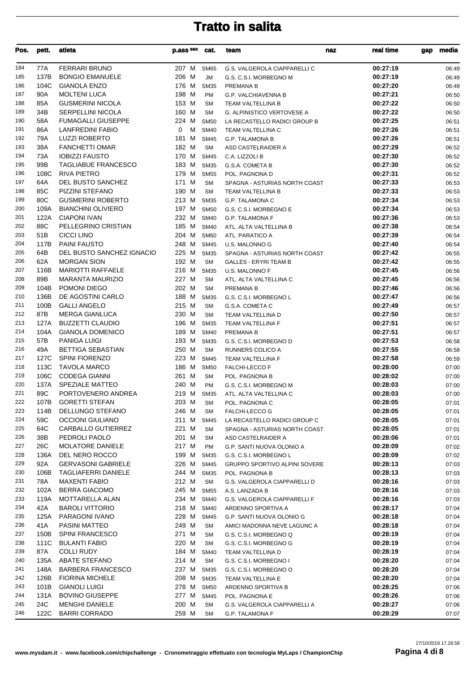| Pos.       | pett.        | atleta                                         | p.ass sex      | cat.                     | team                                               | naz | real time            | gap | media          |
|------------|--------------|------------------------------------------------|----------------|--------------------------|----------------------------------------------------|-----|----------------------|-----|----------------|
| 184        | 77A          | <b>FERRARI BRUNO</b>                           | 207 M          | <b>SM65</b>              | G.S. VALGEROLA CIAPPARELLI C                       |     | 00:27:19             |     | 06:49          |
| 185        | 137B         | <b>BONGIO EMANUELE</b>                         | 206 M          | JM                       | G.S. C.S.I. MORBEGNO M                             |     | 00:27:19             |     | 06:49          |
| 186        | 104C         | <b>GIANOLA ENZO</b>                            | 176 M          | <b>SM35</b>              | PREMANA B                                          |     | 00:27:20             |     | 06:49          |
| 187        | 90A          | <b>MOLTENI LUCA</b>                            | 198 M          | <b>PM</b>                | G.P. VALCHIAVENNA B                                |     | 00:27:21             |     | 06:50          |
| 188        | 85A          | <b>GUSMERINI NICOLA</b>                        | 153 M          | <b>SM</b>                | TEAM VALTELLINA B                                  |     | 00:27:22             |     | 06:50          |
| 189        | 34B          | <b>SERPELLINI NICOLA</b>                       | 160 M          | <b>SM</b>                | <b>G. ALPINISTICO VERTOVESE A</b>                  |     | 00:27:22             |     | 06:50          |
| 190        | 58A          | <b>FUMAGALLI GIUSEPPE</b>                      | 224 M          | <b>SM50</b>              | LA RECASTELLO RADICI GROUP B                       |     | 00:27:25             |     | 06:51          |
| 191        | 86A          | <b>LANFREDINI FABIO</b>                        | M<br>0         | <b>SM40</b>              | TEAM VALTELLINA C                                  |     | 00:27:26             |     | 06:51          |
| 192        | 79A          | <b>LUZZI ROBERTO</b>                           | 181 M          | <b>SM45</b>              | <b>G.P. TALAMONA B</b>                             |     | 00:27:26             |     | 06:51          |
| 193        | 38A          | <b>FANCHETTI OMAR</b>                          | 182 M          | <b>SM</b>                | ASD CASTELRAIDER A                                 |     | 00:27:29             |     | 06:52          |
| 194        | 73A          | <b>IOBIZZI FAUSTO</b>                          | 170 M          | <b>SM45</b>              | C.A. LIZZOLI B                                     |     | 00:27:30             |     | 06:52          |
| 195        | 99B          | <b>TAGLIABUE FRANCESCO</b>                     | 183 M          | <b>SM35</b>              | G.S.A. COMETA B                                    |     | 00:27:30             |     | 06:52          |
| 196        | 108C         | <b>RIVA PIETRO</b>                             | 179 M          | <b>SM55</b>              | POL. PAGNONA D                                     |     | 00:27:31             |     | 06:52          |
| 197<br>198 | 64A<br>85C   | DEL BUSTO SANCHEZ<br>PIZZINI STEFANO           | 171 M<br>190 M | <b>SM</b><br><b>SM</b>   | SPAGNA - ASTURIAS NORTH COAST<br>TEAM VALTELLINA B |     | 00:27:33<br>00:27:33 |     | 06:53          |
| 199        | 80C          | <b>GUSMERINI ROBERTO</b>                       | 213 M          | <b>SM35</b>              | G.P. TALAMONA C                                    |     | 00:27:34             |     | 06:53<br>06:53 |
| 200        | 109A         | <b>BIANCHINI OLIVIERO</b>                      | 197 M          | <b>SM50</b>              | G.S. C.S.I. MORBEGNO E                             |     | 00:27:34             |     | 06:53          |
| 201        | 122A         | <b>CIAPONI IVAN</b>                            | 232 M          | <b>SM40</b>              | <b>G.P. TALAMONA F</b>                             |     | 00:27:36             |     | 06:53          |
| 202        | 88C          | PELLEGRINO CRISTIAN                            | 185 M          | <b>SM40</b>              | ATL. ALTA VALTELLINA B                             |     | 00:27:38             |     | 06:54          |
| 203        | 51B          | <b>CICCI LINO</b>                              | 204 M          | <b>SM60</b>              | ATL. PARATICO A                                    |     | 00:27:39             |     | 06:54          |
| 204        | 117B         | <b>PAINI FAUSTO</b>                            | 248 M          | <b>SM45</b>              | U.S. MALONNO G                                     |     | 00:27:40             |     | 06:54          |
| 205        | 64B          | <b>DEL BUSTO SANCHEZ IGNACIO</b>               | 225 M          | <b>SM35</b>              | SPAGNA - ASTURIAS NORTH COAST                      |     | 00:27:42             |     | 06:55          |
| 206        | 62A          | <b>MORGAN SION</b>                             | 192 M          | <b>SM</b>                | <b>GALLES - ERYRI TEAM B</b>                       |     | 00:27:42             |     | 06:55          |
| 207        | 116B         | <b>MARIOTTI RAFFAELE</b>                       | 216 M          | <b>SM35</b>              | U.S. MALONNO F                                     |     | 00:27:45             |     | 06:56          |
| 208        | 89B          | <b>MARANTA MAURIZIO</b>                        | 227 M          | <b>SM</b>                | ATL. ALTA VALTELLINA C                             |     | 00:27:45             |     | 06:56          |
| 209        | 104B         | POMONI DIEGO                                   | 202 M          | <b>SM</b>                | PREMANA B                                          |     | 00:27:46             |     | 06:56          |
| 210        | 136B         | DE AGOSTINI CARLO                              | 188 M          | <b>SM35</b>              | G.S. C.S.I. MORBEGNO L                             |     | 00:27:47             |     | 06:56          |
| 211        | 100B         | <b>GALLI ANGELO</b>                            | 215 M          | <b>SM</b>                | G.S.A. COMETA C                                    |     | 00:27:49             |     | 06:57          |
| 212        | 87B          | <b>MERGA GIANLUCA</b>                          | 230 M          | <b>SM</b>                | TEAM VALTELLINA D                                  |     | 00:27:50             |     | 06:57          |
| 213        | 127A         | <b>BUZZETTI CLAUDIO</b>                        | 196 M          | <b>SM35</b>              | TEAM VALTELLINA F                                  |     | 00:27:51             |     | 06:57          |
| 214        | 104A         | <b>GIANOLA DOMENICO</b>                        | 189 M          | <b>SM40</b>              | PREMANA B                                          |     | 00:27:51             |     | 06:57          |
| 215        | 57B          | PANIGA LUIGI                                   | 193 M          | <b>SM35</b>              | G.S. C.S.I. MORBEGNO D                             |     | 00:27:53             |     | 06:58          |
| 216        | 49A          | <b>BETTIGA SEBASTIAN</b>                       | 250 M          | <b>SM</b>                | RUNNERS COLICO A                                   |     | 00:27:55             |     | 06:58          |
| 217        | 127C         | <b>SPINI FIORENZO</b>                          | 223 M          | <b>SM45</b>              | TEAM VALTELLINA F                                  |     | 00:27:58             |     | 06:59          |
| 218        | 113C         | <b>TAVOLA MARCO</b>                            | 186 M          | <b>SM50</b>              | <b>FALCHI-LECCO F</b>                              |     | 00:28:00             |     | 07:00          |
| 219<br>220 | 106C         | <b>CODEGA GIANNI</b><br><b>SPEZIALE MATTEO</b> | 261 M<br>240 M | <b>SM</b>                | POL. PAGNONA B                                     |     | 00:28:02<br>00:28:03 |     | 07:00          |
| 221        | 137A<br>89C  | PORTOVENERO ANDREA                             | 219 M          | <b>PM</b><br><b>SM35</b> | G.S. C.S.I. MORBEGNO M<br>ATL. ALTA VALTELLINA C   |     | 00:28:03             |     | 07:00<br>07:00 |
| 222        | 107B         | <b>GORETTI STEFAN</b>                          | 203 M          |                          |                                                    |     | 00:28:05             |     |                |
| 223        | 114B         | DELLUNGO STEFANO                               | 246 M          | SM<br><b>SM</b>          | POL. PAGNONA C<br><b>FALCHI-LECCO G</b>            |     | 00:28:05             |     | 07:01<br>07:01 |
| 224        | 59C          | <b>OCCIONI GIULIANO</b>                        | 211 M          | <b>SM45</b>              | LA RECASTELLO RADICI GROUP C                       |     | 00:28:05             |     | 07:01          |
| 225        | 64C          | CARBALLO GUTIERREZ                             | 221 M          | <b>SM</b>                | SPAGNA - ASTURIAS NORTH COAST                      |     | 00:28:05             |     | 07:01          |
| 226        | 38B          | PEDROLI PAOLO                                  | 201 M          | <b>SM</b>                | ASD CASTELRAIDER A                                 |     | 00:28:06             |     | 07:01          |
| 227        | 26C          | <b>MOLATORE DANIELE</b>                        | 217 M          | <b>PM</b>                | G.P. SANTI NUOVA OLONIO A                          |     | 00:28:09             |     | 07:02          |
| 228        | 136A         | DEL NERO ROCCO                                 | 199 M          | <b>SM35</b>              | G.S. C.S.I. MORBEGNO L                             |     | 00:28:09             |     | 07:02          |
| 229        | 92A          | <b>GERVASONI GABRIELE</b>                      | 226 M          | <b>SM45</b>              | <b>GRUPPO SPORTIVO ALPINI SOVERE</b>               |     | 00:28:13             |     | 07:03          |
| 230        | 106B         | <b>TAGLIAFERRI DANIELE</b>                     | 244 M          | <b>SM35</b>              | POL. PAGNONA B                                     |     | 00:28:13             |     | 07:03          |
| 231        | 78A          | <b>MAXENTI FABIO</b>                           | 212 M          | <b>SM</b>                | G.S. VALGEROLA CIAPPARELLI D                       |     | 00:28:16             |     | 07:03          |
| 232        | 102A         | <b>BERRA GIACOMO</b>                           | 245 M          | <b>SM55</b>              | A.S. LANZADA B                                     |     | 00:28:16             |     | 07:03          |
| 233        | 119A         | MOTTARELLA ALAN                                | 234 M          | <b>SM40</b>              | G.S. VALGEROLA CIAPPARELLI F                       |     | 00:28:16             |     | 07:03          |
| 234        | 42A          | <b>BAROLI VITTORIO</b>                         | 218 M          | <b>SM40</b>              | ARDENNO SPORTIVA A                                 |     | 00:28:17             |     | 07:04          |
| 235        | 125A         | PARAGONI IVANO                                 | 228 M          | <b>SM45</b>              | G.P. SANTI NUOVA OLONIO G                          |     | 00:28:18             |     | 07:04          |
| 236        | 41 A         | PASINI MATTEO                                  | 249 M          | <b>SM</b>                | AMICI MADONNA NEVE LAGUNC A                        |     | 00:28:18             |     | 07:04          |
| 237        | 150B         | <b>SPINI FRANCESCO</b>                         | 271 M          | <b>SM</b>                | G.S. C.S.I. MORBEGNO Q                             |     | 00:28:19             |     | 07:04          |
| 238        | 111C         | <b>BULANTI FABIO</b>                           | 220 M          | <b>SM</b>                | G.S. C.S.I. MORBEGNO G                             |     | 00:28:19             |     | 07:04          |
| 239        | 87A          | <b>COLLI RUDY</b>                              | 184 M          | <b>SM40</b>              | TEAM VALTELLINA D                                  |     | 00:28:19             |     | 07:04          |
| 240        | 135A         | <b>ABATE STEFANO</b>                           | 214 M          | <b>SM</b>                | G.S. C.S.I. MORBEGNO I                             |     | 00:28:20             |     | 07:04          |
| 241        | 148A         | <b>BARBERA FRANCESCO</b>                       | 237 M          | <b>SM35</b>              | G.S. C.S.I. MORBEGNO O                             |     | 00:28:20             |     | 07:04          |
| 242        | 126B         | <b>FIORINA MICHELE</b>                         | 208 M          | <b>SM35</b>              | TEAM VALTELLINA E                                  |     | 00:28:20             |     | 07:04          |
| 243<br>244 | 101B<br>131A | <b>GIANOLI LUIGI</b><br><b>BOVINO GIUSEPPE</b> | 278 M          | <b>SM50</b>              | ARDENNO SPORTIVA B                                 |     | 00:28:25<br>00:28:26 |     | 07:06          |
| 245        | 24C          | <b>MENGHI DANIELE</b>                          | 277 M<br>200 M | <b>SM45</b><br><b>SM</b> | POL. PAGNONA E<br>G.S. VALGEROLA CIAPPARELLI A     |     | 00:28:27             |     | 07:06<br>07:06 |
| 246        | 122C         | <b>BARRI CORRADO</b>                           | 259 M          | <b>SM</b>                | G.P. TALAMONA F                                    |     | 00:28:29             |     | 07:07          |
|            |              |                                                |                |                          |                                                    |     |                      |     |                |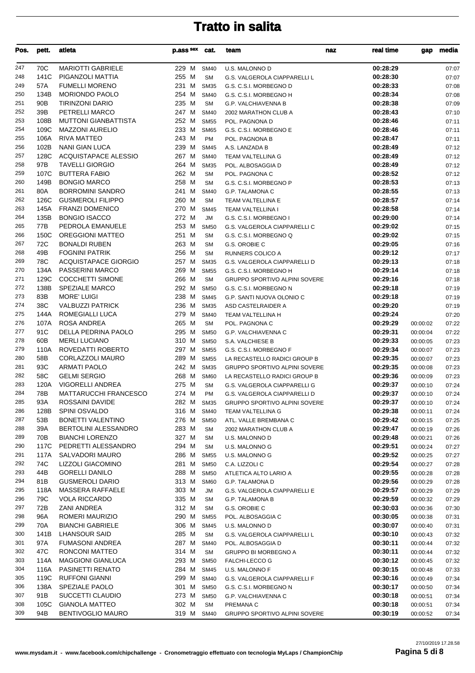| Pos.       | pett.           | atleta                                            | p.ass sex      | cat.                       | team                                 | naz | real time            | gap      | media          |
|------------|-----------------|---------------------------------------------------|----------------|----------------------------|--------------------------------------|-----|----------------------|----------|----------------|
| 247        | 70C             | <b>MARIOTTI GABRIELE</b>                          | 229 M          | <b>SM40</b>                | U.S. MALONNO D                       |     | 00:28:29             |          | 07:07          |
| 248        | 141C            | PIGANZOLI MATTIA                                  | 255 M          | <b>SM</b>                  | G.S. VALGEROLA CIAPPARELLI L         |     | 00:28:30             |          | 07:07          |
| 249        | 57A             | <b>FUMELLI MORENO</b>                             | 231 M          | <b>SM35</b>                | G.S. C.S.I. MORBEGNO D               |     | 00:28:33             |          | 07:08          |
| 250        | 134B            | <b>MORIONDO PAOLO</b>                             | 254 M          | <b>SM40</b>                | G.S. C.S.I. MORBEGNO H               |     | 00:28:34             |          | 07:08          |
| 251        | 90 <sub>B</sub> | <b>TIRINZONI DARIO</b>                            | 235 M          | <b>SM</b>                  | <b>G.P. VALCHIAVENNA B</b>           |     | 00:28:38             |          | 07:09          |
| 252        | 39B             | PETRELLI MARCO                                    | 247 M          | <b>SM40</b>                | 2002 MARATHON CLUB A                 |     | 00:28:43             |          | 07:10          |
| 253        | 108B            | <b>MUTTONI GIANBATTISTA</b>                       | 252 M          | <b>SM55</b>                | POL. PAGNONA D                       |     | 00:28:46             |          | 07:11          |
| 254        | 109C            | <b>MAZZONI AURELIO</b>                            | 233 M          | <b>SM65</b>                | G.S. C.S.I. MORBEGNO E               |     | 00:28:46             |          | 07:11          |
| 255        | 106A            | <b>RIVA MATTEO</b>                                | 243 M          | PM                         | POL. PAGNONA B                       |     | 00:28:47             |          | 07:11          |
| 256        | 102B            | NANI GIAN LUCA                                    | 239 M          | <b>SM45</b>                | A.S. LANZADA B                       |     | 00:28:49             |          | 07:12          |
| 257        | 128C            | ACQUISTAPACE ALESSIO                              | 267 M          | <b>SM40</b>                | TEAM VALTELLINA G                    |     | 00:28:49             |          | 07:12          |
| 258        | 97B             | <b>TAVELLI GIORGIO</b>                            | 264 M          | <b>SM35</b>                | POL. ALBOSAGGIA D                    |     | 00:28:49             |          | 07:12          |
| 259        | 107C            | <b>BUTTERA FABIO</b>                              | 262 M          | <b>SM</b>                  | POL. PAGNONA C                       |     | 00:28:52             |          | 07:12          |
| 260        | 149B            | <b>BONGIO MARCO</b>                               | 258 M          | <b>SM</b>                  | G.S. C.S.I. MORBEGNO P               |     | 00:28:53             |          | 07:13          |
| 261        | 80A             | <b>BORROMINI SANDRO</b>                           | 241 M          | <b>SM40</b>                | G.P. TALAMONA C                      |     | 00:28:55             |          | 07:13          |
| 262        | 126C            | <b>GUSMEROLI FILIPPO</b>                          | 260 M          | <b>SM</b>                  | TEAM VALTELLINA E                    |     | 00:28:57             |          | 07:14          |
| 263        | 145A            | <b>FRANZI DOMENICO</b>                            | 270 M          | <b>SM45</b>                | TEAM VALTELLINA I                    |     | 00:28:58             |          | 07:14          |
| 264        | 135B            | <b>BONGIO ISACCO</b>                              | 272 M          | <b>JM</b>                  | G.S. C.S.I. MORBEGNO I               |     | 00:29:00             |          | 07:14          |
| 265        | 77B             | PEDROLA EMANUELE                                  | 253 M          | <b>SM50</b>                | G.S. VALGEROLA CIAPPARELLI C         |     | 00:29:02             |          | 07:15          |
| 266        | 150C            | <b>OREGGIONI MATTEO</b>                           | 251 M          | <b>SM</b>                  | G.S. C.S.I. MORBEGNO Q               |     | 00:29:02             |          | 07:15          |
| 267        | 72C             | <b>BONALDI RUBEN</b>                              | 263 M          | <b>SM</b>                  | G.S. OROBIE C                        |     | 00:29:05             |          | 07:16          |
| 268        | 49B             | <b>FOGNINI PATRIK</b>                             | 256 M          | <b>SM</b>                  | <b>RUNNERS COLICO A</b>              |     | 00:29:12             |          | 07:17          |
| 269        | 78C             | <b>ACQUISTAPACE GIORGIO</b>                       | 257 M          | <b>SM35</b>                | G.S. VALGEROLA CIAPPARELLI D         |     | 00:29:13             |          | 07:18          |
| 270        | 134A            | <b>PASSERINI MARCO</b>                            | 269 M          | <b>SM55</b>                | G.S. C.S.I. MORBEGNO H               |     | 00:29:14             |          | 07:18          |
| 271        | 129C            | <b>COCCHETTI SIMONE</b><br>SPEZIALE MARCO         | 266 M          | <b>SM</b>                  | <b>GRUPPO SPORTIVO ALPINI SOVERE</b> |     | 00:29:16             |          | 07:18          |
| 272<br>273 | 138B<br>83B     | <b>MORE' LUIGI</b>                                | 292 M<br>238 M | <b>SM50</b>                | G.S. C.S.I. MORBEGNO N               |     | 00:29:18<br>00:29:18 |          | 07:19          |
| 274        | 38C             | <b>VALBUZZI PATRICK</b>                           | 236 M          | <b>SM45</b>                | G.P. SANTI NUOVA OLONIO C            |     | 00:29:20             |          | 07:19          |
| 275        | 144A            | ROMEGIALLI LUCA                                   | 279 M          | <b>SM35</b><br><b>SM40</b> | ASD CASTELRAIDER A                   |     | 00:29:24             |          | 07:19          |
| 276        | 107A            | ROSA ANDREA                                       | 265 M          | <b>SM</b>                  | TEAM VALTELLINA H<br>POL. PAGNONA C  |     | 00:29:29             | 00:00:02 | 07:20<br>07:22 |
| 277        | 91C             | DELLA PEDRINA PAOLO                               | 295 M          | <b>SM50</b>                | G.P. VALCHIAVENNA C                  |     | 00:29:31             | 00:00:04 | 07:22          |
| 278        | 60B             | <b>MERLI LUCIANO</b>                              | 310 M          | <b>SM50</b>                | S.A. VALCHIESE B                     |     | 00:29:33             | 00:00:05 | 07:23          |
| 279        | 110A            | ROVEDATTI ROBERTO                                 | 297 M          | <b>SM55</b>                | G.S. C.S.I. MORBEGNO F               |     | 00:29:34             | 00:00:07 | 07:23          |
| 280        | 58B             | CORLAZZOLI MAURO                                  | 289 M          | <b>SM55</b>                | LA RECASTELLO RADICI GROUP B         |     | 00:29:35             | 00:00:07 | 07:23          |
| 281        | 93C             | <b>ARMATI PAOLO</b>                               | 242 M          | <b>SM35</b>                | GRUPPO SPORTIVO ALPINI SOVERE        |     | 00:29:35             | 00:00:08 | 07:23          |
| 282        | 58C             | <b>GELMI SERGIO</b>                               | 268 M          | <b>SM60</b>                | LA RECASTELLO RADICI GROUP B         |     | 00:29:36             | 00:00:09 | 07:23          |
| 283        | 120A            | VIGORELLI ANDREA                                  | 275 M          | <b>SM</b>                  | G.S. VALGEROLA CIAPPARELLI G         |     | 00:29:37             | 00:00:10 | 07:24          |
| 284        | 78B             | <b>MATTARUCCHI FRANCESCO</b>                      | 274 M          | <b>PM</b>                  | G.S. VALGEROLA CIAPPARELLI D         |     | 00:29:37             | 00:00:10 | 07:24          |
| 285        | 93A             | ROSSAINI DAVIDE                                   | 282 M SM35     |                            | GRUPPO SPORTIVO ALPINI SOVERE        |     | 00:29:37             | 00:00:10 | 07:24          |
| 286        | 128B            | <b>SPINI OSVALDO</b>                              | 316 M          | SM40                       | TEAM VALTELLINA G                    |     | 00:29:38             | 00:00:11 | 07:24          |
| 287        | 53B             | <b>BONETTI VALENTINO</b>                          | 276 M          | <b>SM50</b>                | ATL. VALLE BREMBANA C                |     | 00:29:42             | 00:00:15 | 07:25          |
| 288        | 39A             | BERTOLINI ALESSANDRO                              | 283 M          | <b>SM</b>                  | 2002 MARATHON CLUB A                 |     | 00:29:47             | 00:00:19 | 07:26          |
| 289        | 70B             | <b>BIANCHI LORENZO</b>                            | 327 M          | SM                         | U.S. MALONNO D                       |     | 00:29:48             | 00:00:21 | 07:26          |
| 290        | 117C            | PEDRETTI ALESSANDRO                               | 294 M          | <b>SM</b>                  | U.S. MALONNO G                       |     | 00:29:51             | 00:00:24 | 07:27          |
| 291        | 117A            | SALVADORI MAURO                                   | 286 M          | <b>SM55</b>                | U.S. MALONNO G                       |     | 00:29:52             | 00:00:25 | 07:27          |
| 292        | 74C             | <b>LIZZOLI GIACOMINO</b>                          | 281 M          | <b>SM50</b>                | C.A. LIZZOLI C                       |     | 00:29:54             | 00:00:27 | 07:28          |
| 293        | 44B             | <b>GORELLI DANILO</b>                             | 288 M          | <b>SM50</b>                | ATLETICA ALTO LARIO A                |     | 00:29:55             | 00:00:28 | 07:28          |
| 294        | 81B             | <b>GUSMEROLI DARIO</b>                            | 313 M          | <b>SM60</b>                | G.P. TALAMONA D                      |     | 00:29:56             | 00:00:29 | 07:28          |
| 295        | 118A            | MASSERA RAFFAELE                                  | 303 M          | JM                         | G.S. VALGEROLA CIAPPARELLI E         |     | 00:29:57             | 00:00:29 | 07:29          |
| 296        | 79C             | <b>VOLA RICCARDO</b>                              | 335 M          | <b>SM</b>                  | <b>G.P. TALAMONA B</b>               |     | 00:29:59             | 00:00:32 | 07:29          |
| 297        | 72B             | ZANI ANDREA                                       | 312 M          | <b>SM</b>                  | G.S. OROBIE C                        |     | 00:30:03             | 00:00:36 | 07:30          |
| 298        | 96A             | ROMERI MAURIZIO                                   | 290 M          | <b>SM55</b>                | POL. ALBOSAGGIA C                    |     | 00:30:05             | 00:00:38 | 07:31          |
| 299        | 70A             | <b>BIANCHI GABRIELE</b>                           | 306 M          | <b>SM45</b>                | U.S. MALONNO D                       |     | 00:30:07             | 00:00:40 | 07:31          |
| 300        | 141B            | <b>LHANSOUR SAID</b>                              | 285 M          | SM                         | G.S. VALGEROLA CIAPPARELLI L         |     | 00:30:10             | 00:00:43 | 07:32          |
| 301        | 97A             | <b>FUMASONI ANDREA</b>                            | 287 M          | <b>SM40</b>                | POL. ALBOSAGGIA D                    |     | 00:30:11             | 00:00:44 | 07:32          |
| 302        | 47C             | RONCONI MATTEO                                    | 314 M          | SM                         | GRUPPO BI MORBEGNO A                 |     | 00:30:11             | 00:00:44 | 07:32          |
| 303        | 114A            | <b>MAGGIONI GIANLUCA</b>                          | 293 M          | <b>SM50</b>                | <b>FALCHI-LECCO G</b>                |     | 00:30:12             | 00:00:45 | 07:32          |
| 304        | 116A            | PASINETTI RENATO                                  | 284 M          | <b>SM45</b>                | U.S. MALONNO F                       |     | 00:30:15             | 00:00:48 | 07:33          |
| 305        | 119C            | <b>RUFFONI GIANNI</b>                             | 299 M          | <b>SM40</b>                | G.S. VALGEROLA CIAPPARELLI F         |     | 00:30:16             | 00:00:49 | 07:34          |
| 306        | 138A            | SPEZIALE PAOLO                                    | 301 M          | <b>SM50</b>                | G.S. C.S.I. MORBEGNO N               |     | 00:30:17             | 00:00:50 | 07:34          |
| 307        | 91B             | SUCCETTI CLAUDIO                                  | 273 M          | <b>SM50</b>                | G.P. VALCHIAVENNA C                  |     | 00:30:18             | 00:00:51 | 07:34          |
| 308<br>309 | 105C<br>94B     | <b>GIANOLA MATTEO</b><br><b>BENTIVOGLIO MAURO</b> | 302 M          | SM                         | PREMANA C                            |     | 00:30:18<br>00:30:19 | 00:00:51 | 07:34          |
|            |                 |                                                   | 319 M          | <b>SM40</b>                | GRUPPO SPORTIVO ALPINI SOVERE        |     |                      | 00:00:52 | 07:34          |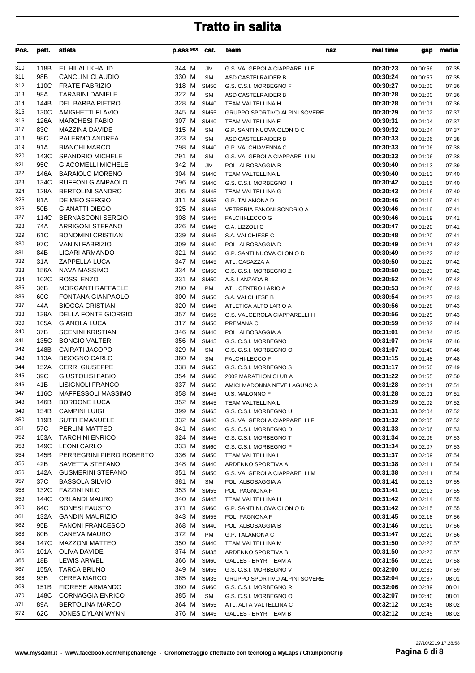| Pos.       | pett.        | atleta                                            | p.ass sex      | cat.                       | team                                                | naz | real time<br>gap                 | media          |
|------------|--------------|---------------------------------------------------|----------------|----------------------------|-----------------------------------------------------|-----|----------------------------------|----------------|
| 310        | 118B         | EL HILALI KHALID                                  | 344 M          | JM                         | G.S. VALGEROLA CIAPPARELLI E                        |     | 00:30:23<br>00:00:56             | 07:35          |
| 311        | 98B          | CANCLINI CLAUDIO                                  | 330 M          | <b>SM</b>                  | ASD CASTELRAIDER B                                  |     | 00:30:24<br>00:00:57             | 07:35          |
| 312        | 110C         | <b>FRATE FABRIZIO</b>                             | 318 M          | <b>SM50</b>                | G.S. C.S.I. MORBEGNO F                              |     | 00:30:27<br>00:01:00             | 07:36          |
| 313        | 98A          | <b>TARABINI DANIELE</b>                           | 322 M          | <b>SM</b>                  | ASD CASTELRAIDER B                                  |     | 00:30:28<br>00:01:00             | 07:36          |
| 314        | 144B         | DEL BARBA PIETRO                                  | 328 M          | <b>SM40</b>                | TEAM VALTELLINA H                                   |     | 00:30:28<br>00:01:01             | 07:36          |
| 315        | 130C         | <b>AMIGHETTI FLAVIO</b>                           | 345 M          | <b>SM55</b>                | GRUPPO SPORTIVO ALPINI SOVERE                       |     | 00:30:29<br>00:01:02             | 07:37          |
| 316        | 126A         | <b>MARCHESI FABIO</b>                             | 307 M          | <b>SM40</b>                | TEAM VALTELLINA E                                   |     | 00:30:31<br>00:01:04             | 07:37          |
| 317        | 83C          | MAZZINA DAVIDE                                    | 315 M          | <b>SM</b>                  | G.P. SANTI NUOVA OLONIO C                           |     | 00:30:32<br>00:01:04             | 07:37          |
| 318<br>319 | 98C<br>91A   | PALERMO ANDREA<br><b>BIANCHI MARCO</b>            | 323 M<br>298 M | <b>SM</b>                  | ASD CASTELRAIDER B                                  |     | 00:30:33<br>00:01:06<br>00:30:33 | 07:38          |
| 320        | 143C         | <b>SPANDRIO MICHELE</b>                           | 291 M          | <b>SM40</b><br><b>SM</b>   | G.P. VALCHIAVENNA C<br>G.S. VALGEROLA CIAPPARELLI N |     | 00:01:06<br>00:30:33<br>00:01:06 | 07:38<br>07:38 |
| 321        | 95C          | <b>GIACOMELLI MICHELE</b>                         | 342 M          | <b>JM</b>                  | POL. ALBOSAGGIA B                                   |     | 00:30:40<br>00:01:13             | 07:39          |
| 322        | 146A         | <b>BARAIOLO MORENO</b>                            | 304 M          | <b>SM40</b>                | TEAM VALTELLINA L                                   |     | 00:30:40<br>00:01:13             | 07:40          |
| 323        | 134C         | <b>RUFFONI GIAMPAOLO</b>                          | 296 M          | <b>SM40</b>                | G.S. C.S.I. MORBEGNO H                              |     | 00:30:42<br>00:01:15             | 07:40          |
| 324        | 128A         | <b>BERTOLINI SANDRO</b>                           | 305 M          | <b>SM45</b>                | TEAM VALTELLINA G                                   |     | 00:30:43<br>00:01:16             | 07:40          |
| 325        | 81A          | DE MEO SERGIO                                     | 311 M          | <b>SM55</b>                | G.P. TALAMONA D                                     |     | 00:30:46<br>00:01:19             | 07:41          |
| 326        | 50B          | <b>GIANATTI DIEGO</b>                             | 325 M          | <b>SM45</b>                | VETRERIA FANONI SONDRIO A                           |     | 00:30:46<br>00:01:19             | 07:41          |
| 327        | 114C         | <b>BERNASCONI SERGIO</b>                          | 308 M          | <b>SM45</b>                | <b>FALCHI-LECCO G</b>                               |     | 00:30:46<br>00:01:19             | 07:41          |
| 328        | 74A          | <b>ARRIGONI STEFANO</b>                           | 326 M          | <b>SM45</b>                | C.A. LIZZOLI C                                      |     | 00:30:47<br>00:01:20             | 07:41          |
| 329        | 61C          | <b>BONOMINI CRISTIAN</b>                          | 339 M          | <b>SM45</b>                | S.A. VALCHIESE C                                    |     | 00:30:48<br>00:01:20             | 07:41          |
| 330        | 97C          | <b>VANINI FABRIZIO</b>                            | 309 M          | <b>SM40</b>                | POL. ALBOSAGGIA D                                   |     | 00:30:49<br>00:01:21             | 07:42          |
| 331        | 84B          | LIGARI ARMANDO                                    | 321 M          | <b>SM60</b>                | G.P. SANTI NUOVA OLONIO D                           |     | 00:30:49<br>00:01:22             | 07:42          |
| 332        | 31 A         | ZAPPELLA LUCA                                     | 347 M          | <b>SM45</b>                | ATL. CASAZZA A                                      |     | 00:30:50<br>00:01:22             | 07:42          |
| 333        | 156A         | NAVA MASSIMO                                      | 334 M          | <b>SM50</b>                | G.S. C.S.I. MORBEGNO Z                              |     | 00:30:50<br>00:01:23             | 07:42          |
| 334        | 102C         | <b>ROSSI ENZO</b>                                 | 331 M          | <b>SM50</b>                | A.S. LANZADA B                                      |     | 00:30:52<br>00:01:24             | 07:42          |
| 335        | 36B          | <b>MORGANTI RAFFAELE</b>                          | 280 M          | <b>PM</b>                  | ATL. CENTRO LARIO A                                 |     | 00:30:53<br>00:01:26             | 07:43          |
| 336        | 60C          | FONTANA GIANPAOLO                                 | 300 M          | <b>SM50</b>                | S.A. VALCHIESE B                                    |     | 00:30:54<br>00:01:27             | 07:43          |
| 337        | 44A          | <b>BIOCCA CRISTIAN</b>                            | 320 M          | <b>SM45</b>                | ATLETICA ALTO LARIO A                               |     | 00:30:56<br>00:01:28             | 07:43          |
| 338<br>339 | 139A<br>105A | <b>DELLA FONTE GIORGIO</b><br><b>GIANOLA LUCA</b> | 357 M<br>317 M | <b>SM55</b>                | G.S. VALGEROLA CIAPPARELLI H                        |     | 00:30:56<br>00:01:29<br>00:30:59 | 07:43          |
| 340        | 37B          | <b>SCENINI KRISTIAN</b>                           | 346 M          | <b>SM50</b><br><b>SM40</b> | PREMANA C<br>POL. ALBOSAGGIA A                      |     | 00:01:32<br>00:31:01<br>00:01:34 | 07:44<br>07:45 |
| 341        | 135C         | <b>BONGIO VALTER</b>                              | 356 M          | <b>SM45</b>                | G.S. C.S.I. MORBEGNO I                              |     | 00:31:07<br>00:01:39             | 07:46          |
| 342        | 148B         | CAIRATI JACOPO                                    | 329 M          | <b>SM</b>                  | G.S. C.S.I. MORBEGNO O                              |     | 00:31:07<br>00:01:40             | 07:46          |
| 343        | 113A         | <b>BISOGNO CARLO</b>                              | 360 M          | <b>SM</b>                  | FALCHI-LECCO F                                      |     | 00:31:15<br>00:01:48             | 07:48          |
| 344        | 152A         | <b>CERRI GIUSEPPE</b>                             | 338 M          | <b>SM55</b>                | G.S. C.S.I. MORBEGNO S                              |     | 00:31:17<br>00:01:50             | 07:49          |
| 345        | 39C          | <b>GIUSTOLISI FABIO</b>                           | 354 M          | <b>SM60</b>                | 2002 MARATHON CLUB A                                |     | 00:31:22<br>00:01:55             | 07:50          |
| 346        | 41B          | LISIGNOLI FRANCO                                  | 337 M          | <b>SM50</b>                | AMICI MADONNA NEVE LAGUNC A                         |     | 00:31:28<br>00:02:01             | 07:51          |
| 347        | 116C         | MAFFESSOLI MASSIMO                                | 358 M          | <b>SM45</b>                | U.S. MALONNO F                                      |     | 00:31:28<br>00:02:01             | 07:51          |
| 348        | 146B         | <b>BORDONE LUCA</b>                               | 352 M          | <b>SM45</b>                | TEAM VALTELLINA L                                   |     | 00:31:29<br>00:02:02             | 07:52          |
| 349        | 154B         | <b>CAMPINI LUIGI</b>                              | 399 M          | SM65                       | G.S. C.S.I. MORBEGNO U                              |     | 00:31:31<br>00:02:04             | 07:52          |
| 350        | 119B         | <b>SUTTI EMANUELE</b>                             | 332 M          | <b>SM40</b>                | G.S. VALGEROLA CIAPPARELLI F                        |     | 00:31:32<br>00:02:05             | 07:52          |
| 351        | 57C          | PERLINI MATTEO                                    | 341 M          | <b>SM40</b>                | G.S. C.S.I. MORBEGNO D                              |     | 00:31:33<br>00:02:06             | 07:53          |
| 352        | 153A         | <b>TARCHINI ENRICO</b>                            | 324 M          | <b>SM45</b>                | G.S. C.S.I. MORBEGNO T                              |     | 00:31:34<br>00:02:06             | 07:53          |
| 353        | 149C         | <b>LEONI CARLO</b>                                | 333 M          | <b>SM60</b>                | G.S. C.S.I. MORBEGNO P                              |     | 00:31:34<br>00:02:07             | 07:53          |
| 354        | 145B         | PERREGRINI PIERO ROBERTO                          | 336 M          | <b>SM50</b>                | TEAM VALTELLINA I                                   |     | 00:31:37<br>00:02:09             | 07:54          |
| 355        | 42B          | SAVETTA STEFANO                                   | 348 M          | <b>SM40</b>                | ARDENNO SPORTIVA A                                  |     | 00:31:38<br>00:02:11             | 07:54          |
| 356<br>357 | 142A<br>37C  | <b>GUSMERINI STEFANO</b><br><b>BASSOLA SILVIO</b> | 351 M<br>381 M | <b>SM50</b><br><b>SM</b>   | G.S. VALGEROLA CIAPPARELLI M                        |     | 00:31:38<br>00:02:11<br>00:31:41 | 07:54          |
| 358        | 132C         | <b>FAZZINI NILO</b>                               | 353 M          | <b>SM55</b>                | POL. ALBOSAGGIA A<br>POL. PAGNONA F                 |     | 00:02:13<br>00:31:41<br>00:02:13 | 07:55<br>07:55 |
| 359        | 144C         | ORLANDI MAURO                                     | 340 M          | <b>SM45</b>                | TEAM VALTELLINA H                                   |     | 00:31:42<br>00:02:14             | 07:55          |
| 360        | 84C          | <b>BONESI FAUSTO</b>                              | 371 M          | <b>SM60</b>                | G.P. SANTI NUOVA OLONIO D                           |     | 00:31:42<br>00:02:15             | 07:55          |
| 361        | 132A         | <b>GANDIN MAURIZIO</b>                            | 343 M          | <b>SM55</b>                | POL. PAGNONA F                                      |     | 00:31:45<br>00:02:18             | 07:56          |
| 362        | 95B          | <b>FANONI FRANCESCO</b>                           | 368 M          | <b>SM40</b>                | POL. ALBOSAGGIA B                                   |     | 00:31:46<br>00:02:19             | 07:56          |
| 363        | 80B          | CANEVA MAURO                                      | 372 M          | PM                         | G.P. TALAMONA C                                     |     | 00:31:47<br>00:02:20             | 07:56          |
| 364        | 147C         | <b>MAZZONI MATTEO</b>                             | 350 M          | <b>SM40</b>                | TEAM VALTELLINA M                                   |     | 00:31:50<br>00:02:23             | 07:57          |
| 365        | 101A         | OLIVA DAVIDE                                      | 374 M          | <b>SM35</b>                | ARDENNO SPORTIVA B                                  |     | 00:31:50<br>00:02:23             | 07:57          |
| 366        | 18B          | <b>LEWIS ARWEL</b>                                | 366 M          | <b>SM60</b>                | <b>GALLES - ERYRI TEAM A</b>                        |     | 00:31:56<br>00:02:29             | 07:58          |
| 367        | 155A         | <b>TARCA BRUNO</b>                                | 349 M          | <b>SM55</b>                | G.S. C.S.I. MORBEGNO V                              |     | 00:32:00<br>00:02:33             | 07:59          |
| 368        | 93B          | <b>CEREA MARCO</b>                                | 365 M          | <b>SM35</b>                | <b>GRUPPO SPORTIVO ALPINI SOVERE</b>                |     | 00:32:04<br>00:02:37             | 08:01          |
| 369        | 151B         | <b>FIORESE ARMANDO</b>                            | 380 M          | <b>SM60</b>                | G.S. C.S.I. MORBEGNO R                              |     | 00:32:06<br>00:02:39             | 08:01          |
| 370        | 148C         | <b>CORNAGGIA ENRICO</b>                           | 385 M          | <b>SM</b>                  | G.S. C.S.I. MORBEGNO O                              |     | 00:32:07<br>00:02:40             | 08:01          |
| 371        | 89A          | <b>BERTOLINA MARCO</b>                            | 364 M          | <b>SM55</b>                | ATL. ALTA VALTELLINA C                              |     | 00:32:12<br>00:02:45             | 08:02          |
| 372        | 62C          | JONES DYLAN WYNN                                  | 376 M          | <b>SM45</b>                | <b>GALLES - ERYRI TEAM B</b>                        |     | 00:32:12<br>00:02:45             | 08:02          |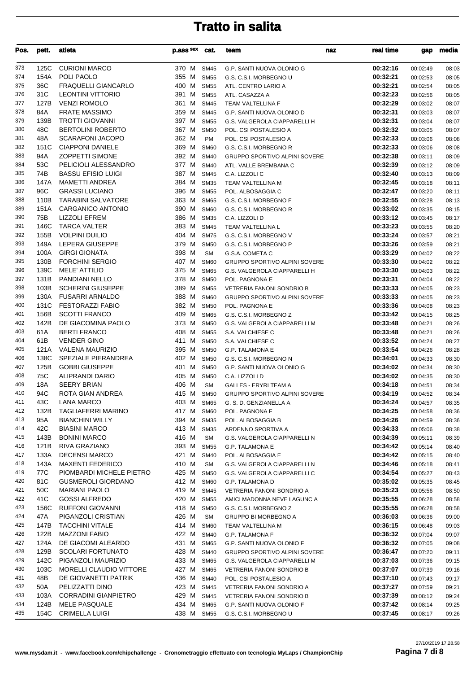| Pos.       | pett.        | atleta                                             | p.ass sex      | cat.                       | team                                               | naz | real time            | gap                  | media          |
|------------|--------------|----------------------------------------------------|----------------|----------------------------|----------------------------------------------------|-----|----------------------|----------------------|----------------|
| 373        | 125C         | <b>CURIONI MARCO</b>                               | 370 M          | <b>SM45</b>                | G.P. SANTI NUOVA OLONIO G                          |     | 00:32:16             | 00:02:49             | 08:03          |
| 374        | 154A         | POLI PAOLO                                         | 355 M          | <b>SM55</b>                | G.S. C.S.I. MORBEGNO U                             |     | 00:32:21             | 00:02:53             | 08:05          |
| 375        | 36C          | <b>FRAQUELLI GIANCARLO</b>                         | 400 M          | <b>SM55</b>                | ATL. CENTRO LARIO A                                |     | 00:32:21             | 00:02:54             | 08:05          |
| 376        | 31C          | <b>LEONTINI VITTORIO</b>                           | 391 M          | <b>SM55</b>                | ATL. CASAZZA A                                     |     | 00:32:23             | 00:02:56             | 08:05          |
| 377        | 127B         | <b>VENZI ROMOLO</b>                                | 361 M          | <b>SM45</b>                | TEAM VALTELLINA F                                  |     | 00:32:29             | 00:03:02             | 08:07          |
| 378        | 84A          | <b>FRATE MASSIMO</b>                               | 359 M          | <b>SM45</b>                | G.P. SANTI NUOVA OLONIO D                          |     | 00:32:31             | 00:03:03             | 08:07          |
| 379        | 139B         | <b>TROTTI GIOVANNI</b>                             | 397 M          | <b>SM55</b>                | G.S. VALGEROLA CIAPPARELLI H                       |     | 00:32:31             | 00:03:04             | 08:07          |
| 380        | 48C          | <b>BERTOLINI ROBERTO</b>                           | 367 M<br>362 M | <b>SM50</b>                | POL. CSI POSTALESIO A                              |     | 00:32:32             | 00:03:05             | 08:07          |
| 381<br>382 | 48A<br>151C  | <b>SCARAFONI JACOPO</b><br><b>CIAPPONI DANIELE</b> | 369 M          | PM<br><b>SM60</b>          | POL. CSI POSTALESIO A<br>G.S. C.S.I. MORBEGNO R    |     | 00:32:33<br>00:32:33 | 00:03:06             | 08:08          |
| 383        | 94A          | <b>ZOPPETTI SIMONE</b>                             | 392 M          | <b>SM40</b>                | GRUPPO SPORTIVO ALPINI SOVERE                      |     | 00:32:38             | 00:03:06<br>00:03:11 | 08:08<br>08:09 |
| 384        | 53C          | PELICIOLI ALESSANDRO                               | 377 M          | <b>SM40</b>                | ATL. VALLE BREMBANA C                              |     | 00:32:39             | 00:03:12             | 08:09          |
| 385        | 74B          | <b>BASSU EFISIO LUIGI</b>                          | 387 M          | <b>SM45</b>                | C.A. LIZZOLI C                                     |     | 00:32:40             | 00:03:13             | 08:09          |
| 386        | 147A         | <b>MAMETTI ANDREA</b>                              | 384 M          | <b>SM35</b>                | TEAM VALTELLINA M                                  |     | 00:32:45             | 00:03:18             | 08:11          |
| 387        | 96C          | <b>GRASSI LUCIANO</b>                              | 396 M          | <b>SM55</b>                | POL. ALBOSAGGIA C                                  |     | 00:32:47             | 00:03:20             | 08:11          |
| 388        | 110B         | <b>TARABINI SALVATORE</b>                          | 363 M          | <b>SM65</b>                | G.S. C.S.I. MORBEGNO F                             |     | 00:32:55             | 00:03:28             | 08:13          |
| 389        | 151A         | CARGANICO ANTONIO                                  | 390 M          | <b>SM60</b>                | G.S. C.S.I. MORBEGNO R                             |     | 00:33:02             | 00:03:35             | 08:15          |
| 390        | 75B          | <b>LIZZOLI EFREM</b>                               | 386 M          | <b>SM35</b>                | C.A. LIZZOLI D                                     |     | 00:33:12             | 00:03:45             | 08:17          |
| 391        | 146C         | <b>TARCA VALTER</b>                                | 383 M          | <b>SM45</b>                | TEAM VALTELLINA L                                  |     | 00:33:23             | 00:03:55             | 08:20          |
| 392        | 155B         | <b>VOLPINI DUILIO</b>                              | 404 M          | <b>SM75</b>                | G.S. C.S.I. MORBEGNO V                             |     | 00:33:24             | 00:03:57             | 08:21          |
| 393        | 149A         | LEPERA GIUSEPPE                                    | 379 M          | <b>SM50</b>                | G.S. C.S.I. MORBEGNO P                             |     | 00:33:26             | 00:03:59             | 08:21          |
| 394        | 100A         | <b>GIRGI GIONATA</b>                               | 398 M          | <b>SM</b>                  | G.S.A. COMETA C                                    |     | 00:33:29             | 00:04:02             | 08:22          |
| 395        | 130B         | <b>FORCHINI SERGIO</b>                             | 407 M          | <b>SM60</b>                | GRUPPO SPORTIVO ALPINI SOVERE                      |     | 00:33:30             | 00:04:02             | 08:22          |
| 396        | 139C         | <b>MELE' ATTILIO</b>                               | 375 M          | <b>SM65</b>                | G.S. VALGEROLA CIAPPARELLI H                       |     | 00:33:30             | 00:04:03             | 08:22          |
| 397        | 131B         | PANDIANI NELLO<br>SCHERINI GIUSEPPE                | 378 M          | <b>SM50</b>                | POL. PAGNONA E                                     |     | 00:33:31             | 00:04:04             | 08:22          |
| 398<br>399 | 103B<br>130A | <b>FUSARRI ARNALDO</b>                             | 389 M<br>388 M | <b>SM55</b><br><b>SM60</b> | VETRERIA FANONI SONDRIO B                          |     | 00:33:33<br>00:33:33 | 00:04:05             | 08:23<br>08:23 |
| 400        | 131C         | <b>FESTORAZZI FABIO</b>                            | 382 M          | <b>SM50</b>                | GRUPPO SPORTIVO ALPINI SOVERE<br>POL. PAGNONA E    |     | 00:33:36             | 00:04:05<br>00:04:08 | 08:23          |
| 401        | 156B         | <b>SCOTTI FRANCO</b>                               | 409 M          | <b>SM65</b>                | G.S. C.S.I. MORBEGNO Z                             |     | 00:33:42             | 00:04:15             | 08:25          |
| 402        | 142B         | DE GIACOMINA PAOLO                                 | 373 M          | <b>SM50</b>                | G.S. VALGEROLA CIAPPARELLI M                       |     | 00:33:48             | 00:04:21             | 08:26          |
| 403        | 61A          | <b>BERTI FRANCO</b>                                | 408 M          | <b>SM55</b>                | S.A. VALCHIESE C                                   |     | 00:33:48             | 00:04:21             | 08:26          |
| 404        | 61B          | <b>VENDER GINO</b>                                 | 411 M          | <b>SM50</b>                | S.A. VALCHIESE C                                   |     | 00:33:52             | 00:04:24             | 08:27          |
| 405        | 121A         | <b>VALENA MAURIZIO</b>                             | 395 M          | <b>SM50</b>                | G.P. TALAMONA E                                    |     | 00:33:54             | 00:04:26             | 08:28          |
| 406        | 138C         | SPEZIALE PIERANDREA                                | 402 M          | <b>SM50</b>                | G.S. C.S.I. MORBEGNO N                             |     | 00:34:01             | 00:04:33             | 08:30          |
| 407        | 125B         | <b>GOBBI GIUSEPPE</b>                              | 401 M          | <b>SM50</b>                | G.P. SANTI NUOVA OLONIO G                          |     | 00:34:02             | 00:04:34             | 08:30          |
| 408        | 75C          | <b>ALIPRANDI DARIO</b>                             | 405 M          | <b>SM50</b>                | C.A. LIZZOLI D                                     |     | 00:34:02             | 00:04:35             | 08:30          |
| 409        | 18A          | <b>SEERY BRIAN</b>                                 | 406 M          | <b>SM</b>                  | <b>GALLES - ERYRI TEAM A</b>                       |     | 00:34:18             | 00:04:51             | 08:34          |
| 410        | 94C          | ROTA GIAN ANDREA                                   | 415 M          | <b>SM50</b>                | GRUPPO SPORTIVO ALPINI SOVERE                      |     | 00:34:19             | 00:04:52             | 08:34          |
| 411        | 43C          | <b>LANA MARCO</b>                                  | 403 M          | <b>SM65</b>                | G. S. D. GENZIANELLA A                             |     | 00:34:24             | 00:04:57             | 08:35          |
| 412        | 132B         | <b>TAGLIAFERRI MARINO</b>                          | 417 M          | SM60                       | POL. PAGNONA F                                     |     | 00:34:25             | 00:04:58             | 08:36          |
| 413        | 95A          | <b>BIANCHINI WILLY</b><br><b>BIASINI MARCO</b>     | 394 M          | <b>SM35</b>                | POL. ALBOSAGGIA B                                  |     | 00:34:26             | 00:04:59             | 08:36          |
| 414<br>415 | 42C<br>143B  | <b>BONINI MARCO</b>                                | 413 M<br>416 M | <b>SM35</b><br><b>SM</b>   | ARDENNO SPORTIVA A                                 |     | 00:34:33<br>00:34:39 | 00:05:06             | 08:38          |
| 416        | 121B         | RIVA GRAZIANO                                      | 393 M          | <b>SM55</b>                | G.S. VALGEROLA CIAPPARELLI N<br>G.P. TALAMONA E    |     | 00:34:42             | 00:05:11<br>00:05:14 | 08:39<br>08:40 |
| 417        | 133A         | <b>DECENSI MARCO</b>                               | 421 M          | <b>SM40</b>                | POL. ALBOSAGGIA E                                  |     | 00:34:42             | 00:05:15             | 08:40          |
| 418        | 143A         | <b>MAXENTI FEDERICO</b>                            | 410 M          | <b>SM</b>                  | G.S. VALGEROLA CIAPPARELLI N                       |     | 00:34:46             | 00:05:18             | 08:41          |
| 419        | 77C          | PIOMBARDI MICHELE PIETRO                           | 425 M          | <b>SM50</b>                | G.S. VALGEROLA CIAPPARELLI C                       |     | 00:34:54             | 00:05:27             | 08:43          |
| 420        | 81C          | <b>GUSMEROLI GIORDANO</b>                          | 412 M          | <b>SM60</b>                | G.P. TALAMONA D                                    |     | 00:35:02             | 00:05:35             | 08:45          |
| 421        | 50C          | <b>MARIANI PAOLO</b>                               | 419 M          | <b>SM45</b>                | VETRERIA FANONI SONDRIO A                          |     | 00:35:23             | 00:05:56             | 08:50          |
| 422        | 41C          | <b>GOSSI ALFREDO</b>                               | 420 M          | <b>SM55</b>                | AMICI MADONNA NEVE LAGUNC A                        |     | 00:35:55             | 00:06:28             | 08:58          |
| 423        | 156C         | <b>RUFFONI GIOVANNI</b>                            | 418 M          | <b>SM50</b>                | G.S. C.S.I. MORBEGNO Z                             |     | 00:35:55             | 00:06:28             | 08:58          |
| 424        | 47A          | PIGANZOLI CRISTIAN                                 | 426 M          | SM                         | <b>GRUPPO BI MORBEGNO A</b>                        |     | 00:36:03             | 00:06:36             | 09:00          |
| 425        | 147B         | <b>TACCHINI VITALE</b>                             | 414 M          | <b>SM60</b>                | TEAM VALTELLINA M                                  |     | 00:36:15             | 00:06:48             | 09:03          |
| 426        | 122B         | <b>MAZZONI FABIO</b>                               | 422 M          | <b>SM40</b>                | G.P. TALAMONA F                                    |     | 00:36:32             | 00:07:04             | 09:07          |
| 427        | 124A         | DE GIACOMI ALEARDO                                 | 431 M          | <b>SM65</b>                | G.P. SANTI NUOVA OLONIO F                          |     | 00:36:32             | 00:07:05             | 09:08          |
| 428        | 129B         | <b>SCOLARI FORTUNATO</b>                           | 428 M          | <b>SM40</b>                | <b>GRUPPO SPORTIVO ALPINI SOVERE</b>               |     | 00:36:47             | 00:07:20             | 09:11          |
| 429        | 142C         | PIGANZOLI MAURIZIO                                 | 433 M          | <b>SM65</b>                | G.S. VALGEROLA CIAPPARELLI M                       |     | 00:37:03             | 00:07:36             | 09:15          |
| 430<br>431 | 103C<br>48B  | MORELLI CLAUDIO VITTORE<br>DE GIOVANETTI PATRIK    | 427 M<br>436 M | <b>SM65</b><br><b>SM40</b> | VETRERIA FANONI SONDRIO B<br>POL. CSI POSTALESIO A |     | 00:37:07<br>00:37:10 | 00:07:39             | 09:16          |
| 432        | 50A          | PELIZZATTI DINO                                    | 423 M          | <b>SM45</b>                | VETRERIA FANONI SONDRIO A                          |     | 00:37:27             | 00:07:43<br>00:07:59 | 09:17<br>09:21 |
| 433        | 103A         | <b>CORRADINI GIANPIETRO</b>                        | 429 M          | <b>SM45</b>                | VETRERIA FANONI SONDRIO B                          |     | 00:37:39             | 00:08:12             | 09:24          |
| 434        | 124B         | MELE PASQUALE                                      | 434 M          | <b>SM65</b>                | G.P. SANTI NUOVA OLONIO F                          |     | 00:37:42             | 00:08:14             | 09:25          |
| 435        | 154C         | <b>CRIMELLA LUIGI</b>                              | 438 M          | <b>SM55</b>                | G.S. C.S.I. MORBEGNO U                             |     | 00:37:45             | 00:08:17             | 09:26          |

27/10/2019 17.28.58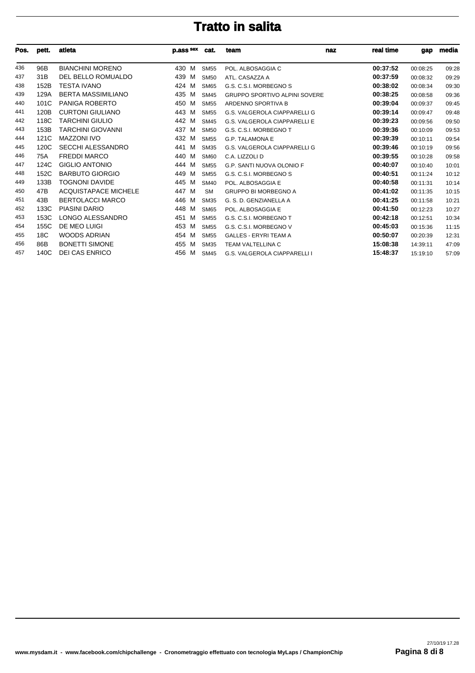| Pos. | pett.           | atleta                      | p.ass sex | cat.        | team<br>naz                          | real time | gap      | media |
|------|-----------------|-----------------------------|-----------|-------------|--------------------------------------|-----------|----------|-------|
| 436  | 96B             | <b>BIANCHINI MORENO</b>     | 430<br>M  | <b>SM55</b> | POL. ALBOSAGGIA C                    | 00:37:52  | 00:08:25 | 09:28 |
| 437  | 31B             | DEL BELLO ROMUALDO          | 439<br>M  | <b>SM50</b> | ATL. CASAZZA A                       | 00:37:59  | 00:08:32 | 09:29 |
| 438  | 152B            | TESTA IVANO                 | 424<br>M  | <b>SM65</b> | G.S. C.S.I. MORBEGNO S               | 00:38:02  | 00:08:34 | 09:30 |
| 439  | 129A            | <b>BERTA MASSIMILIANO</b>   | 435<br>M  | <b>SM45</b> | <b>GRUPPO SPORTIVO ALPINI SOVERE</b> | 00:38:25  | 00:08:58 | 09:36 |
| 440  | 101C            | PANIGA ROBERTO              | 450<br>м  | <b>SM55</b> | ARDENNO SPORTIVA B                   | 00:39:04  | 00:09:37 | 09:45 |
| 441  | 120B            | <b>CURTONI GIULIANO</b>     | 443<br>M  | <b>SM55</b> | G.S. VALGEROLA CIAPPARELLI G         | 00:39:14  | 00:09:47 | 09:48 |
| 442  | 118C            | <b>TARCHINI GIULIO</b>      | 442<br>м  | <b>SM45</b> | <b>G.S. VALGEROLA CIAPPARELLI E</b>  | 00:39:23  | 00:09:56 | 09:50 |
| 443  | 153B            | <b>TARCHINI GIOVANNI</b>    | 437<br>M  | <b>SM50</b> | G.S. C.S.I. MORBEGNO T               | 00:39:36  | 00:10:09 | 09:53 |
| 444  | 121C            | <b>MAZZONI IVO</b>          | 432 M     | <b>SM55</b> | <b>G.P. TALAMONA E</b>               | 00:39:39  | 00:10:11 | 09:54 |
| 445  | 120C            | <b>SECCHI ALESSANDRO</b>    | 441<br>М  | <b>SM35</b> | G.S. VALGEROLA CIAPPARELLI G         | 00:39:46  | 00:10:19 | 09:56 |
| 446  | 75A             | <b>FREDDI MARCO</b>         | 440<br>M  | <b>SM60</b> | C.A. LIZZOLI D                       | 00:39:55  | 00:10:28 | 09:58 |
| 447  | 124C            | <b>GIGLIO ANTONIO</b>       | 444<br>M  | <b>SM55</b> | <b>G.P. SANTI NUOVA OLONIO F</b>     | 00:40:07  | 00:10:40 | 10:01 |
| 448  | 152C            | <b>BARBUTO GIORGIO</b>      | 449<br>M  | <b>SM55</b> | G.S. C.S.I. MORBEGNO S               | 00:40:51  | 00:11:24 | 10:12 |
| 449  | 133B            | <b>TOGNONI DAVIDE</b>       | 445<br>M  | <b>SM40</b> | POL. ALBOSAGGIA E                    | 00:40:58  | 00:11:31 | 10:14 |
| 450  | 47B             | <b>ACQUISTAPACE MICHELE</b> | 447<br>M  | <b>SM</b>   | <b>GRUPPO BI MORBEGNO A</b>          | 00:41:02  | 00:11:35 | 10:15 |
| 451  | 43B             | <b>BERTOLACCI MARCO</b>     | 446<br>M  | <b>SM35</b> | G. S. D. GENZIANELLA A               | 00:41:25  | 00:11:58 | 10:21 |
| 452  | 133C            | <b>PIASINI DARIO</b>        | 448<br>M  | <b>SM65</b> | POL. ALBOSAGGIA E                    | 00:41:50  | 00:12:23 | 10:27 |
| 453  | 153C            | LONGO ALESSANDRO            | 451<br>M  | <b>SM55</b> | G.S. C.S.I. MORBEGNO T               | 00:42:18  | 00:12:51 | 10:34 |
| 454  | 155C            | DE MEO LUIGI                | 453<br>M  | <b>SM55</b> | G.S. C.S.I. MORBEGNO V               | 00:45:03  | 00:15:36 | 11:15 |
| 455  | 18 <sub>C</sub> | <b>WOODS ADRIAN</b>         | 454<br>M  | <b>SM55</b> | <b>GALLES - ERYRI TEAM A</b>         | 00:50:07  | 00:20:39 | 12:31 |
| 456  | 86B             | <b>BONETTI SIMONE</b>       | 455<br>M  | <b>SM35</b> | <b>TEAM VALTELLINA C</b>             | 15:08:38  | 14:39:11 | 47:09 |
| 457  | 140C            | <b>DEI CAS ENRICO</b>       | 456<br>M  | <b>SM45</b> | <b>G.S. VALGEROLA CIAPPARELLI I</b>  | 15:48:37  | 15:19:10 | 57:09 |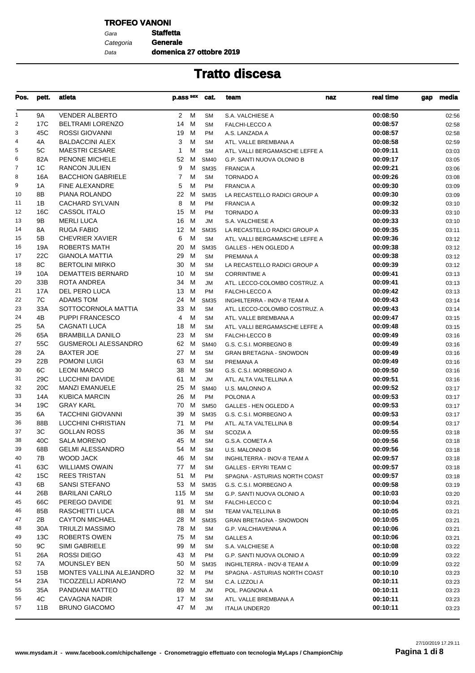### **TROFEO VANONI**

Gara **Staffetta** Data Categoria **Generale**

**domenica 27 ottobre 2019**

| Pos. | pett. | atleta                      | p.ass sex | cat.        | team                           | real time<br>naz | gap | media |
|------|-------|-----------------------------|-----------|-------------|--------------------------------|------------------|-----|-------|
| 1    | 9A    | <b>VENDER ALBERTO</b>       | 2 M       | <b>SM</b>   | S.A. VALCHIESE A               | 00:08:50         |     | 02:56 |
| 2    | 17C   | <b>BELTRAMI LORENZO</b>     | 14 M      | <b>SM</b>   | FALCHI-LECCO A                 | 00:08:57         |     | 02:58 |
| 3    | 45C   | ROSSI GIOVANNI              | 19<br>M   | <b>PM</b>   | A.S. LANZADA A                 | 00:08:57         |     | 02:58 |
| 4    | 4A    | <b>BALDACCINI ALEX</b>      | 3<br>м    | <b>SM</b>   | ATL. VALLE BREMBANA A          | 00:08:58         |     | 02:59 |
| 5    | 5C    | <b>MAESTRI CESARE</b>       | 1<br>м    | <b>SM</b>   | ATL. VALLI BERGAMASCHE LEFFE A | 00:09:11         |     | 03:03 |
| 6    | 82A   | PENONE MICHELE              | 52<br>M   | <b>SM40</b> | G.P. SANTI NUOVA OLONIO B      | 00:09:17         |     | 03:05 |
| 7    | 1C    | RANCON JULIEN               | 9<br>м    | <b>SM35</b> | <b>FRANCIA A</b>               | 00:09:21         |     | 03:06 |
| 8    | 16A   | <b>BACCHION GABRIELE</b>    | 7<br>м    | <b>SM</b>   | <b>TORNADO A</b>               | 00:09:26         |     | 03:08 |
| 9    | 1A    | <b>FINE ALEXANDRE</b>       | 5<br>М    | <b>PM</b>   | <b>FRANCIA A</b>               | 00:09:30         |     | 03:09 |
| 10   | 8B    | PIANA ROLANDO               | 22<br>M   | <b>SM35</b> | LA RECASTELLO RADICI GROUP A   | 00:09:30         |     | 03:09 |
| 11   | 1B    | <b>CACHARD SYLVAIN</b>      | 8<br>м    | <b>PM</b>   | <b>FRANCIA A</b>               | 00:09:32         |     | 03:10 |
| 12   | 16C   | CASSOL ITALO                | 15<br>M   | <b>PM</b>   | <b>TORNADO A</b>               | 00:09:33         |     | 03:10 |
| 13   | 9Β    | <b>MERLI LUCA</b>           | 16<br>M   | <b>JM</b>   | S.A. VALCHIESE A               | 00:09:33         |     | 03:10 |
| 14   | 8A    | <b>RUGA FABIO</b>           | 12 M      | <b>SM35</b> | LA RECASTELLO RADICI GROUP A   | 00:09:35         |     | 03:11 |
| 15   | 5B    | <b>CHEVRIER XAVIER</b>      | 6<br>м    | <b>SM</b>   | ATL. VALLI BERGAMASCHE LEFFE A | 00:09:36         |     | 03:12 |
| 16   | 19A   | <b>ROBERTS MATH</b>         | 20<br>M   | <b>SM35</b> | GALLES - HEN OGLEDD A          | 00:09:38         |     | 03:12 |
| 17   | 22C   | <b>GIANOLA MATTIA</b>       | 29<br>м   | <b>SM</b>   | PREMANA A                      | 00:09:38         |     | 03:12 |
| 18   | 8C    | <b>BERTOLINI MIRKO</b>      | 30<br>M   | <b>SM</b>   | LA RECASTELLO RADICI GROUP A   | 00:09:39         |     | 03:12 |
| 19   | 10A   | <b>DEMATTEIS BERNARD</b>    | 10<br>м   | <b>SM</b>   | <b>CORRINTIME A</b>            | 00:09:41         |     | 03:13 |
| 20   | 33B   | ROTA ANDREA                 | 34<br>м   | <b>JM</b>   | ATL. LECCO-COLOMBO COSTRUZ. A  | 00:09:41         |     | 03:13 |
| 21   | 17A   | DEL PERO LUCA               | 13<br>M   | <b>PM</b>   | <b>FALCHI-LECCO A</b>          | 00:09:42         |     | 03:13 |
| 22   | 7C    | ADAMS TOM                   | M<br>24   | <b>SM35</b> | INGHILTERRA - INOV-8 TEAM A    | 00:09:43         |     | 03:14 |
| 23   | 33A   | SOTTOCORNOLA MATTIA         | 33<br>M   | <b>SM</b>   | ATL. LECCO-COLOMBO COSTRUZ. A  | 00:09:43         |     | 03:14 |
| 24   | 4B    | <b>PUPPI FRANCESCO</b>      | 4<br>м    | <b>SM</b>   | ATL. VALLE BREMBANA A          | 00:09:47         |     | 03:15 |
| 25   | 5A    | <b>CAGNATI LUCA</b>         | м<br>18   | <b>SM</b>   | ATL. VALLI BERGAMASCHE LEFFE A | 00:09:48         |     | 03:15 |
| 26   | 65A   | <b>BRAMBILLA DANILO</b>     | 23<br>M   | <b>SM</b>   | <b>FALCHI-LECCO B</b>          | 00:09:49         |     | 03:16 |
| 27   | 55C   | <b>GUSMEROLI ALESSANDRO</b> | 62 M      | <b>SM40</b> | G.S. C.S.I. MORBEGNO B         | 00:09:49         |     | 03:16 |
| 28   | 2A    | <b>BAXTER JOE</b>           | 27<br>M   | <b>SM</b>   | <b>GRAN BRETAGNA - SNOWDON</b> | 00:09:49         |     | 03:16 |
| 29   | 22B   | <b>POMONI LUIGI</b>         | 63<br>M   | <b>SM</b>   | PREMANA A                      | 00:09:49         |     | 03:16 |
| 30   | 6C    | <b>LEONI MARCO</b>          | 38<br>M   | <b>SM</b>   | G.S. C.S.I. MORBEGNO A         | 00:09:50         |     | 03:16 |
| 31   | 29C   | LUCCHINI DAVIDE             | М<br>61   | <b>JM</b>   | ATL. ALTA VALTELLINA A         | 00:09:51         |     | 03:16 |
| 32   | 20C   | <b>MANZI EMANUELE</b>       | 25<br>M   | <b>SM40</b> | U.S. MALONNO A                 | 00:09:52         |     | 03:17 |
| 33   | 14A   | <b>KUBICA MARCIN</b>        | 26<br>M   | <b>PM</b>   | POLONIA A                      | 00:09:53         |     | 03:17 |
| 34   | 19C   | <b>GRAY KARL</b>            | 70<br>M   | <b>SM50</b> | GALLES - HEN OGLEDD A          | 00:09:53         |     | 03:17 |
| 35   | 6A    | <b>TACCHINI GIOVANNI</b>    | 39<br>М   | <b>SM35</b> | G.S. C.S.I. MORBEGNO A         | 00:09:53         |     | 03:17 |
| 36   | 88B   | LUCCHINI CHRISTIAN          | 71<br>M   | PM          | ATL. ALTA VALTELLINA B         | 00:09:54         |     | 03:17 |
| 37   | ЗC    | <b>GOLLAN ROSS</b>          | 36<br>м   | <b>SM</b>   | <b>SCOZIA A</b>                | 00:09:55         |     | 03:18 |
| 38   | 40C   | <b>SALA MORENO</b>          | 45 M      | <b>SM</b>   | G.S.A. COMETA A                | 00:09:56         |     | 03:18 |
| 39   | 68B   | <b>GELMI ALESSANDRO</b>     | 54 M      | <b>SM</b>   | U.S. MALONNO B                 | 00:09:56         |     | 03:18 |
| 40   | 7B    | WOOD JACK                   | 46 M      | SM          | INGHILTERRA - INOV-8 TEAM A    | 00:09:57         |     | 03:18 |
| 41   | 63C   | <b>WILLIAMS OWAIN</b>       | 77 M      | <b>SM</b>   | <b>GALLES - ERYRI TEAM C</b>   | 00:09:57         |     | 03:18 |
| 42   | 15C   | <b>REES TRISTAN</b>         | 51 M      | PM          | SPAGNA - ASTURIAS NORTH COAST  | 00:09:57         |     | 03:18 |
| 43   | 6В    | <b>SANSI STEFANO</b>        | 53 M      | <b>SM35</b> | G.S. C.S.I. MORBEGNO A         | 00:09:58         |     | 03:19 |
| 44   | 26B   | <b>BARILANI CARLO</b>       | 115 M     | <b>SM</b>   | G.P. SANTI NUOVA OLONIO A      | 00:10:03         |     | 03:20 |
| 45   | 66C   | PEREGO DAVIDE               | 91 M      | SM          | FALCHI-LECCO C                 | 00:10:04         |     | 03:21 |
| 46   | 85B   | RASCHETTI LUCA              | 88 M      | <b>SM</b>   | TEAM VALTELLINA B              | 00:10:05         |     | 03:21 |
| 47   | 2B    | <b>CAYTON MICHAEL</b>       | 28 M      | <b>SM35</b> | <b>GRAN BRETAGNA - SNOWDON</b> | 00:10:05         |     | 03:21 |
| 48   | 30A   | <b>TRIULZI MASSIMO</b>      | M<br>78   | <b>SM</b>   | G.P. VALCHIAVENNA A            | 00:10:06         |     | 03:21 |
| 49   | 13C   | <b>ROBERTS OWEN</b>         | 75 M      | <b>SM</b>   | <b>GALLES A</b>                | 00:10:06         |     | 03:21 |
| 50   | 9C    | SIMI GABRIELE               | 99<br>M   | <b>SM</b>   | S.A. VALCHIESE A               | 00:10:08         |     | 03:22 |
| 51   | 26A   | ROSSI DIEGO                 | 43 M      | PM          | G.P. SANTI NUOVA OLONIO A      | 00:10:09         |     | 03:22 |
| 52   | 7A    | MOUNSLEY BEN                | 50 M      | <b>SM35</b> | INGHILTERRA - INOV-8 TEAM A    | 00:10:09         |     | 03:22 |
| 53   | 15B   | MONTES VALLINA ALEJANDRO    | 32 M      | PM          | SPAGNA - ASTURIAS NORTH COAST  | 00:10:10         |     | 03:23 |
| 54   | 23A   | <b>TICOZZELLI ADRIANO</b>   | 72 M      | <b>SM</b>   | C.A. LIZZOLI A                 | 00:10:11         |     | 03:23 |
| 55   | 35A   | PANDIANI MATTEO             | 89 M      | JM          | POL. PAGNONA A                 | 00:10:11         |     | 03:23 |
| 56   | 4C    | CAVAGNA NADIR               | 17 M      | SM          | ATL. VALLE BREMBANA A          | 00:10:11         |     | 03:23 |
| 57   | 11B   | <b>BRUNO GIACOMO</b>        | 47 M      | <b>JM</b>   | <b>ITALIA UNDER20</b>          | 00:10:11         |     | 03:23 |
|      |       |                             |           |             |                                |                  |     |       |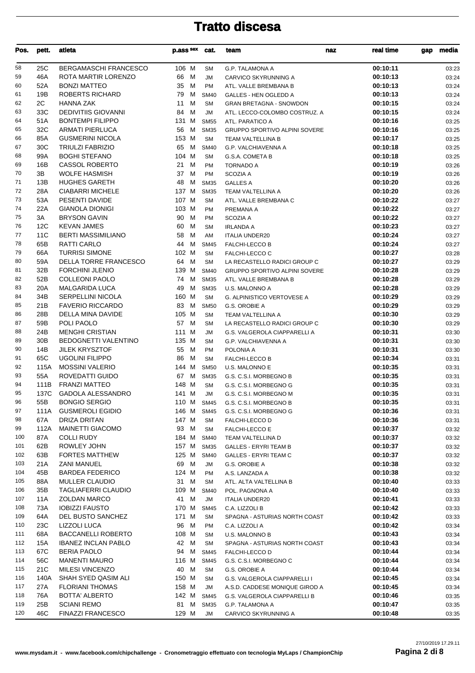| Pos.       | pett.           | atleta                                                  | p.ass sex        | cat.                       | team                                            | naz | real time            | gap | media          |
|------------|-----------------|---------------------------------------------------------|------------------|----------------------------|-------------------------------------------------|-----|----------------------|-----|----------------|
| 58         | 25C             | BERGAMASCHI FRANCESCO                                   | 106 M            | <b>SM</b>                  | <b>G.P. TALAMONA A</b>                          |     | 00:10:11             |     | 03:23          |
| 59         | 46A             | ROTA MARTIR LORENZO                                     | 66<br>M          | <b>JM</b>                  | CARVICO SKYRUNNING A                            |     | 00:10:13             |     | 03:24          |
| 60         | 52A             | <b>BONZI MATTEO</b>                                     | 35<br>M          | PM                         | ATL. VALLE BREMBANA B                           |     | 00:10:13             |     | 03:24          |
| 61         | 19B             | <b>ROBERTS RICHARD</b>                                  | 79<br>M          | <b>SM40</b>                | <b>GALLES - HEN OGLEDD A</b>                    |     | 00:10:13             |     | 03:24          |
| 62         | 2C              | <b>HANNA ZAK</b>                                        | м<br>11          | <b>SM</b>                  | <b>GRAN BRETAGNA - SNOWDON</b>                  |     | 00:10:15             |     | 03:24          |
| 63         | 33C             | <b>DEDIVITIIS GIOVANNI</b>                              | M<br>84          | <b>JM</b>                  | ATL. LECCO-COLOMBO COSTRUZ. A                   |     | 00:10:15             |     | 03:24          |
| 64         | 51A             | <b>BONTEMPI FILIPPO</b>                                 | 131 M            | <b>SM55</b>                | ATL. PARATICO A                                 |     | 00:10:16             |     | 03:25          |
| 65<br>66   | 32C<br>85A      | <b>ARMATI PIERLUCA</b><br><b>GUSMERINI NICOLA</b>       | 56<br>м<br>153 M | <b>SM35</b>                | GRUPPO SPORTIVO ALPINI SOVERE                   |     | 00:10:16             |     | 03:25          |
| 67         | 30C             | <b>TRIULZI FABRIZIO</b>                                 | 65<br>M          | <b>SM</b><br><b>SM40</b>   | TEAM VALTELLINA B<br>G.P. VALCHIAVENNA A        |     | 00:10:17<br>00:10:18 |     | 03:25<br>03:25 |
| 68         | 99A             | <b>BOGHI STEFANO</b>                                    | 104 M            | <b>SM</b>                  | <b>G.S.A. COMETA B</b>                          |     | 00:10:18             |     | 03:25          |
| 69         | 16B             | <b>CASSOL ROBERTO</b>                                   | 21<br>M          | <b>PM</b>                  | <b>TORNADO A</b>                                |     | 00:10:19             |     | 03:26          |
| 70         | 3B              | <b>WOLFE HASMISH</b>                                    | 37 M             | <b>PM</b>                  | <b>SCOZIA A</b>                                 |     | 00:10:19             |     | 03:26          |
| 71         | 13B             | <b>HUGHES GARETH</b>                                    | 48<br>M          | <b>SM35</b>                | <b>GALLES A</b>                                 |     | 00:10:20             |     | 03:26          |
| 72         | 28A             | <b>CIABARRI MICHELE</b>                                 | 137 M            | <b>SM35</b>                | TEAM VALTELLINA A                               |     | 00:10:20             |     | 03:26          |
| 73         | 53A             | PESENTI DAVIDE                                          | 107 M            | <b>SM</b>                  | ATL. VALLE BREMBANA C                           |     | 00:10:22             |     | 03:27          |
| 74         | 22A             | <b>GIANOLA DIONIGI</b>                                  | 103 M            | PM                         | PREMANA A                                       |     | 00:10:22             |     | 03:27          |
| 75         | 3A              | <b>BRYSON GAVIN</b>                                     | 90<br>M          | <b>PM</b>                  | <b>SCOZIA A</b>                                 |     | 00:10:22             |     | 03:27          |
| 76         | 12C             | <b>KEVAN JAMES</b>                                      | 60<br>M          | <b>SM</b>                  | <b>IRLANDA A</b>                                |     | 00:10:23             |     | 03:27          |
| 77         | 11C             | <b>BERTI MASSIMILIANO</b>                               | 58<br>м          | AM                         | <b>ITALIA UNDER20</b>                           |     | 00:10:24             |     | 03:27          |
| 78         | 65B             | RATTI CARLO                                             | 44<br>М          | <b>SM45</b>                | FALCHI-LECCO B                                  |     | 00:10:24             |     | 03:27          |
| 79         | 66A             | <b>TURRISI SIMONE</b>                                   | 102 M            | <b>SM</b>                  | FALCHI-LECCO C                                  |     | 00:10:27             |     | 03:28          |
| 80         | 59A             | DELLA TORRE FRANCESCO                                   | M<br>64          | <b>SM</b>                  | LA RECASTELLO RADICI GROUP C                    |     | 00:10:27             |     | 03:29          |
| 81<br>82   | 32B<br>52B      | <b>FORCHINI JLENIO</b><br><b>COLLEONI PAOLO</b>         | 139 M<br>74 M    | <b>SM40</b>                | GRUPPO SPORTIVO ALPINI SOVERE                   |     | 00:10:28             |     | 03:29          |
| 83         | 20A             | <b>MALGARIDA LUCA</b>                                   | 49<br>М          | <b>SM35</b><br><b>SM35</b> | ATL. VALLE BREMBANA B<br>U.S. MALONNO A         |     | 00:10:28<br>00:10:28 |     | 03:29<br>03:29 |
| 84         | 34B             | <b>SERPELLINI NICOLA</b>                                | 160 M            | <b>SM</b>                  | G. ALPINISTICO VERTOVESE A                      |     | 00:10:29             |     | 03:29          |
| 85         | 21B             | <b>FAVERIO RICCARDO</b>                                 | 83<br>M          | <b>SM50</b>                | G.S. OROBIE A                                   |     | 00:10:29             |     | 03:29          |
| 86         | 28B             | DELLA MINA DAVIDE                                       | 105 M            | <b>SM</b>                  | TEAM VALTELLINA A                               |     | 00:10:30             |     | 03:29          |
| 87         | 59B             | POLI PAOLO                                              | 57 M             | <b>SM</b>                  | LA RECASTELLO RADICI GROUP C                    |     | 00:10:30             |     | 03:29          |
| 88         | 24B             | <b>MENGHI CRISTIAN</b>                                  | 111 M            | <b>JM</b>                  | G.S. VALGEROLA CIAPPARELLI A                    |     | 00:10:31             |     | 03:30          |
| 89         | 30 <sub>B</sub> | <b>BEDOGNETTI VALENTINO</b>                             | 135 M            | <b>SM</b>                  | G.P. VALCHIAVENNA A                             |     | 00:10:31             |     | 03:30          |
| 90         | 14B             | <b>JILEK KRYSZTOF</b>                                   | 55<br>M          | PM                         | POLONIA A                                       |     | 00:10:31             |     | 03:30          |
| 91         | 65C             | <b>UGOLINI FILIPPO</b>                                  | M<br>86          | <b>SM</b>                  | FALCHI-LECCO B                                  |     | 00:10:34             |     | 03:31          |
| 92         | 115A            | <b>MOSSINI VALERIO</b>                                  | 144 M            | <b>SM50</b>                | U.S. MALONNO E                                  |     | 00:10:35             |     | 03:31          |
| 93         | 55A             | ROVEDATTI GUIDO                                         | 67 M             | <b>SM35</b>                | G.S. C.S.I. MORBEGNO B                          |     | 00:10:35             |     | 03:31          |
| 94         | 111B            | <b>FRANZI MATTEO</b>                                    | 148 M            | <b>SM</b>                  | G.S. C.S.I. MORBEGNO G                          |     | 00:10:35             |     | 03:31          |
| 95         | 137C            | <b>GADOLA ALESSANDRO</b>                                | 141 M            | <b>JM</b>                  | G.S. C.S.I. MORBEGNO M                          |     | 00:10:35             |     | 03:31          |
| 96<br>97   | 55B             | <b>BONGIO SERGIO</b><br><b>GUSMEROLI EGIDIO</b>         | 110 M<br>146 M   | SM45                       | G.S. C.S.I. MORBEGNO B                          |     | 00:10:35             |     | 03:31          |
| 98         | 111A<br>67A     | DRIZA DRITAN                                            | 147 M            | <b>SM45</b><br><b>SM</b>   | G.S. C.S.I. MORBEGNO G<br>FALCHI-LECCO D        |     | 00:10:36<br>00:10:36 |     | 03:31<br>03:31 |
| 99         | 112A            | <b>MAINETTI GIACOMO</b>                                 | 93 M             | <b>SM</b>                  | <b>FALCHI-LECCO E</b>                           |     | 00:10:37             |     | 03:32          |
| 100        | 87A             | <b>COLLI RUDY</b>                                       | 184 M            | <b>SM40</b>                | TEAM VALTELLINA D                               |     | 00:10:37             |     | 03:32          |
| 101        | 62B             | ROWLEY JOHN                                             | 157 M            | <b>SM35</b>                | <b>GALLES - ERYRI TEAM B</b>                    |     | 00:10:37             |     | 03:32          |
| 102        | 63B             | <b>FORTES MATTHEW</b>                                   | 125 M            | <b>SM40</b>                | <b>GALLES - ERYRI TEAM C</b>                    |     | 00:10:37             |     | 03:32          |
| 103        | 21A             | <b>ZANI MANUEL</b>                                      | 69<br>M          | JM                         | G.S. OROBIE A                                   |     | 00:10:38             |     | 03:32          |
| 104        | 45B             | <b>BARDEA FEDERICO</b>                                  | 124 M            | PM                         | A.S. LANZADA A                                  |     | 00:10:38             |     | 03:32          |
| 105        | 88A             | <b>MULLER CLAUDIO</b>                                   | 31 M             | <b>SM</b>                  | ATL. ALTA VALTELLINA B                          |     | 00:10:40             |     | 03:33          |
| 106        | 35B             | <b>TAGLIAFERRI CLAUDIO</b>                              | 109 M            | <b>SM40</b>                | POL. PAGNONA A                                  |     | 00:10:40             |     | 03:33          |
| 107        | 11A             | ZOLDAN MARCO                                            | 41 M             | <b>JM</b>                  | <b>ITALIA UNDER20</b>                           |     | 00:10:41             |     | 03:33          |
| 108        | 73A             | <b>IOBIZZI FAUSTO</b>                                   | 170 M            | <b>SM45</b>                | C.A. LIZZOLI B                                  |     | 00:10:42             |     | 03:33          |
| 109        | 64A             | DEL BUSTO SANCHEZ                                       | 171 M            | <b>SM</b>                  | SPAGNA - ASTURIAS NORTH COAST                   |     | 00:10:42             |     | 03:33          |
| 110        | 23C             | LIZZOLI LUCA                                            | 96<br>M          | PM                         | C.A. LIZZOLI A                                  |     | 00:10:42             |     | 03:34          |
| 111<br>112 | 68A<br>15A      | <b>BACCANELLI ROBERTO</b><br><b>IBANEZ INCLAN PABLO</b> | 108 M<br>42 M    | <b>SM</b><br><b>SM</b>     | U.S. MALONNO B<br>SPAGNA - ASTURIAS NORTH COAST |     | 00:10:43<br>00:10:43 |     | 03:34<br>03:34 |
| 113        | 67C             | <b>BERIA PAOLO</b>                                      | 94 M             | <b>SM45</b>                | <b>FALCHI-LECCO D</b>                           |     | 00:10:44             |     | 03:34          |
| 114        | 56C             | <b>MANENTI MAURO</b>                                    | 116 M            | <b>SM45</b>                | G.S. C.S.I. MORBEGNO C                          |     | 00:10:44             |     | 03:34          |
| 115        | 21C             | <b>MILESI VINCENZO</b>                                  | 40<br>M          | SM                         | G.S. OROBIE A                                   |     | 00:10:44             |     | 03:34          |
| 116        | 140A            | SHAH SYED QASIM ALI                                     | 150 M            | <b>SM</b>                  | G.S. VALGEROLA CIAPPARELLI I                    |     | 00:10:45             |     | 03:34          |
| 117        | 27A             | <b>FLORIANI THOMAS</b>                                  | 158 M            | <b>JM</b>                  | A.S.D. CADDESE MONIQUE GIROD A                  |     | 00:10:45             |     | 03:34          |
| 118        | 76A             | BOTTA' ALBERTO                                          | 142 M            | <b>SM45</b>                | G.S. VALGEROLA CIAPPARELLI B                    |     | 00:10:46             |     | 03:35          |
| 119        | 25B             | <b>SCIANI REMO</b>                                      | 81 M             | <b>SM35</b>                | <b>G.P. TALAMONA A</b>                          |     | 00:10:47             |     | 03:35          |
| 120        | 46C             | <b>FINAZZI FRANCESCO</b>                                | 129 M            | JM                         | CARVICO SKYRUNNING A                            |     | 00:10:48             |     | 03:35          |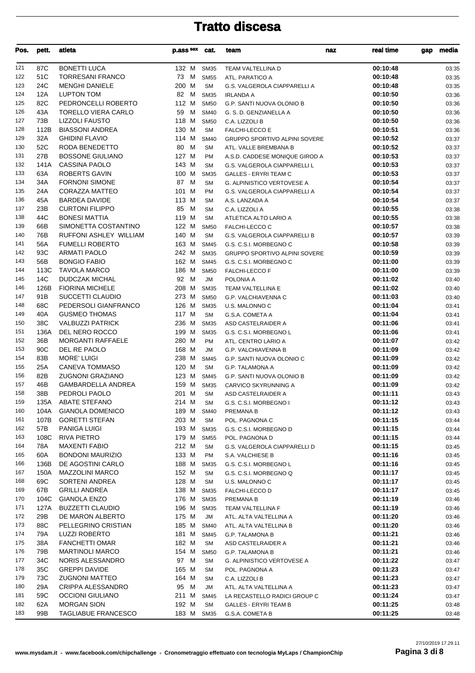| Pos.       | pett.       | atleta                                  | p.ass sex      | cat.                       | team                                           | real time<br>naz     | media<br>gap   |
|------------|-------------|-----------------------------------------|----------------|----------------------------|------------------------------------------------|----------------------|----------------|
| 121        | 87C         | <b>BONETTI LUCA</b>                     | 132 M SM35     |                            | TEAM VALTELLINA D                              | 00:10:48             | 03:35          |
| 122        | 51C         | <b>TORRESANI FRANCO</b>                 | 73 M           | <b>SM55</b>                | ATL. PARATICO A                                | 00:10:48             | 03:35          |
| 123        | 24C         | <b>MENGHI DANIELE</b>                   | 200 M          | <b>SM</b>                  | G.S. VALGEROLA CIAPPARELLI A                   | 00:10:48             | 03:35          |
| 124        | 12A         | <b>LUPTON TOM</b>                       | 82<br>M        | <b>SM35</b>                | <b>IRLANDA A</b>                               | 00:10:50             | 03:36          |
| 125        | 82C         | PEDRONCELLI ROBERTO                     | 112 M          | <b>SM50</b>                | <b>G.P. SANTI NUOVA OLONIO B</b>               | 00:10:50             | 03:36          |
| 126        | 43A         | <b>TORELLO VIERA CARLO</b>              | 59<br>M        | <b>SM40</b>                | G. S. D. GENZIANELLA A                         | 00:10:50             | 03:36          |
| 127        | 73B         | <b>LIZZOLI FAUSTO</b>                   | 118 M          | <b>SM50</b>                | C.A. LIZZOLI B                                 | 00:10:50             | 03:36          |
| 128        | 112B        | <b>BIASSONI ANDREA</b>                  | 130 M          | <b>SM</b>                  | FALCHI-LECCO E                                 | 00:10:51             | 03:36          |
| 129        | 32A         | <b>GHIDINI FLAVIO</b>                   | 114 M          | <b>SM40</b>                | <b>GRUPPO SPORTIVO ALPINI SOVERE</b>           | 00:10:52             | 03:37          |
| 130        | 52C         | RODA BENEDETTO                          | 80<br>M        | <b>SM</b>                  | ATL. VALLE BREMBANA B                          | 00:10:52             | 03:37          |
| 131        | 27B         | <b>BOSSONE GIULIANO</b>                 | 127 M          | <b>PM</b>                  | A.S.D. CADDESE MONIQUE GIROD A                 | 00:10:53             | 03:37          |
| 132        | 141A        | <b>CASSINA PAOLO</b>                    | 143 M          | <b>SM</b>                  | G.S. VALGEROLA CIAPPARELLI L                   | 00:10:53             | 03:37          |
| 133        | 63A         | ROBERTS GAVIN                           | 100 M          | <b>SM35</b>                | <b>GALLES - ERYRI TEAM C</b>                   | 00:10:53             | 03:37          |
| 134<br>135 | 34A<br>24A  | <b>FORNONI SIMONE</b><br>CORAZZA MATTEO | 87 M<br>101 M  | <b>SM</b><br>PM            | G. ALPINISTICO VERTOVESE A                     | 00:10:54<br>00:10:54 | 03:37<br>03:37 |
| 136        | 45A         | <b>BARDEA DAVIDE</b>                    | 113 M          | <b>SM</b>                  | G.S. VALGEROLA CIAPPARELLI A<br>A.S. LANZADA A | 00:10:54             | 03:37          |
| 137        | 23B         | <b>CURTONI FILIPPO</b>                  | 85<br>M        | <b>SM</b>                  | C.A. LIZZOLI A                                 | 00:10:55             | 03:38          |
| 138        | 44C         | <b>BONESI MATTIA</b>                    | 119 M          | <b>SM</b>                  | ATLETICA ALTO LARIO A                          | 00:10:55             | 03:38          |
| 139        | 66B         | SIMONETTA COSTANTINO                    | 122 M          | <b>SM50</b>                | FALCHI-LECCO C                                 | 00:10:57             | 03:38          |
| 140        | 76B         | RUFFONI ASHLEY WILLIAM                  | 140 M          | <b>SM</b>                  | G.S. VALGEROLA CIAPPARELLI B                   | 00:10:57             | 03:39          |
| 141        | 56A         | <b>FUMELLI ROBERTO</b>                  | 163 M          | <b>SM45</b>                | G.S. C.S.I. MORBEGNO C                         | 00:10:58             | 03:39          |
| 142        | 93C         | <b>ARMATI PAOLO</b>                     | 242 M          | <b>SM35</b>                | <b>GRUPPO SPORTIVO ALPINI SOVERE</b>           | 00:10:59             | 03:39          |
| 143        | 56B         | <b>BONGIO FABIO</b>                     | 162 M          | <b>SM45</b>                | G.S. C.S.I. MORBEGNO C                         | 00:11:00             | 03:39          |
| 144        | 113C        | <b>TAVOLA MARCO</b>                     | 186 M          | <b>SM50</b>                | <b>FALCHI-LECCO F</b>                          | 00:11:00             | 03:39          |
| 145        | 14C         | <b>DUDCZAK MICHAL</b>                   | 92 M           | <b>JM</b>                  | POLONIA A                                      | 00:11:02             | 03:40          |
| 146        | 126B        | <b>FIORINA MICHELE</b>                  | 208 M          | <b>SM35</b>                | TEAM VALTELLINA E                              | 00:11:02             | 03:40          |
| 147        | 91B         | SUCCETTI CLAUDIO                        | 273 M          | <b>SM50</b>                | G.P. VALCHIAVENNA C                            | 00:11:03             | 03:40          |
| 148        | 68C         | PEDERSOLI GIANFRANCO                    | 126 M          | <b>SM35</b>                | U.S. MALONNO C                                 | 00:11:04             | 03:41          |
| 149        | 40A         | <b>GUSMEO THOMAS</b>                    | 117 M          | <b>SM</b>                  | G.S.A. COMETA A                                | 00:11:04             | 03:41          |
| 150        | 38C         | <b>VALBUZZI PATRICK</b>                 | 236 M          | <b>SM35</b>                | ASD CASTELRAIDER A                             | 00:11:06             | 03:41          |
| 151        | 136A        | DEL NERO ROCCO                          | 199 M          | <b>SM35</b>                | G.S. C.S.I. MORBEGNO L                         | 00:11:06             | 03:41          |
| 152        | 36B         | <b>MORGANTI RAFFAELE</b>                | 280 M          | <b>PM</b>                  | ATL. CENTRO LARIO A                            | 00:11:07             | 03:42          |
| 153        | 90C         | DEL RE PAOLO                            | 168 M          | <b>JM</b>                  | <b>G.P. VALCHIAVENNA B</b>                     | 00:11:09             | 03:42          |
| 154        | 83B         | <b>MORE' LUIGI</b>                      | 238 M          | <b>SM45</b>                | G.P. SANTI NUOVA OLONIO C                      | 00:11:09             | 03:42          |
| 155        | 25A         | CANEVA TOMMASO                          | 120 M          | <b>SM</b>                  | <b>G.P. TALAMONA A</b>                         | 00:11:09             | 03:42          |
| 156        | 82B         | <b>ZUGNONI GRAZIANO</b>                 | 123 M          | <b>SM45</b>                | <b>G.P. SANTI NUOVA OLONIO B</b>               | 00:11:09             | 03:42          |
| 157        | 46B         | <b>GAMBARDELLA ANDREA</b>               | 159 M          | <b>SM35</b>                | CARVICO SKYRUNNING A                           | 00:11:09             | 03:42          |
| 158        | 38B         | PEDROLI PAOLO                           | 201 M          | <b>SM</b>                  | ASD CASTELRAIDER A                             | 00:11:11             | 03:43          |
| 159        | 135A        | ABATE STEFANO                           | 214 M          | <b>SM</b>                  | G.S. C.S.I. MORBEGNO I                         | 00:11:12             | 03:43          |
| 160        | 104A        | <b>GIANOLA DOMENICO</b>                 | 189 M<br>203 M | <b>SM40</b>                | PREMANA B                                      | 00:11:12             | 03:43          |
| 161<br>162 | 107B<br>57B | <b>GORETTI STEFAN</b>                   | 193 M          | <b>SM</b>                  | POL. PAGNONA C                                 | 00:11:15             | 03:44          |
| 163        | 108C        | PANIGA LUIGI<br><b>RIVA PIETRO</b>      |                | <b>SM35</b><br><b>SM55</b> | G.S. C.S.I. MORBEGNO D                         | 00:11:15             | 03:44          |
| 164        | 78A         | <b>MAXENTI FABIO</b>                    | 179 M<br>212 M | <b>SM</b>                  | POL. PAGNONA D<br>G.S. VALGEROLA CIAPPARELLI D | 00:11:15<br>00:11:15 | 03:44<br>03:45 |
| 165        | 60A         | <b>BONDONI MAURIZIO</b>                 | 133 M          | PM                         | S.A. VALCHIESE B                               | 00:11:16             | 03:45          |
| 166        | 136B        | DE AGOSTINI CARLO                       | 188 M          | <b>SM35</b>                | G.S. C.S.I. MORBEGNO L                         | 00:11:16             | 03:45          |
| 167        | 150A        | <b>MAZZOLINI MARCO</b>                  | 152 M          | <b>SM</b>                  | G.S. C.S.I. MORBEGNO Q                         | 00:11:17             | 03:45          |
| 168        | 69C         | SORTENI ANDREA                          | 128 M          | <b>SM</b>                  | U.S. MALONNO C                                 | 00:11:17             | 03:45          |
| 169        | 67B         | <b>GRILLI ANDREA</b>                    | 138 M          | <b>SM35</b>                | <b>FALCHI-LECCO D</b>                          | 00:11:17             | 03:45          |
| 170        | 104C        | <b>GIANOLA ENZO</b>                     | 176 M          | <b>SM35</b>                | PREMANA B                                      | 00:11:19             | 03:46          |
| 171        | 127A        | <b>BUZZETTI CLAUDIO</b>                 | 196 M          | <b>SM35</b>                | TEAM VALTELLINA F                              | 00:11:19             | 03:46          |
| 172        | 29B         | DE MARON ALBERTO                        | 175 M          | JM                         | ATL. ALTA VALTELLINA A                         | 00:11:20             | 03:46          |
| 173        | 88C         | PELLEGRINO CRISTIAN                     | 185 M          | <b>SM40</b>                | ATL. ALTA VALTELLINA B                         | 00:11:20             | 03:46          |
| 174        | 79A         | <b>LUZZI ROBERTO</b>                    | 181 M          | <b>SM45</b>                | G.P. TALAMONA B                                | 00:11:21             | 03:46          |
| 175        | 38A         | <b>FANCHETTI OMAR</b>                   | 182 M          | <b>SM</b>                  | ASD CASTELRAIDER A                             | 00:11:21             | 03:46          |
| 176        | 79B         | <b>MARTINOLI MARCO</b>                  | 154 M          | <b>SM50</b>                | <b>G.P. TALAMONA B</b>                         | 00:11:21             | 03:46          |
| 177        | 34C         | NORIS ALESSANDRO                        | 97 M           | <b>SM</b>                  | G. ALPINISTICO VERTOVESE A                     | 00:11:22             | 03:47          |
| 178        | 35C         | <b>GREPPI DAVIDE</b>                    | 165 M          | <b>SM</b>                  | POL. PAGNONA A                                 | 00:11:23             | 03:47          |
| 179        | 73C         | <b>ZUGNONI MATTEO</b>                   | 164 M          | <b>SM</b>                  | C.A. LIZZOLI B                                 | 00:11:23             | 03:47          |
| 180        | 29A         | <b>CRIPPA ALESSANDRO</b>                | 95 M           | JM                         | ATL. ALTA VALTELLINA A                         | 00:11:23             | 03:47          |
| 181        | 59C         | <b>OCCIONI GIULIANO</b>                 | 211 M          | <b>SM45</b>                | LA RECASTELLO RADICI GROUP C                   | 00:11:24             | 03:47          |
| 182        | 62A         | <b>MORGAN SION</b>                      | 192 M          | <b>SM</b>                  | <b>GALLES - ERYRI TEAM B</b>                   | 00:11:25             | 03:48          |
| 183        | 99B         | <b>TAGLIABUE FRANCESCO</b>              | 183 M          | <b>SM35</b>                | G.S.A. COMETA B                                | 00:11:25             | 03:48          |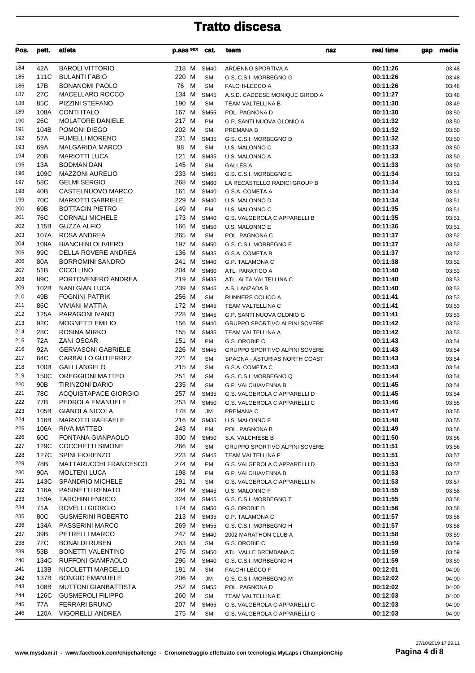| Pos.       | pett.           | atleta                                          | p.ass sex           | cat.                       | team                                      | real time<br>naz     | media<br>gap   |
|------------|-----------------|-------------------------------------------------|---------------------|----------------------------|-------------------------------------------|----------------------|----------------|
| 184        | 42A             | <b>BAROLI VITTORIO</b>                          | 218 M               | <b>SM40</b>                | ARDENNO SPORTIVA A                        | 00:11:26             | 03:48          |
| 185        | 111C            | <b>BULANTI FABIO</b>                            | 220 M               | <b>SM</b>                  | G.S. C.S.I. MORBEGNO G                    | 00:11:26             | 03:48          |
| 186        | 17B             | <b>BONANOMI PAOLO</b>                           | M<br>76             | <b>SM</b>                  | <b>FALCHI-LECCO A</b>                     | 00:11:26             | 03:48          |
| 187        | 27C             | MACELLARO ROCCO                                 | 134 M               | <b>SM45</b>                | A.S.D. CADDESE MONIQUE GIROD A            | 00:11:27             | 03:48          |
| 188        | 85C             | PIZZINI STEFANO                                 | 190 M               | <b>SM</b>                  | TEAM VALTELLINA B                         | 00:11:30             | 03:49          |
| 189        | 108A            | <b>CONTI ITALO</b>                              | 167 M               | <b>SM55</b>                | POL. PAGNONA D                            | 00:11:30             | 03:50          |
| 190        | 26C             | <b>MOLATORE DANIELE</b>                         | 217 M               | PM                         | G.P. SANTI NUOVA OLONIO A                 | 00:11:32             | 03:50          |
| 191        | 104B            | POMONI DIEGO                                    | 202 M               | <b>SM</b>                  | PREMANA B                                 | 00:11:32             | 03:50          |
| 192        | 57A             | <b>FUMELLI MORENO</b>                           | 231 M               | <b>SM35</b>                | G.S. C.S.I. MORBEGNO D                    | 00:11:32             | 03:50          |
| 193        | 69A             | <b>MALGARIDA MARCO</b>                          | 98<br>м             | <b>SM</b>                  | U.S. MALONNO C                            | 00:11:33             | 03:50          |
| 194        | 20 <sub>B</sub> | <b>MARIOTTI LUCA</b>                            | 121 M               | <b>SM35</b>                | U.S. MALONNO A                            | 00:11:33             | 03:50          |
| 195        | 13A             | <b>BODMAN DAN</b>                               | 145 M               | <b>SM</b>                  | <b>GALLES A</b>                           | 00:11:33             | 03:50          |
| 196        | 109C            | <b>MAZZONI AURELIO</b>                          | 233 M               | <b>SM65</b>                | G.S. C.S.I. MORBEGNO E                    | 00:11:34             | 03:51          |
| 197        | 58C<br>40B      | <b>GELMI SERGIO</b>                             | 268 M               | <b>SM60</b>                | LA RECASTELLO RADICI GROUP B              | 00:11:34             | 03:51          |
| 198<br>199 | 70C             | CASTELNUOVO MARCO<br><b>MARIOTTI GABRIELE</b>   | 161 M<br>229 M      | <b>SM40</b><br><b>SM40</b> | G.S.A. COMETA A                           | 00:11:34<br>00:11:34 | 03:51          |
| 200        | 69B             | <b>BOTTACIN PIETRO</b>                          | 149 M               | PM                         | U.S. MALONNO D<br>U.S. MALONNO C          | 00:11:35             | 03:51<br>03:51 |
| 201        | 76C             | <b>CORNALI MICHELE</b>                          | 173 M               | <b>SM40</b>                | G.S. VALGEROLA CIAPPARELLI B              | 00:11:35             | 03:51          |
| 202        | 115B            | <b>GUZZA ALFIO</b>                              | 166 M               | <b>SM50</b>                | U.S. MALONNO E                            | 00:11:36             | 03:51          |
| 203        | 107A            | <b>ROSA ANDREA</b>                              | 265 M               | <b>SM</b>                  | POL. PAGNONA C                            | 00:11:37             | 03:52          |
| 204        | 109A            | <b>BIANCHINI OLIVIERO</b>                       | 197 M               | <b>SM50</b>                | G.S. C.S.I. MORBEGNO E                    | 00:11:37             | 03:52          |
| 205        | 99C             | DELLA ROVERE ANDREA                             | 136 M               | <b>SM35</b>                | G.S.A. COMETA B                           | 00:11:37             | 03:52          |
| 206        | 80A             | <b>BORROMINI SANDRO</b>                         | 241 M               | <b>SM40</b>                | <b>G.P. TALAMONA C</b>                    | 00:11:38             | 03:52          |
| 207        | 51 <sub>B</sub> | <b>CICCI LINO</b>                               | 204 M               | <b>SM60</b>                | ATL. PARATICO A                           | 00:11:40             | 03:53          |
| 208        | 89C             | PORTOVENERO ANDREA                              | 219 M               | <b>SM35</b>                | ATL. ALTA VALTELLINA C                    | 00:11:40             | 03:53          |
| 209        | 102B            | <b>NANI GIAN LUCA</b>                           | 239 M               | <b>SM45</b>                | A.S. LANZADA B                            | 00:11:40             | 03:53          |
| 210        | 49B             | <b>FOGNINI PATRIK</b>                           | 256 M               | <b>SM</b>                  | RUNNERS COLICO A                          | 00:11:41             | 03:53          |
| 211        | 86C             | <b>VIVIANI MATTIA</b>                           | 172 M               | <b>SM45</b>                | TEAM VALTELLINA C                         | 00:11:41             | 03:53          |
| 212        | 125A            | PARAGONI IVANO                                  | 228 M               | <b>SM45</b>                | G.P. SANTI NUOVA OLONIO G                 | 00:11:41             | 03:53          |
| 213        | 92C             | <b>MOGNETTI EMILIO</b>                          | 156 M               | <b>SM40</b>                | <b>GRUPPO SPORTIVO ALPINI SOVERE</b>      | 00:11:42             | 03:53          |
| 214        | 28C             | <b>ROSINA MIRKO</b>                             | 155 M               | <b>SM35</b>                | TEAM VALTELLINA A                         | 00:11:42             | 03:53          |
| 215        | 72A             | <b>ZANI OSCAR</b>                               | 151 M               | <b>PM</b>                  | G.S. OROBIE C                             | 00:11:43             | 03:54          |
| 216        | 92A             | <b>GERVASONI GABRIELE</b>                       | 226 M               | <b>SM45</b>                | GRUPPO SPORTIVO ALPINI SOVERE             | 00:11:43             | 03:54          |
| 217        | 64C             | CARBALLO GUTIERREZ                              | 221 M               | <b>SM</b>                  | SPAGNA - ASTURIAS NORTH COAST             | 00:11:43             | 03:54          |
| 218        | 100B            | <b>GALLI ANGELO</b>                             | 215 M               | <b>SM</b>                  | G.S.A. COMETA C                           | 00:11:43             | 03:54          |
| 219        | 150C            | <b>OREGGIONI MATTEO</b>                         | 251 M               | <b>SM</b>                  | G.S. C.S.I. MORBEGNO Q                    | 00:11:44             | 03:54          |
| 220        | 90 <sub>B</sub> | <b>TIRINZONI DARIO</b>                          | 235 M               | <b>SM</b>                  | G.P. VALCHIAVENNA B                       | 00:11:45             | 03:54          |
| 221<br>222 | 78C<br>77B      | <b>ACQUISTAPACE GIORGIO</b><br>PEDROLA EMANUELE | 257 M SM35<br>253 M |                            | G.S. VALGEROLA CIAPPARELLI D              | 00:11:45<br>00:11:46 | 03:54          |
| 223        | 105B            | <b>GIANOLA NICOLA</b>                           | 178 M               | <b>SM50</b>                | G.S. VALGEROLA CIAPPARELLI C<br>PREMANA C | 00:11:47             | 03:55          |
| 224        | 116B            | <b>MARIOTTI RAFFAELE</b>                        | 216 M               | JM<br><b>SM35</b>          | U.S. MALONNO F                            | 00:11:48             | 03:55<br>03:55 |
| 225        | 106A            | RIVA MATTEO                                     | 243 M               | PM                         | POL. PAGNONA B                            | 00:11:49             | 03:56          |
| 226        | 60C             | FONTANA GIANPAOLO                               | 300 M               | <b>SM50</b>                | S.A. VALCHIESE B                          | 00:11:50             | 03:56          |
| 227        | 129C            | <b>COCCHETTI SIMONE</b>                         | 266 M               | <b>SM</b>                  | GRUPPO SPORTIVO ALPINI SOVERE             | 00:11:51             | 03:56          |
| 228        | 127C            | <b>SPINI FIORENZO</b>                           | 223 M               | <b>SM45</b>                | TEAM VALTELLINA F                         | 00:11:51             | 03:57          |
| 229        | 78B             | <b>MATTARUCCHI FRANCESCO</b>                    | 274 M               | PM                         | G.S. VALGEROLA CIAPPARELLI D              | 00:11:53             | 03:57          |
| 230        | 90A             | <b>MOLTENI LUCA</b>                             | 198 M               | PM                         | <b>G.P. VALCHIAVENNA B</b>                | 00:11:53             | 03:57          |
| 231        | 143C            | SPANDRIO MICHELE                                | 291 M               | SM                         | G.S. VALGEROLA CIAPPARELLI N              | 00:11:53             | 03:57          |
| 232        | 116A            | PASINETTI RENATO                                | 284 M               | <b>SM45</b>                | U.S. MALONNO F                            | 00:11:55             | 03:58          |
| 233        | 153A            | <b>TARCHINI ENRICO</b>                          | 324 M               | <b>SM45</b>                | G.S. C.S.I. MORBEGNO T                    | 00:11:55             | 03:58          |
| 234        | 71A             | ROVELLI GIORGIO                                 | 174 M               | <b>SM50</b>                | G.S. OROBIE B                             | 00:11:56             | 03:58          |
| 235        | 80C             | <b>GUSMERINI ROBERTO</b>                        | 213 M               | <b>SM35</b>                | G.P. TALAMONA C                           | 00:11:57             | 03:58          |
| 236        | 134A            | <b>PASSERINI MARCO</b>                          | 269 M               | <b>SM55</b>                | G.S. C.S.I. MORBEGNO H                    | 00:11:57             | 03:58          |
| 237        | 39B             | PETRELLI MARCO                                  | 247 M               | <b>SM40</b>                | 2002 MARATHON CLUB A                      | 00:11:58             | 03:59          |
| 238        | 72C             | <b>BONALDI RUBEN</b>                            | 263 M               | SM                         | G.S. OROBIE C                             | 00:11:59             | 03:59          |
| 239        | 53B             | <b>BONETTI VALENTINO</b>                        | 276 M               | <b>SM50</b>                | ATL. VALLE BREMBANA C                     | 00:11:59             | 03:59          |
| 240        | 134C            | <b>RUFFONI GIAMPAOLO</b>                        | 296 M               | <b>SM40</b>                | G.S. C.S.I. MORBEGNO H                    | 00:11:59             | 03:59          |
| 241        | 113B            | NICOLETTI MARCELLO                              | 191 M               | <b>SM</b>                  | <b>FALCHI-LECCO F</b>                     | 00:12:01             | 04:00          |
| 242        | 137B            | <b>BONGIO EMANUELE</b>                          | 206 M               | <b>JM</b>                  | G.S. C.S.I. MORBEGNO M                    | 00:12:02             | 04:00          |
| 243        | 108B            | <b>MUTTONI GIANBATTISTA</b>                     | 252 M               | <b>SM55</b>                | POL. PAGNONA D                            | 00:12:02             | 04:00          |
| 244        | 126C            | <b>GUSMEROLI FILIPPO</b>                        | 260 M               | <b>SM</b>                  | TEAM VALTELLINA E                         | 00:12:03             | 04:00          |
| 245        | 77A             | <b>FERRARI BRUNO</b>                            | 207 M               | <b>SM65</b>                | G.S. VALGEROLA CIAPPARELLI C              | 00:12:03             | 04:00          |
| 246        | 120A            | VIGORELLI ANDREA                                | 275 M               | <b>SM</b>                  | G.S. VALGEROLA CIAPPARELLI G              | 00:12:03             | 04:00          |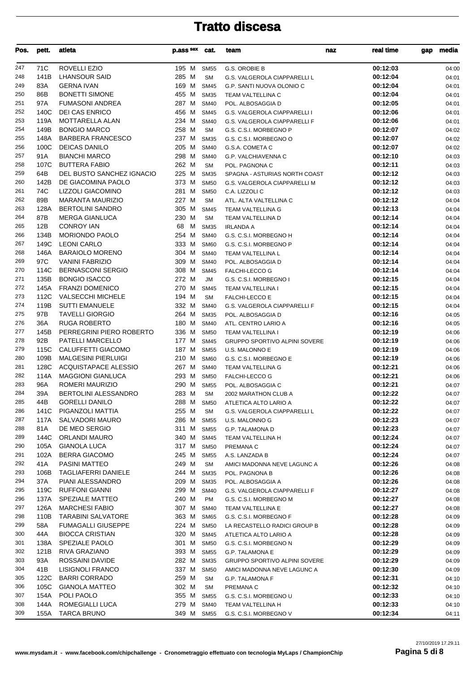| Pos.       | pett.        | atleta                                           | p.ass sex      | cat.                       | team                                                  | naz | real time            | media<br>gap   |
|------------|--------------|--------------------------------------------------|----------------|----------------------------|-------------------------------------------------------|-----|----------------------|----------------|
| 247        | 71C          | <b>ROVELLI EZIO</b>                              | 195 M          | <b>SM55</b>                | G.S. OROBIE B                                         |     | 00:12:03             | 04:00          |
| 248        | 141B         | <b>LHANSOUR SAID</b>                             | 285 M          | <b>SM</b>                  | G.S. VALGEROLA CIAPPARELLI L                          |     | 00:12:04             | 04:01          |
| 249        | 83A          | <b>GERNA IVAN</b>                                | 169 M          | <b>SM45</b>                | G.P. SANTI NUOVA OLONIO C                             |     | 00:12:04             | 04:01          |
| 250        | 86B          | <b>BONETTI SIMONE</b>                            | 455 M          | <b>SM35</b>                | TEAM VALTELLINA C                                     |     | 00:12:04             | 04:01          |
| 251        | 97A          | <b>FUMASONI ANDREA</b>                           | 287 M          | <b>SM40</b>                | POL. ALBOSAGGIA D                                     |     | 00:12:05             | 04:01          |
| 252        | 140C         | <b>DEI CAS ENRICO</b>                            | 456 M          | <b>SM45</b>                | G.S. VALGEROLA CIAPPARELLI I                          |     | 00:12:06             | 04:01          |
| 253        | 119A         | <b>MOTTARELLA ALAN</b>                           | 234 M          | <b>SM40</b>                | G.S. VALGEROLA CIAPPARELLI F                          |     | 00:12:06             | 04:01          |
| 254        | 149B         | <b>BONGIO MARCO</b>                              | 258 M          | <b>SM</b>                  | G.S. C.S.I. MORBEGNO P                                |     | 00:12:07             | 04:02          |
| 255        | 148A         | <b>BARBERA FRANCESCO</b>                         | 237 M          | <b>SM35</b>                | G.S. C.S.I. MORBEGNO O                                |     | 00:12:07             | 04:02          |
| 256        | 100C         | <b>DEICAS DANILO</b>                             | 205 M          | <b>SM40</b>                | G.S.A. COMETA C                                       |     | 00:12:07             | 04:02          |
| 257        | 91A          | <b>BIANCHI MARCO</b>                             | 298 M          | <b>SM40</b>                | G.P. VALCHIAVENNA C                                   |     | 00:12:10             | 04:03          |
| 258        | 107C         | <b>BUTTERA FABIO</b>                             | 262 M          | <b>SM</b>                  | POL. PAGNONA C                                        |     | 00:12:11             | 04:03          |
| 259        | 64B          | DEL BUSTO SANCHEZ IGNACIO                        | 225 M          | <b>SM35</b>                | SPAGNA - ASTURIAS NORTH COAST                         |     | 00:12:12             | 04:03          |
| 260        | 142B         | DE GIACOMINA PAOLO                               | 373 M          | <b>SM50</b>                | G.S. VALGEROLA CIAPPARELLI M                          |     | 00:12:12             | 04:03          |
| 261        | 74C          | LIZZOLI GIACOMINO                                | 281 M          | <b>SM50</b>                | C.A. LIZZOLI C                                        |     | 00:12:12             | 04:03          |
| 262        | 89B          | <b>MARANTA MAURIZIO</b>                          | 227 M          | <b>SM</b>                  | ATL. ALTA VALTELLINA C                                |     | 00:12:12             | 04:04          |
| 263        | 128A         | <b>BERTOLINI SANDRO</b>                          | 305 M          | <b>SM45</b>                | TEAM VALTELLINA G                                     |     | 00:12:13             | 04:04          |
| 264        | 87B          | <b>MERGA GIANLUCA</b>                            | 230 M          | <b>SM</b>                  | <b>TEAM VALTELLINA D</b>                              |     | 00:12:14             | 04:04          |
| 265        | 12B          | <b>CONROY IAN</b>                                | 68<br>M        | <b>SM35</b>                | <b>IRLANDA A</b>                                      |     | 00:12:14             | 04:04          |
| 266        | 134B         | <b>MORIONDO PAOLO</b>                            | 254 M          | <b>SM40</b>                | G.S. C.S.I. MORBEGNO H                                |     | 00:12:14             | 04:04          |
| 267        | 149C         | <b>LEONI CARLO</b>                               | 333 M          | <b>SM60</b>                | G.S. C.S.I. MORBEGNO P                                |     | 00:12:14             | 04:04          |
| 268        | 146A         | <b>BARAIOLO MORENO</b>                           | 304 M          | <b>SM40</b>                | TEAM VALTELLINA L                                     |     | 00:12:14             | 04:04          |
| 269        | 97C          | <b>VANINI FABRIZIO</b>                           | 309 M          | <b>SM40</b>                | POL. ALBOSAGGIA D                                     |     | 00:12:14             | 04:04          |
| 270        | 114C         | <b>BERNASCONI SERGIO</b>                         | 308 M          | <b>SM45</b>                | <b>FALCHI-LECCO G</b>                                 |     | 00:12:14             | 04:04          |
| 271        | 135B         | <b>BONGIO ISACCO</b>                             | 272 M          | <b>JM</b>                  | G.S. C.S.I. MORBEGNO I                                |     | 00:12:15             | 04:04          |
| 272        | 145A         | <b>FRANZI DOMENICO</b>                           | 270 M          | <b>SM45</b>                | TEAM VALTELLINA I                                     |     | 00:12:15             | 04:04          |
| 273        | 112C         | <b>VALSECCHI MICHELE</b>                         | 194 M          | <b>SM</b>                  | <b>FALCHI-LECCO E</b>                                 |     | 00:12:15             | 04:04          |
| 274        | 119B         | <b>SUTTI EMANUELE</b>                            | 332 M          | <b>SM40</b>                | G.S. VALGEROLA CIAPPARELLI F                          |     | 00:12:15             | 04:04          |
| 275        | 97B          | <b>TAVELLI GIORGIO</b>                           | 264 M          | <b>SM35</b>                | POL. ALBOSAGGIA D                                     |     | 00:12:16             | 04:05          |
| 276        | 36A          | <b>RUGA ROBERTO</b>                              | 180 M          | <b>SM40</b>                | ATL. CENTRO LARIO A                                   |     | 00:12:16             | 04:05          |
| 277        | 145B         | PERREGRINI PIERO ROBERTO                         | 336 M          | <b>SM50</b>                | TEAM VALTELLINA I                                     |     | 00:12:19             | 04:06          |
| 278        | 92B          | PATELLI MARCELLO                                 | 177 M          | <b>SM45</b>                | GRUPPO SPORTIVO ALPINI SOVERE                         |     | 00:12:19             | 04:06          |
| 279        | 115C         | CALUFFETTI GIACOMO                               | 187 M          | <b>SM55</b>                | U.S. MALONNO E                                        |     | 00:12:19             | 04:06          |
| 280        | 109B         | <b>MALGESINI PIERLUIGI</b>                       | 210 M          | <b>SM60</b>                | G.S. C.S.I. MORBEGNO E                                |     | 00:12:19             | 04:06          |
| 281<br>282 | 128C<br>114A | ACQUISTAPACE ALESSIO<br><b>MAGGIONI GIANLUCA</b> | 267 M<br>293 M | <b>SM40</b>                | <b>TEAM VALTELLINA G</b>                              |     | 00:12:21<br>00:12:21 | 04:06          |
| 283        | 96A          | ROMERI MAURIZIO                                  | 290 M          | <b>SM50</b><br><b>SM55</b> | <b>FALCHI-LECCO G</b>                                 |     | 00:12:21             | 04:06<br>04:07 |
| 284        | 39A          | <b>BERTOLINI ALESSANDRO</b>                      | 283 M          | <b>SM</b>                  | POL. ALBOSAGGIA C<br>2002 MARATHON CLUB A             |     | 00:12:22             | 04:07          |
| 285        | 44B          | <b>GORELLI DANILO</b>                            | 288 M          | <b>SM50</b>                |                                                       |     | 00:12:22             |                |
| 286        | 141C         | PIGANZOLI MATTIA                                 | 255 M          | SM                         | ATLETICA ALTO LARIO A<br>G.S. VALGEROLA CIAPPARELLI L |     | 00:12:22             | 04:07<br>04:07 |
| 287        | 117A         | SALVADORI MAURO                                  | 286 M          | <b>SM55</b>                | U.S. MALONNO G                                        |     | 00:12:23             | 04:07          |
| 288        | 81A          | DE MEO SERGIO                                    | 311 M          | <b>SM55</b>                | G.P. TALAMONA D                                       |     | 00:12:23             | 04:07          |
| 289        | 144C         | ORLANDI MAURO                                    | 340 M          | <b>SM45</b>                | TEAM VALTELLINA H                                     |     | 00:12:24             | 04:07          |
| 290        | 105A         | <b>GIANOLA LUCA</b>                              | 317 M          | <b>SM50</b>                | PREMANA C                                             |     | 00:12:24             | 04:07          |
| 291        | 102A         | <b>BERRA GIACOMO</b>                             | 245 M          | <b>SM55</b>                | A.S. LANZADA B                                        |     | 00:12:24             | 04:07          |
| 292        | 41A          | PASINI MATTEO                                    | 249 M          | <b>SM</b>                  | AMICI MADONNA NEVE LAGUNC A                           |     | 00:12:26             | 04:08          |
| 293        | 106B         | <b>TAGLIAFERRI DANIELE</b>                       | 244 M          | <b>SM35</b>                | POL. PAGNONA B                                        |     | 00:12:26             | 04:08          |
| 294        | 37A          | PIANI ALESSANDRO                                 | 209 M          | <b>SM35</b>                | POL. ALBOSAGGIA A                                     |     | 00:12:26             | 04:08          |
| 295        | 119C         | <b>RUFFONI GIANNI</b>                            | 299 M          | <b>SM40</b>                | G.S. VALGEROLA CIAPPARELLI F                          |     | 00:12:27             | 04:08          |
| 296        | 137A         | SPEZIALE MATTEO                                  | 240 M          | PM                         | G.S. C.S.I. MORBEGNO M                                |     | 00:12:27             | 04:08          |
| 297        | 126A         | <b>MARCHESI FABIO</b>                            | 307 M          | <b>SM40</b>                | TEAM VALTELLINA E                                     |     | 00:12:27             | 04:08          |
| 298        | 110B         | <b>TARABINI SALVATORE</b>                        | 363 M          | <b>SM65</b>                | G.S. C.S.I. MORBEGNO F                                |     | 00:12:28             | 04:09          |
| 299        | 58A          | <b>FUMAGALLI GIUSEPPE</b>                        | 224 M          | <b>SM50</b>                | LA RECASTELLO RADICI GROUP B                          |     | 00:12:28             | 04:09          |
| 300        | 44A          | <b>BIOCCA CRISTIAN</b>                           | 320 M          | <b>SM45</b>                | ATLETICA ALTO LARIO A                                 |     | 00:12:28             | 04:09          |
| 301        | 138A         | SPEZIALE PAOLO                                   | 301 M          | <b>SM50</b>                | G.S. C.S.I. MORBEGNO N                                |     | 00:12:29             | 04:09          |
| 302        | 121B         | RIVA GRAZIANO                                    | 393 M          | <b>SM55</b>                | G.P. TALAMONA E                                       |     | 00:12:29             | 04:09          |
| 303        | 93A          | ROSSAINI DAVIDE                                  | 282 M          | <b>SM35</b>                | GRUPPO SPORTIVO ALPINI SOVERE                         |     | 00:12:29             | 04:09          |
| 304        | 41B          | LISIGNOLI FRANCO                                 | 337 M          | <b>SM50</b>                | AMICI MADONNA NEVE LAGUNC A                           |     | 00:12:30             | 04:09          |
| 305        | 122C         | <b>BARRI CORRADO</b>                             | 259 M          | <b>SM</b>                  | G.P. TALAMONA F                                       |     | 00:12:31             | 04:10          |
| 306        | 105C         | <b>GIANOLA MATTEO</b>                            | 302 M          | <b>SM</b>                  | PREMANA C                                             |     | 00:12:32             | 04:10          |
| 307        | 154A         | POLI PAOLO                                       | 355 M          | <b>SM55</b>                | G.S. C.S.I. MORBEGNO U                                |     | 00:12:33             | 04:10          |
| 308        | 144A         | ROMEGIALLI LUCA                                  | 279 M          | <b>SM40</b>                | TEAM VALTELLINA H                                     |     | 00:12:33             | 04:10          |
| 309        | 155A         | <b>TARCA BRUNO</b>                               | 349 M          | <b>SM55</b>                | G.S. C.S.I. MORBEGNO V                                |     | 00:12:34             | 04:11          |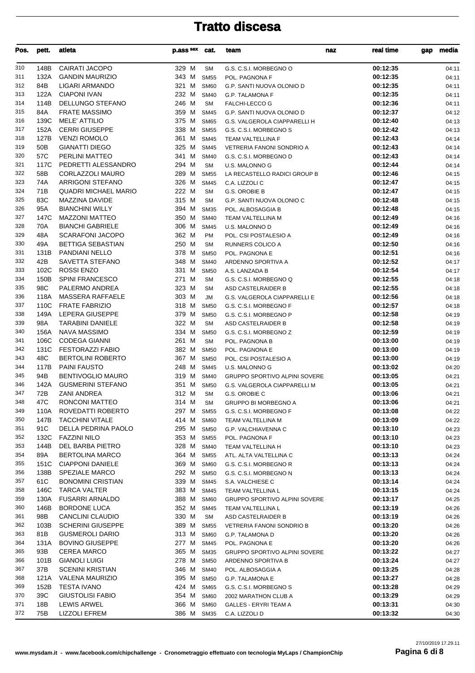| Pos.       | pett.                   | atleta                                        | p.ass sex cat. |                            | team                                                 | naz | real time            | media<br>gap   |
|------------|-------------------------|-----------------------------------------------|----------------|----------------------------|------------------------------------------------------|-----|----------------------|----------------|
| 310        | 148B                    | CAIRATI JACOPO                                | 329 M          | <b>SM</b>                  | G.S. C.S.I. MORBEGNO O                               |     | 00:12:35             | 04:11          |
| 311        | 132A                    | <b>GANDIN MAURIZIO</b>                        | 343 M          | <b>SM55</b>                | POL. PAGNONA F                                       |     | 00:12:35             | 04:11          |
| 312        | 84B                     | LIGARI ARMANDO                                | 321 M          | <b>SM60</b>                | G.P. SANTI NUOVA OLONIO D                            |     | 00:12:35             | 04:11          |
| 313        | 122A                    | <b>CIAPONI IVAN</b>                           | 232 M          | <b>SM40</b>                | <b>G.P. TALAMONA F</b>                               |     | 00:12:35             | 04:11          |
| 314        | 114B                    | DELLUNGO STEFANO                              | 246 M          | <b>SM</b>                  | <b>FALCHI-LECCO G</b>                                |     | 00:12:36             | 04:11          |
| 315        | 84A                     | <b>FRATE MASSIMO</b>                          | 359 M          | <b>SM45</b>                | G.P. SANTI NUOVA OLONIO D                            |     | 00:12:37             | 04:12          |
| 316        | 139C                    | <b>MELE' ATTILIO</b>                          | 375 M          | <b>SM65</b>                | G.S. VALGEROLA CIAPPARELLI H                         |     | 00:12:40             | 04:13          |
| 317        | 152A                    | <b>CERRI GIUSEPPE</b>                         | 338 M          | <b>SM55</b>                | G.S. C.S.I. MORBEGNO S                               |     | 00:12:42             | 04:13          |
| 318<br>319 | 127B<br>50 <sub>B</sub> | <b>VENZI ROMOLO</b><br><b>GIANATTI DIEGO</b>  | 361 M<br>325 M | <b>SM45</b>                | TEAM VALTELLINA F                                    |     | 00:12:43<br>00:12:43 | 04:14          |
| 320        | 57C                     | <b>PERLINI MATTEO</b>                         | 341 M          | <b>SM45</b><br><b>SM40</b> | VETRERIA FANONI SONDRIO A<br>G.S. C.S.I. MORBEGNO D  |     | 00:12:43             | 04:14<br>04:14 |
| 321        | 117C                    | PEDRETTI ALESSANDRO                           | 294 M          | <b>SM</b>                  | U.S. MALONNO G                                       |     | 00:12:44             | 04:14          |
| 322        | 58B                     | CORLAZZOLI MAURO                              | 289 M          | <b>SM55</b>                | LA RECASTELLO RADICI GROUP B                         |     | 00:12:46             | 04:15          |
| 323        | 74A                     | ARRIGONI STEFANO                              | 326 M          | <b>SM45</b>                | C.A. LIZZOLI C                                       |     | 00:12:47             | 04:15          |
| 324        | 71B                     | <b>QUADRI MICHAEL MARIO</b>                   | 222 M          | <b>SM</b>                  | G.S. OROBIE B                                        |     | 00:12:47             | 04:15          |
| 325        | 83C                     | MAZZINA DAVIDE                                | 315 M          | <b>SM</b>                  | G.P. SANTI NUOVA OLONIO C                            |     | 00:12:48             | 04:15          |
| 326        | 95A                     | <b>BIANCHINI WILLY</b>                        | 394 M          | <b>SM35</b>                | POL. ALBOSAGGIA B                                    |     | 00:12:48             | 04:15          |
| 327        | 147C                    | <b>MAZZONI MATTEO</b>                         | 350 M          | <b>SM40</b>                | TEAM VALTELLINA M                                    |     | 00:12:49             | 04:16          |
| 328        | 70A                     | <b>BIANCHI GABRIELE</b>                       | 306 M          | <b>SM45</b>                | U.S. MALONNO D                                       |     | 00:12:49             | 04:16          |
| 329        | 48A                     | <b>SCARAFONI JACOPO</b>                       | 362 M          | <b>PM</b>                  | POL. CSI POSTALESIO A                                |     | 00:12:49             | 04:16          |
| 330        | 49A                     | BETTIGA SEBASTIAN                             | 250 M          | <b>SM</b>                  | RUNNERS COLICO A                                     |     | 00:12:50             | 04:16          |
| 331        | 131B                    | PANDIANI NELLO                                | 378 M          | <b>SM50</b>                | POL. PAGNONA E                                       |     | 00:12:51             | 04:16          |
| 332        | 42B                     | SAVETTA STEFANO                               | 348 M          | <b>SM40</b>                | ARDENNO SPORTIVA A                                   |     | 00:12:52             | 04:17          |
| 333        | 102C                    | <b>ROSSI ENZO</b>                             | 331 M          | <b>SM50</b>                | A.S. LANZADA B                                       |     | 00:12:54             | 04:17          |
| 334        | 150B                    | <b>SPINI FRANCESCO</b>                        | 271 M          | <b>SM</b>                  | G.S. C.S.I. MORBEGNO Q                               |     | 00:12:55             | 04:18          |
| 335        | 98C                     | PALERMO ANDREA                                | 323 M          | <b>SM</b>                  | ASD CASTELRAIDER B                                   |     | 00:12:55             | 04:18          |
| 336<br>337 | 118A<br>110C            | MASSERA RAFFAELE<br><b>FRATE FABRIZIO</b>     | 303 M<br>318 M | JM                         | G.S. VALGEROLA CIAPPARELLI E                         |     | 00:12:56             | 04:18          |
| 338        |                         | 149A LEPERA GIUSEPPE                          | 379 M          | <b>SM50</b><br><b>SM50</b> | G.S. C.S.I. MORBEGNO F<br>G.S. C.S.I. MORBEGNO P     |     | 00:12:57<br>00:12:58 | 04:18<br>04:19 |
| 339        | 98A                     | <b>TARABINI DANIELE</b>                       | 322 M          | <b>SM</b>                  | ASD CASTELRAIDER B                                   |     | 00:12:58             | 04:19          |
| 340        | 156A                    | NAVA MASSIMO                                  | 334 M          | <b>SM50</b>                | G.S. C.S.I. MORBEGNO Z                               |     | 00:12:59             | 04:19          |
| 341        | 106C                    | <b>CODEGA GIANNI</b>                          | 261 M          | <b>SM</b>                  | POL. PAGNONA B                                       |     | 00:13:00             | 04:19          |
| 342        | 131C                    | <b>FESTORAZZI FABIO</b>                       | 382 M          | <b>SM50</b>                | POL. PAGNONA E                                       |     | 00:13:00             | 04:19          |
| 343        | 48C                     | <b>BERTOLINI ROBERTO</b>                      | 367 M          | <b>SM50</b>                | POL. CSI POSTALESIO A                                |     | 00:13:00             | 04:19          |
| 344        | 117B                    | <b>PAINI FAUSTO</b>                           | 248 M          | <b>SM45</b>                | U.S. MALONNO G                                       |     | 00:13:02             | 04:20          |
| 345        | 94B                     | <b>BENTIVOGLIO MAURO</b>                      | 319 M          | <b>SM40</b>                | GRUPPO SPORTIVO ALPINI SOVERE                        |     | 00:13:05             | 04:21          |
| 346        | 142A                    | <b>GUSMERINI STEFANO</b>                      | 351 M          | <b>SM50</b>                | G.S. VALGEROLA CIAPPARELLI M                         |     | 00:13:05             | 04:21          |
| 347        | 72B                     | ZANI ANDREA                                   | 312 M          | <b>SM</b>                  | G.S. OROBIE C                                        |     | 00:13:06             | 04:21          |
| 348        | 47C                     | RONCONI MATTEO                                | 314 M          | SM                         | <b>GRUPPO BI MORBEGNO A</b>                          |     | 00:13:06             | 04:21          |
| 349        | 110A                    | ROVEDATTI ROBERTO                             | 297 M          | <b>SM55</b>                | G.S. C.S.I. MORBEGNO F                               |     | 00:13:08             | 04:22          |
| 350        | 147B                    | <b>TACCHINI VITALE</b>                        | 414 M          | <b>SM60</b>                | TEAM VALTELLINA M                                    |     | 00:13:09             | 04:22          |
| 351        | 91C                     | DELLA PEDRINA PAOLO                           | 295 M          | <b>SM50</b>                | G.P. VALCHIAVENNA C                                  |     | 00:13:10             | 04:23          |
| 352        | 132C<br>144B            | <b>FAZZINI NILO</b><br>DEL BARBA PIETRO       | 353 M          | <b>SM55</b>                | POL. PAGNONA F                                       |     | 00:13:10             | 04:23          |
| 353<br>354 | 89A                     | <b>BERTOLINA MARCO</b>                        | 328 M<br>364 M | <b>SM40</b><br><b>SM55</b> | TEAM VALTELLINA H<br>ATL. ALTA VALTELLINA C          |     | 00:13:10<br>00:13:13 | 04:23<br>04:24 |
| 355        | 151C                    | <b>CIAPPONI DANIELE</b>                       | 369 M          | <b>SM60</b>                | G.S. C.S.I. MORBEGNO R                               |     | 00:13:13             | 04:24          |
| 356        | 138B                    | <b>SPEZIALE MARCO</b>                         | 292 M          | <b>SM50</b>                | G.S. C.S.I. MORBEGNO N                               |     | 00:13:13             | 04:24          |
| 357        | 61C                     | <b>BONOMINI CRISTIAN</b>                      | 339 M          | <b>SM45</b>                | S.A. VALCHIESE C                                     |     | 00:13:14             | 04:24          |
| 358        | 146C                    | <b>TARCA VALTER</b>                           | 383 M          | <b>SM45</b>                | TEAM VALTELLINA L                                    |     | 00:13:15             | 04:24          |
| 359        | 130A                    | <b>FUSARRI ARNALDO</b>                        | 388 M          | <b>SM60</b>                | <b>GRUPPO SPORTIVO ALPINI SOVERE</b>                 |     | 00:13:17             | 04:25          |
| 360        | 146B                    | <b>BORDONE LUCA</b>                           | 352 M          | <b>SM45</b>                | TEAM VALTELLINA L                                    |     | 00:13:19             | 04:26          |
| 361        | 98B                     | CANCLINI CLAUDIO                              | 330 M          | <b>SM</b>                  | ASD CASTELRAIDER B                                   |     | 00:13:19             | 04:26          |
| 362        | 103B                    | <b>SCHERINI GIUSEPPE</b>                      | 389 M          | <b>SM55</b>                | <b>VETRERIA FANONI SONDRIO B</b>                     |     | 00:13:20             | 04:26          |
| 363        | 81B                     | <b>GUSMEROLI DARIO</b>                        | 313 M          | SM60                       | G.P. TALAMONA D                                      |     | 00:13:20             | 04:26          |
| 364        | 131A                    | <b>BOVINO GIUSEPPE</b>                        | 277 M          | <b>SM45</b>                | POL. PAGNONA E                                       |     | 00:13:20             | 04:26          |
| 365        | 93B                     | <b>CEREA MARCO</b>                            | 365 M          | <b>SM35</b>                | <b>GRUPPO SPORTIVO ALPINI SOVERE</b>                 |     | 00:13:22             | 04:27          |
| 366        | 101B                    | <b>GIANOLI LUIGI</b>                          | 278 M          | <b>SM50</b>                | ARDENNO SPORTIVA B                                   |     | 00:13:24             | 04:27          |
| 367        | 37B                     | <b>SCENINI KRISTIAN</b>                       | 346 M          | <b>SM40</b>                | POL. ALBOSAGGIA A                                    |     | 00:13:25             | 04:28          |
| 368        | 121A                    | VALENA MAURIZIO                               | 395 M          | <b>SM50</b>                | <b>G.P. TALAMONA E</b>                               |     | 00:13:27             | 04:28          |
| 369<br>370 | 152B<br>39C             | <b>TESTA IVANO</b><br><b>GIUSTOLISI FABIO</b> | 424 M          | <b>SM65</b>                | G.S. C.S.I. MORBEGNO S                               |     | 00:13:28<br>00:13:29 | 04:29          |
| 371        | 18B                     | <b>LEWIS ARWEL</b>                            | 354 M<br>366 M | <b>SM60</b><br><b>SM60</b> | 2002 MARATHON CLUB A<br><b>GALLES - ERYRI TEAM A</b> |     | 00:13:31             | 04:29<br>04:30 |
| 372        | 75B                     | <b>LIZZOLI EFREM</b>                          | 386 M          | <b>SM35</b>                | C.A. LIZZOLI D                                       |     | 00:13:32             | 04:30          |
|            |                         |                                               |                |                            |                                                      |     |                      |                |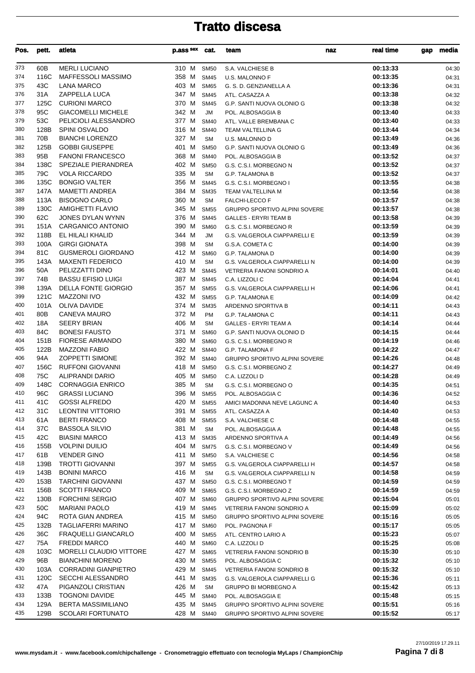| Pos.       | pett.        | atleta                                      | p.ass sex      | cat.                       | team                                                      | naz | real time            | gap | media          |
|------------|--------------|---------------------------------------------|----------------|----------------------------|-----------------------------------------------------------|-----|----------------------|-----|----------------|
| 373        | 60B          | <b>MERLI LUCIANO</b>                        | 310 M          | <b>SM50</b>                | S.A. VALCHIESE B                                          |     | 00:13:33             |     | 04:30          |
| 374        | 116C         | <b>MAFFESSOLI MASSIMO</b>                   | 358 M          | <b>SM45</b>                | U.S. MALONNO F                                            |     | 00:13:35             |     | 04:31          |
| 375        | 43C          | <b>LANA MARCO</b>                           | 403 M          | <b>SM65</b>                | G. S. D. GENZIANELLA A                                    |     | 00:13:36             |     | 04:31          |
| 376        | 31A          | ZAPPELLA LUCA                               | 347 M          | <b>SM45</b>                | ATL. CASAZZA A                                            |     | 00:13:38             |     | 04:32          |
| 377        | 125C         | <b>CURIONI MARCO</b>                        | 370 M          | <b>SM45</b>                | G.P. SANTI NUOVA OLONIO G                                 |     | 00:13:38             |     | 04:32          |
| 378        | 95C          | <b>GIACOMELLI MICHELE</b>                   | 342 M          | <b>JM</b>                  | POL. ALBOSAGGIA B                                         |     | 00:13:40             |     | 04:33          |
| 379        | 53C          | PELICIOLI ALESSANDRO                        | 377 M          | <b>SM40</b>                | ATL. VALLE BREMBANA C                                     |     | 00:13:40             |     | 04:33          |
| 380        | 128B         | <b>SPINI OSVALDO</b>                        | 316 M          | <b>SM40</b>                | TEAM VALTELLINA G                                         |     | 00:13:44             |     | 04:34          |
| 381        | 70B          | <b>BIANCHI LORENZO</b>                      | 327 M          | <b>SM</b>                  | U.S. MALONNO D                                            |     | 00:13:49             |     | 04:36          |
| 382        | 125B         | <b>GOBBI GIUSEPPE</b>                       | 401 M          | <b>SM50</b>                | G.P. SANTI NUOVA OLONIO G                                 |     | 00:13:49             |     | 04:36          |
| 383        | 95B          | <b>FANONI FRANCESCO</b>                     | 368 M          | <b>SM40</b>                | POL. ALBOSAGGIA B                                         |     | 00:13:52             |     | 04:37          |
| 384        | 138C         | SPEZIALE PIERANDREA                         | 402 M          | <b>SM50</b>                | G.S. C.S.I. MORBEGNO N                                    |     | 00:13:52             |     | 04:37          |
| 385        | 79C          | <b>VOLA RICCARDO</b>                        | 335 M          | <b>SM</b>                  | <b>G.P. TALAMONA B</b>                                    |     | 00:13:52             |     | 04:37          |
| 386        | 135C         | <b>BONGIO VALTER</b>                        | 356 M          | <b>SM45</b>                | G.S. C.S.I. MORBEGNO I                                    |     | 00:13:55             |     | 04:38          |
| 387        | 147A         | <b>MAMETTI ANDREA</b>                       | 384 M          | <b>SM35</b>                | TEAM VALTELLINA M                                         |     | 00:13:56             |     | 04:38          |
| 388        | 113A         | <b>BISOGNO CARLO</b>                        | 360 M          | <b>SM</b>                  | <b>FALCHI-LECCO F</b>                                     |     | 00:13:57             |     | 04:38          |
| 389        | 130C         | <b>AMIGHETTI FLAVIO</b>                     | 345 M          | <b>SM55</b>                | <b>GRUPPO SPORTIVO ALPINI SOVERE</b>                      |     | 00:13:57             |     | 04:38          |
| 390        | 62C          | JONES DYLAN WYNN                            | 376 M          | <b>SM45</b>                | <b>GALLES - ERYRI TEAM B</b>                              |     | 00:13:58             |     | 04:39          |
| 391        | 151A         | <b>CARGANICO ANTONIO</b>                    | 390 M          | <b>SM60</b>                | G.S. C.S.I. MORBEGNO R                                    |     | 00:13:59             |     | 04:39          |
| 392        | 118B         | EL HILALI KHALID                            | 344 M          | <b>JM</b>                  | G.S. VALGEROLA CIAPPARELLI E                              |     | 00:13:59             |     | 04:39          |
| 393<br>394 | 100A         | <b>GIRGI GIONATA</b>                        | 398 M          | <b>SM</b>                  | G.S.A. COMETA C                                           |     | 00:14:00             |     | 04:39          |
|            | 81C          | <b>GUSMEROLI GIORDANO</b>                   | 412 M          | <b>SM60</b>                | <b>G.P. TALAMONA D</b>                                    |     | 00:14:00             |     | 04:39          |
| 395<br>396 | 143A         | <b>MAXENTI FEDERICO</b><br>PELIZZATTI DINO  | 410 M          | <b>SM</b>                  | G.S. VALGEROLA CIAPPARELLI N                              |     | 00:14:00             |     | 04:39          |
| 397        | 50A<br>74B   | <b>BASSU EFISIO LUIGI</b>                   | 423 M<br>387 M | <b>SM45</b><br><b>SM45</b> | <b>VETRERIA FANONI SONDRIO A</b>                          |     | 00:14:01<br>00:14:04 |     | 04:40          |
| 398        | 139A         | <b>DELLA FONTE GIORGIO</b>                  | 357 M          | <b>SM55</b>                | C.A. LIZZOLI C                                            |     | 00:14:06             |     | 04:41          |
| 399        | 121C         | <b>MAZZONI IVO</b>                          | 432 M          | <b>SM55</b>                | G.S. VALGEROLA CIAPPARELLI H<br><b>G.P. TALAMONA E</b>    |     | 00:14:09             |     | 04:41<br>04:42 |
| 400        | 101A         | <b>OLIVA DAVIDE</b>                         | 374 M          | <b>SM35</b>                | ARDENNO SPORTIVA B                                        |     | 00:14:11             |     | 04:43          |
| 401        | 80B          | <b>CANEVA MAURO</b>                         | 372 M          | <b>PM</b>                  | G.P. TALAMONA C                                           |     | 00:14:11             |     | 04:43          |
| 402        | 18A          | <b>SEERY BRIAN</b>                          | 406 M          | <b>SM</b>                  | <b>GALLES - ERYRI TEAM A</b>                              |     | 00:14:14             |     | 04:44          |
| 403        | 84C          | <b>BONESI FAUSTO</b>                        | 371 M          | <b>SM60</b>                | G.P. SANTI NUOVA OLONIO D                                 |     | 00:14:15             |     | 04:44          |
| 404        | 151B         | <b>FIORESE ARMANDO</b>                      | 380 M          | <b>SM60</b>                | G.S. C.S.I. MORBEGNO R                                    |     | 00:14:19             |     | 04:46          |
| 405        | 122B         | <b>MAZZONI FABIO</b>                        | 422 M          | <b>SM40</b>                | <b>G.P. TALAMONA F</b>                                    |     | 00:14:22             |     | 04:47          |
| 406        | 94A          | <b>ZOPPETTI SIMONE</b>                      | 392 M          | <b>SM40</b>                | GRUPPO SPORTIVO ALPINI SOVERE                             |     | 00:14:26             |     | 04:48          |
| 407        | 156C         | <b>RUFFONI GIOVANNI</b>                     | 418 M          | <b>SM50</b>                | G.S. C.S.I. MORBEGNO Z                                    |     | 00:14:27             |     | 04:49          |
| 408        | 75C          | ALIPRANDI DARIO                             | 405 M          | <b>SM50</b>                | C.A. LIZZOLI D                                            |     | 00:14:28             |     | 04:49          |
| 409        | 148C         | <b>CORNAGGIA ENRICO</b>                     | 385 M          | <b>SM</b>                  | G.S. C.S.I. MORBEGNO O                                    |     | 00:14:35             |     | 04:51          |
| 410        | 96C          | <b>GRASSI LUCIANO</b>                       | 396 M SM55     |                            | POL. ALBOSAGGIA C                                         |     | 00:14:36             |     | 04:52          |
| 411        | 41C          | <b>GOSSI ALFREDO</b>                        | 420 M          | <b>SM55</b>                | AMICI MADONNA NEVE LAGUNC A                               |     | 00:14:40             |     | 04:53          |
| 412        | 31C          | <b>LEONTINI VITTORIO</b>                    | 391 M          | <b>SM55</b>                | ATL. CASAZZA A                                            |     | 00:14:40             |     | 04:53          |
| 413        | 61A          | <b>BERTI FRANCO</b>                         | 408 M          | <b>SM55</b>                | S.A. VALCHIESE C                                          |     | 00:14:48             |     | 04:55          |
| 414        | 37C          | <b>BASSOLA SILVIO</b>                       | 381 M          | <b>SM</b>                  | POL. ALBOSAGGIA A                                         |     | 00:14:48             |     | 04:55          |
| 415        | 42C          | <b>BIASINI MARCO</b>                        | 413 M          | <b>SM35</b>                | ARDENNO SPORTIVA A                                        |     | 00:14:49             |     | 04:56          |
| 416        | 155B         | <b>VOLPINI DUILIO</b>                       | 404 M          | <b>SM75</b>                | G.S. C.S.I. MORBEGNO V                                    |     | 00:14:49             |     | 04:56          |
| 417        | 61B          | <b>VENDER GINO</b>                          | 411 M          | <b>SM50</b>                | S.A. VALCHIESE C                                          |     | 00:14:56             |     | 04:58          |
| 418        | 139B         | <b>TROTTI GIOVANNI</b>                      | 397 M          | <b>SM55</b>                | G.S. VALGEROLA CIAPPARELLI H                              |     | 00:14:57             |     | 04:58          |
| 419        | 143B         | <b>BONINI MARCO</b>                         | 416 M          | <b>SM</b>                  | G.S. VALGEROLA CIAPPARELLI N                              |     | 00:14:58             |     | 04:59          |
| 420        | 153B         | <b>TARCHINI GIOVANNI</b>                    | 437 M          | <b>SM50</b>                | G.S. C.S.I. MORBEGNO T                                    |     | 00:14:59             |     | 04:59          |
| 421        | 156B         | <b>SCOTTI FRANCO</b>                        | 409 M          | <b>SM65</b>                | G.S. C.S.I. MORBEGNO Z                                    |     | 00:14:59             |     | 04:59          |
| 422        | 130B         | <b>FORCHINI SERGIO</b>                      | 407 M          | <b>SM60</b>                | <b>GRUPPO SPORTIVO ALPINI SOVERE</b>                      |     | 00:15:04             |     | 05:01          |
| 423        | 50C          | <b>MARIANI PAOLO</b>                        | 419 M          | <b>SM45</b>                | VETRERIA FANONI SONDRIO A                                 |     | 00:15:09             |     | 05:02          |
| 424        | 94C          | ROTA GIAN ANDREA                            | 415 M          | <b>SM50</b>                | <b>GRUPPO SPORTIVO ALPINI SOVERE</b>                      |     | 00:15:16             |     | 05:05          |
| 425        | 132B         | TAGLIAFERRI MARINO                          | 417 M          | <b>SM60</b>                | POL. PAGNONA F                                            |     | 00:15:17             |     | 05:05          |
| 426        | 36C          | <b>FRAQUELLI GIANCARLO</b>                  | 400 M          | <b>SM55</b>                | ATL. CENTRO LARIO A                                       |     | 00:15:23             |     | 05:07          |
| 427        | 75A          | <b>FREDDI MARCO</b>                         | 440 M          | <b>SM60</b>                | C.A. LIZZOLI D                                            |     | 00:15:25             |     | 05:08          |
| 428        | 103C         | MORELLI CLAUDIO VITTORE                     | 427 M          | <b>SM65</b>                | VETRERIA FANONI SONDRIO B                                 |     | 00:15:30             |     | 05:10          |
| 429        | 96B          | <b>BIANCHINI MORENO</b>                     | 430 M          | <b>SM55</b>                | POL. ALBOSAGGIA C                                         |     | 00:15:32             |     | 05:10          |
| 430        | 103A         | <b>CORRADINI GIANPIETRO</b>                 | 429 M          | <b>SM45</b>                | VETRERIA FANONI SONDRIO B                                 |     | 00:15:32             |     | 05:10          |
| 431        | 120C         | <b>SECCHI ALESSANDRO</b>                    | 441 M          | <b>SM35</b>                | G.S. VALGEROLA CIAPPARELLI G                              |     | 00:15:36             |     | 05:11          |
| 432<br>433 | 47A          | PIGANZOLI CRISTIAN<br><b>TOGNONI DAVIDE</b> | 426 M          | <b>SM</b>                  | GRUPPO BI MORBEGNO A                                      |     | 00:15:42             |     | 05:13          |
| 434        | 133B<br>129A | <b>BERTA MASSIMILIANO</b>                   | 445 M<br>435 M | <b>SM40</b><br><b>SM45</b> | POL. ALBOSAGGIA E<br><b>GRUPPO SPORTIVO ALPINI SOVERE</b> |     | 00:15:48<br>00:15:51 |     | 05:15<br>05:16 |
| 435        | 129B         | <b>SCOLARI FORTUNATO</b>                    | 428 M          | <b>SM40</b>                | GRUPPO SPORTIVO ALPINI SOVERE                             |     | 00:15:52             |     | 05:17          |
|            |              |                                             |                |                            |                                                           |     |                      |     |                |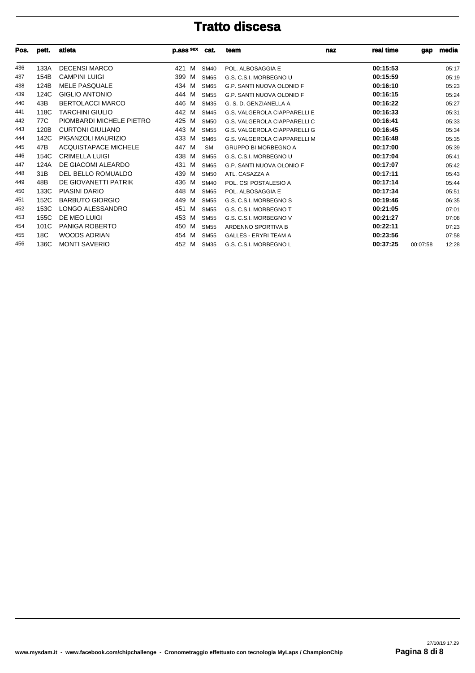| Pos. | pett.           | atleta                      | p.ass sex | cat.             | team                                | naz | real time | gap      | media |
|------|-----------------|-----------------------------|-----------|------------------|-------------------------------------|-----|-----------|----------|-------|
| 436  | 133A            | <b>DECENSI MARCO</b>        | 421<br>M  | <b>SM40</b>      | POL. ALBOSAGGIA E                   |     | 00:15:53  |          | 05:17 |
| 437  | 154B            | <b>CAMPINI LUIGI</b>        | 399<br>M  | <b>SM65</b>      | G.S. C.S.I. MORBEGNO U              |     | 00:15:59  |          | 05:19 |
| 438  | 124B            | <b>MELE PASQUALE</b>        | 434 M     | <b>SM65</b>      | G.P. SANTI NUOVA OLONIO F           |     | 00:16:10  |          | 05:23 |
| 439  | 124C            | <b>GIGLIO ANTONIO</b>       | 444<br>M  | <b>SM55</b>      | G.P. SANTI NUOVA OLONIO F           |     | 00:16:15  |          | 05:24 |
| 440  | 43B             | <b>BERTOLACCI MARCO</b>     | 446<br>M  | <b>SM35</b>      | G. S. D. GENZIANELLA A              |     | 00:16:22  |          | 05:27 |
| 441  | 118C            | <b>TARCHINI GIULIO</b>      | 442 M     | <b>SM45</b>      | <b>G.S. VALGEROLA CIAPPARELLI E</b> |     | 00:16:33  |          | 05:31 |
| 442  | 77C             | PIOMBARDI MICHELE PIETRO    | 425<br>M  | <b>SM50</b>      | G.S. VALGEROLA CIAPPARELLI C        |     | 00:16:41  |          | 05:33 |
| 443  | 120B            | <b>CURTONI GIULIANO</b>     | 443 M     | <b>SM55</b>      | G.S. VALGEROLA CIAPPARELLI G        |     | 00:16:45  |          | 05:34 |
| 444  | 142C            | PIGANZOLI MAURIZIO          | 433 M     | <b>SM65</b>      | G.S. VALGEROLA CIAPPARELLI M        |     | 00:16:48  |          | 05:35 |
| 445  | 47B             | <b>ACQUISTAPACE MICHELE</b> | 447<br>M  | <b>SM</b>        | <b>GRUPPO BI MORBEGNO A</b>         |     | 00:17:00  |          | 05:39 |
| 446  | 154C            | <b>CRIMELLA LUIGI</b>       | 438 M     | <b>SM55</b>      | G.S. C.S.I. MORBEGNO U              |     | 00:17:04  |          | 05:41 |
| 447  | 124A            | DE GIACOMI ALEARDO          | 431<br>M  | <b>SM65</b>      | G.P. SANTI NUOVA OLONIO F           |     | 00:17:07  |          | 05:42 |
| 448  | 31 <sub>B</sub> | DEL BELLO ROMUALDO          | 439 M     | SM <sub>50</sub> | ATL. CASAZZA A                      |     | 00:17:11  |          | 05:43 |
| 449  | 48B             | DE GIOVANETTI PATRIK        | 436<br>M  | <b>SM40</b>      | POL. CSI POSTALESIO A               |     | 00:17:14  |          | 05:44 |
| 450  | 133C            | PIASINI DARIO               | 448<br>M  | <b>SM65</b>      | POL. ALBOSAGGIA E                   |     | 00:17:34  |          | 05:51 |
| 451  | 152C            | <b>BARBUTO GIORGIO</b>      | 449<br>M  | <b>SM55</b>      | G.S. C.S.I. MORBEGNO S              |     | 00:19:46  |          | 06:35 |
| 452  | 153C            | LONGO ALESSANDRO            | 451<br>M  | <b>SM55</b>      | G.S. C.S.I. MORBEGNO T              |     | 00:21:05  |          | 07:01 |
| 453  | 155C            | DE MEO LUIGI                | 453 M     | <b>SM55</b>      | G.S. C.S.I. MORBEGNO V              |     | 00:21:27  |          | 07:08 |
| 454  | 101C            | PANIGA ROBERTO              | 450<br>M  | <b>SM55</b>      | ARDENNO SPORTIVA B                  |     | 00:22:11  |          | 07:23 |
| 455  | 18C             | WOODS ADRIAN                | 454<br>M  | <b>SM55</b>      | <b>GALLES - ERYRI TEAM A</b>        |     | 00:23:56  |          | 07:58 |
| 456  | 136C            | <b>MONTI SAVERIO</b>        | 452<br>M  | <b>SM35</b>      | G.S. C.S.I. MORBEGNO L              |     | 00:37:25  | 00:07:58 | 12:28 |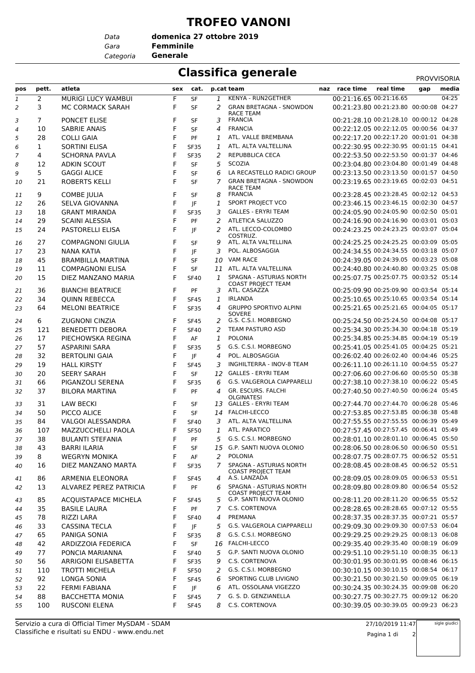### **TROFEO VANONI**

*Data*

*Gara* **Femminile domenica 27 ottobre 2019**

*Categoria* **Generale**

### **Classifica generale** PROVVISORIA

|                |                |                             |     |             |   |                                                      |                                        |           | <b>PROVVISORIA</b> |       |
|----------------|----------------|-----------------------------|-----|-------------|---|------------------------------------------------------|----------------------------------------|-----------|--------------------|-------|
| pos            | pett.          | atleta                      | sex | cat.        |   | p.cat team                                           | naz race time                          | real time | gap                | media |
| 1              | 2              | MURIGI LUCY WAMBUI          | F   | <b>SF</b>   | 1 | KENYA - RUN2GETHER                                   | 00:21:16.65 00:21:16.65                |           |                    | 04:25 |
| 2              | 3              | MC CORMACK SARAH            | F   | SF          | 2 | <b>GRAN BRETAGNA - SNOWDON</b><br><b>RACE TEAM</b>   | 00:21:23.80 00:21:23.80 00:00:08 04:27 |           |                    |       |
| 3              | $\overline{7}$ | PONCET ELISE                | F   | <b>SF</b>   | 3 | <b>FRANCIA</b>                                       | 00:21:28.10 00:21:28.10 00:00:12 04:28 |           |                    |       |
| 4              | 10             | <b>SABRIE ANAIS</b>         | F   | SF          | 4 | <b>FRANCIA</b>                                       | 00:22:12.05 00:22:12.05 00:00:56 04:37 |           |                    |       |
| 5              | 28             | <b>COLLI GAIA</b>           | F   | PF          | 1 | ATL. VALLE BREMBANA                                  | 00:22:17.20 00:22:17.20 00:01:01 04:38 |           |                    |       |
| 6              | 1              | <b>SORTINI ELISA</b>        | F   | <b>SF35</b> | 1 | ATL. ALTA VALTELLINA                                 | 00:22:30.95 00:22:30.95 00:01:15 04:41 |           |                    |       |
| $\overline{7}$ | 4              | <b>SCHORNA PAVLA</b>        | F   | <b>SF35</b> | 2 | REPUBBLICA CECA                                      | 00:22:53.50 00:22:53.50 00:01:37 04:46 |           |                    |       |
| 8              | 12             | <b>ADKIN SCOUT</b>          | F   | <b>SF</b>   | 5 | SCOZIA                                               | 00:23:04.80 00:23:04.80 00:01:49 04:48 |           |                    |       |
| 9              | 5              | <b>GAGGI ALICE</b>          | F   | <b>SF</b>   | 6 | LA RECASTELLO RADICI GROUP                           | 00:23:13.50 00:23:13.50 00:01:57 04:50 |           |                    |       |
| 10             | 21             | <b>ROBERTS KELLI</b>        | F   | <b>SF</b>   | 7 | <b>GRAN BRETAGNA - SNOWDON</b><br><b>RACE TEAM</b>   | 00:23:19.65 00:23:19.65 00:02:03 04:51 |           |                    |       |
| 11             | 9              | <b>COMBE JULIA</b>          | F   | SF          | 8 | <b>FRANCIA</b>                                       | 00:23:28.45 00:23:28.45 00:02:12 04:53 |           |                    |       |
| 12             | 26             | SELVA GIOVANNA              | F   | JF          | 1 | SPORT PROJECT VCO                                    | 00:23:46.15 00:23:46.15 00:02:30 04:57 |           |                    |       |
| 13             | 18             | <b>GRANT MIRANDA</b>        | F   | <b>SF35</b> | 3 | <b>GALLES - ERYRI TEAM</b>                           | 00:24:05.90 00:24:05.90 00:02:50 05:01 |           |                    |       |
| 14             | 29             | <b>SCAINI ALESSIA</b>       | F   | PF          | 2 | ATLETICA SALUZZO                                     | 00:24:16.90 00:24:16.90 00:03:01 05:03 |           |                    |       |
| 15             | 24             | PASTORELLI ELISA            | F   | JF          | 2 | ATL. LECCO-COLOMBO                                   | 00:24:23.25 00:24:23.25 00:03:07 05:04 |           |                    |       |
|                |                |                             |     |             |   | COSTRUZ.                                             |                                        |           |                    |       |
| 16             | 27             | <b>COMPAGNONI GIULIA</b>    | F   | SF          | 9 | ATL. ALTA VALTELLINA                                 | 00:24:25.25 00:24:25.25 00:03:09 05:05 |           |                    |       |
| 17             | 23             | <b>NANA KATIA</b>           | F   | JF          | 3 | POL. ALBOSAGGIA                                      | 00:24:34.55 00:24:34.55 00:03:18 05:07 |           |                    |       |
| 18             | 45             | <b>BRAMBILLA MARTINA</b>    | F   | SF          |   | 10 VAM RACE                                          | 00:24:39.05 00:24:39.05 00:03:23 05:08 |           |                    |       |
| 19             | 11             | <b>COMPAGNONI ELISA</b>     | F   | <b>SF</b>   |   | 11 ATL. ALTA VALTELLINA                              | 00:24:40.80 00:24:40.80 00:03:25 05:08 |           |                    |       |
| 20             | 15             | DIEZ MANZANO MARIA          | F   | <b>SF40</b> | 1 | SPAGNA - ASTURIAS NORTH<br><b>COAST PROJECT TEAM</b> | 00:25:07.75 00:25:07.75 00:03:52 05:14 |           |                    |       |
| 21             | 36             | <b>BIANCHI BEATRICE</b>     | F   | PF          |   | 3 ATL. CASAZZA                                       | 00:25:09.90 00:25:09.90 00:03:54 05:14 |           |                    |       |
| 22             | 34             | <b>QUINN REBECCA</b>        | F   | <b>SF45</b> | 1 | <b>IRLANDA</b>                                       | 00:25:10.65 00:25:10.65 00:03:54 05:14 |           |                    |       |
| 23             | 64             | <b>MELONI BEATRICE</b>      | F   | <b>SF35</b> | 4 | <b>GRUPPO SPORTIVO ALPINI</b><br>SOVERE              | 00:25:21.65 00:25:21.65 00:04:05 05:17 |           |                    |       |
| 24             | 6              | <b>ZUGNONI CINZIA</b>       | F   | <b>SF45</b> | 2 | G.S. C.S.I. MORBEGNO                                 | 00:25:24.50 00:25:24.50 00:04:08 05:17 |           |                    |       |
| 25             | 121            | <b>BENEDETTI DEBORA</b>     | F   | <b>SF40</b> | 2 | TEAM PASTURO ASD                                     | 00:25:34.30 00:25:34.30 00:04:18 05:19 |           |                    |       |
| 26             | 17             | PIECHOWSKA REGINA           | F   | AF          | 1 | <b>POLONIA</b>                                       | 00:25:34.85 00:25:34.85 00:04:19 05:19 |           |                    |       |
| 27             | 57             | <b>ASPARINI SARA</b>        | F   | <b>SF35</b> | 5 | G.S. C.S.I. MORBEGNO                                 | 00:25:41.05 00:25:41.05 00:04:25 05:21 |           |                    |       |
| 28             | 32             | <b>BERTOLINI GAIA</b>       | F   | JF          | 4 | POL. ALBOSAGGIA                                      | 00:26:02.40 00:26:02.40 00:04:46 05:25 |           |                    |       |
| 29             | 19             | <b>HALL KIRSTY</b>          | F   | <b>SF45</b> | 3 | INGHILTERRA - INOV-8 TEAM                            | 00:26:11.10 00:26:11.10 00:04:55 05:27 |           |                    |       |
| 30             | 20             | <b>SEERY SARAH</b>          | F   | <b>SF</b>   |   | 12 GALLES - ERYRI TEAM                               | 00:27:06.60 00:27:06.60 00:05:50 05:38 |           |                    |       |
| 31             | 66             | PIGANZOLI SERENA            | F   | <b>SF35</b> | 6 | G.S. VALGEROLA CIAPPARELLI                           | 00:27:38.10 00:27:38.10 00:06:22 05:45 |           |                    |       |
| 32             | 37             | <b>BILORA MARTINA</b>       | F   | PF          | 4 | GR. ESCURS. FALCHI<br><b>OLGINATESI</b>              | 00:27:40.50 00:27:40.50 00:06:24 05:45 |           |                    |       |
| 33             | 31             | <b>LAW BECKI</b>            | F   | SF          |   | 13 GALLES - ERYRI TEAM                               | 00:27:44.70 00:27:44.70 00:06:28 05:46 |           |                    |       |
| 34             | 50             | PICCO ALICE                 | F   | <b>SF</b>   |   | 14 FALCHI-LECCO                                      | 00:27:53.85 00:27:53.85 00:06:38 05:48 |           |                    |       |
| 35             | 84             | VALGOI ALESSANDRA           | F   | <b>SF40</b> | 3 | ATL. ALTA VALTELLINA                                 | 00:27:55.55 00:27:55.55 00:06:39 05:49 |           |                    |       |
| 36             | 107            | MAZZUCCHELLI PAOLA          | F   | <b>SF50</b> |   | 1 ATL. PARATICO                                      | 00:27:57.45 00:27:57.45 00:06:41 05:49 |           |                    |       |
| 37             | 38             | <b>BULANTI STEFANIA</b>     | F   | PF          | 5 | G.S. C.S.I. MORBEGNO                                 | 00:28:01.10 00:28:01.10 00:06:45 05:50 |           |                    |       |
| 38             | 43             | <b>BARRI ILARIA</b>         | F   | SF          |   | 15 G.P. SANTI NUOVA OLONIO                           | 00:28:06.50 00:28:06.50 00:06:50 05:51 |           |                    |       |
| 39             | 8              | <b>WEGRYN MONIKA</b>        | F   | AF          | 2 | <b>POLONIA</b>                                       | 00:28:07.75 00:28:07.75 00:06:52 05:51 |           |                    |       |
| 40             | 16             | DIEZ MANZANO MARTA          | F   | <b>SF35</b> | 7 | SPAGNA - ASTURIAS NORTH<br><b>COAST PROJECT TEAM</b> | 00:28:08.45 00:28:08.45 00:06:52 05:51 |           |                    |       |
| 41             | 86             | ARMENIA ELEONORA            | F   | <b>SF45</b> |   | 4 A.S. LANZADA                                       | 00:28:09.05 00:28:09.05 00:06:53 05:51 |           |                    |       |
| 42             | 13             | ALVAREZ PEREZ PATRICIA      | F   | PF          | 6 | SPAGNA - ASTURIAS NORTH<br><b>COAST PROJECT TEAM</b> | 00:28:09.80 00:28:09.80 00:06:54 05:52 |           |                    |       |
| 43             | 85             | <b>ACQUISTAPACE MICHELA</b> | F   | <b>SF45</b> | 5 | G.P. SANTI NUOVA OLONIO                              | 00:28:11.20 00:28:11.20 00:06:55 05:52 |           |                    |       |
| 44             | 35             | <b>BASILE LAURA</b>         | F   | PF          |   | 7 C.S. CORTENOVA                                     | 00:28:28.65 00:28:28.65 00:07:12 05:55 |           |                    |       |
| 45             | 78             | RIZZI LARA                  | F   | <b>SF40</b> | 4 | PREMANA                                              | 00:28:37.35 00:28:37.35 00:07:21 05:57 |           |                    |       |
| 46             | 33             | <b>CASSINA TECLA</b>        | F   | JF          | 5 | G.S. VALGEROLA CIAPPARELLI                           | 00:29:09.30 00:29:09.30 00:07:53 06:04 |           |                    |       |
| 47             | 65             | PANIGA SONIA                | F   | <b>SF35</b> | 8 | G.S. C.S.I. MORBEGNO                                 | 00:29:29.25 00:29:29.25 00:08:13 06:08 |           |                    |       |
| 48             | 42             | ARDIZZOIA FEDERICA          | F   | SF          |   | 16 FALCHI-LECCO                                      | 00:29:35.40 00:29:35.40 00:08:19 06:09 |           |                    |       |
| 49             | 77             | PONCIA MARIANNA             | F   | <b>SF40</b> | 5 | G.P. SANTI NUOVA OLONIO                              | 00:29:51.10 00:29:51.10 00:08:35 06:13 |           |                    |       |
| 50             | 56             | ARRIGONI ELISABETTA         | F   | <b>SF35</b> | 9 | C.S. CORTENOVA                                       | 00:30:01.95 00:30:01.95 00:08:46 06:15 |           |                    |       |
| 51             | 110            | <b>TROTTI MICHELA</b>       | F   | <b>SF50</b> | 2 | G.S. C.S.I. MORBEGNO                                 | 00:30:10.15 00:30:10.15 00:08:54 06:17 |           |                    |       |
| 52             | 92             | LONGA SONIA                 | F   | <b>SF45</b> | 6 | SPORTING CLUB LIVIGNO                                | 00:30:21.50 00:30:21.50 00:09:05 06:19 |           |                    |       |
| 53             | 22             | FERMI FABIANA               | F   | JF          | 6 | ATL. OSSOLANA VIGEZZO                                | 00:30:24.35 00:30:24.35 00:09:08 06:20 |           |                    |       |
| 54             | 88             | <b>BACCHETTA MONIA</b>      | F   | <b>SF45</b> | 7 | G. S. D. GENZIANELLA                                 | 00:30:27.75 00:30:27.75 00:09:12 06:20 |           |                    |       |
| 55             | 100            | <b>RUSCONI ELENA</b>        | F   | <b>SF45</b> |   | 8 C.S. CORTENOVA                                     | 00:30:39.05 00:30:39.05 00:09:23 06:23 |           |                    |       |
|                |                |                             |     |             |   |                                                      |                                        |           |                    |       |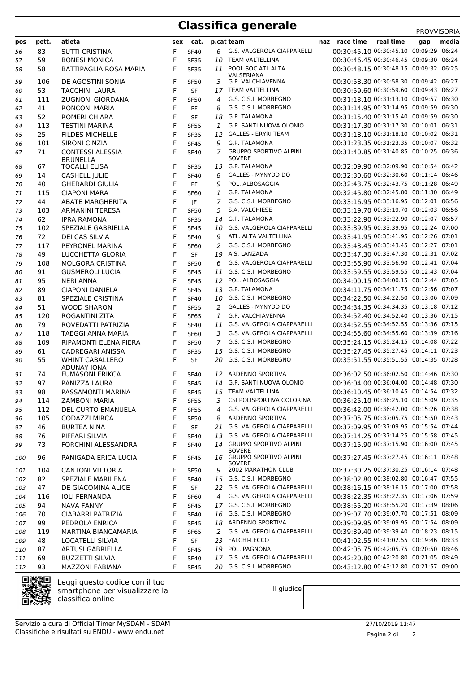# **Classifica generale** PROVVISORIA

| pos | pett.     | atleta                                       |        | sex cat.                   |                    | p.cat team                                   | naz race time                                                                    | real time | gap | media |
|-----|-----------|----------------------------------------------|--------|----------------------------|--------------------|----------------------------------------------|----------------------------------------------------------------------------------|-----------|-----|-------|
| 56  | 83        | <b>SUTTI CRISTINA</b>                        | F      | <b>SF40</b>                | 6                  | <b>G.S. VALGEROLA CIAPPARELLI</b>            | 00:30:45.10 00:30:45.10 00:09:29 06:24                                           |           |     |       |
| 57  | 59        | <b>BONESI MONICA</b>                         | F      | <b>SF35</b>                | 10                 | <b>TEAM VALTELLINA</b>                       | 00:30:46.45 00:30:46.45 00:09:30 06:24                                           |           |     |       |
| 58  | 58        | <b>BATTIPAGLIA ROSA MARIA</b>                | F      | <b>SF35</b>                | 11                 | POOL SOC.ATL.ALTA                            | 00:30:48.15 00:30:48.15 00:09:32 06:25                                           |           |     |       |
|     |           |                                              |        |                            |                    | VALSERIANA                                   |                                                                                  |           |     |       |
| 59  | 106       | DE AGOSTINI SONIA                            | F      | <b>SF50</b>                | 3                  | G.P. VALCHIAVENNA                            | 00:30:58.30 00:30:58.30 00:09:42 06:27                                           |           |     |       |
| 60  | 53        | <b>TACCHINI LAURA</b>                        | F      | SF                         |                    | 17 TEAM VALTELLINA                           | 00:30:59.60 00:30:59.60 00:09:43 06:27                                           |           |     |       |
| 61  | 111       | <b>ZUGNONI GIORDANA</b>                      | F      | <b>SF50</b>                | 4                  | G.S. C.S.I. MORBEGNO                         | 00:31:13.10 00:31:13.10 00:09:57 06:30                                           |           |     |       |
| 62  | 41        | <b>RONCONI MARIA</b>                         | F      | PF                         | 8                  | G.S. C.S.I. MORBEGNO<br><b>G.P. TALAMONA</b> | 00:31:14.95 00:31:14.95 00:09:59 06:30<br>00:31:15.40 00:31:15.40 00:09:59 06:30 |           |     |       |
| 63  | 52        | ROMERI CHIARA<br><b>TESTINI MARINA</b>       | F      | <b>SF</b>                  | 18                 | G.P. SANTI NUOVA OLONIO                      | 00:31:17.30 00:31:17.30 00:10:01 06:31                                           |           |     |       |
| 64  | 113<br>25 | <b>FILDES MICHELLE</b>                       | F<br>F | <b>SF55</b>                | $\mathbf{1}$<br>12 | <b>GALLES - ERYRI TEAM</b>                   | 00:31:18.10 00:31:18.10 00:10:02 06:31                                           |           |     |       |
| 65  | 101       | <b>SIRONI CINZIA</b>                         | F      | <b>SF35</b><br><b>SF45</b> | 9                  | G.P. TALAMONA                                | 00:31:23.35 00:31:23.35 00:10:07 06:32                                           |           |     |       |
| 66  | 71        | <b>CONTESSI ALESSIA</b>                      | F      | <b>SF40</b>                | $7^{\circ}$        | <b>GRUPPO SPORTIVO ALPINI</b>                | 00:31:40.85 00:31:40.85 00:10:25 06:36                                           |           |     |       |
| 67  |           | <b>BRUNELLA</b>                              |        |                            |                    | SOVERE                                       |                                                                                  |           |     |       |
| 68  | 67        | <b>TOCALLI ELISA</b>                         | F      | <b>SF35</b>                |                    | 13 G.P. TALAMONA                             | 00:32:09.90 00:32:09.90 00:10:54 06:42                                           |           |     |       |
| 69  | 14        | <b>CASHELL JULIE</b>                         | F      | <b>SF40</b>                | 8                  | <b>GALLES - MYNYDD DO</b>                    | 00:32:30.60 00:32:30.60 00:11:14 06:46                                           |           |     |       |
| 70  | 40        | <b>GHERARDI GIULIA</b>                       | F      | PF                         | 9                  | POL. ALBOSAGGIA                              | 00:32:43.75 00:32:43.75 00:11:28 06:49                                           |           |     |       |
| 71  | 115       | <b>CIAPONI MARA</b>                          | F      | <b>SF60</b>                | 1                  | <b>G.P. TALAMONA</b>                         | 00:32:45.80 00:32:45.80 00:11:30 06:49                                           |           |     |       |
| 72  | 44        | <b>ABATE MARGHERITA</b>                      | F      | JF                         | 7                  | G.S. C.S.I. MORBEGNO                         | 00:33:16.95 00:33:16.95 00:12:01 06:56                                           |           |     |       |
| 73  | 103       | <b>ARMANINI TERESA</b>                       | F      | <b>SF50</b>                | 5                  | S.A. VALCHIESE                               | 00:33:19.70 00:33:19.70 00:12:03 06:56                                           |           |     |       |
| 74  | 62        | <b>IPRA RAMONA</b>                           | F      | <b>SF35</b>                |                    | 14 G.P. TALAMONA                             | 00:33:22.90 00:33:22.90 00:12:07 06:57                                           |           |     |       |
| 75  | 102       | SPEZIALE GABRIELLA                           | F      | <b>SF45</b>                |                    | 10 G.S. VALGEROLA CIAPPARELLI                | 00:33:39.95 00:33:39.95 00:12:24 07:00                                           |           |     |       |
| 76  | 72        | DEI CAS SILVIA                               | F      | <b>SF40</b>                | 9                  | ATL. ALTA VALTELLINA                         | 00:33:41.95 00:33:41.95 00:12:26 07:01                                           |           |     |       |
| 77  | 117       | PEYRONEL MARINA                              | F      | <b>SF60</b>                | 2                  | G.S. C.S.I. MORBEGNO                         | 00:33:43.45 00:33:43.45 00:12:27 07:01                                           |           |     |       |
| 78  | 49        | LUCCHETTA GLORIA                             | F      | <b>SF</b>                  |                    | 19 A.S. LANZADA                              | 00:33:47.30 00:33:47.30 00:12:31 07:02                                           |           |     |       |
| 79  | 108       | MOLGORA CRISTINA                             | F      | <b>SF50</b>                | 6                  | <b>G.S. VALGEROLA CIAPPARELLI</b>            | 00:33:56.90 00:33:56.90 00:12:41 07:04                                           |           |     |       |
| 80  | 91        | <b>GUSMEROLI LUCIA</b>                       | F      | <b>SF45</b>                |                    | 11 G.S. C.S.I. MORBEGNO                      | 00:33:59.55 00:33:59.55 00:12:43 07:04                                           |           |     |       |
| 81  | 95        | <b>NERI ANNA</b>                             | F      | <b>SF45</b>                | 12                 | POL. ALBOSAGGIA                              | 00:34:00.15 00:34:00.15 00:12:44 07:05                                           |           |     |       |
| 82  | 89        | <b>CIAPONI DANIELA</b>                       | F      | <b>SF45</b>                |                    | 13 G.P. TALAMONA                             | 00:34:11.75 00:34:11.75 00:12:56 07:07                                           |           |     |       |
| 83  | 81        | SPEZIALE CRISTINA                            | F      | <b>SF40</b>                |                    | 10 G.S. C.S.I. MORBEGNO                      | 00:34:22.50 00:34:22.50 00:13:06 07:09                                           |           |     |       |
| 84  | 51        | <b>WOOD SHARON</b>                           | F      | <b>SF55</b>                | 2                  | <b>GALLES - MYNYDD DO</b>                    | 00:34:34.35 00:34:34.35 00:13:18 07:12                                           |           |     |       |
| 85  | 120       | ROGANTINI ZITA                               | F      | <b>SF65</b>                | 1                  | G.P. VALCHIAVENNA                            | 00:34:52.40 00:34:52.40 00:13:36 07:15                                           |           |     |       |
| 86  | 79        | ROVEDATTI PATRIZIA                           | F      | <b>SF40</b>                |                    | 11 G.S. VALGEROLA CIAPPARELLI                | 00:34:52.55 00:34:52.55 00:13:36 07:15                                           |           |     |       |
| 87  | 118       | <b>TAEGGI ANNA MARIA</b>                     | F      | <b>SF60</b>                | 3                  | G.S. VALGEROLA CIAPPARELLI                   | 00:34:55.60 00:34:55.60 00:13:39 07:16                                           |           |     |       |
| 88  | 109       | RIPAMONTI ELENA PIERA                        | F      | <b>SF50</b>                | $7^{\circ}$        | G.S. C.S.I. MORBEGNO                         | 00:35:24.15 00:35:24.15 00:14:08 07:22                                           |           |     |       |
| 89  | 61        | <b>CADREGARI ANISSA</b>                      | F      | <b>SF35</b>                |                    | 15 G.S. C.S.I. MORBEGNO                      | 00:35:27.45 00:35:27.45 00:14:11 07:23                                           |           |     |       |
| 90  | 55        | <b>WHINT CABALLERO</b><br><b>ADUNAY IONA</b> | F      | <b>SF</b>                  |                    | 20 G.S. C.S.I. MORBEGNO                      | 00:35:51.55 00:35:51.55 00:14:35 07:28                                           |           |     |       |
| 91  | 74        | <b>FUMASONI ERIKCA</b>                       | F      | <b>SF40</b>                |                    | 12 ARDENNO SPORTIVA                          | 00:36:02.50 00:36:02.50 00:14:46 07:30                                           |           |     |       |
| 92  | 97        | PANIZZA LAURA                                | F      | <b>SF45</b>                |                    | 14 G.P. SANTI NUOVA OLONIO                   | 00:36:04.00 00:36:04.00 00:14:48 07:30                                           |           |     |       |
| 93  | 98        | PASSAMONTI MARINA                            | F.     | <b>SF45</b>                |                    | 15 TEAM VALTELLINA                           | 00:36:10.45 00:36:10.45 00:14:54 07:32                                           |           |     |       |
| 94  | 114       | <b>ZAMBONI MARIA</b>                         | F      | <b>SF55</b>                |                    | 3 CSI POLISPORTIVA COLORINA                  | 00:36:25.10 00:36:25.10 00:15:09 07:35                                           |           |     |       |
| 95  | 112       | DEL CURTO EMANUELA                           | F      | <b>SF55</b>                | 4                  | G.S. VALGEROLA CIAPPARELLI                   | 00:36:42.00 00:36:42.00 00:15:26 07:38                                           |           |     |       |
| 96  | 105       | CODAZZI MIRCA                                | F      | <b>SF50</b>                | 8                  | ARDENNO SPORTIVA                             | 00:37:05.75 00:37:05.75 00:15:50 07:43                                           |           |     |       |
| 97  | 46        | <b>BURTEA NINA</b>                           | F      | SF                         |                    | 21 G.S. VALGEROLA CIAPPARELLI                | 00:37:09.95 00:37:09.95 00:15:54 07:44                                           |           |     |       |
| 98  | 76        | PIFFARI SILVIA                               | F      | SF40                       |                    | 13 G.S. VALGEROLA CIAPPARELLI                | 00:37:14.25 00:37:14.25 00:15:58 07:45                                           |           |     |       |
| 99  | 73        | FORCHINI ALESSANDRA                          | F      | <b>SF40</b>                |                    | 14 GRUPPO SPORTIVO ALPINI<br><b>SOVERE</b>   | 00:37:15.90 00:37:15.90 00:16:00 07:45                                           |           |     |       |
| 100 | 96        | PANIGADA ERICA LUCIA                         | F      | <b>SF45</b>                |                    | 16 GRUPPO SPORTIVO ALPINI<br>SOVERE          | 00:37:27.45 00:37:27.45 00:16:11 07:48                                           |           |     |       |
| 101 | 104       | <b>CANTONI VITTORIA</b>                      | F      | <b>SF50</b>                |                    | 9 2002 MARATHON CLUB                         | 00:37:30.25 00:37:30.25 00:16:14 07:48                                           |           |     |       |
| 102 | 82        | SPEZIALE MARILENA                            | F      | <b>SF40</b>                |                    | 15 G.S. C.S.I. MORBEGNO                      | 00:38:02.80 00:38:02.80 00:16:47 07:55                                           |           |     |       |
| 103 | 47        | DE GIACOMINA ALICE                           | F      | SF                         |                    | 22 G.S. VALGEROLA CIAPPARELLI                | 00:38:16.15 00:38:16.15 00:17:00 07:58                                           |           |     |       |
| 104 | 116       | <b>IOLI FERNANDA</b>                         | F      | <b>SF60</b>                |                    | 4 G.S. VALGEROLA CIAPPARELLI                 | 00:38:22.35 00:38:22.35 00:17:06 07:59                                           |           |     |       |
| 105 | 94        | <b>NAVA FANNY</b>                            | F      | <b>SF45</b>                |                    | 17 G.S. C.S.I. MORBEGNO                      | 00:38:55.20 00:38:55.20 00:17:39 08:06                                           |           |     |       |
| 106 | 70        | CIABARRI PATRIZIA                            | F      | <b>SF40</b>                |                    | 16 G.S. C.S.I. MORBEGNO                      | 00:39:07.70 00:39:07.70 00:17:51 08:09                                           |           |     |       |
| 107 | 99        | PEDROLA ENRICA                               | F      | <b>SF45</b>                |                    | 18 ARDENNO SPORTIVA                          | 00:39:09.95 00:39:09.95 00:17:54 08:09                                           |           |     |       |
| 108 | 119       | MARTINA BIANCAMARIA                          | F      | <b>SF65</b>                |                    | 2 G.S. VALGEROLA CIAPPARELLI                 | 00:39:39.40 00:39:39.40 00:18:23 08:15                                           |           |     |       |
| 109 | 48        | LOCATELLI SILVIA                             | F      | SF                         |                    | 23 FALCHI-LECCO                              | 00:41:02.55 00:41:02.55 00:19:46 08:33                                           |           |     |       |
| 110 | 87        | ARTUSI GABRIELLA                             | F      | <b>SF45</b>                |                    | 19 POL. PAGNONA                              | 00:42:05.75 00:42:05.75 00:20:50 08:46                                           |           |     |       |
| 111 | 69        | <b>BUZZETTI SILVIA</b>                       | F      | <b>SF40</b>                |                    | 17 G.S. VALGEROLA CIAPPARELLI                | 00:42:20.80 00:42:20.80 00:21:05 08:49                                           |           |     |       |
| 112 | 93        | <b>MAZZONI FABIANA</b>                       | F      | <b>SF45</b>                |                    | 20 G.S. C.S.I. MORBEGNO                      | 00:43:12.80 00:43:12.80 00:21:57 09:00                                           |           |     |       |



Leggi questo codice con il tuo smartphone per visualizzare la classifica online

Il giudice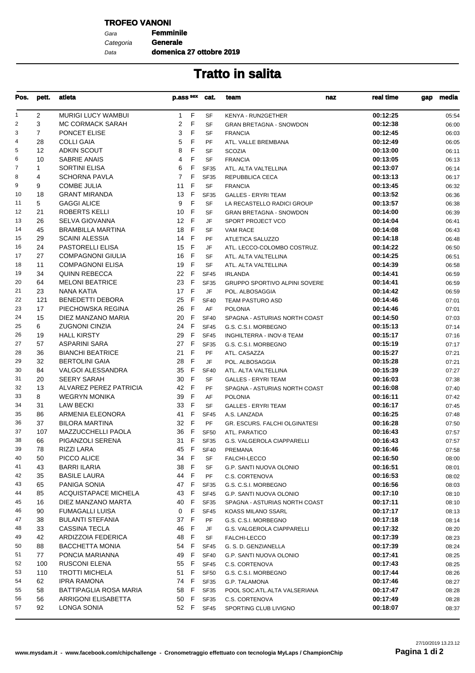### **TROFEO VANONI**

Gara **Femminile** Data Categoria **Generale**

**domenica 27 ottobre 2019**

| Pos.           | pett.          | atleta                                              | p.ass sex            | cat.                   | team<br>naz                                            | real time            | gap | media          |
|----------------|----------------|-----------------------------------------------------|----------------------|------------------------|--------------------------------------------------------|----------------------|-----|----------------|
| 1              | $\overline{2}$ | <b>MURIGI LUCY WAMBUI</b>                           | $1$ F                | <b>SF</b>              | <b>KENYA - RUN2GETHER</b>                              | 00:12:25             |     | 05:54          |
| $\overline{2}$ | 3              | MC CORMACK SARAH                                    | 2<br>F               | <b>SF</b>              | <b>GRAN BRETAGNA - SNOWDON</b>                         | 00:12:38             |     | 06:00          |
| 3              | $\overline{7}$ | PONCET ELISE                                        | 3<br>F               | <b>SF</b>              | <b>FRANCIA</b>                                         | 00:12:45             |     | 06:03          |
| 4              | 28             | <b>COLLI GAIA</b>                                   | 5<br>F               | PF                     | ATL. VALLE BREMBANA                                    | 00:12:49             |     | 06:05          |
| 5              | 12             | <b>ADKIN SCOUT</b>                                  | F<br>8               | <b>SF</b>              | <b>SCOZIA</b>                                          | 00:13:00             |     | 06:11          |
| 6              | 10             | SABRIE ANAIS                                        | F<br>4               | <b>SF</b>              | <b>FRANCIA</b>                                         | 00:13:05             |     | 06:13          |
| $\overline{7}$ | $\mathbf{1}$   | <b>SORTINI ELISA</b>                                | 6<br>F               | <b>SF35</b>            | ATL. ALTA VALTELLINA                                   | 00:13:07             |     | 06:14          |
| 8              | 4              | <b>SCHORNA PAVLA</b>                                | F<br>7               | <b>SF35</b>            | REPUBBLICA CECA                                        | 00:13:13             |     | 06:17          |
| 9              | 9              | <b>COMBE JULIA</b>                                  | F<br>11              | <b>SF</b>              | <b>FRANCIA</b>                                         | 00:13:45             |     | 06:32          |
| 10             | 18             | <b>GRANT MIRANDA</b>                                | 13<br>-F             | <b>SF35</b>            | <b>GALLES - ERYRI TEAM</b>                             | 00:13:52             |     | 06:36          |
| 11             | 5              | <b>GAGGI ALICE</b>                                  | F<br>9               | <b>SF</b>              | LA RECASTELLO RADICI GROUP                             | 00:13:57             |     | 06:38          |
| 12             | 21             | ROBERTS KELLI                                       | $\mathsf{F}$<br>10   | SF                     | <b>GRAN BRETAGNA - SNOWDON</b>                         | 00:14:00             |     | 06:39          |
| 13             | 26             | SELVA GIOVANNA                                      | 12 F                 | JF                     | SPORT PROJECT VCO                                      | 00:14:04             |     | 06:41          |
| 14             | 45             | <b>BRAMBILLA MARTINA</b>                            | 18<br>- F            | <b>SF</b>              | <b>VAM RACE</b>                                        | 00:14:08             |     | 06:43          |
| 15             | 29             | <b>SCAINI ALESSIA</b>                               | 14 F                 | <b>PF</b>              | ATLETICA SALUZZO                                       | 00:14:18             |     | 06:48          |
| 16<br>17       | 24<br>27       | <b>PASTORELLI ELISA</b><br><b>COMPAGNONI GIULIA</b> | 15<br>- F<br>F<br>16 | <b>JF</b>              | ATL. LECCO-COLOMBO COSTRUZ.                            | 00:14:22             |     | 06:50          |
| 18             | 11             |                                                     | 19                   | <b>SF</b><br><b>SF</b> | ATL. ALTA VALTELLINA                                   | 00:14:25             |     | 06:51          |
|                |                | <b>COMPAGNONI ELISA</b>                             | F<br>22 F            |                        | ATL. ALTA VALTELLINA                                   | 00:14:39<br>00:14:41 |     | 06:58          |
| 19<br>20       | 34<br>64       | <b>QUINN REBECCA</b><br><b>MELONI BEATRICE</b>      | 23<br>F              | <b>SF45</b>            | <b>IRLANDA</b><br><b>GRUPPO SPORTIVO ALPINI SOVERE</b> | 00:14:41             |     | 06:59          |
| 21             | 23             | NANA KATIA                                          | 17 F                 | <b>SF35</b>            |                                                        |                      |     | 06:59          |
| 22             | 121            | <b>BENEDETTI DEBORA</b>                             | 25<br>-F             | JF<br><b>SF40</b>      | POL. ALBOSAGGIA                                        | 00:14:42<br>00:14:46 |     | 06:59          |
| 23             | 17             | PIECHOWSKA REGINA                                   | F<br>26              | AF                     | TEAM PASTURO ASD<br><b>POLONIA</b>                     | 00:14:46             |     | 07:01<br>07:01 |
| 24             | 15             | DIEZ MANZANO MARIA                                  | F<br>20              | <b>SF40</b>            | SPAGNA - ASTURIAS NORTH COAST                          | 00:14:50             |     | 07:03          |
| 25             | 6              | <b>ZUGNONI CINZIA</b>                               | 24 F                 | <b>SF45</b>            | G.S. C.S.I. MORBEGNO                                   | 00:15:13             |     | 07:14          |
| 26             | 19             | <b>HALL KIRSTY</b>                                  | 29<br>-F             | <b>SF45</b>            | INGHILTERRA - INOV-8 TEAM                              | 00:15:17             |     | 07:16          |
| 27             | 57             | <b>ASPARINI SARA</b>                                | 27 F                 | <b>SF35</b>            | G.S. C.S.I. MORBEGNO                                   | 00:15:19             |     | 07:17          |
| 28             | 36             | <b>BIANCHI BEATRICE</b>                             | 21<br>-F             | PF                     | ATL. CASAZZA                                           | 00:15:27             |     | 07:21          |
| 29             | 32             | <b>BERTOLINI GAIA</b>                               | F<br>28              | <b>JF</b>              | POL. ALBOSAGGIA                                        | 00:15:28             |     | 07:21          |
| 30             | 84             | VALGOI ALESSANDRA                                   | F<br>35              | <b>SF40</b>            | ATL. ALTA VALTELLINA                                   | 00:15:39             |     | 07:27          |
| 31             | 20             | <b>SEERY SARAH</b>                                  | 30<br>F              | <b>SF</b>              | <b>GALLES - ERYRI TEAM</b>                             | 00:16:03             |     | 07:38          |
| 32             | 13             | ALVAREZ PEREZ PATRICIA                              | 42 F                 | <b>PF</b>              | SPAGNA - ASTURIAS NORTH COAST                          | 00:16:08             |     | 07:40          |
| 33             | 8              | <b>WEGRYN MONIKA</b>                                | F<br>39              | AF                     | <b>POLONIA</b>                                         | 00:16:11             |     | 07:42          |
| 34             | 31             | <b>LAW BECKI</b>                                    | 33<br>F              | <b>SF</b>              | <b>GALLES - ERYRI TEAM</b>                             | 00:16:17             |     | 07:45          |
| 35             | 86             | ARMENIA ELEONORA                                    | -F<br>41             | <b>SF45</b>            | A.S. LANZADA                                           | 00:16:25             |     | 07:48          |
| 36             | 37             | <b>BILORA MARTINA</b>                               | - F<br>32            | PF                     | GR. ESCURS. FALCHI OLGINATESI                          | 00:16:28             |     | 07:50          |
| 37             | 107            | MAZZUCCHELLI PAOLA                                  | 36<br>- F            | <b>SF50</b>            | ATL. PARATICO                                          | 00:16:43             |     | 07:57          |
| 38             | 66             | PIGANZOLI SERENA                                    | 31 F                 | <b>SF35</b>            | <b>G.S. VALGEROLA CIAPPARELLI</b>                      | 00:16:43             |     | 07:57          |
| 39             | 78             | RIZZI LARA                                          | 45<br>- F            | <b>SF40</b>            | <b>PREMANA</b>                                         | 00:16:46             |     | 07:58          |
| 40             | 50             | PICCO ALICE                                         | 34 F                 | SF                     | FALCHI-LECCO                                           | 00:16:50             |     | 08:00          |
| 41             | 43             | <b>BARRI ILARIA</b>                                 | 38<br>F              | SF                     | G.P. SANTI NUOVA OLONIO                                | 00:16:51             |     | 08:01          |
| 42             | 35             | <b>BASILE LAURA</b>                                 | 44 F                 | PF                     | C.S. CORTENOVA                                         | 00:16:53             |     | 08:02          |
| 43             | 65             | <b>PANIGA SONIA</b>                                 | 47 F                 | <b>SF35</b>            | G.S. C.S.I. MORBEGNO                                   | 00:16:56             |     | 08:03          |
| 44             | 85             | <b>ACQUISTAPACE MICHELA</b>                         | 43 F                 | <b>SF45</b>            | G.P. SANTI NUOVA OLONIO                                | 00:17:10             |     | 08:10          |
| 45             | 16             | DIEZ MANZANO MARTA                                  | 40 F                 | <b>SF35</b>            | SPAGNA - ASTURIAS NORTH COAST                          | 00:17:11             |     | 08:10          |
| 46             | 90             | <b>FUMAGALLI LUISA</b>                              | F<br>0               | <b>SF45</b>            | KOASS MILANO SSARL                                     | 00:17:17             |     | 08:13          |
| 47             | 38             | <b>BULANTI STEFANIA</b>                             | F<br>37              | PF                     | G.S. C.S.I. MORBEGNO                                   | 00:17:18             |     | 08:14          |
| 48             | 33             | <b>CASSINA TECLA</b>                                | 46<br>- F            | JF                     | G.S. VALGEROLA CIAPPARELLI                             | 00:17:32             |     | 08:20          |
| 49             | 42             | ARDIZZOIA FEDERICA                                  | 48<br>-F             | SF                     | FALCHI-LECCO                                           | 00:17:39             |     | 08:23          |
| 50             | 88             | <b>BACCHETTA MONIA</b>                              | 54 F                 | <b>SF45</b>            | G. S. D. GENZIANELLA                                   | 00:17:39             |     | 08:24          |
| 51             | 77             | PONCIA MARIANNA                                     | 49<br>- F            | <b>SF40</b>            | G.P. SANTI NUOVA OLONIO                                | 00:17:41             |     | 08:25          |
| 52             | 100            | RUSCONI ELENA                                       | 55 F                 | <b>SF45</b>            | C.S. CORTENOVA                                         | 00:17:43             |     | 08:25          |
| 53             | 110            | <b>TROTTI MICHELA</b>                               | - F<br>51            | <b>SF50</b>            | G.S. C.S.I. MORBEGNO                                   | 00:17:44             |     | 08:26          |
| 54             | 62             | <b>IPRA RAMONA</b>                                  | 74 F                 | <b>SF35</b>            | <b>G.P. TALAMONA</b>                                   | 00:17:46             |     | 08:27          |
| 55             | 58             | BATTIPAGLIA ROSA MARIA                              | 58<br>- F            | <b>SF35</b>            | POOL SOC.ATL.ALTA VALSERIANA                           | 00:17:47             |     | 08:28          |
| 56             | 56             | ARRIGONI ELISABETTA                                 | 50 F                 | <b>SF35</b>            | C.S. CORTENOVA                                         | 00:17:49             |     | 08:28          |
| 57             | 92             | LONGA SONIA                                         | 52 F                 | <b>SF45</b>            | SPORTING CLUB LIVIGNO                                  | 00:18:07             |     | 08:37          |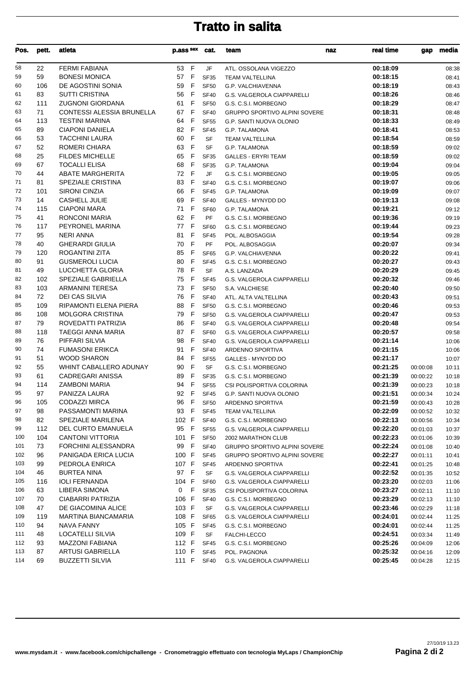| Pos.       | pett. | atleta                                        | p.ass sex          | cat.             | team                                                 | naz | real time | gap      | media          |
|------------|-------|-----------------------------------------------|--------------------|------------------|------------------------------------------------------|-----|-----------|----------|----------------|
| 58         | 22    | <b>FERMI FABIANA</b>                          | 53 F               | JF               | ATL. OSSOLANA VIGEZZO                                |     | 00:18:09  |          | 08:38          |
| 59         | 59    | <b>BONESI MONICA</b>                          | 57 F               | <b>SF35</b>      | <b>TEAM VALTELLINA</b>                               |     | 00:18:15  |          | 08:41          |
| 60         | 106   | DE AGOSTINI SONIA                             | 59<br>$\mathsf F$  | <b>SF50</b>      | G.P. VALCHIAVENNA                                    |     | 00:18:19  |          | 08:43          |
| 61         | 83    | <b>SUTTI CRISTINA</b>                         | F<br>56            | <b>SF40</b>      | G.S. VALGEROLA CIAPPARELLI                           |     | 00:18:26  |          | 08:46          |
| 62         | 111   | <b>ZUGNONI GIORDANA</b>                       | 61 F               | <b>SF50</b>      | G.S. C.S.I. MORBEGNO                                 |     | 00:18:29  |          | 08:47          |
| 63         | 71    | <b>CONTESSI ALESSIA BRUNELLA</b>              | 67 F               | <b>SF40</b>      | <b>GRUPPO SPORTIVO ALPINI SOVERE</b>                 |     | 00:18:31  |          | 08:48          |
| 64         | 113   | <b>TESTINI MARINA</b>                         | F<br>64            | <b>SF55</b>      | G.P. SANTI NUOVA OLONIO                              |     | 00:18:33  |          | 08:49          |
| 65         | 89    | <b>CIAPONI DANIELA</b>                        | 82 F               | <b>SF45</b>      | G.P. TALAMONA                                        |     | 00:18:41  |          | 08:53          |
| 66         | 53    | <b>TACCHINI LAURA</b>                         | 60<br>F            | SF               | <b>TEAM VALTELLINA</b>                               |     | 00:18:54  |          | 08:59          |
| 67         | 52    | ROMERI CHIARA                                 | 63<br>$\mathsf F$  | <b>SF</b>        | G.P. TALAMONA                                        |     | 00:18:59  |          | 09:02          |
| 68         | 25    | <b>FILDES MICHELLE</b>                        | 65<br>- F          | <b>SF35</b>      | <b>GALLES - ERYRI TEAM</b>                           |     | 00:18:59  |          | 09:02          |
| 69         | 67    | <b>TOCALLI ELISA</b>                          | 68<br>$\mathsf{F}$ | <b>SF35</b>      | G.P. TALAMONA                                        |     | 00:19:04  |          | 09:04          |
| 70         | 44    | ABATE MARGHERITA                              | 72 F               | JF               | G.S. C.S.I. MORBEGNO                                 |     | 00:19:05  |          | 09:05          |
| 71         | 81    | SPEZIALE CRISTINA                             | 83 F               | <b>SF40</b>      | G.S. C.S.I. MORBEGNO                                 |     | 00:19:07  |          | 09:06          |
| 72         | 101   | <b>SIRONI CINZIA</b>                          | 66<br>- F          | <b>SF45</b>      | G.P. TALAMONA                                        |     | 00:19:09  |          | 09:07          |
| 73         | 14    | CASHELL JULIE                                 | 69<br>F            | <b>SF40</b>      | <b>GALLES - MYNYDD DO</b>                            |     | 00:19:13  |          | 09:08          |
| 74         | 115   | <b>CIAPONI MARA</b>                           | 71 F               | SF60             | G.P. TALAMONA                                        |     | 00:19:21  |          | 09:12          |
| 75         | 41    | <b>RONCONI MARIA</b>                          | 62<br>F            | PF               | G.S. C.S.I. MORBEGNO                                 |     | 00:19:36  |          | 09:19          |
| 76         | 117   | PEYRONEL MARINA                               | 77 F               | SF60             | G.S. C.S.I. MORBEGNO                                 |     | 00:19:44  |          | 09:23          |
| 77         | 95    | <b>NERI ANNA</b>                              | 81<br>- F          | <b>SF45</b>      | POL. ALBOSAGGIA                                      |     | 00:19:54  |          | 09:28          |
| 78         | 40    | <b>GHERARDI GIULIA</b>                        | 70<br>E            | PF               | POL. ALBOSAGGIA                                      |     | 00:20:07  |          | 09:34          |
| 79         | 120   | <b>ROGANTINI ZITA</b>                         | 85<br>F            | <b>SF65</b>      | G.P. VALCHIAVENNA                                    |     | 00:20:22  |          | 09:41          |
| 80         | 91    | <b>GUSMEROLI LUCIA</b>                        | - F<br>80          | <b>SF45</b>      | G.S. C.S.I. MORBEGNO                                 |     | 00:20:27  |          | 09:43          |
| 81         | 49    | LUCCHETTA GLORIA                              | 78 F               | SF               | A.S. LANZADA                                         |     | 00:20:29  |          | 09:45          |
| 82         | 102   | SPEZIALE GABRIELLA                            | 75 F               | <b>SF45</b>      | G.S. VALGEROLA CIAPPARELLI                           |     | 00:20:32  |          | 09:46          |
| 83         | 103   | <b>ARMANINI TERESA</b>                        | 73<br>- F          | <b>SF50</b>      | S.A. VALCHIESE                                       |     | 00:20:40  |          | 09:50          |
| 84         | 72    | <b>DEI CAS SILVIA</b>                         | 76<br>F            | <b>SF40</b>      | ATL. ALTA VALTELLINA                                 |     | 00:20:43  |          | 09:51          |
| 85         | 109   | RIPAMONTI ELENA PIERA                         | 88<br>$\mathsf F$  | <b>SF50</b>      | G.S. C.S.I. MORBEGNO                                 |     | 00:20:46  |          | 09:53          |
| 86         | 108   | <b>MOLGORA CRISTINA</b>                       | F<br>79            | <b>SF50</b>      | G.S. VALGEROLA CIAPPARELLI                           |     | 00:20:47  |          | 09:53          |
| 87         | 79    | ROVEDATTI PATRIZIA                            | 86<br>$\mathsf F$  | <b>SF40</b>      | G.S. VALGEROLA CIAPPARELLI                           |     | 00:20:48  |          | 09:54          |
| 88         | 118   | <b>TAEGGI ANNA MARIA</b>                      | 87<br>- F          | <b>SF60</b>      | G.S. VALGEROLA CIAPPARELLI                           |     | 00:20:57  |          | 09:58          |
| 89         | 76    | PIFFARI SILVIA                                | 98<br>- F          | <b>SF40</b>      | G.S. VALGEROLA CIAPPARELLI                           |     | 00:21:14  |          | 10:06          |
| 90         | 74    | <b>FUMASONI ERIKCA</b>                        | 91<br>F            | <b>SF40</b>      |                                                      |     | 00:21:15  |          |                |
| 91         | 51    | <b>WOOD SHARON</b>                            | $\mathsf F$<br>84  | <b>SF55</b>      | ARDENNO SPORTIVA<br>GALLES - MYNYDD DO               |     | 00:21:17  |          | 10:06<br>10:07 |
| 92         | 55    | WHINT CABALLERO ADUNAY                        | $\mathsf{F}$<br>90 | SF               | G.S. C.S.I. MORBEGNO                                 |     | 00:21:25  | 00:00:08 | 10:11          |
| 93         | 61    | CADREGARI ANISSA                              | $\mathsf F$<br>89  | <b>SF35</b>      | G.S. C.S.I. MORBEGNO                                 |     | 00:21:39  |          |                |
| 94         | 114   | ZAMBONI MARIA                                 | 94<br>- F          | <b>SF55</b>      |                                                      |     | 00:21:39  | 00:00:22 | 10:18          |
| 95         | 97    | PANIZZA LAURA                                 | 92 F               | <b>SF45</b>      | CSI POLISPORTIVA COLORINA<br>G.P. SANTI NUOVA OLONIO |     | 00:21:51  | 00:00:23 | 10:18          |
| 96         | 105   | <b>CODAZZI MIRCA</b>                          | 96<br>F            |                  |                                                      |     | 00:21:59  | 00:00:34 | 10:24          |
| 97         |       | PASSAMONTI MARINA                             | 93 F               | SF <sub>50</sub> | ARDENNO SPORTIVA                                     |     | 00:22:09  | 00:00:43 | 10:28          |
|            | 98    |                                               | 102 F              | SF45             | <b>TEAM VALTELLINA</b>                               |     |           | 00:00:52 | 10:32          |
| 98<br>99   | 82    | SPEZIALE MARILENA                             |                    | <b>SF40</b>      | G.S. C.S.I. MORBEGNO                                 |     | 00:22:13  | 00:00:56 | 10:34          |
|            | 112   | DEL CURTO EMANUELA<br><b>CANTONI VITTORIA</b> | 95 F               | <b>SF55</b>      | G.S. VALGEROLA CIAPPARELLI                           |     | 00:22:20  | 00:01:03 | 10:37          |
| 100        | 104   |                                               | 101 F              | SF <sub>50</sub> | 2002 MARATHON CLUB                                   |     | 00:22:23  | 00:01:06 | 10:39          |
| 101<br>102 | 73    | FORCHINI ALESSANDRA                           | 99 F<br>100 F      | <b>SF40</b>      | <b>GRUPPO SPORTIVO ALPINI SOVERE</b>                 |     | 00:22:24  | 00:01:08 | 10:40          |
|            | 96    | PANIGADA ERICA LUCIA                          |                    | <b>SF45</b>      | GRUPPO SPORTIVO ALPINI SOVERE                        |     | 00:22:27  | 00:01:11 | 10:41          |
| 103        | 99    | PEDROLA ENRICA                                | 107 F              | SF45             | ARDENNO SPORTIVA                                     |     | 00:22:41  | 00:01:25 | 10:48          |
| 104        | 46    | <b>BURTEA NINA</b>                            | 97 F               | <b>SF</b>        | G.S. VALGEROLA CIAPPARELLI                           |     | 00:22:52  | 00:01:35 | 10:52          |
| 105        | 116   | <b>IOLI FERNANDA</b>                          | 104 F              | <b>SF60</b>      | G.S. VALGEROLA CIAPPARELLI                           |     | 00:23:20  | 00:02:03 | 11:06          |
| 106        | 63    | LIBERA SIMONA                                 | 0 F                | SF35             | CSI POLISPORTIVA COLORINA                            |     | 00:23:27  | 00:02:11 | 11:10          |
| 107        | 70    | CIABARRI PATRIZIA                             | 106 F              | <b>SF40</b>      | G.S. C.S.I. MORBEGNO                                 |     | 00:23:29  | 00:02:13 | 11:10          |
| 108        | 47    | DE GIACOMINA ALICE                            | 103 F              | SF               | G.S. VALGEROLA CIAPPARELLI                           |     | 00:23:46  | 00:02:29 | 11:18          |
| 109        | 119   | MARTINA BIANCAMARIA                           | 108 F              | SF65             | G.S. VALGEROLA CIAPPARELLI                           |     | 00:24:01  | 00:02:44 | 11:25          |
| 110        | 94    | NAVA FANNY                                    | 105 F              | <b>SF45</b>      | G.S. C.S.I. MORBEGNO                                 |     | 00:24:01  | 00:02:44 | 11:25          |
| 111        | 48    | LOCATELLI SILVIA                              | 109 F              | SF               | FALCHI-LECCO                                         |     | 00:24:51  | 00:03:34 | 11:49          |
| 112        | 93    | <b>MAZZONI FABIANA</b>                        | 112 F              | SF45             | G.S. C.S.I. MORBEGNO                                 |     | 00:25:26  | 00:04:09 | 12:06          |
| 113        | 87    | ARTUSI GABRIELLA                              | 110 F              | <b>SF45</b>      | POL. PAGNONA                                         |     | 00:25:32  | 00:04:16 | 12:09          |
| 114        | 69    | <b>BUZZETTI SILVIA</b>                        | 111 F              | <b>SF40</b>      | G.S. VALGEROLA CIAPPARELLI                           |     | 00:25:45  | 00:04:28 | 12:15          |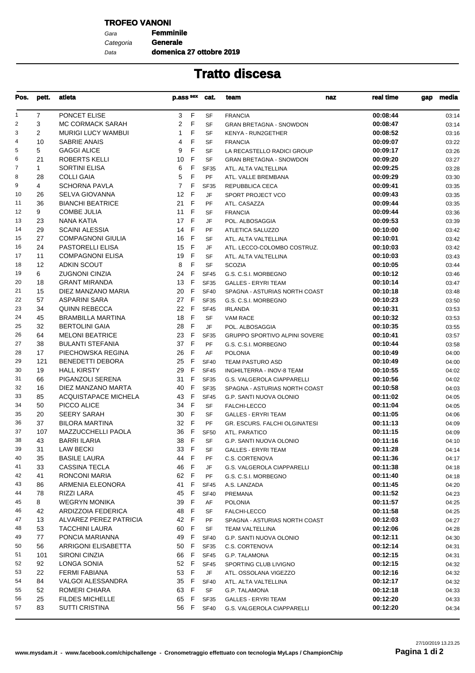### **TROFEO VANONI**

Gara **Femminile** Data Categoria **Generale**

**domenica 27 ottobre 2019**

| Pos.           | pett.          | atleta                      | p.ass sex            | cat.        | team<br>naz                    | real time | media<br>gap |
|----------------|----------------|-----------------------------|----------------------|-------------|--------------------------------|-----------|--------------|
| $\mathbf{1}$   | $\overline{7}$ | PONCET ELISE                | F<br>3               | SF          | <b>FRANCIA</b>                 | 00:08:44  | 03:14        |
| $\overline{2}$ | 3              | MC CORMACK SARAH            | 2<br>F               | <b>SF</b>   | <b>GRAN BRETAGNA - SNOWDON</b> | 00:08:47  | 03:14        |
| 3              | $\overline{2}$ | <b>MURIGI LUCY WAMBUI</b>   | F<br>$\mathbf{1}$    | <b>SF</b>   | <b>KENYA - RUN2GETHER</b>      | 00:08:52  | 03:16        |
| $\overline{4}$ | 10             | <b>SABRIE ANAIS</b>         | F<br>4               | SF          | <b>FRANCIA</b>                 | 00:09:07  | 03:22        |
| 5              | 5              | <b>GAGGI ALICE</b>          | F<br>9               | <b>SF</b>   | LA RECASTELLO RADICI GROUP     | 00:09:17  | 03:26        |
| 6              | 21             | ROBERTS KELLI               | 10<br>F              | <b>SF</b>   | <b>GRAN BRETAGNA - SNOWDON</b> | 00:09:20  | 03:27        |
| $\overline{7}$ | $\mathbf{1}$   | <b>SORTINI ELISA</b>        | 6<br>F               | <b>SF35</b> | ATL. ALTA VALTELLINA           | 00:09:25  | 03:28        |
| 8              | 28             | <b>COLLI GAIA</b>           | 5<br>F               | <b>PF</b>   | ATL. VALLE BREMBANA            | 00:09:29  | 03:30        |
| 9              | 4              | <b>SCHORNA PAVLA</b>        | $\overline{7}$<br>F  | <b>SF35</b> | REPUBBLICA CECA                | 00:09:41  | 03:35        |
| 10             | 26             | SELVA GIOVANNA              | E<br>12 <sup>2</sup> | JF          | SPORT PROJECT VCO              | 00:09:43  | 03:35        |
| 11             | 36             | <b>BIANCHI BEATRICE</b>     | 21 F                 | PF          | ATL. CASAZZA                   | 00:09:44  | 03:35        |
| 12             | 9              | <b>COMBE JULIA</b>          | 11<br>- F            | <b>SF</b>   | <b>FRANCIA</b>                 | 00:09:44  | 03:36        |
| 13             | 23             | NANA KATIA                  | 17 F                 | JF          | POL. ALBOSAGGIA                | 00:09:53  | 03:39        |
| 14             | 29             | <b>SCAINI ALESSIA</b>       | 14 F                 | <b>PF</b>   |                                | 00:10:00  |              |
| 15             | 27             |                             |                      |             | ATLETICA SALUZZO               |           | 03:42        |
|                |                | <b>COMPAGNONI GIULIA</b>    | 16<br>- F            | <b>SF</b>   | ATL. ALTA VALTELLINA           | 00:10:01  | 03:42        |
| 16             | 24             | PASTORELLI ELISA            | F<br>15              | JF          | ATL. LECCO-COLOMBO COSTRUZ.    | 00:10:03  | 03:42        |
| 17             | 11             | <b>COMPAGNONI ELISA</b>     | 19<br>-F             | <b>SF</b>   | ATL. ALTA VALTELLINA           | 00:10:03  | 03:43        |
| 18             | 12             | <b>ADKIN SCOUT</b>          | F<br>8               | <b>SF</b>   | <b>SCOZIA</b>                  | 00:10:05  | 03:44        |
| 19             | 6              | <b>ZUGNONI CINZIA</b>       | F<br>24              | <b>SF45</b> | G.S. C.S.I. MORBEGNO           | 00:10:12  | 03:46        |
| 20             | 18             | <b>GRANT MIRANDA</b>        | - F<br>13            | <b>SF35</b> | <b>GALLES - ERYRI TEAM</b>     | 00:10:14  | 03:47        |
| 21             | 15             | DIEZ MANZANO MARIA          | - F<br>20            | <b>SF40</b> | SPAGNA - ASTURIAS NORTH COAST  | 00:10:18  | 03:48        |
| 22             | 57             | <b>ASPARINI SARA</b>        | 27 F                 | <b>SF35</b> | G.S. C.S.I. MORBEGNO           | 00:10:23  | 03:50        |
| 23             | 34             | <b>QUINN REBECCA</b>        | 22 F                 | <b>SF45</b> | <b>IRLANDA</b>                 | 00:10:31  | 03:53        |
| 24             | 45             | <b>BRAMBILLA MARTINA</b>    | 18 F                 | <b>SF</b>   | VAM RACE                       | 00:10:32  | 03:53        |
| 25             | 32             | <b>BERTOLINI GAIA</b>       | 28<br>- F            | JF          | POL. ALBOSAGGIA                | 00:10:35  | 03:55        |
| 26             | 64             | <b>MELONI BEATRICE</b>      | - F<br>23            | <b>SF35</b> | GRUPPO SPORTIVO ALPINI SOVERE  | 00:10:41  | 03:57        |
| 27             | 38             | <b>BULANTI STEFANIA</b>     | 37 F                 | PF          | G.S. C.S.I. MORBEGNO           | 00:10:44  | 03:58        |
| 28             | 17             | PIECHOWSKA REGINA           | 26<br>-F             | AF          | <b>POLONIA</b>                 | 00:10:49  | 04:00        |
| 29             | 121            | <b>BENEDETTI DEBORA</b>     | 25<br>-F             | <b>SF40</b> | TEAM PASTURO ASD               | 00:10:49  | 04:00        |
| 30             | 19             | <b>HALL KIRSTY</b>          | 29<br>F.             | <b>SF45</b> | INGHILTERRA - INOV-8 TEAM      | 00:10:55  | 04:02        |
| 31             | 66             | PIGANZOLI SERENA            | 31<br>-F             | <b>SF35</b> | G.S. VALGEROLA CIAPPARELLI     | 00:10:56  | 04:02        |
| 32             | 16             | DIEZ MANZANO MARTA          | F<br>40              | <b>SF35</b> | SPAGNA - ASTURIAS NORTH COAST  | 00:10:58  | 04:03        |
| 33             | 85             | <b>ACQUISTAPACE MICHELA</b> | E<br>43              | <b>SF45</b> | G.P. SANTI NUOVA OLONIO        | 00:11:02  | 04:05        |
| 34             | 50             | PICCO ALICE                 | 34 F                 | SF          | FALCHI-LECCO                   | 00:11:04  | 04:05        |
| 35             | 20             | <b>SEERY SARAH</b>          | - F<br>30            | <b>SF</b>   | <b>GALLES - ERYRI TEAM</b>     | 00:11:05  | 04:06        |
| 36             | 37             | <b>BILORA MARTINA</b>       | 32 F                 | PF          | GR. ESCURS. FALCHI OLGINATESI  | 00:11:13  | 04:09        |
| 37             | 107            | <b>MAZZUCCHELLI PAOLA</b>   | 36<br>- F            | <b>SF50</b> | ATL. PARATICO                  | 00:11:15  | 04:09        |
| 38             | 43             | BARRI ILARIA                | 38 F                 | <b>SF</b>   | G.P. SANTI NUOVA OLONIO        | 00:11:16  | 04:10        |
| 39             | 31             | <b>LAW BECKI</b>            | 33 F                 | SF          | <b>GALLES - ERYRI TEAM</b>     | 00:11:28  | 04:14        |
| 40             | 35             | <b>BASILE LAURA</b>         | 44 F                 | PF          | C.S. CORTENOVA                 | 00:11:36  | 04:17        |
| 41             | 33             | CASSINA TECLA               | F<br>46              | JF          | G.S. VALGEROLA CIAPPARELLI     | 00:11:38  | 04:18        |
| 42             | 41             | RONCONI MARIA               | 62 F                 | PF          |                                | 00:11:40  |              |
| 43             |                |                             |                      |             | G.S. C.S.I. MORBEGNO           |           | 04:18        |
|                | 86             | ARMENIA ELEONORA            | 41 F                 | <b>SF45</b> | A.S. LANZADA                   | 00:11:45  | 04:20        |
| 44             | 78             | RIZZI LARA                  | 45 F                 | <b>SF40</b> | <b>PREMANA</b>                 | 00:11:52  | 04:23        |
| 45             | 8              | <b>WEGRYN MONIKA</b>        | 39<br>-F             | AF          | <b>POLONIA</b>                 | 00:11:57  | 04:25        |
| 46             | 42             | ARDIZZOIA FEDERICA          | 48<br>- F            | SF          | FALCHI-LECCO                   | 00:11:58  | 04:25        |
| 47             | 13             | ALVAREZ PEREZ PATRICIA      | 42 F                 | PF          | SPAGNA - ASTURIAS NORTH COAST  | 00:12:03  | 04:27        |
| 48             | 53             | <b>TACCHINI LAURA</b>       | 60<br>- F            | SF          | TEAM VALTELLINA                | 00:12:06  | 04:28        |
| 49             | 77             | PONCIA MARIANNA             | 49 F                 | <b>SF40</b> | G.P. SANTI NUOVA OLONIO        | 00:12:11  | 04:30        |
| 50             | 56             | ARRIGONI ELISABETTA         | 50 F                 | <b>SF35</b> | C.S. CORTENOVA                 | 00:12:14  | 04:31        |
| 51             | 101            | <b>SIRONI CINZIA</b>        | 66 F                 | <b>SF45</b> | G.P. TALAMONA                  | 00:12:15  | 04:31        |
| 52             | 92             | LONGA SONIA                 | 52 F                 | <b>SF45</b> | SPORTING CLUB LIVIGNO          | 00:12:15  | 04:32        |
| 53             | 22             | FERMI FABIANA               | 53 F                 | JF          | ATL. OSSOLANA VIGEZZO          | 00:12:16  | 04:32        |
| 54             | 84             | <b>VALGOI ALESSANDRA</b>    | 35 F                 | <b>SF40</b> | ATL. ALTA VALTELLINA           | 00:12:17  | 04:32        |
| 55             | 52             | ROMERI CHIARA               | 63 F                 | SF          | G.P. TALAMONA                  | 00:12:18  | 04:33        |
| 56             | 25             | <b>FILDES MICHELLE</b>      | 65 F                 | <b>SF35</b> | <b>GALLES - ERYRI TEAM</b>     | 00:12:20  | 04:33        |
| 57             | 83             | <b>SUTTI CRISTINA</b>       | 56 F                 | <b>SF40</b> | G.S. VALGEROLA CIAPPARELLI     | 00:12:20  | 04:34        |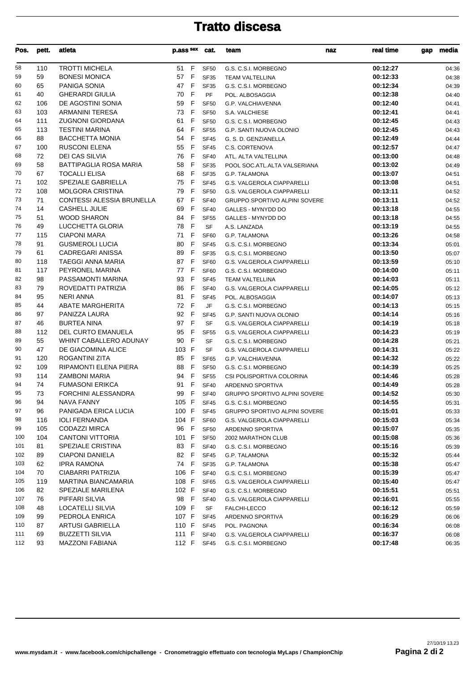| Pos. | pett. | atleta                        | p.ass sex cat.     |             | team                                 | real time<br>naz | media<br>gap |
|------|-------|-------------------------------|--------------------|-------------|--------------------------------------|------------------|--------------|
| 58   | 110   | <b>TROTTI MICHELA</b>         | 51 F               | <b>SF50</b> | G.S. C.S.I. MORBEGNO                 | 00:12:27         | 04:36        |
| 59   | 59    | <b>BONESI MONICA</b>          | 57 F               | <b>SF35</b> | <b>TEAM VALTELLINA</b>               | 00:12:33         | 04:38        |
| 60   | 65    | PANIGA SONIA                  | 47 F               | <b>SF35</b> | G.S. C.S.I. MORBEGNO                 | 00:12:34         | 04:39        |
| 61   | 40    | <b>GHERARDI GIULIA</b>        | 70<br>F            | <b>PF</b>   | POL. ALBOSAGGIA                      | 00:12:38         | 04:40        |
| 62   | 106   | DE AGOSTINI SONIA             | - F<br>59          | <b>SF50</b> | G.P. VALCHIAVENNA                    | 00:12:40         | 04:41        |
| 63   | 103   | <b>ARMANINI TERESA</b>        | $\mathsf{F}$<br>73 | <b>SF50</b> | S.A. VALCHIESE                       | 00:12:41         | 04:41        |
| 64   | 111   | <b>ZUGNONI GIORDANA</b>       | $\mathsf{F}$<br>61 | <b>SF50</b> | G.S. C.S.I. MORBEGNO                 | 00:12:45         | 04:43        |
| 65   | 113   | <b>TESTINI MARINA</b>         | 64<br>- F          | <b>SF55</b> | G.P. SANTI NUOVA OLONIO              | 00:12:45         | 04:43        |
| 66   | 88    | <b>BACCHETTA MONIA</b>        | - F<br>54          | <b>SF45</b> | G. S. D. GENZIANELLA                 | 00:12:49         | 04:44        |
| 67   | 100   | <b>RUSCONI ELENA</b>          | F<br>55            | <b>SF45</b> | <b>C.S. CORTENOVA</b>                | 00:12:57         | 04:47        |
| 68   | 72    | <b>DEI CAS SILVIA</b>         | F<br>76            | <b>SF40</b> | ATL. ALTA VALTELLINA                 | 00:13:00         | 04:48        |
| 69   | 58    | <b>BATTIPAGLIA ROSA MARIA</b> | 58<br>$\mathsf{F}$ |             |                                      | 00:13:02         |              |
| 70   | 67    | <b>TOCALLI ELISA</b>          | 68<br>- F          | <b>SF35</b> | POOL SOC.ATL.ALTA VALSERIANA         | 00:13:07         | 04:49        |
|      |       |                               |                    | <b>SF35</b> | G.P. TALAMONA                        |                  | 04:51        |
| 71   | 102   | SPEZIALE GABRIELLA            | 75 F               | <b>SF45</b> | G.S. VALGEROLA CIAPPARELLI           | 00:13:08         | 04:51        |
| 72   | 108   | <b>MOLGORA CRISTINA</b>       | 79<br>- F          | <b>SF50</b> | G.S. VALGEROLA CIAPPARELLI           | 00:13:11         | 04:52        |
| 73   | 71    | CONTESSI ALESSIA BRUNELLA     | F<br>67            | <b>SF40</b> | <b>GRUPPO SPORTIVO ALPINI SOVERE</b> | 00:13:11         | 04:52        |
| 74   | 14    | <b>CASHELL JULIE</b>          | 69<br>F            | <b>SF40</b> | <b>GALLES - MYNYDD DO</b>            | 00:13:18         | 04:55        |
| 75   | 51    | <b>WOOD SHARON</b>            | 84<br>- F          | <b>SF55</b> | GALLES - MYNYDD DO                   | 00:13:18         | 04:55        |
| 76   | 49    | LUCCHETTA GLORIA              | $\mathsf{F}$<br>78 | <b>SF</b>   | A.S. LANZADA                         | 00:13:19         | 04:55        |
| 77   | 115   | <b>CIAPONI MARA</b>           | - F<br>71          | <b>SF60</b> | <b>G.P. TALAMONA</b>                 | 00:13:26         | 04:58        |
| 78   | 91    | <b>GUSMEROLI LUCIA</b>        | 80<br>F            | <b>SF45</b> | G.S. C.S.I. MORBEGNO                 | 00:13:34         | 05:01        |
| 79   | 61    | CADREGARI ANISSA              | F<br>89            | <b>SF35</b> | G.S. C.S.I. MORBEGNO                 | 00:13:50         | 05:07        |
| 80   | 118   | TAEGGI ANNA MARIA             | 87 F               | SF60        | G.S. VALGEROLA CIAPPARELLI           | 00:13:59         | 05:10        |
| 81   | 117   | PEYRONEL MARINA               | F<br>77            | SF60        | G.S. C.S.I. MORBEGNO                 | 00:14:00         | 05:11        |
| 82   | 98    | PASSAMONTI MARINA             | 93<br>- F          | <b>SF45</b> | <b>TEAM VALTELLINA</b>               | 00:14:03         | 05:11        |
| 83   | 79    | ROVEDATTI PATRIZIA            | 86<br>- F          | <b>SF40</b> | G.S. VALGEROLA CIAPPARELLI           | 00:14:05         | 05:12        |
| 84   | 95    | <b>NERI ANNA</b>              | 81<br>- F          | <b>SF45</b> | POL. ALBOSAGGIA                      | 00:14:07         | 05:13        |
| 85   | 44    | <b>ABATE MARGHERITA</b>       | 72<br>E            | JF          | G.S. C.S.I. MORBEGNO                 | 00:14:13         | 05:15        |
| 86   | 97    | PANIZZA LAURA                 | 92<br>- F          | <b>SF45</b> | G.P. SANTI NUOVA OLONIO              | 00:14:14         | 05:16        |
| 87   | 46    | <b>BURTEA NINA</b>            | F<br>97            | <b>SF</b>   | G.S. VALGEROLA CIAPPARELLI           | 00:14:19         | 05:18        |
| 88   | 112   | DEL CURTO EMANUELA            | 95<br>F            | <b>SF55</b> | G.S. VALGEROLA CIAPPARELLI           | 00:14:23         | 05:19        |
| 89   | 55    | WHINT CABALLERO ADUNAY        | 90<br>- F          | SF          | G.S. C.S.I. MORBEGNO                 | 00:14:28         | 05:21        |
| 90   | 47    | DE GIACOMINA ALICE            | 103 F              | SF          | <b>G.S. VALGEROLA CIAPPARELLI</b>    | 00:14:31         | 05:22        |
| 91   | 120   | ROGANTINI ZITA                | 85<br>F            | SF65        | G.P. VALCHIAVENNA                    | 00:14:32         | 05:22        |
| 92   | 109   | RIPAMONTI ELENA PIERA         | - F<br>88          | <b>SF50</b> | G.S. C.S.I. MORBEGNO                 | 00:14:39         | 05:25        |
| 93   | 114   | <b>ZAMBONI MARIA</b>          | - F<br>94          | <b>SF55</b> | CSI POLISPORTIVA COLORINA            | 00:14:46         | 05:28        |
| 94   | 74    | <b>FUMASONI ERIKCA</b>        | 91<br>-F           | <b>SF40</b> | ARDENNO SPORTIVA                     | 00:14:49         | 05:28        |
| 95   | 73    | <b>FORCHINI ALESSANDRA</b>    | 99 F               | <b>SF40</b> | GRUPPO SPORTIVO ALPINI SOVERE        | 00:14:52         | 05:30        |
| 96   | 94    | <b>NAVA FANNY</b>             | 105 F              | SF45        | G.S. C.S.I. MORBEGNO                 | 00:14:55         | 05:31        |
| 97   | 96    | PANIGADA ERICA LUCIA          | 100 F              | SF45        | <b>GRUPPO SPORTIVO ALPINI SOVERE</b> | 00:15:01         | 05:33        |
| 98   | 116   | <b>IOLI FERNANDA</b>          | 104 F              | SF60        | <b>G.S. VALGEROLA CIAPPARELLI</b>    | 00:15:03         | 05:34        |
| 99   | 105   | <b>CODAZZI MIRCA</b>          | 96 F               | <b>SF50</b> | ARDENNO SPORTIVA                     | 00:15:07         | 05:35        |
| 100  | 104   | <b>CANTONI VITTORIA</b>       | 101 F              | <b>SF50</b> | 2002 MARATHON CLUB                   | 00:15:08         | 05:36        |
| 101  | 81    | <b>SPEZIALE CRISTINA</b>      | 83 F               | <b>SF40</b> |                                      | 00:15:16         |              |
| 102  | 89    | <b>CIAPONI DANIELA</b>        | 82 F               |             | G.S. C.S.I. MORBEGNO                 | 00:15:32         | 05:39        |
|      |       |                               |                    | SF45        | G.P. TALAMONA                        |                  | 05:44        |
| 103  | 62    | <b>IPRA RAMONA</b>            | 74 F               | SF35        | G.P. TALAMONA                        | 00:15:38         | 05:47        |
| 104  | 70    | <b>CIABARRI PATRIZIA</b>      | 106 F              | <b>SF40</b> | G.S. C.S.I. MORBEGNO                 | 00:15:39         | 05:47        |
| 105  | 119   | MARTINA BIANCAMARIA           | 108 F              | SF65        | G.S. VALGEROLA CIAPPARELLI           | 00:15:40         | 05:47        |
| 106  | 82    | <b>SPEZIALE MARILENA</b>      | 102 F              | <b>SF40</b> | G.S. C.S.I. MORBEGNO                 | 00:15:51         | 05:51        |
| 107  | 76    | PIFFARI SILVIA                | 98 F               | <b>SF40</b> | G.S. VALGEROLA CIAPPARELLI           | 00:16:01         | 05:55        |
| 108  | 48    | LOCATELLI SILVIA              | 109 F              | SF          | FALCHI-LECCO                         | 00:16:12         | 05:59        |
| 109  | 99    | PEDROLA ENRICA                | 107 F              | SF45        | ARDENNO SPORTIVA                     | 00:16:29         | 06:06        |
| 110  | 87    | ARTUSI GABRIELLA              | 110 F              | <b>SF45</b> | POL. PAGNONA                         | 00:16:34         | 06:08        |
| 111  | 69    | <b>BUZZETTI SILVIA</b>        | 111 F              | SF40        | G.S. VALGEROLA CIAPPARELLI           | 00:16:37         | 06:08        |
| 112  | 93    | <b>MAZZONI FABIANA</b>        | 112 F              | SF45        | G.S. C.S.I. MORBEGNO                 | 00:17:48         | 06:35        |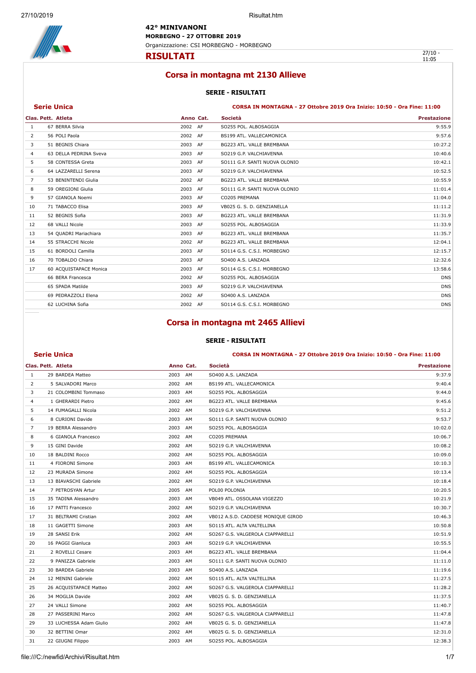**42° MINIVANONI MORBEGNO - 27 OTTOBRE 2019** Organizzazione: CSI MORBEGNO - MORBEGNO



**RISULTATI** 

 $\frac{27}{10}$  -<br>11:05

### **Corsa in montagna mt 2130 Allieve**

#### **SERIE - RISULTATI**

#### **Serie Unica CORSA IN MONTAGNA - 27 Ottobre 2019 Ora Inizio: 10:50 - Ora Fine: 11:00**

|    | Clas. Pett. Atleta     | Anno Cat. |    | Società                       | <b>Prestazione</b> |
|----|------------------------|-----------|----|-------------------------------|--------------------|
| 1  | 67 BERRA Silvia        | 2002 AF   |    | SO255 POL. ALBOSAGGIA         | 9:55.9             |
| 2  | 56 POLI Paola          | 2002 AF   |    | BS199 ATL. VALLECAMONICA      | 9:57.6             |
| 3  | 51 BEGNIS Chiara       | 2003      | AF | BG223 ATL. VALLE BREMBANA     | 10:27.2            |
| 4  | 63 DELLA PEDRINA Sveva | 2003 AF   |    | SO219 G.P. VALCHIAVENNA       | 10:40.6            |
| 5  | 58 CONTESSA Greta      | 2003      | AF | SO111 G.P. SANTI NUOVA OLONIO | 10:42.1            |
| 6  | 64 LAZZARELLI Serena   | 2003 AF   |    | SO219 G.P. VALCHIAVENNA       | 10:52.5            |
| 7  | 53 BENINTENDI Giulia   | 2002 AF   |    | BG223 ATL. VALLE BREMBANA     | 10:55.9            |
| 8  | 59 OREGIONI Giulia     | 2003 AF   |    | SO111 G.P. SANTI NUOVA OLONIO | 11:01.4            |
| 9  | 57 GIANOLA Noemi       | 2003      | AF | CO205 PREMANA                 | 11:04.0            |
| 10 | 71 TABACCO Elisa       | 2003      | AF | VB025 G. S. D. GENZIANELLA    | 11:11.2            |
| 11 | 52 BEGNIS Sofia        | 2003 AF   |    | BG223 ATL. VALLE BREMBANA     | 11:31.9            |
| 12 | 68 VALLI Nicole        | 2003      | AF | SO255 POL. ALBOSAGGIA         | 11:33.9            |
| 13 | 54 QUADRI Mariachiara  | 2003 AF   |    | BG223 ATL. VALLE BREMBANA     | 11:35.7            |
| 14 | 55 STRACCHI Nicole     | 2002 AF   |    | BG223 ATL. VALLE BREMBANA     | 12:04.1            |
| 15 | 61 BORDOLI Camilla     | 2003 AF   |    | SO114 G.S. C.S.I. MORBEGNO    | 12:15.7            |
| 16 | 70 TOBALDO Chiara      | 2003      | AF | SO400 A.S. LANZADA            | 12:32.6            |
| 17 | 60 ACQUISTAPACE Monica | 2003      | AF | SO114 G.S. C.S.I. MORBEGNO    | 13:58.6            |
|    | 66 BERA Francesca      | 2002 AF   |    | SO255 POL. ALBOSAGGIA         | <b>DNS</b>         |
|    | 65 SPADA Matilde       | 2003      | AF | SO219 G.P. VALCHIAVENNA       | <b>DNS</b>         |
|    | 69 PEDRAZZOLI Elena    | 2002 AF   |    | SO400 A.S. LANZADA            | <b>DNS</b>         |
|    | 62 LUCHINA Sofia       | 2002 AF   |    | SO114 G.S. C.S.I. MORBEGNO    | <b>DNS</b>         |

### **Corsa in montagna mt 2465 Allievi**

#### **SERIE - RISULTATI**

#### **Serie Unica CORSA IN MONTAGNA - 27 Ottobre 2019 Ora Inizio: 10:50 - Ora Fine: 11:00**

|    | Clas. Pett. Atleta      | Anno Cat.  | Società                            | <b>Prestazione</b> |
|----|-------------------------|------------|------------------------------------|--------------------|
| -1 | 29 BARDEA Matteo        | 2003 AM    | SO400 A.S. LANZADA                 | 9:37.9             |
| 2  | 5 SALVADORI Marco       | 2002 AM    | BS199 ATL. VALLECAMONICA           | 9:40.4             |
| 3  | 21 COLOMBINI Tommaso    | 2003<br>AM | SO255 POL. ALBOSAGGIA              | 9:44.0             |
| 4  | 1 GHERARDI Pietro       | 2002 AM    | BG223 ATL. VALLE BREMBANA          | 9:45.6             |
| 5  | 14 FUMAGALLI Nicola     | 2002 AM    | SO219 G.P. VALCHIAVENNA            | 9:51.2             |
| 6  | 8 CURIONI Davide        | 2003<br>AM | SO111 G.P. SANTI NUOVA OLONIO      | 9:53.7             |
| 7  | 19 BERRA Alessandro     | 2003 AM    | SO255 POL. ALBOSAGGIA              | 10:02.0            |
| 8  | 6 GIANOLA Francesco     | 2002 AM    | CO205 PREMANA                      | 10:06.7            |
| 9  | 15 GINI Davide          | 2002<br>AM | SO219 G.P. VALCHIAVENNA            | 10:08.2            |
| 10 | 18 BALDINI Rocco        | 2002 AM    | SO255 POL. ALBOSAGGIA              | 10:09.0            |
| 11 | 4 FIORONI Simone        | 2003 AM    | BS199 ATL. VALLECAMONICA           | 10:10.3            |
| 12 | 23 MURADA Simone        | 2002<br>AM | SO255 POL. ALBOSAGGIA              | 10:13.4            |
| 13 | 13 BIAVASCHI Gabriele   | 2002 AM    | SO219 G.P. VALCHIAVENNA            | 10:18.4            |
| 14 | 7 PETROSYAN Artur       | 2005<br>AM | POL00 POLONIA                      | 10:20.5            |
| 15 | 35 TADINA Alessandro    | 2003<br>AM | VB049 ATL, OSSOLANA VIGEZZO        | 10:21.9            |
| 16 | 17 PATTI Francesco      | 2002 AM    | SO219 G.P. VALCHIAVENNA            | 10:30.7            |
| 17 | 31 BELTRAMI Cristian    | 2002 AM    | VB012 A.S.D. CADDESE MONIQUE GIROD | 10:46.3            |
| 18 | 11 GAGETTI Simone       | 2003<br>AM | SO115 ATL. ALTA VALTELLINA         | 10:50.8            |
| 19 | 28 SANSI Erik           | 2002 AM    | SO267 G.S. VALGEROLA CIAPPARELLI   | 10:51.9            |
| 20 | 16 PAGGI Gianluca       | 2003<br>AM | SO219 G.P. VALCHIAVENNA            | 10:55.5            |
| 21 | 2 ROVELLI Cesare        | 2003<br>AM | BG223 ATL. VALLE BREMBANA          | 11:04.4            |
| 22 | 9 PANIZZA Gabriele      | 2003 AM    | SO111 G.P. SANTI NUOVA OLONIO      | 11:11.0            |
| 23 | 30 BARDEA Gabriele      | 2003 AM    | SO400 A.S. LANZADA                 | 11:19.6            |
| 24 | 12 MENINI Gabriele      | 2002<br>AM | SO115 ATL. ALTA VALTELLINA         | 11:27.5            |
| 25 | 26 ACQUISTAPACE Matteo  | 2002 AM    | SO267 G.S. VALGEROLA CIAPPARELLI   | 11:28.2            |
| 26 | 34 MOGLIA Davide        | 2002 AM    | VB025 G. S. D. GENZIANELLA         | 11:37.5            |
| 27 | 24 VALLI Simone         | 2002<br>AM | SO255 POL. ALBOSAGGIA              | 11:40.7            |
| 28 | 27 PASSERINI Marco      | 2002 AM    | SO267 G.S. VALGEROLA CIAPPARELLI   | 11:47.8            |
| 29 | 33 LUCHESSA Adam Giulio | 2002 AM    | VB025 G. S. D. GENZIANELLA         | 11:47.8            |
| 30 | 32 BETTINI Omar         | 2002<br>AM | VB025 G. S. D. GENZIANELLA         | 12:31.0            |
| 31 | 22 GIUGNI Filippo       | 2003 AM    | SO255 POL. ALBOSAGGIA              | 12:38.3            |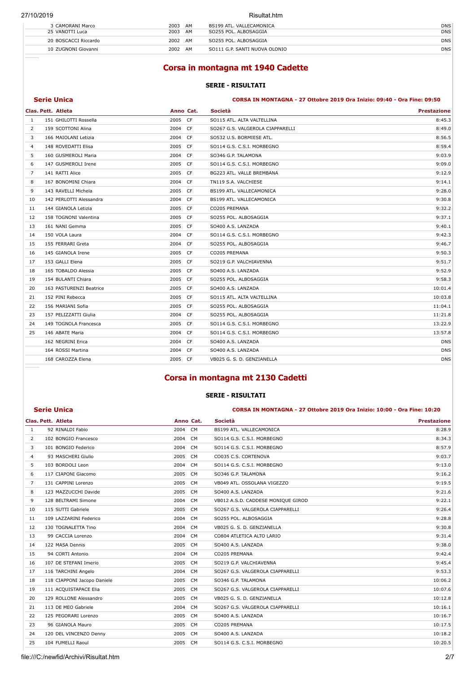#### Risultat.htm

| 3 CAMORANI Marco     | 2003<br>AM | BS199 ATL, VALLECAMONICA      | <b>DNS</b> |
|----------------------|------------|-------------------------------|------------|
| 25 VANOTTI Luca      | 2003<br>AM | SO255 POL. ALBOSAGGIA         | <b>DNS</b> |
| 20 BOSCACCI Riccardo | 2002<br>AM | SO255 POL. ALBOSAGGIA         | <b>DNS</b> |
| 10 ZUGNONI Giovanni  | 2002<br>AM | SO111 G.P. SANTI NUOVA OLONIO | <b>DNS</b> |
|                      |            |                               |            |

### **Corsa in montagna mt 1940 Cadette**

#### **SERIE - RISULTATI**

| Serie Unica |  |  |
|-------------|--|--|
|             |  |  |
|             |  |  |
|             |  |  |

**Serie Unica CORSA IN MONTAGNA - 27 Ottobre 2019 Ora Inizio: 09:40 - Ora Fine: 09:50** 

|                         |                    | Società                                                                                                                                                                                                                                                                                                                       | <b>Prestazione</b> |
|-------------------------|--------------------|-------------------------------------------------------------------------------------------------------------------------------------------------------------------------------------------------------------------------------------------------------------------------------------------------------------------------------|--------------------|
| 151 GHILOTTI Rossella   |                    | SO115 ATL. ALTA VALTELLINA                                                                                                                                                                                                                                                                                                    | 8:45.3             |
| 159 SCOTTONI Alina      |                    | SO267 G.S. VALGEROLA CIAPPARELLI                                                                                                                                                                                                                                                                                              | 8:49.0             |
| 166 MAIOLANI Letizia    |                    | SO532 U.S. BORMIESE ATL.                                                                                                                                                                                                                                                                                                      | 8:56.5             |
| 148 ROVEDATTI Elisa     |                    | SO114 G.S. C.S.I. MORBEGNO                                                                                                                                                                                                                                                                                                    | 8:59.4             |
| 160 GUSMEROLI Maria     |                    | SO346 G.P. TALAMONA                                                                                                                                                                                                                                                                                                           | 9:03.9             |
| 147 GUSMEROLI Irene     |                    | SO114 G.S. C.S.I. MORBEGNO                                                                                                                                                                                                                                                                                                    | 9:09.0             |
| 141 RATTI Alice         |                    | BG223 ATL. VALLE BREMBANA                                                                                                                                                                                                                                                                                                     | 9:12.9             |
| 167 BONOMINI Chiara     |                    | TN119 S.A. VALCHIESE                                                                                                                                                                                                                                                                                                          | 9:14.1             |
| 143 RAVELLI Michela     |                    | BS199 ATL. VALLECAMONICA                                                                                                                                                                                                                                                                                                      | 9:28.0             |
| 142 PERLOTTI Alessandra |                    | BS199 ATL. VALLECAMONICA                                                                                                                                                                                                                                                                                                      | 9:30.8             |
| 144 GIANOLA Letizia     |                    | CO205 PREMANA                                                                                                                                                                                                                                                                                                                 | 9:32.2             |
| 158 TOGNONI Valentina   |                    | SO255 POL. ALBOSAGGIA                                                                                                                                                                                                                                                                                                         | 9:37.1             |
| 161 NANI Gemma          |                    | SO400 A.S. LANZADA                                                                                                                                                                                                                                                                                                            | 9:40.1             |
| 150 VOLA Laura          |                    | SO114 G.S. C.S.I. MORBEGNO                                                                                                                                                                                                                                                                                                    | 9:42.3             |
| 155 FERRARI Greta       |                    | SO255 POL. ALBOSAGGIA                                                                                                                                                                                                                                                                                                         | 9:46.7             |
| 145 GIANOLA Irene       |                    | CO205 PREMANA                                                                                                                                                                                                                                                                                                                 | 9:50.3             |
| 153 GALLI Elena         |                    | SO219 G.P. VALCHIAVENNA                                                                                                                                                                                                                                                                                                       | 9:51.7             |
| 165 TOBALDO Alessia     |                    | SO400 A.S. LANZADA                                                                                                                                                                                                                                                                                                            | 9:52.9             |
| 154 BULANTI Chiara      |                    | SO255 POL. ALBOSAGGIA                                                                                                                                                                                                                                                                                                         | 9:58.3             |
| 163 PASTURENZI Beatrice |                    | SO400 A.S. LANZADA                                                                                                                                                                                                                                                                                                            | 10:01.4            |
| 152 PINI Rebecca        |                    | SO115 ATL. ALTA VALTELLINA                                                                                                                                                                                                                                                                                                    | 10:03.8            |
| 156 MARIANI Sofia       |                    | SO255 POL. ALBOSAGGIA                                                                                                                                                                                                                                                                                                         | 11:04.1            |
| 157 PELIZZATTI Giulia   |                    | SO255 POL. ALBOSAGGIA                                                                                                                                                                                                                                                                                                         | 11:21.8            |
| 149 TOGNOLA Francesca   |                    | SO114 G.S. C.S.I. MORBEGNO                                                                                                                                                                                                                                                                                                    | 13:22.9            |
| 146 ABATE Maria         |                    | SO114 G.S. C.S.I. MORBEGNO                                                                                                                                                                                                                                                                                                    | 13:57.8            |
| 162 NEGRINI Erica       |                    | SO400 A.S. LANZADA                                                                                                                                                                                                                                                                                                            | <b>DNS</b>         |
| 164 ROSSI Martina       |                    | SO400 A.S. LANZADA                                                                                                                                                                                                                                                                                                            | <b>DNS</b>         |
| 168 CAROZZA Elena       |                    | VB025 G. S. D. GENZIANELLA                                                                                                                                                                                                                                                                                                    | <b>DNS</b>         |
|                         | Clas. Pett. Atleta | Anno Cat.<br>2005 CF<br>2004 CF<br>2004 CF<br>2005 CF<br>2004 CF<br>2005 CF<br>2005 CF<br>2004 CF<br>2005 CF<br>2004 CF<br>2005 CF<br>2005 CF<br>2005 CF<br>2004 CF<br>2004 CF<br>2005 CF<br>2005 CF<br>2005 CF<br>2005 CF<br>2005 CF<br>2005 CF<br>2005 CF<br>2004 CF<br>2005 CF<br>2004 CF<br>2004 CF<br>2004 CF<br>2005 CF |                    |

### **Corsa in montagna mt 2130 Cadetti**

#### **SERIE - RISULTATI**

#### **Serie Unica CORSA IN MONTAGNA - 27 Ottobre 2019 Ora Inizio: 10:00 - Ora Fine: 10:20**

|              | Clas, Pett. Atleta          | Anno Cat.         | Società                            | <b>Prestazione</b> |
|--------------|-----------------------------|-------------------|------------------------------------|--------------------|
| $\mathbf{1}$ | 92 RINALDI Fabio            | 2004<br>CM        | BS199 ATL. VALLECAMONICA           | 8:28.9             |
| 2            | 102 BONGIO Francesco        | 2004<br><b>CM</b> | SO114 G.S. C.S.I. MORBEGNO         | 8:34.3             |
| 3            | 101 BONGIO Federico         | CM<br>2004        | SO114 G.S. C.S.I. MORBEGNO         | 8:57.9             |
| 4            | 93 MASCHERI Giulio          | 2005<br><b>CM</b> | CO035 C.S. CORTENOVA               | 9:03.7             |
| 5            | 103 BORDOLI Leon            | 2004<br><b>CM</b> | SO114 G.S. C.S.I. MORBEGNO         | 9:13.0             |
| 6            | 117 CIAPONI Giacomo         | 2005<br><b>CM</b> | SO346 G.P. TALAMONA                | 9:16.2             |
| 7            | 131 CAPPINI Lorenzo         | 2005<br>CM        | VB049 ATL, OSSOLANA VIGEZZO        | 9:19.5             |
| 8            | 123 MAZZUCCHI Davide        | 2005 CM           | SO400 A.S. LANZADA                 | 9:21.6             |
| 9            | 128 BELTRAMI Simone         | 2004<br><b>CM</b> | VB012 A.S.D. CADDESE MONIQUE GIROD | 9:22.1             |
| 10           | 115 SUTTI Gabriele          | 2005<br>CM.       | SO267 G.S. VALGEROLA CIAPPARELLI   | 9:26.4             |
| 11           | 109 LAZZARINI Federico      | 2004<br><b>CM</b> | SO255 POL. ALBOSAGGIA              | 9:28.8             |
| 12           | 130 TOGNALETTA Tino         | 2004<br><b>CM</b> | VB025 G. S. D. GENZIANELLA         | 9:30.8             |
| 13           | 99 CACCIA Lorenzo           | CM<br>2004        | CO804 ATLETICA ALTO LARIO          | 9:31.4             |
| 14           | 122 MASA Dennis             | 2005<br><b>CM</b> | SO400 A.S. LANZADA                 | 9:38.0             |
| 15           | 94 CORTI Antonio            | 2004<br>CM        | CO205 PREMANA                      | 9:42.4             |
| 16           | 107 DE STEFANI Imerio       | 2005<br>CM        | SO219 G.P. VALCHIAVENNA            | 9:45.4             |
| 17           | 116 TARCHINI Angelo         | 2004<br>CM        | SO267 G.S. VALGEROLA CIAPPARELLI   | 9:53.3             |
| 18           | 118 CIAPPONI Jacopo Daniele | 2005<br><b>CM</b> | SO346 G.P. TALAMONA                | 10:06.2            |
| 19           | 111 ACQUISTAPACE Elia       | 2005<br><b>CM</b> | SO267 G.S. VALGEROLA CIAPPARELLI   | 10:07.6            |
| 20           | 129 ROLLONE Alessandro      | 2005<br>CM        | VB025 G. S. D. GENZIANELLA         | 10:12.8            |
| 21           | 113 DE MEO Gabriele         | 2004<br><b>CM</b> | SO267 G.S. VALGEROLA CIAPPARELLI   | 10:16.1            |
| 22           | 125 PEGORARI Lorenzo        | 2005<br><b>CM</b> | SO400 A.S. LANZADA                 | 10:16.7            |
| 23           | 96 GIANOLA Mauro            | 2005<br><b>CM</b> | CO205 PREMANA                      | 10:17.5            |
| 24           | 120 DEL VINCENZO Denny      | 2005<br>CM        | SO400 A.S. LANZADA                 | 10:18.2            |
| 25           | 104 FUMELLI Raoul           | 2005 CM           | SO114 G.S. C.S.I. MORBEGNO         | 10:20.5            |
|              |                             |                   |                                    |                    |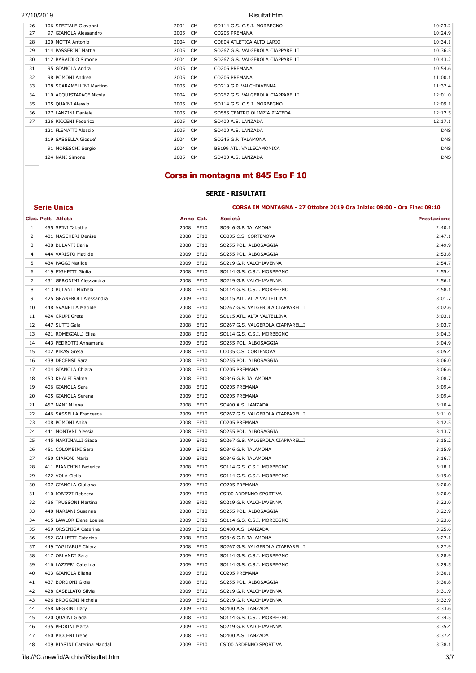| 26 | 106 SPEZIALE Giovanni    | CM.<br>2004       | SO114 G.S. C.S.I. MORBEGNO       | 10:23.2    |
|----|--------------------------|-------------------|----------------------------------|------------|
| 27 | 97 GIANOLA Alessandro    | 2005<br><b>CM</b> | CO205 PREMANA                    | 10:24.9    |
| 28 | 100 MOTTA Antonio        | 2004<br>CM        | CO804 ATLETICA ALTO LARIO        | 10:34.1    |
| 29 | 114 PASSERINI Mattia     | 2005<br>CM        | SO267 G.S. VALGEROLA CIAPPARELLI | 10:36.5    |
| 30 | 112 BARAIOLO Simone      | 2004<br>CM        | SO267 G.S. VALGEROLA CIAPPARELLI | 10:43.2    |
| 31 | 95 GIANOLA Andra         | 2005<br>CM        | CO205 PREMANA                    | 10:54.6    |
| 32 | 98 POMONI Andrea         | 2005<br>CM        | CO205 PREMANA                    | 11:00.1    |
| 33 | 108 SCARAMELLINI Martino | 2005<br>CM.       | SO219 G.P. VALCHIAVENNA          | 11:37.4    |
| 34 | 110 ACQUISTAPACE Nicola  | 2004<br>CM.       | SO267 G.S. VALGEROLA CIAPPARELLI | 12:01.0    |
| 35 | 105 QUAINI Alessio       | 2005 CM           | SO114 G.S. C.S.I. MORBEGNO       | 12:09.1    |
| 36 | 127 LANZINI Daniele      | 2005<br>CM        | SO585 CENTRO OLIMPIA PIATEDA     | 12:12.5    |
| 37 | 126 PICCENI Federico     | 2005<br>CM.       | SO400 A.S. LANZADA               | 12:17.1    |
|    | 121 FLEMATTI Alessio     | 2005<br>CM        | SO400 A.S. LANZADA               | <b>DNS</b> |
|    | 119 SASSELLA Giosue'     | 2004 CM           | SO346 G.P. TALAMONA              | <b>DNS</b> |
|    | 91 MORESCHI Sergio       | 2004<br>CM.       | BS199 ATL. VALLECAMONICA         | <b>DNS</b> |
|    | 124 NANI Simone          | 2005<br><b>CM</b> | SO400 A.S. LANZADA               | <b>DNS</b> |
|    |                          |                   |                                  |            |

### **Corsa in montagna mt 845 Eso F 10**

### **SERIE - RISULTATI Serie Unica CORSA IN MONTAGNA - 27 Ottobre 2019 Ora Inizio: 09:00 - Ora Fine: 09:10**

**Clas. Pett. Atleta Anno Cat. Società Prestazione**

|                | 455 SPINI Tabatha        | 2008<br>EF10 | SO346 G.P. TALAMONA              | 2:40.1 |
|----------------|--------------------------|--------------|----------------------------------|--------|
| 2              | 401 MASCHERI Denise      | 2008<br>EF10 | CO035 C.S. CORTENOVA             | 2:47.1 |
| 3              | 438 BULANTI Ilaria       | 2008<br>EF10 | SO255 POL. ALBOSAGGIA            | 2:49.9 |
| $\overline{4}$ | 444 VARISTO Matilde      | 2009<br>EF10 | SO255 POL. ALBOSAGGIA            | 2:53.8 |
| 5              | 434 PAGGI Matilde        | 2009<br>EF10 | SO219 G.P. VALCHIAVENNA          | 2:54.7 |
| 6              | 419 PIGHETTI Giulia      | 2008 EF10    | SO114 G.S. C.S.I. MORBEGNO       | 2:55.4 |
| 7              | 431 GERONIMI Alessandra  | 2008 EF10    | SO219 G.P. VALCHIAVENNA          | 2:56.1 |
| 8              | 413 BULANTI Michela      | 2008 EF10    | SO114 G.S. C.S.I. MORBEGNO       | 2:58.1 |
| 9              | 425 GRANEROLI Alessandra | EF10<br>2009 | SO115 ATL. ALTA VALTELLINA       | 3:01.7 |
| 10             | 448 SVANELLA Matilde     | 2008 EF10    | SO267 G.S. VALGEROLA CIAPPARELLI | 3:02.6 |
| 11             | 424 CRUPI Greta          | EF10<br>2008 | SO115 ATL. ALTA VALTELLINA       | 3:03.1 |
| 12             | 447 SUTTI Gaia           | EF10<br>2008 | SO267 G.S. VALGEROLA CIAPPARELLI | 3:03.7 |
| 13             | 421 ROMEGIALLI Elisa     | 2008 EF10    | SO114 G.S. C.S.I. MORBEGNO       | 3:04.3 |

| 9  | 425 GRANEROLI Alessandra    | 2009 | EF10      | SO115 ATL. ALTA VALTELLINA       | 3:01.7 |
|----|-----------------------------|------|-----------|----------------------------------|--------|
| 10 | 448 SVANELLA Matilde        | 2008 | EF10      | SO267 G.S. VALGEROLA CIAPPARELLI | 3:02.6 |
| 11 | 424 CRUPI Greta             | 2008 | EF10      | SO115 ATL. ALTA VALTELLINA       | 3:03.1 |
| 12 | 447 SUTTI Gaia              | 2008 | EF10      | SO267 G.S. VALGEROLA CIAPPARELLI | 3:03.7 |
| 13 | 421 ROMEGIALLI Elisa        | 2008 | EF10      | S0114 G.S. C.S.I. MORBEGNO       | 3:04.3 |
| 14 | 443 PEDROTTI Annamaria      | 2009 | EF10      | SO255 POL. ALBOSAGGIA            | 3:04.9 |
| 15 | 402 PIRAS Greta             | 2008 | EF10      | CO035 C.S. CORTENOVA             | 3:05.4 |
| 16 | 439 DECENSI Sara            | 2008 | EF10      | SO255 POL. ALBOSAGGIA            | 3:06.0 |
| 17 | 404 GIANOLA Chiara          | 2008 | EF10      | CO205 PREMANA                    | 3:06.6 |
| 18 | 453 KHALFI Salma            | 2008 | EF10      | SO346 G.P. TALAMONA              | 3:08.7 |
| 19 | 406 GIANOLA Sara            | 2008 | EF10      | CO205 PREMANA                    | 3:09.4 |
| 20 | 405 GIANOLA Serena          | 2009 | EF10      | CO205 PREMANA                    | 3:09.4 |
| 21 | 457 NANI Milena             | 2008 | EF10      | SO400 A.S. LANZADA               | 3:10.4 |
| 22 | 446 SASSELLA Francesca      | 2009 | EF10      | SO267 G.S. VALGEROLA CIAPPARELLI | 3:11.0 |
| 23 | 408 POMONI Anita            | 2008 | EF10      | CO205 PREMANA                    | 3:12.5 |
| 24 | 441 MONTANI Alessia         | 2008 | EF10      | SO255 POL. ALBOSAGGIA            | 3:13.7 |
| 25 | 445 MARTINALLI Giada        | 2009 | EF10      | SO267 G.S. VALGEROLA CIAPPARELLI | 3:15.2 |
| 26 | 451 COLOMBINI Sara          | 2009 | EF10      | SO346 G.P. TALAMONA              | 3:15.9 |
| 27 | 450 CIAPONI Maria           | 2009 | EF10      | SO346 G.P. TALAMONA              | 3:16.7 |
| 28 | 411 BIANCHINI Federica      | 2008 | EF10      | SO114 G.S. C.S.I. MORBEGNO       | 3:18.1 |
| 29 | 422 VOLA Clelia             | 2009 | EF10      | SO114 G.S. C.S.I. MORBEGNO       | 3:19.0 |
| 30 | 407 GIANOLA Giuliana        | 2009 | EF10      | CO205 PREMANA                    | 3:20.0 |
| 31 | 410 IOBIZZI Rebecca         | 2009 | EF10      | CSI00 ARDENNO SPORTIVA           | 3:20.9 |
| 32 | 436 TRUSSONI Martina        | 2008 | EF10      | SO219 G.P. VALCHIAVENNA          | 3:22.0 |
| 33 | 440 MARIANI Susanna         | 2008 | EF10      | SO255 POL. ALBOSAGGIA            | 3:22.9 |
| 34 | 415 LAWLOR Elena Louise     | 2009 | EF10      | SO114 G.S. C.S.I. MORBEGNO       | 3:23.6 |
| 35 | 459 ORSENIGA Caterina       | 2009 | EF10      | SO400 A.S. LANZADA               | 3:25.6 |
| 36 | 452 GALLETTI Caterina       | 2008 | EF10      | SO346 G.P. TALAMONA              | 3:27.1 |
| 37 | 449 TAGLIABUE Chiara        | 2008 | EF10      | SO267 G.S. VALGEROLA CIAPPARELLI | 3:27.9 |
| 38 | 417 ORLANDI Sara            | 2009 | EF10      | SO114 G.S. C.S.I. MORBEGNO       | 3:28.9 |
| 39 | 416 LAZZERI Caterina        | 2009 | EF10      | SO114 G.S. C.S.I. MORBEGNO       | 3:29.5 |
| 40 | 403 GIANOLA Eliana          | 2009 | EF10      | CO205 PREMANA                    | 3:30.1 |
| 41 | 437 BORDONI Gioia           | 2008 | EF10      | SO255 POL. ALBOSAGGIA            | 3:30.8 |
| 42 | 428 CASELLATO Silvia        | 2009 | EF10      | SO219 G.P. VALCHIAVENNA          | 3:31.9 |
| 43 | 426 BROGGINI Michela        | 2009 | EF10      | SO219 G.P. VALCHIAVENNA          | 3:32.9 |
| 44 | 458 NEGRINI Ilary           | 2009 | EF10      | SO400 A.S. LANZADA               | 3:33.6 |
| 45 | 420 QUAINI Giada            | 2008 | EF10      | SO114 G.S. C.S.I. MORBEGNO       | 3:34.5 |
| 46 | 435 PEDRINI Marta           | 2009 | EF10      | SO219 G.P. VALCHIAVENNA          | 3:35.4 |
| 47 | 460 PICCENI Irene           | 2008 | EF10      | SO400 A.S. LANZADA               | 3:37.4 |
| 48 | 409 BIASINI Caterina Maddal |      | 2009 EF10 | CSI00 ARDENNO SPORTIVA           | 3:38.1 |

file:///C:/newfid/Archivi/Risultat.htm 3/7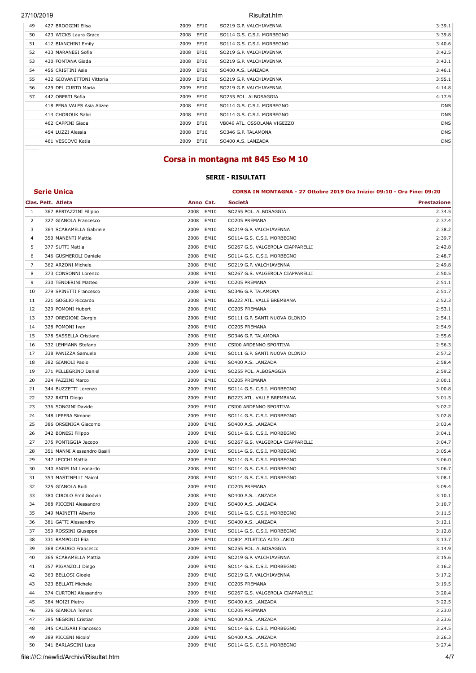| 49  | 427 BROGGINI Elisa         | 2009      | EF10 | SO219 G.P. VALCHIAVENNA     | 3:39.1     |
|-----|----------------------------|-----------|------|-----------------------------|------------|
| 50  | 423 WICKS Laura Grace      | 2008      | EF10 | SO114 G.S. C.S.I. MORBEGNO  | 3:39.8     |
| 51  | 412 BIANCHINI Emily        | 2009      | EF10 | SO114 G.S. C.S.I. MORBEGNO  | 3:40.6     |
| 52  | 433 MARANESI Sofia         | 2008      | EF10 | SO219 G.P. VALCHIAVENNA     | 3:42.5     |
| 53  | 430 FONTANA Giada          | 2008      | EF10 | SO219 G.P. VALCHIAVENNA     | 3:43.1     |
| 54  | 456 CRISTINI Asia          | 2009 EF10 |      | SO400 A.S. LANZADA          | 3:46.1     |
| 55  | 432 GIOVANETTONI Vittoria  | 2009 EF10 |      | SO219 G.P. VALCHIAVENNA     | 3:55.1     |
| 56  | 429 DEL CURTO Maria        | 2009 EF10 |      | SO219 G.P. VALCHIAVENNA     | 4:14.8     |
| .57 | 442 OBERTI Sofia           | 2009 EF10 |      | SO255 POL. ALBOSAGGIA       | 4:17.9     |
|     | 418 PENA VALES Asia Alizee | 2008      | EF10 | SO114 G.S. C.S.I. MORBEGNO  | <b>DNS</b> |
|     | 414 CHOROUK Sabri          | 2008      | EF10 | SO114 G.S. C.S.I. MORBEGNO  | <b>DNS</b> |
|     | 462 CAPPINI Giada          | 2009      | EF10 | VB049 ATL, OSSOLANA VIGEZZO | <b>DNS</b> |
|     | 454 LUZZI Alessia          | 2008      | EF10 | SO346 G.P. TALAMONA         | <b>DNS</b> |
|     | 461 VESCOVO Katia          | 2009      | EF10 | SO400 A.S. LANZADA          | <b>DNS</b> |
|     |                            |           |      |                             |            |

### **Corsa in montagna mt 845 Eso M 10**

#### **SERIE - RISULTATI**

#### **Serie Unica CORSA IN MONTAGNA - 27 Ottobre 2019 Ora Inizio: 09:10 - Ora Fine: 09:20**

| 1  | 367 BERTAZZINI Filippo      | 2008 | EM10      | SO255 POL. ALBOSAGGIA            | 2:34.5 |
|----|-----------------------------|------|-----------|----------------------------------|--------|
| 2  | 327 GIANOLA Francesco       | 2008 | EM10      | CO205 PREMANA                    | 2:37.4 |
| 3  | 364 SCARAMELLA Gabriele     | 2009 | EM10      | SO219 G.P. VALCHIAVENNA          | 2:38.2 |
| 4  | 350 MANENTI Mattia          | 2008 | EM10      | SO114 G.S. C.S.I. MORBEGNO       | 2:39.7 |
| 5  | 377 SUTTI Mattia            | 2008 | EM10      | SO267 G.S. VALGEROLA CIAPPARELLI | 2:42.8 |
| 6  | 346 GUSMEROLI Daniele       | 2008 | EM10      | SO114 G.S. C.S.I. MORBEGNO       | 2:48.7 |
| 7  | 362 ARZONI Michele          | 2008 | EM10      | SO219 G.P. VALCHIAVENNA          | 2:49.8 |
| 8  | 373 CONSONNI Lorenzo        | 2008 | EM10      | SO267 G.S. VALGEROLA CIAPPARELLI | 2:50.5 |
| 9  | 330 TENDERINI Matteo        | 2009 | EM10      | CO205 PREMANA                    | 2:51.1 |
| 10 | 379 SPINETTI Francesco      | 2008 | EM10      | SO346 G.P. TALAMONA              | 2:51.7 |
| 11 | 321 GOGLIO Riccardo         | 2008 | EM10      | BG223 ATL. VALLE BREMBANA        | 2:52.3 |
| 12 | 329 POMONI Hubert           | 2008 | EM10      | CO205 PREMANA                    | 2:53.1 |
| 13 | 337 OREGIONI Giorgio        | 2008 | EM10      | SO111 G.P. SANTI NUOVA OLONIO    | 2:54.1 |
| 14 | 328 POMONI Ivan             | 2008 | EM10      | CO205 PREMANA                    | 2:54.9 |
| 15 | 378 SASSELLA Cristiano      | 2008 | EM10      | SO346 G.P. TALAMONA              | 2:55.6 |
| 16 | 332 LEHMANN Stefano         | 2009 | EM10      | CSI00 ARDENNO SPORTIVA           | 2:56.3 |
| 17 | 338 PANIZZA Samuele         | 2008 | EM10      | SO111 G.P. SANTI NUOVA OLONIO    | 2:57.2 |
| 18 | 382 GIANOLI Paolo           | 2008 | EM10      | SO400 A.S. LANZADA               | 2:58.4 |
| 19 | 371 PELLEGRINO Daniel       | 2009 | EM10      | SO255 POL. ALBOSAGGIA            | 2:59.2 |
| 20 | 324 FAZZINI Marco           | 2009 | EM10      | CO205 PREMANA                    | 3:00.1 |
| 21 | 344 BUZZETTI Lorenzo        | 2009 | EM10      | SO114 G.S. C.S.I. MORBEGNO       | 3:00.8 |
| 22 | 322 RATTI Diego             | 2009 | EM10      | BG223 ATL. VALLE BREMBANA        | 3:01.5 |
| 23 | 336 SONGINI Davide          | 2009 | EM10      | CSI00 ARDENNO SPORTIVA           | 3:02.2 |
| 24 | 348 LEPERA Simone           | 2009 | EM10      | SO114 G.S. C.S.I. MORBEGNO       | 3:02.8 |
| 25 | 386 ORSENIGA Giacomo        | 2009 | EM10      | SO400 A.S. LANZADA               | 3:03.4 |
| 26 | 342 BONESI Filippo          | 2009 | EM10      | SO114 G.S. C.S.I. MORBEGNO       | 3:04.1 |
| 27 | 375 PONTIGGIA Jacopo        | 2008 | EM10      | SO267 G.S. VALGEROLA CIAPPARELLI | 3:04.7 |
| 28 | 351 MANNI Alessandro Basili | 2009 | EM10      | SO114 G.S. C.S.I. MORBEGNO       | 3:05.4 |
| 29 | 347 LECCHI Mattia           | 2009 | EM10      | SO114 G.S. C.S.I. MORBEGNO       | 3:06.0 |
| 30 | 340 ANGELINI Leonardo       | 2008 | EM10      | SO114 G.S. C.S.I. MORBEGNO       | 3:06.7 |
| 31 | 353 MASTINELLI Maicol       | 2008 | EM10      | SO114 G.S. C.S.I. MORBEGNO       | 3:08.1 |
| 32 | 325 GIANOLA Rudi            | 2009 | EM10      | CO205 PREMANA                    | 3:09.4 |
| 33 | 380 CIROLO Emil Godvin      | 2008 | EM10      | SO400 A.S. LANZADA               | 3:10.1 |
| 34 | 388 PICCENI Alessandro      | 2009 | EM10      | SO400 A.S. LANZADA               | 3:10.7 |
| 35 | 349 MAINETTI Alberto        | 2008 | EM10      | SO114 G.S. C.S.I. MORBEGNO       | 3:11.5 |
| 36 | 381 GATTI Alessandro        | 2009 | EM10      | SO400 A.S. LANZADA               | 3:12.1 |
| 37 | 359 ROSSINI Giuseppe        | 2008 | EM10      | SO114 G.S. C.S.I. MORBEGNO       | 3:12.8 |
| 38 | 331 RAMPOLDI Elia           | 2009 | EM10      | CO804 ATLETICA ALTO LARIO        | 3:13.7 |
| 39 | 368 CARUGO Francesco        |      | 2009 EM10 | SO255 POL. ALBOSAGGIA            | 3:14.9 |
| 40 | 365 SCARAMELLA Mattia       |      | 2009 EM10 | SO219 G.P. VALCHIAVENNA          | 3:15.6 |
| 41 | 357 PIGANZOLI Diego         |      | 2009 EM10 | SO114 G.S. C.S.I. MORBEGNO       | 3:16.2 |
| 42 | 363 BELLOSI Gioele          |      | 2009 EM10 | SO219 G.P. VALCHIAVENNA          | 3:17.2 |
| 43 | 323 BELLATI Michele         | 2009 | EM10      | CO205 PREMANA                    | 3:19.5 |
| 44 | 374 CURTONI Alessandro      | 2009 | EM10      | SO267 G.S. VALGEROLA CIAPPARELLI | 3:20.4 |
| 45 | 384 MOIZI Pietro            | 2009 | EM10      | SO400 A.S. LANZADA               | 3:22.5 |
| 46 | 326 GIANOLA Tomas           |      | 2008 EM10 | CO205 PREMANA                    | 3:23.0 |
| 47 | 385 NEGRINI Cristian        | 2008 | EM10      | SO400 A.S. LANZADA               | 3:23.6 |
| 48 | 345 CALIGARI Francesco      | 2008 | EM10      | SO114 G.S. C.S.I. MORBEGNO       | 3:24.5 |
| 49 | 389 PICCENI Nicolo'         | 2009 | EM10      | SO400 A.S. LANZADA               | 3:26.3 |
| 50 | 341 BARLASCINI Luca         |      | 2009 EM10 | SO114 G.S. C.S.I. MORBEGNO       | 3:27.4 |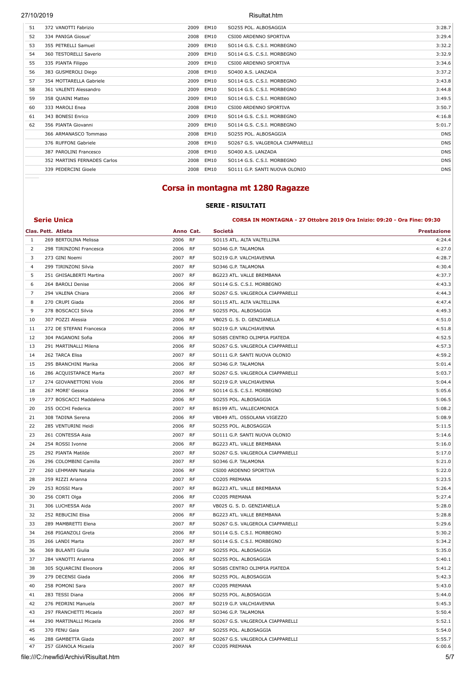| 51 | 372 VANOTTI Fabrizio        | 2009 | <b>EM10</b> | SO255 POL. ALBOSAGGIA            | 3:28.7     |
|----|-----------------------------|------|-------------|----------------------------------|------------|
| 52 | 334 PANIGA Giosue'          | 2008 | EM10        | CSI00 ARDENNO SPORTIVA           | 3:29.4     |
| 53 | 355 PETRELLI Samuel         | 2009 | EM10        | SO114 G.S. C.S.I. MORBEGNO       | 3:32.2     |
| 54 | 360 TESTORELLI Saverio      | 2009 | EM10        | SO114 G.S. C.S.I. MORBEGNO       | 3:32.9     |
| 55 | 335 PIANTA Filippo          | 2009 | EM10        | CSI00 ARDENNO SPORTIVA           | 3:34.6     |
| 56 | 383 GUSMEROLI Diego         | 2008 | EM10        | SO400 A.S. LANZADA               | 3:37.2     |
| 57 | 354 MOTTARELLA Gabriele     | 2009 | EM10        | SO114 G.S. C.S.I. MORBEGNO       | 3:43.8     |
| 58 | 361 VALENTI Alessandro      | 2009 | EM10        | SO114 G.S. C.S.I. MORBEGNO       | 3:44.8     |
| 59 | 358 QUAINI Matteo           | 2009 | EM10        | SO114 G.S. C.S.I. MORBEGNO       | 3:49.5     |
| 60 | 333 MAROLI Enea             | 2008 | EM10        | CSI00 ARDENNO SPORTIVA           | 3:50.7     |
| 61 | 343 BONESI Enrico           | 2009 | EM10        | SO114 G.S. C.S.I. MORBEGNO       | 4:16.8     |
| 62 | 356 PIANTA Giovanni         | 2009 | EM10        | SO114 G.S. C.S.I. MORBEGNO       | 5:01.7     |
|    | 366 ARMANASCO Tommaso       | 2008 | EM10        | SO255 POL. ALBOSAGGIA            | <b>DNS</b> |
|    | 376 RUFFONI Gabriele        | 2008 | EM10        | SO267 G.S. VALGEROLA CIAPPARELLI | <b>DNS</b> |
|    | 387 PAROLINI Francesco      | 2008 | EM10        | SO400 A.S. LANZADA               | <b>DNS</b> |
|    | 352 MARTINS FERNADES Carlos | 2008 | EM10        | SO114 G.S. C.S.I. MORBEGNO       | <b>DNS</b> |
|    | 339 PEDERCINI Gioele        | 2008 | EM10        | SO111 G.P. SANTI NUOVA OLONIO    | <b>DNS</b> |
|    |                             |      |             |                                  |            |

### **Corsa in montagna mt 1280 Ragazze**

### **SERIE - RISULTATI**

**Serie Unica CORSA IN MONTAGNA - 27 Ottobre 2019 Ora Inizio: 09:20 - Ora Fine: 09:30** 

|    | Clas. Pett. Atleta       | Anno Cat. |           | Società                          | <b>Prestazione</b> |
|----|--------------------------|-----------|-----------|----------------------------------|--------------------|
| 1  | 269 BERTOLINA Melissa    | 2006      | RF        | SO115 ATL. ALTA VALTELLINA       | 4:24.4             |
| 2  | 298 TIRINZONI Francesca  | 2006      | RF        | SO346 G.P. TALAMONA              | 4:27.0             |
| 3  | 273 GINI Noemi           | 2007      | RF        | SO219 G.P. VALCHIAVENNA          | 4:28.7             |
| 4  | 299 TIRINZONI Silvia     | 2007      | RF        | SO346 G.P. TALAMONA              | 4:30.4             |
| 5  | 251 GHISALBERTI Martina  | 2007      | <b>RF</b> | BG223 ATL. VALLE BREMBANA        | 4:37.7             |
| 6  | 264 BAROLI Denise        | 2006      | RF        | SO114 G.S. C.S.I. MORBEGNO       | 4:43.3             |
| 7  | 294 VALENA Chiara        | 2006      | RF        | SO267 G.S. VALGEROLA CIAPPARELLI | 4:44.3             |
| 8  | 270 CRUPI Giada          | 2006      | RF        | SO115 ATL. ALTA VALTELLINA       | 4:47.4             |
| 9  | 278 BOSCACCI Silvia      | 2006      | RF        | SO255 POL. ALBOSAGGIA            | 4:49.3             |
| 10 | 307 POZZI Alessia        | 2006      | <b>RF</b> | VB025 G. S. D. GENZIANELLA       | 4:51.0             |
| 11 | 272 DE STEFANI Francesca | 2006      | RF        | SO219 G.P. VALCHIAVENNA          | 4:51.8             |
| 12 | 304 PAGANONI Sofia       | 2006      | RF        | SO585 CENTRO OLIMPIA PIATEDA     | 4:52.5             |
| 13 | 291 MARTINALLI Milena    | 2006      | RF        | SO267 G.S. VALGEROLA CIAPPARELLI | 4:57.3             |
| 14 | 262 TARCA Elisa          | 2007      | RF        | SO111 G.P. SANTI NUOVA OLONIO    | 4:59.2             |
| 15 | 295 BRANCHINI Marika     | 2006      | <b>RF</b> | SO346 G.P. TALAMONA              | 5:01.4             |
| 16 | 286 ACQUISTAPACE Marta   | 2007      | RF        | SO267 G.S. VALGEROLA CIAPPARELLI | 5:03.7             |
| 17 | 274 GIOVANETTONI Viola   | 2006      | RF        | SO219 G.P. VALCHIAVENNA          | 5:04.4             |
| 18 | 267 MORE' Gessica        | 2006      | <b>RF</b> | SO114 G.S. C.S.I. MORBEGNO       | 5:05.6             |
| 19 | 277 BOSCACCI Maddalena   | 2006      | RF        | SO255 POL. ALBOSAGGIA            | 5:06.5             |
| 20 | 255 OCCHI Federica       | 2007      | <b>RF</b> | BS199 ATL. VALLECAMONICA         | 5:08.2             |
| 21 | 308 TADINA Serena        | 2006      | RF        | VB049 ATL. OSSOLANA VIGEZZO      | 5:08.9             |
| 22 | 285 VENTURINI Heidi      | 2006      | RF        | SO255 POL. ALBOSAGGIA            | 5:11.5             |
| 23 | 261 CONTESSA Asia        | 2007      | RF        | SO111 G.P. SANTI NUOVA OLONIO    | 5:14.6             |
| 24 | 254 ROSSI Ivonne         | 2006      | RF        | BG223 ATL. VALLE BREMBANA        | 5:16.0             |
| 25 | 292 PIANTA Matilde       | 2007      | <b>RF</b> | SO267 G.S. VALGEROLA CIAPPARELLI | 5:17.0             |
| 26 | 296 COLOMBINI Camilla    | 2007      | RF        | SO346 G.P. TALAMONA              | 5:21.0             |
| 27 | 260 LEHMANN Natalia      | 2006      | RF        | CSI00 ARDENNO SPORTIVA           | 5:22.0             |
| 28 | 259 RIZZI Arianna        | 2007      | RF        | CO205 PREMANA                    | 5:23.5             |
| 29 | 253 ROSSI Mara           | 2007      | RF        | BG223 ATL. VALLE BREMBANA        | 5:26.4             |
| 30 | 256 CORTI Olga           | 2006      | <b>RF</b> | CO205 PREMANA                    | 5:27.4             |
| 31 | 306 LUCHESSA Aida        | 2007      | RF        | VB025 G. S. D. GENZIANELLA       | 5:28.0             |
| 32 | 252 REBUCINI Elisa       | 2006      | RF        | BG223 ATL. VALLE BREMBANA        | 5:28.8             |
| 33 | 289 MAMBRETTI Elena      | 2007      | <b>RF</b> | SO267 G.S. VALGEROLA CIAPPARELLI | 5:29.6             |
| 34 | 268 PIGANZOLI Greta      | 2006      | RF        | SO114 G.S. C.S.I. MORBEGNO       | 5:30.2             |
| 35 | 266 LANDI Marta          | 2007      | RF        | SO114 G.S. C.S.I. MORBEGNO       | 5:34.2             |
| 36 | 369 BULANTI Giulia       | 2007      | RF        | SO255 POL. ALBOSAGGIA            | 5:35.0             |
| 37 | 284 VANOTTI Arianna      | 2006      | RF        | SO255 POL. ALBOSAGGIA            | 5:40.1             |
| 38 | 305 SQUARCINI Eleonora   | 2006      | <b>RF</b> | SO585 CENTRO OLIMPIA PIATEDA     | 5:41.2             |
| 39 | 279 DECENSI Giada        | 2006      | RF        | SO255 POL. ALBOSAGGIA            | 5:42.3             |
| 40 | 258 POMONI Sara          | 2007 RF   |           | CO205 PREMANA                    | 5:43.0             |
| 41 | 283 TESSI Diana          | 2006 RF   |           | SO255 POL. ALBOSAGGIA            | 5:44.0             |
| 42 | 276 PEDRINI Manuela      | 2007      | RF        | SO219 G.P. VALCHIAVENNA          | 5:45.3             |
| 43 | 297 FRANCHETTI Micaela   | 2007 RF   |           | SO346 G.P. TALAMONA              | 5:50.4             |
| 44 | 290 MARTINALLI Micaela   | 2006      | RF        | SO267 G.S. VALGEROLA CIAPPARELLI | 5:52.1             |
| 45 | 370 FENU Gaia            | 2007 RF   |           | SO255 POL. ALBOSAGGIA            | 5:54.0             |
| 46 | 288 GAMBETTA Giada       | 2007 RF   |           | SO267 G.S. VALGEROLA CIAPPARELLI | 5:55.7             |
| 47 | 257 GIANOLA Micaela      | 2007 RF   |           | CO205 PREMANA                    | 6:00.6             |

file:///C:/newfid/Archivi/Risultat.htm 5/7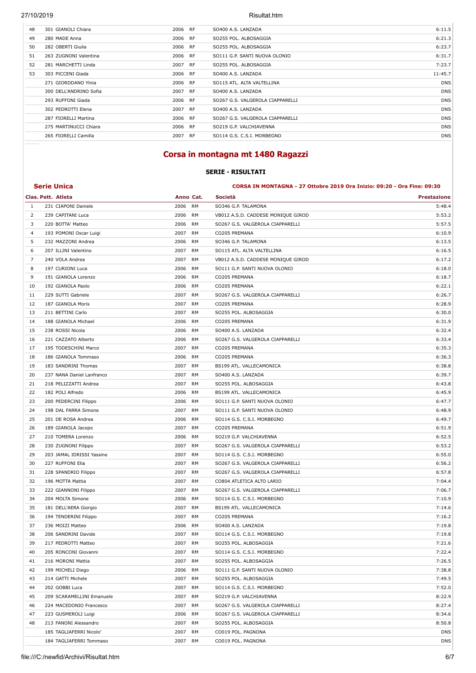| 48 | 301 GIANOLI Chiara     | 2006    | <b>RF</b> | SO400 A.S. LANZADA               | 6:11.5     |
|----|------------------------|---------|-----------|----------------------------------|------------|
| 49 | 280 MADE Anna          | 2006 RF |           | SO255 POL. ALBOSAGGIA            | 6:21.3     |
| 50 | 282 OBERTI Giulia      | 2006 RF |           | SO255 POL. ALBOSAGGIA            | 6:23.7     |
| 51 | 263 ZUGNONI Valentina  | 2006    | <b>RF</b> | SO111 G.P. SANTI NUOVA OLONIO    | 6:31.7     |
| 52 | 281 MARCHETTI Linda    | 2007 RF |           | SO255 POL. ALBOSAGGIA            | 7:23.7     |
| 53 | 303 PICCENI Giada      | 2006    | <b>RF</b> | SO400 A.S. LANZADA               | 11:45.7    |
|    | 271 GIORDDANO YInia    | 2006 RF |           | SO115 ATL. ALTA VALTELLINA       | <b>DNS</b> |
|    | 300 DELL'ANDRINO Sofia | 2007    | <b>RF</b> | SO400 A.S. LANZADA               | <b>DNS</b> |
|    | 293 RUFFONI Giada      | 2006 RF |           | SO267 G.S. VALGEROLA CIAPPARELLI | <b>DNS</b> |
|    | 302 PEDROTTI Elena     | 2007    | <b>RF</b> | SO400 A.S. LANZADA               | <b>DNS</b> |
|    | 287 FIORELLI Martina   | 2006 RF |           | SO267 G.S. VALGEROLA CIAPPARELLI | <b>DNS</b> |
|    | 275 MARTINUCCI Chiara  | 2006 RF |           | SO219 G.P. VALCHIAVENNA          | <b>DNS</b> |
|    | 265 FIORELLI Camilla   | 2007 RF |           | SO114 G.S. C.S.I. MORBEGNO       | <b>DNS</b> |
|    |                        |         |           |                                  |            |

### **Corsa in montagna mt 1480 Ragazzi**

### **SERIE - RISULTATI**

#### **Serie Unica CORSA IN MONTAGNA - 27 Ottobre 2019 Ora Inizio: 09:20 - Ora Fine: 09:30**

|    | Clas. Pett. Atleta        | Anno Cat. |           | Società                            | <b>Prestazione</b> |
|----|---------------------------|-----------|-----------|------------------------------------|--------------------|
| 1  | 231 CIAPONI Daniele       | 2006      | RM        | SO346 G.P. TALAMONA                | 5:48.4             |
| 2  | 239 CAPITANI Luca         | 2006      | RM        | VB012 A.S.D. CADDESE MONIQUE GIROD | 5:53.2             |
| 3  | 220 BOTTA' Matteo         | 2006      | RM        | SO267 G.S. VALGEROLA CIAPPARELLI   | 5:57.5             |
| 4  | 193 POMONI Oscar Luigi    | 2007      | RM        | CO205 PREMANA                      | 6:10.9             |
| 5  | 232 MAZZONI Andrea        | 2006      | RM        | SO346 G.P. TALAMONA                | 6:13.5             |
| 6  | 207 ILLINI Valentino      | 2007      | RM        | SO115 ATL. ALTA VALTELLINA         | 6:16.5             |
| 7  | 240 VOLA Andrea           | 2007      | RM        | VB012 A.S.D. CADDESE MONIQUE GIROD | 6:17.2             |
| 8  | 197 CURIONI Luca          | 2006      | RM        | SO111 G.P. SANTI NUOVA OLONIO      | 6:18.0             |
| 9  | 191 GIANOLA Lorenzo       | 2006      | RM        | CO205 PREMANA                      | 6:18.7             |
| 10 | 192 GIANOLA Paolo         | 2006      | RM        | CO205 PREMANA                      | 6:22.1             |
| 11 | 229 SUTTI Gabriele        | 2007      | RM        | SO267 G.S. VALGEROLA CIAPPARELLI   | 6:26.7             |
| 12 | 187 GIANOLA Moris         | 2007      | <b>RM</b> | CO205 PREMANA                      | 6:28.9             |
| 13 | 211 BETTINI Carlo         | 2007      | <b>RM</b> | SO255 POL. ALBOSAGGIA              | 6:30.0             |
| 14 | 188 GIANOLA Michael       | 2006      | RM        | CO205 PREMANA                      | 6:31.9             |
| 15 | 238 ROSSI Nicola          | 2006      | RM        | SO400 A.S. LANZADA                 | 6:32.4             |
| 16 | 221 CAZZATO Alberto       | 2006      | RM        | SO267 G.S. VALGEROLA CIAPPARELLI   | 6:33.4             |
| 17 | 195 TODESCHINI Marco      | 2007      | <b>RM</b> | CO205 PREMANA                      | 6:35.3             |
| 18 | 186 GIANOLA Tommaso       | 2006      | RM        | CO205 PREMANA                      | 6:36.3             |
| 19 | 183 SANDRINI Thomas       | 2007      | RM        | BS199 ATL. VALLECAMONICA           | 6:38.8             |
| 20 | 237 NANA Daniel Lanfranco | 2007      | RM        | SO400 A.S. LANZADA                 | 6:39.7             |
| 21 | 218 PELIZZATTI Andrea     | 2007      | RM        | SO255 POL. ALBOSAGGIA              | 6:43.8             |
| 22 | 182 POLI Alfredo          | 2006      | RM        | BS199 ATL. VALLECAMONICA           | 6:45.9             |
| 23 | 200 PEDERCINI Filippo     | 2006      | RM        | SO111 G.P. SANTI NUOVA OLONIO      | 6:47.7             |
| 24 | 198 DAL FARRA Simone      | 2007      | RM        | SO111 G.P. SANTI NUOVA OLONIO      | 6:48.9             |
| 25 | 201 DE ROSA Andrea        | 2006      | RM        | SO114 G.S. C.S.I. MORBEGNO         | 6:49.7             |
| 26 | 189 GIANOLA Jacopo        | 2007      | RM        | CO205 PREMANA                      | 6:51.9             |
| 27 | 210 TOMERA Lorenzo        | 2006      | <b>RM</b> | SO219 G.P. VALCHIAVENNA            | 6:52.5             |
| 28 | 230 ZUGNONI Filippo       | 2007      | RM        | SO267 G.S. VALGEROLA CIAPPARELLI   | 6:53.2             |
| 29 | 203 JAMAL IDRISSI Yassine | 2007      | RM        | SO114 G.S. C.S.I. MORBEGNO         | 6:55.0             |
| 30 | 227 RUFFONI Elia          | 2007      | RM        | SO267 G.S. VALGEROLA CIAPPARELLI   | 6:56.2             |
| 31 | 228 SPANDRIO Filippo      | 2007      | RM        | SO267 G.S. VALGEROLA CIAPPARELLI   | 6:57.8             |
| 32 | 196 MOTTA Mattia          | 2007      | <b>RM</b> | CO804 ATLETICA ALTO LARIO          | 7:04.4             |
| 33 | 222 GIANNONI Filippo      | 2007      | <b>RM</b> | SO267 G.S. VALGEROLA CIAPPARELLI   | 7:06.7             |
| 34 | 204 MOLTA Simone          | 2006      | RM        | SO114 G.S. C.S.I. MORBEGNO         | 7:10.9             |
| 35 | 181 DELL'AERA Giorgio     | 2007      | RM        | BS199 ATL. VALLECAMONICA           | 7:14.6             |
| 36 | 194 TENDERINI Filippo     | 2007      | RM        | CO205 PREMANA                      | 7:16.2             |
| 37 | 236 MOIZI Matteo          | 2006      | RM        | SO400 A.S. LANZADA                 | 7:19.8             |
| 38 | 206 SANDRINI Davide       | 2007      | RM        | SO114 G.S. C.S.I. MORBEGNO         | 7:19.8             |
| 39 | 217 PEDROTTI Matteo       | 2007      | <b>RM</b> | SO255 POL. ALBOSAGGIA              | 7:21.6             |
| 40 | 205 RONCONI Giovanni      | 2007      | RM        | SO114 G.S. C.S.I. MORBEGNO         | 7:22.4             |
| 41 | 216 MORONI Mattia         | 2007      | RM        | SO255 POL. ALBOSAGGIA              | 7:26.5             |
| 42 | 199 MICHELI Diego         | 2006      | RM        | SO111 G.P. SANTI NUOVA OLONIO      | 7:38.8             |
| 43 | 214 GATTI Michele         | 2007      | RM        | SO255 POL. ALBOSAGGIA              | 7:49.5             |
| 44 | 202 GOBBI Luca            | 2007      | RM        | SO114 G.S. C.S.I. MORBEGNO         | 7:52.0             |
| 45 | 209 SCARAMELLINI Emanuele | 2007      | RM        | SO219 G.P. VALCHIAVENNA            | 8:22.9             |
| 46 | 224 MACEDONIO Francesco   | 2007      | RM        | SO267 G.S. VALGEROLA CIAPPARELLI   | 8:27.4             |
| 47 | 223 GUSMEROLI Luigi       | 2006      | RM        | SO267 G.S. VALGEROLA CIAPPARELLI   | 8:34.6             |
| 48 | 213 FANONI Alessandro     | 2007      | RM        | SO255 POL. ALBOSAGGIA              | 8:50.8             |
|    | 185 TAGLIAFERRI Nicolo'   | 2007      | <b>RM</b> | CO019 POL. PAGNONA                 | <b>DNS</b>         |
|    | 184 TAGLIAFERRI Tommaso   | 2007 RM   |           | CO019 POL. PAGNONA                 | <b>DNS</b>         |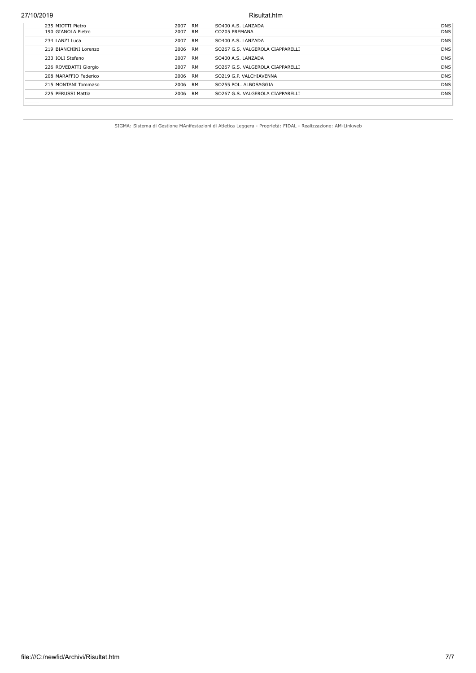| 235 MIOTTI Pietro     | 2007    | <b>RM</b> | SO400 A.S. LANZADA               | <b>DNS</b> |
|-----------------------|---------|-----------|----------------------------------|------------|
| 190 GIANOLA Pietro    | 2007 RM |           | CO205 PREMANA                    | <b>DNS</b> |
| 234 LANZI Luca        | 2007 RM |           | SO400 A.S. LANZADA               | <b>DNS</b> |
| 219 BIANCHINI Lorenzo | 2006 RM |           | SO267 G.S. VALGEROLA CIAPPARELLI | <b>DNS</b> |
| 233 IOLI Stefano      | 2007 RM |           | SO400 A.S. LANZADA               | <b>DNS</b> |
| 226 ROVEDATTI Giorgio | 2007 RM |           | SO267 G.S. VALGEROLA CIAPPARELLI | <b>DNS</b> |
| 208 MARAFFIO Federico | 2006 RM |           | SO219 G.P. VALCHIAVENNA          | <b>DNS</b> |
| 215 MONTANI Tommaso   | 2006 RM |           | SO255 POL. ALBOSAGGIA            | <b>DNS</b> |
| 225 PERUSSI Mattia    | 2006 RM |           | SO267 G.S. VALGEROLA CIAPPARELLI | <b>DNS</b> |
|                       |         |           |                                  |            |

SIGMA: Sistema di Gestione MAnifestazioni di Atletica Leggera - Proprietà: FIDAL - Realizzazione: AM-Linkweb